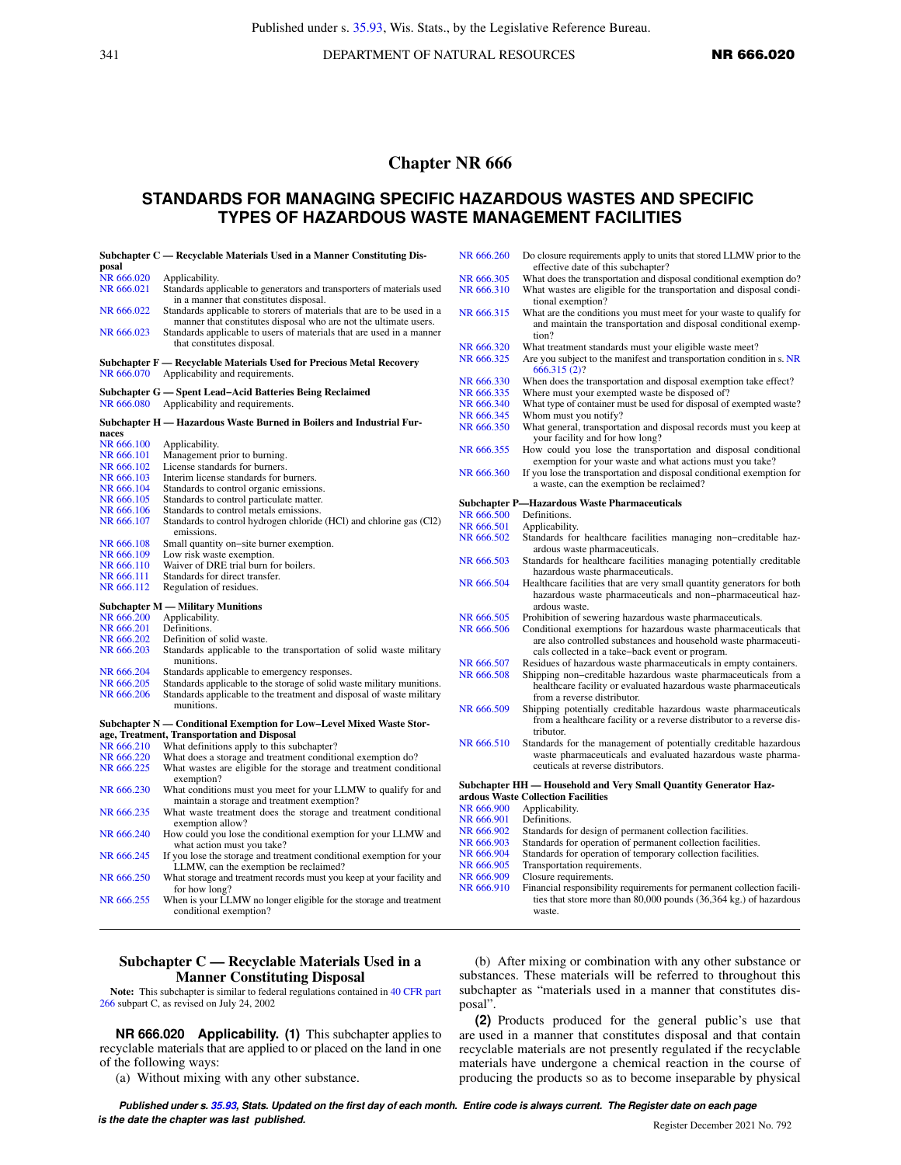341 **DEPARTMENT OF NATURAL RESOURCES NR 666.020** 

# **Chapter NR 666**

# **STANDARDS FOR MANAGING SPECIFIC HAZARDOUS WASTES AND SPECIFIC TYPES OF HAZARDOUS WASTE MANAGEMENT FACILITIES**

|            | Subchapter C — Recyclable Materials Used in a Manner Constituting Dis-                                                                    | N        |
|------------|-------------------------------------------------------------------------------------------------------------------------------------------|----------|
| posal      |                                                                                                                                           |          |
| NR 666.020 | Applicability.                                                                                                                            | N        |
| NR 666.021 | Standards applicable to generators and transporters of materials used<br>in a manner that constitutes disposal.                           | N        |
| NR 666.022 | Standards applicable to storers of materials that are to be used in a<br>manner that constitutes disposal who are not the ultimate users. | N        |
| NR 666.023 | Standards applicable to users of materials that are used in a manner                                                                      |          |
|            | that constitutes disposal.                                                                                                                | N        |
|            | Subchapter F — Recyclable Materials Used for Precious Metal Recovery                                                                      | N        |
| NR 666.070 | Applicability and requirements.                                                                                                           | N        |
|            | Subchapter G — Spent Lead-Acid Batteries Being Reclaimed                                                                                  | N        |
| NR 666.080 | Applicability and requirements.                                                                                                           | N        |
|            |                                                                                                                                           | N        |
| naces      | Subchapter H — Hazardous Waste Burned in Boilers and Industrial Fur-                                                                      | N        |
| NR 666.100 | Applicability.                                                                                                                            |          |
| NR 666.101 | Management prior to burning.                                                                                                              | N        |
| NR 666.102 | License standards for burners.                                                                                                            |          |
| NR 666.103 | Interim license standards for burners.                                                                                                    | N        |
| NR 666.104 | Standards to control organic emissions.                                                                                                   |          |
| NR 666.105 | Standards to control particulate matter.                                                                                                  | Sι       |
| NR 666.106 | Standards to control metals emissions.                                                                                                    | N        |
| NR 666.107 | Standards to control hydrogen chloride (HCl) and chlorine gas (Cl2)                                                                       | N        |
|            | emissions.                                                                                                                                | N        |
| NR 666.108 | Small quantity on-site burner exemption.                                                                                                  |          |
| NR 666.109 | Low risk waste exemption.                                                                                                                 | N        |
| NR 666.110 | Waiver of DRE trial burn for boilers.                                                                                                     |          |
| NR 666.111 | Standards for direct transfer.                                                                                                            | N        |
| NR 666.112 | Regulation of residues.                                                                                                                   |          |
|            | <b>Subchapter M — Military Munitions</b>                                                                                                  |          |
| NR 666.200 | Applicability.                                                                                                                            | N        |
| NR 666.201 | Definitions.                                                                                                                              | N        |
| NR 666.202 | Definition of solid waste.                                                                                                                |          |
| NR 666.203 | Standards applicable to the transportation of solid waste military<br>munitions.                                                          | N        |
| NR 666.204 | Standards applicable to emergency responses.                                                                                              | N        |
| NR 666.205 | Standards applicable to the storage of solid waste military munitions.                                                                    |          |
| NR 666.206 | Standards applicable to the treatment and disposal of waste military                                                                      |          |
|            | munitions.                                                                                                                                | N        |
|            | Subchapter N — Conditional Exemption for Low-Level Mixed Waste Stor-                                                                      |          |
|            | age, Treatment, Transportation and Disposal                                                                                               |          |
| NR 666.210 | What definitions apply to this subchapter?                                                                                                | N        |
| NR 666.220 | What does a storage and treatment conditional exemption do?                                                                               |          |
| NR 666.225 | What wastes are eligible for the storage and treatment conditional<br>exemption?                                                          |          |
| NR 666.230 | What conditions must you meet for your LLMW to qualify for and<br>maintain a storage and treatment exemption?                             | Sι<br>ar |
| NR 666.235 | What waste treatment does the storage and treatment conditional                                                                           | N        |
|            | exemption allow?                                                                                                                          | N        |
| NR 666.240 | How could you lose the conditional exemption for your LLMW and<br>what action must you take?                                              | N<br>N   |
| NR 666.245 | If you lose the storage and treatment conditional exemption for your                                                                      | N        |
|            | LLMW, can the exemption be reclaimed?                                                                                                     | N        |
| NR 666.250 | What storage and treatment records must you keep at your facility and                                                                     | N        |
|            | for how long?                                                                                                                             | N        |
| NR 666.255 | When is your LLMW no longer eligible for the storage and treatment                                                                        |          |

[NR 666.255](https://docs.legis.wisconsin.gov/document/administrativecode/NR%20666.255) When is your LLMW no longer eligible for the storage and treatment conditional exemption?

| NR 666.260 | Do closure requirements apply to units that stored LLMW prior to the                                                                                                                  |
|------------|---------------------------------------------------------------------------------------------------------------------------------------------------------------------------------------|
|            | effective date of this subchapter?                                                                                                                                                    |
| NR 666.305 | What does the transportation and disposal conditional exemption do?                                                                                                                   |
| NR 666.310 | What wastes are eligible for the transportation and disposal condi-<br>tional exemption?                                                                                              |
| NR 666.315 | What are the conditions you must meet for your waste to qualify for<br>and maintain the transportation and disposal conditional exemp-<br>tion?                                       |
| NR 666.320 | What treatment standards must your eligible waste meet?                                                                                                                               |
| NR 666.325 | Are you subject to the manifest and transportation condition in s. NR<br>666.315(2)?                                                                                                  |
| NR 666.330 | When does the transportation and disposal exemption take effect?                                                                                                                      |
| NR 666.335 | Where must your exempted waste be disposed of?                                                                                                                                        |
| NR 666.340 | What type of container must be used for disposal of exempted waste?                                                                                                                   |
| NR 666.345 | Whom must you notify?                                                                                                                                                                 |
| NR 666.350 | What general, transportation and disposal records must you keep at<br>your facility and for how long?                                                                                 |
| NR 666.355 | How could you lose the transportation and disposal conditional<br>exemption for your waste and what actions must you take?                                                            |
| NR 666.360 | If you lose the transportation and disposal conditional exemption for<br>a waste, can the exemption be reclaimed?                                                                     |
|            | <b>Subchapter P-Hazardous Waste Pharmaceuticals</b>                                                                                                                                   |
| NR 666.500 | Definitions.                                                                                                                                                                          |
| NR 666.501 | Applicability.                                                                                                                                                                        |
| NR 666.502 | Standards for healthcare facilities managing non-creditable haz-                                                                                                                      |
|            | ardous waste pharmaceuticals.                                                                                                                                                         |
| NR 666.503 | Standards for healthcare facilities managing potentially creditable<br>hazardous waste pharmaceuticals.                                                                               |
| NR 666.504 | Healthcare facilities that are very small quantity generators for both<br>hazardous waste pharmaceuticals and non-pharmaceutical haz-<br>ardous waste.                                |
| NR 666.505 | Prohibition of sewering hazardous waste pharmaceuticals.                                                                                                                              |
| NR 666.506 | Conditional exemptions for hazardous waste pharmaceuticals that<br>are also controlled substances and household waste pharmaceuti-<br>cals collected in a take-back event or program. |
| NR 666.507 | Residues of hazardous waste pharmaceuticals in empty containers.                                                                                                                      |
| NR 666.508 | Shipping non-creditable hazardous waste pharmaceuticals from a<br>healthcare facility or evaluated hazardous waste pharmaceuticals<br>from a reverse distributor.                     |
| NR 666.509 | Shipping potentially creditable hazardous waste pharmaceuticals<br>from a healthcare facility or a reverse distributor to a reverse dis-<br>tributor.                                 |
| NR 666.510 | Standards for the management of potentially creditable hazardous<br>waste pharmaceuticals and evaluated hazardous waste pharma-<br>ceuticals at reverse distributors.                 |
|            | Subchapter HH - Household and Very Small Quantity Generator Haz-                                                                                                                      |
| NR 666.900 | ardous Waste Collection Facilities<br>Applicability.                                                                                                                                  |
| NR 666.901 | Definitions.                                                                                                                                                                          |
| NR 666.902 | Standards for design of permanent collection facilities.                                                                                                                              |
| NR 666.903 | Standards for operation of permanent collection facilities.                                                                                                                           |
| NR 666.904 | Standards for operation of temporary collection facilities.                                                                                                                           |
| NR 666.905 | Transportation requirements.                                                                                                                                                          |
| NR 666.909 | Closure requirements.                                                                                                                                                                 |
| NR 666.910 | Financial responsibility requirements for permanent collection facili-                                                                                                                |
|            | ties that store more than 80,000 pounds (36,364 kg.) of hazardous                                                                                                                     |

## **Subchapter C — Recyclable Materials Used in a Manner Constituting Disposal**

**Note:** This subchapter is similar to federal regulations contained in [40 CFR part](https://docs.legis.wisconsin.gov/document/cfr/40%20CFR%20266) [266](https://docs.legis.wisconsin.gov/document/cfr/40%20CFR%20266) subpart C, as revised on July 24, 2002

**NR 666.020 Applicability. (1)** This subchapter applies to recyclable materials that are applied to or placed on the land in one of the following ways:

(a) Without mixing with any other substance.

(b) After mixing or combination with any other substance or substances. These materials will be referred to throughout this subchapter as "materials used in a manner that constitutes disposal".

waste.

**(2)** Products produced for the general public's use that are used in a manner that constitutes disposal and that contain recyclable materials are not presently regulated if the recyclable materials have undergone a chemical reaction in the course of producing the products so as to become inseparable by physical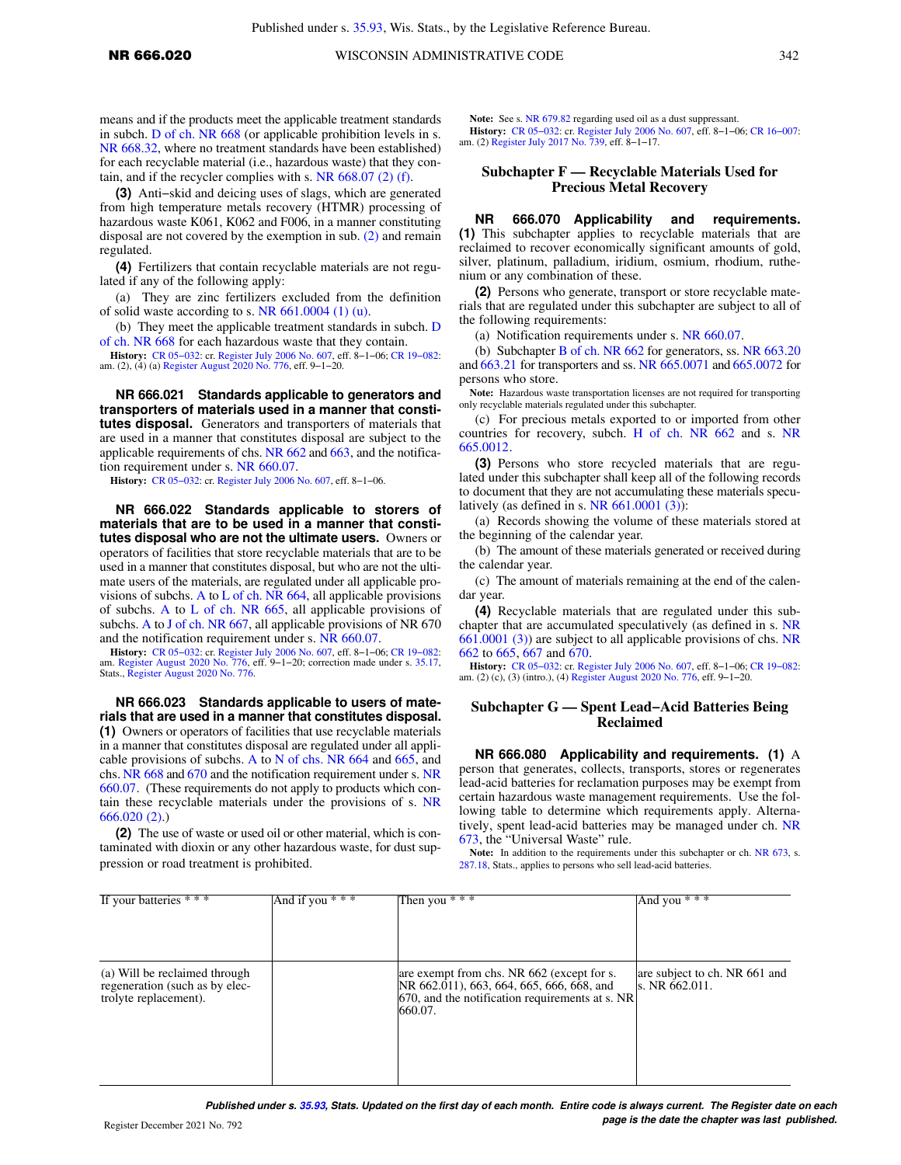means and if the products meet the applicable treatment standards in subch. [D of ch. NR 668](https://docs.legis.wisconsin.gov/document/administrativecode/subch.%20D%20of%20ch.%20NR%20668) (or applicable prohibition levels in s. [NR 668.32](https://docs.legis.wisconsin.gov/document/administrativecode/NR%20668.32), where no treatment standards have been established) for each recyclable material (i.e., hazardous waste) that they contain, and if the recycler complies with s. [NR 668.07 \(2\) \(f\).](https://docs.legis.wisconsin.gov/document/administrativecode/NR%20668.07(2)(f))

**(3)** Anti−skid and deicing uses of slags, which are generated from high temperature metals recovery (HTMR) processing of hazardous waste K061, K062 and F006, in a manner constituting disposal are not covered by the exemption in sub. [\(2\)](https://docs.legis.wisconsin.gov/document/administrativecode/NR%20666.020(2)) and remain regulated.

**(4)** Fertilizers that contain recyclable materials are not regulated if any of the following apply:

(a) They are zinc fertilizers excluded from the definition of solid waste according to s. [NR 661.0004 \(1\) \(u\)](https://docs.legis.wisconsin.gov/document/administrativecode/NR%20661.0004(1)(u)).

(b) They meet the applicable treatment standards in subch. [D](https://docs.legis.wisconsin.gov/document/administrativecode/subch.%20D%20of%20ch.%20NR%20668) [of ch. NR 668](https://docs.legis.wisconsin.gov/document/administrativecode/subch.%20D%20of%20ch.%20NR%20668) for each hazardous waste that they contain.

**History:** [CR 05−032:](https://docs.legis.wisconsin.gov/document/cr/2005/32) cr. [Register July 2006 No. 607,](https://docs.legis.wisconsin.gov/document/register/607/B/toc) eff. 8−1−06; [CR 19−082:](https://docs.legis.wisconsin.gov/document/cr/2019/82) am. (2), (4) (a) [Register August 2020 No. 776](https://docs.legis.wisconsin.gov/document/register/776/B/toc), eff. 9−1−20.

**NR 666.021 Standards applicable to generators and transporters of materials used in a manner that constitutes disposal.** Generators and transporters of materials that are used in a manner that constitutes disposal are subject to the applicable requirements of chs. [NR 662](https://docs.legis.wisconsin.gov/document/administrativecode/ch.%20NR%20662) and [663](https://docs.legis.wisconsin.gov/document/administrativecode/ch.%20NR%20663), and the notification requirement under s. [NR 660.07.](https://docs.legis.wisconsin.gov/document/administrativecode/NR%20660.07)

**History:** [CR 05−032](https://docs.legis.wisconsin.gov/document/cr/2005/32): cr. [Register July 2006 No. 607,](https://docs.legis.wisconsin.gov/document/register/607/B/toc) eff. 8−1−06.

**NR 666.022 Standards applicable to storers of materials that are to be used in a manner that constitutes disposal who are not the ultimate users.** Owners or operators of facilities that store recyclable materials that are to be used in a manner that constitutes disposal, but who are not the ultimate users of the materials, are regulated under all applicable provisions of subchs. [A](https://docs.legis.wisconsin.gov/document/administrativecode/subch.%20A%20of%20ch.%20NR%20664) to [L of ch. NR 664](https://docs.legis.wisconsin.gov/document/administrativecode/subch.%20L%20of%20ch.%20NR%20664), all applicable provisions of subchs. [A](https://docs.legis.wisconsin.gov/document/administrativecode/subch.%20A%20of%20ch.%20NR%20665) to [L of ch. NR 665](https://docs.legis.wisconsin.gov/document/administrativecode/subch.%20L%20of%20ch.%20NR%20665), all applicable provisions of subchs. [A](https://docs.legis.wisconsin.gov/document/administrativecode/subch.%20A%20of%20ch.%20NR%20667) to [J of ch. NR 667](https://docs.legis.wisconsin.gov/document/administrativecode/subch.%20J%20of%20ch.%20NR%20667), all applicable provisions of NR 670 and the notification requirement under s. [NR 660.07](https://docs.legis.wisconsin.gov/document/administrativecode/NR%20660.07).

**History:** [CR 05−032:](https://docs.legis.wisconsin.gov/document/cr/2005/32) cr. [Register July 2006 No. 607,](https://docs.legis.wisconsin.gov/document/register/607/B/toc) eff. 8−1−06; [CR 19−082:](https://docs.legis.wisconsin.gov/document/cr/2019/82) am. [Register August 2020 No. 776](https://docs.legis.wisconsin.gov/document/register/776/B/toc), eff. 9−1−20; correction made under s. [35.17](https://docs.legis.wisconsin.gov/document/statutes/35.17), Stats., [Register August 2020 No. 776](https://docs.legis.wisconsin.gov/document/register/776/B/toc).

**NR 666.023 Standards applicable to users of materials that are used in a manner that constitutes disposal. (1)** Owners or operators of facilities that use recyclable materials in a manner that constitutes disposal are regulated under all applicable provisions of subchs. [A](https://docs.legis.wisconsin.gov/document/administrativecode/subch.%20A%20of%20ch.%20NR%20664) to [N of chs. NR 664](https://docs.legis.wisconsin.gov/document/administrativecode/subch.%20N%20of%20ch.%20NR%20664) and [665](https://docs.legis.wisconsin.gov/document/administrativecode/ch.%20NR%20665), and chs. [NR 668](https://docs.legis.wisconsin.gov/document/administrativecode/ch.%20NR%20668) and [670](https://docs.legis.wisconsin.gov/document/administrativecode/ch.%20NR%20670) and the notification requirement under s. [NR](https://docs.legis.wisconsin.gov/document/administrativecode/NR%20660.07) [660.07.](https://docs.legis.wisconsin.gov/document/administrativecode/NR%20660.07) (These requirements do not apply to products which contain these recyclable materials under the provisions of s. [NR](https://docs.legis.wisconsin.gov/document/administrativecode/NR%20666.020(2)) [666.020 \(2\)](https://docs.legis.wisconsin.gov/document/administrativecode/NR%20666.020(2)).)

**(2)** The use of waste or used oil or other material, which is contaminated with dioxin or any other hazardous waste, for dust suppression or road treatment is prohibited.

**Note:** See s. [NR 679.82](https://docs.legis.wisconsin.gov/document/administrativecode/NR%20679.82) regarding used oil as a dust suppressant. **History:** [CR 05−032](https://docs.legis.wisconsin.gov/document/cr/2005/32): cr. [Register July 2006 No. 607](https://docs.legis.wisconsin.gov/document/register/607/B/toc), eff. 8−1−06; [CR 16−007](https://docs.legis.wisconsin.gov/document/cr/2016/7): am. (2) [Register July 2017 No. 739](https://docs.legis.wisconsin.gov/document/register/739/B/toc), eff. 8−1−17.

## **Subchapter F — Recyclable Materials Used for Precious Metal Recovery**

**NR 666.070 Applicability and requirements. (1)** This subchapter applies to recyclable materials that are reclaimed to recover economically significant amounts of gold, silver, platinum, palladium, iridium, osmium, rhodium, ruthenium or any combination of these.

**(2)** Persons who generate, transport or store recyclable materials that are regulated under this subchapter are subject to all of the following requirements:

(a) Notification requirements under s. [NR 660.07.](https://docs.legis.wisconsin.gov/document/administrativecode/NR%20660.07)

(b) Subchapter [B of ch. NR 662](https://docs.legis.wisconsin.gov/document/administrativecode/subch.%20B%20of%20ch.%20NR%20662) for generators, ss. [NR 663.20](https://docs.legis.wisconsin.gov/document/administrativecode/NR%20663.20) and [663.21](https://docs.legis.wisconsin.gov/document/administrativecode/NR%20663.21) for transporters and ss. [NR 665.0071](https://docs.legis.wisconsin.gov/document/administrativecode/NR%20665.0071) and [665.0072](https://docs.legis.wisconsin.gov/document/administrativecode/NR%20665.0072) for persons who store.

**Note:** Hazardous waste transportation licenses are not required for transporting only recyclable materials regulated under this subchapter.

(c) For precious metals exported to or imported from other countries for recovery, subch. [H of ch. NR 662](https://docs.legis.wisconsin.gov/document/administrativecode/subch.%20H%20of%20ch.%20NR%20662) and s. [NR](https://docs.legis.wisconsin.gov/document/administrativecode/NR%20665.0012) [665.0012](https://docs.legis.wisconsin.gov/document/administrativecode/NR%20665.0012).

**(3)** Persons who store recycled materials that are regulated under this subchapter shall keep all of the following records to document that they are not accumulating these materials speculatively (as defined in s. NR  $661.0001$  (3)):

(a) Records showing the volume of these materials stored at the beginning of the calendar year.

(b) The amount of these materials generated or received during the calendar year.

(c) The amount of materials remaining at the end of the calendar year.

**(4)** Recyclable materials that are regulated under this subchapter that are accumulated speculatively (as defined in s. [NR](https://docs.legis.wisconsin.gov/document/administrativecode/NR%20661.0001(3)) [661.0001 \(3\)\)](https://docs.legis.wisconsin.gov/document/administrativecode/NR%20661.0001(3)) are subject to all applicable provisions of chs. [NR](https://docs.legis.wisconsin.gov/document/administrativecode/ch.%20NR%20662) [662](https://docs.legis.wisconsin.gov/document/administrativecode/ch.%20NR%20662) to [665,](https://docs.legis.wisconsin.gov/document/administrativecode/ch.%20NR%20665) [667](https://docs.legis.wisconsin.gov/document/administrativecode/ch.%20NR%20667) and [670](https://docs.legis.wisconsin.gov/document/administrativecode/ch.%20NR%20670).

**History:** [CR 05−032](https://docs.legis.wisconsin.gov/document/cr/2005/32): cr. [Register July 2006 No. 607](https://docs.legis.wisconsin.gov/document/register/607/B/toc), eff. 8−1−06; [CR 19−082](https://docs.legis.wisconsin.gov/document/cr/2019/82): am. (2) (c), (3) (intro.), (4) [Register August 2020 No. 776,](https://docs.legis.wisconsin.gov/document/register/776/B/toc) eff. 9−1−20.

### **Subchapter G — Spent Lead−Acid Batteries Being Reclaimed**

**NR 666.080 Applicability and requirements. (1)** A person that generates, collects, transports, stores or regenerates lead-acid batteries for reclamation purposes may be exempt from certain hazardous waste management requirements. Use the following table to determine which requirements apply. Alternatively, spent lead-acid batteries may be managed under ch. [NR](https://docs.legis.wisconsin.gov/document/administrativecode/ch.%20NR%20673) [673,](https://docs.legis.wisconsin.gov/document/administrativecode/ch.%20NR%20673) the "Universal Waste" rule.

Note: In addition to the requirements under this subchapter or ch. [NR 673,](https://docs.legis.wisconsin.gov/document/administrativecode/ch.%20NR%20673) s. [287.18](https://docs.legis.wisconsin.gov/document/statutes/287.18), Stats., applies to persons who sell lead-acid batteries.

| If your batteries $***$                                                                  | And if you $***$ | Then you $***$                                                                                                                                        | And you $***$                                   |
|------------------------------------------------------------------------------------------|------------------|-------------------------------------------------------------------------------------------------------------------------------------------------------|-------------------------------------------------|
|                                                                                          |                  |                                                                                                                                                       |                                                 |
| (a) Will be reclaimed through<br>regeneration (such as by elec-<br>trolyte replacement). |                  | are exempt from chs. NR 662 (except for s.<br>NR 662.011), 663, 664, 665, 666, 668, and<br>670, and the notification requirements at s. NR<br>660.07. | are subject to ch. NR 661 and<br>s. NR 662.011. |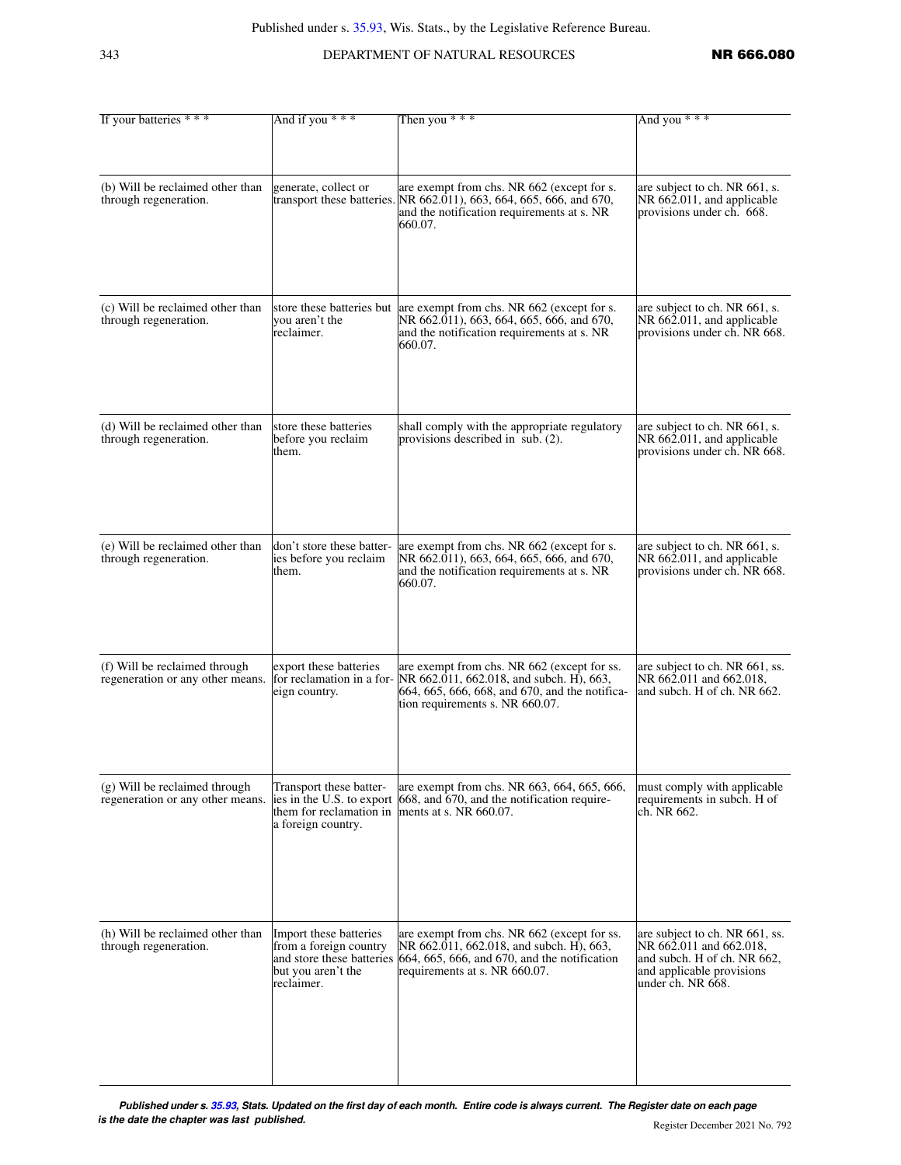## 343 **DEPARTMENT OF NATURAL RESOURCES NR 666.080**

| If your batteries * * *                                           | And if you $***$                                                                                                  | Then you $***$                                                                                                                                                               | And you ***                                                                                                                                |
|-------------------------------------------------------------------|-------------------------------------------------------------------------------------------------------------------|------------------------------------------------------------------------------------------------------------------------------------------------------------------------------|--------------------------------------------------------------------------------------------------------------------------------------------|
|                                                                   |                                                                                                                   |                                                                                                                                                                              |                                                                                                                                            |
| (b) Will be reclaimed other than<br>through regeneration.         | generate, collect or                                                                                              | are exempt from chs. NR 662 (except for s.<br>transport these batteries. NR 662.011), 663, 664, 665, 666, and 670,<br>and the notification requirements at s. NR<br>660.07.  | are subject to ch. NR 661, s.<br>NR 662.011, and applicable<br>provisions under ch. 668.                                                   |
| (c) Will be reclaimed other than<br>through regeneration.         | you aren't the<br>reclaimer.                                                                                      | store these batteries but are exempt from chs. NR 662 (except for s.<br>NR 662.011), 663, 664, 665, 666, and 670,<br>and the notification requirements at s. NR<br>660.07.   | are subject to ch. NR 661, s.<br>NR 662.011, and applicable<br>provisions under ch. NR 668.                                                |
| (d) Will be reclaimed other than<br>through regeneration.         | store these batteries<br>before you reclaim<br>them.                                                              | shall comply with the appropriate regulatory<br>provisions described in sub. (2).                                                                                            | are subject to ch. NR 661, s.<br>NR 662.011, and applicable<br>provisions under ch. NR 668.                                                |
| (e) Will be reclaimed other than<br>through regeneration.         | don't store these batter-<br>ies before you reclaim<br>them.                                                      | are exempt from chs. NR 662 (except for s.<br>NR 662.011), 663, 664, 665, 666, and 670,<br>and the notification requirements at s. NR<br>660.07.                             | are subject to ch. NR 661, s.<br>NR 662.011, and applicable<br>provisions under ch. NR 668.                                                |
| (f) Will be reclaimed through<br>regeneration or any other means. | export these batteries<br>for reclamation in a for-<br>eign country.                                              | are exempt from chs. NR 662 (except for ss.<br>NR 662.011, 662.018, and subch. H), 663,<br>664, 665, 666, 668, and 670, and the notifica-<br>tion requirements s. NR 660.07. | are subject to ch. NR 661, ss.<br>NR 662.011 and 662.018,<br>and subch. H of ch. NR 662.                                                   |
| (g) Will be reclaimed through<br>regeneration or any other means. | Transport these batter-<br>ies in the U.S. to export<br>them for reclamation in<br>a foreign country.             | are exempt from chs. NR 663, 664, 665, 666,<br>668, and 670, and the notification require-<br>ments at s. NR 660.07.                                                         | must comply with applicable<br>requirements in subch. H of<br>ch. NR 662.                                                                  |
| (h) Will be reclaimed other than<br>through regeneration.         | Import these batteries<br>from a foreign country<br>and store these batteries<br>but you aren't the<br>reclaimer. | are exempt from chs. NR 662 (except for ss.<br>NR 662.011, 662.018, and subch. H), 663,<br>664, 665, 666, and 670, and the notification<br>requirements at s. NR 660.07.     | are subject to ch. NR 661, ss.<br>NR 662.011 and 662.018,<br>and subch. H of ch. NR 662,<br>and applicable provisions<br>under ch. NR 668. |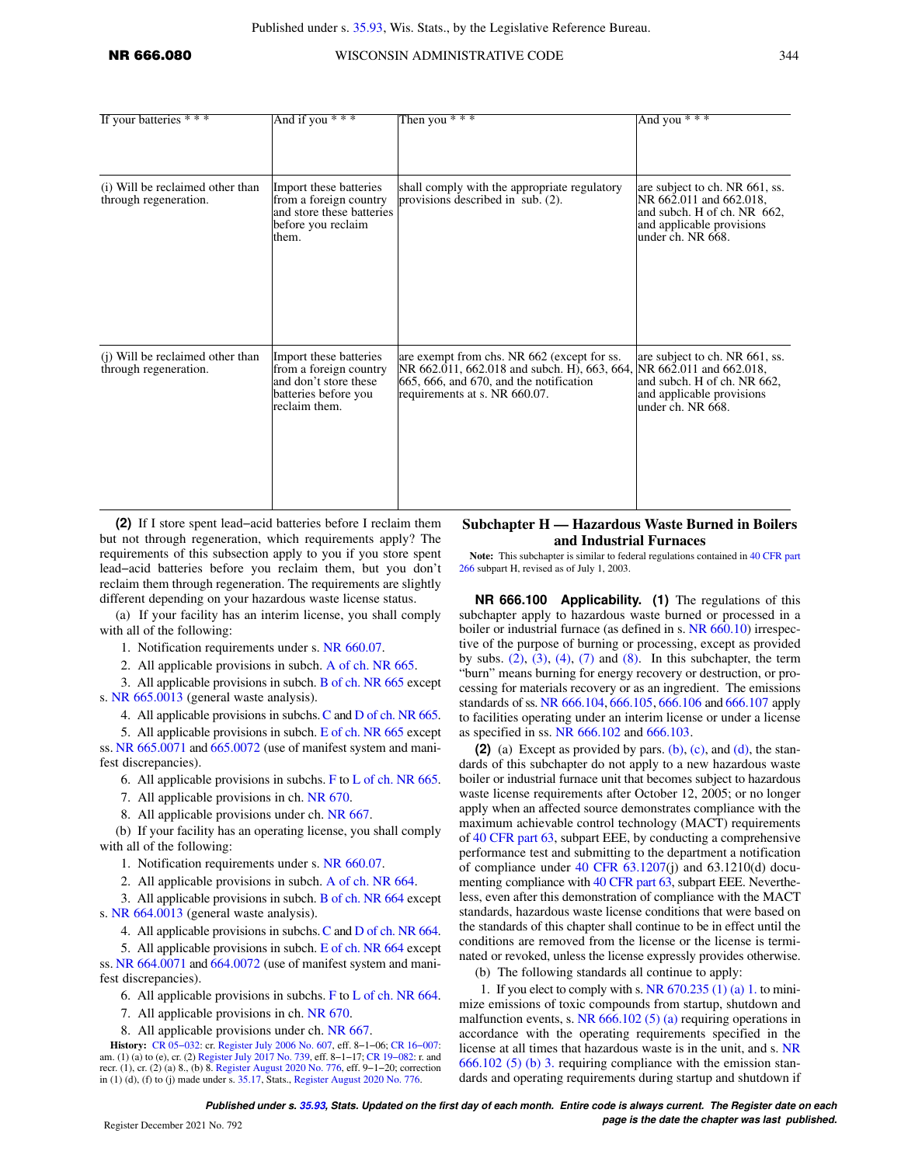## **NR 666.080** WISCONSIN ADMINISTRATIVE CODE 344

| If your batteries * * *                                   | And if you $***$                                                                                                   | Then you $***$                                                                                                                                                                                  | And you * * *                                                                                                                              |
|-----------------------------------------------------------|--------------------------------------------------------------------------------------------------------------------|-------------------------------------------------------------------------------------------------------------------------------------------------------------------------------------------------|--------------------------------------------------------------------------------------------------------------------------------------------|
|                                                           |                                                                                                                    |                                                                                                                                                                                                 |                                                                                                                                            |
| (i) Will be reclaimed other than<br>through regeneration. | Import these batteries<br>from a foreign country<br>and store these batteries<br>before you reclaim<br>them.       | shall comply with the appropriate regulatory<br>provisions described in sub. (2).                                                                                                               | are subject to ch. NR 661, ss.<br>NR 662.011 and 662.018,<br>and subch. H of ch. NR 662,<br>and applicable provisions<br>under ch. NR 668. |
| (i) Will be reclaimed other than<br>through regeneration. | Import these batteries<br>from a foreign country<br>and don't store these<br>batteries before you<br>reclaim them. | are exempt from chs. NR 662 (except for ss.<br>NR 662.011, 662.018 and subch. H), 663, 664, NR 662.011 and 662.018,<br>665, 666, and 670, and the notification<br>requirements at s. NR 660.07. | are subject to ch. NR 661, ss.<br>and subch. H of ch. NR 662,<br>and applicable provisions<br>under ch. NR 668.                            |

**(2)** If I store spent lead−acid batteries before I reclaim them but not through regeneration, which requirements apply? The requirements of this subsection apply to you if you store spent lead−acid batteries before you reclaim them, but you don't reclaim them through regeneration. The requirements are slightly different depending on your hazardous waste license status.

(a) If your facility has an interim license, you shall comply with all of the following:

1. Notification requirements under s. [NR 660.07.](https://docs.legis.wisconsin.gov/document/administrativecode/NR%20660.07)

2. All applicable provisions in subch. [A of ch. NR 665.](https://docs.legis.wisconsin.gov/document/administrativecode/subch.%20A%20of%20ch.%20NR%20665)

3. All applicable provisions in subch. [B of ch. NR 665](https://docs.legis.wisconsin.gov/document/administrativecode/subch.%20B%20of%20ch.%20NR%20665) except s. [NR 665.0013](https://docs.legis.wisconsin.gov/document/administrativecode/NR%20665.0013) (general waste analysis).

4. All applicable provisions in subchs.[C](https://docs.legis.wisconsin.gov/document/administrativecode/subch.%20C%20of%20ch.%20NR%20665) and [D of ch. NR 665.](https://docs.legis.wisconsin.gov/document/administrativecode/subch.%20D%20of%20ch.%20NR%20665)

5. All applicable provisions in subch. [E of ch. NR 665](https://docs.legis.wisconsin.gov/document/administrativecode/subch.%20E%20of%20ch.%20NR%20665) except ss. [NR 665.0071](https://docs.legis.wisconsin.gov/document/administrativecode/NR%20665.0071) and [665.0072](https://docs.legis.wisconsin.gov/document/administrativecode/NR%20665.0072) (use of manifest system and manifest discrepancies).

6. All applicable provisions in subchs. [F](https://docs.legis.wisconsin.gov/document/administrativecode/subch.%20F%20of%20ch.%20NR%20665) to [L of ch. NR 665.](https://docs.legis.wisconsin.gov/document/administrativecode/subch.%20L%20of%20ch.%20NR%20665)

7. All applicable provisions in ch. [NR 670](https://docs.legis.wisconsin.gov/document/administrativecode/ch.%20NR%20670).

8. All applicable provisions under ch. [NR 667](https://docs.legis.wisconsin.gov/document/administrativecode/ch.%20NR%20667).

(b) If your facility has an operating license, you shall comply with all of the following:

1. Notification requirements under s. [NR 660.07.](https://docs.legis.wisconsin.gov/document/administrativecode/NR%20660.07)

2. All applicable provisions in subch. [A of ch. NR 664.](https://docs.legis.wisconsin.gov/document/administrativecode/subch.%20A%20of%20ch.%20NR%20664)

3. All applicable provisions in subch. [B of ch. NR 664](https://docs.legis.wisconsin.gov/document/administrativecode/subch.%20B%20of%20ch.%20NR%20664) except s. [NR 664.0013](https://docs.legis.wisconsin.gov/document/administrativecode/NR%20664.0013) (general waste analysis).

4. All applicable provisions in subchs.[C](https://docs.legis.wisconsin.gov/document/administrativecode/subch.%20C%20of%20ch.%20NR%20664) and [D of ch. NR 664.](https://docs.legis.wisconsin.gov/document/administrativecode/subch.%20D%20of%20ch.%20NR%20664)

5. All applicable provisions in subch. [E of ch. NR 664](https://docs.legis.wisconsin.gov/document/administrativecode/subch.%20E%20of%20ch.%20NR%20664) except ss. [NR 664.0071](https://docs.legis.wisconsin.gov/document/administrativecode/NR%20664.0071) and [664.0072](https://docs.legis.wisconsin.gov/document/administrativecode/NR%20664.0072) (use of manifest system and manifest discrepancies).

6. All applicable provisions in subchs. [F](https://docs.legis.wisconsin.gov/document/administrativecode/subch.%20F%20of%20ch.%20NR%20664) to [L of ch. NR 664.](https://docs.legis.wisconsin.gov/document/administrativecode/subch.%20L%20of%20ch.%20NR%20664)

7. All applicable provisions in ch. [NR 670](https://docs.legis.wisconsin.gov/document/administrativecode/ch.%20NR%20670).

8. All applicable provisions under ch. [NR 667](https://docs.legis.wisconsin.gov/document/administrativecode/ch.%20NR%20667).

**History:** [CR 05−032:](https://docs.legis.wisconsin.gov/document/cr/2005/32) cr. [Register July 2006 No. 607,](https://docs.legis.wisconsin.gov/document/register/607/B/toc) eff. 8−1−06; [CR 16−007:](https://docs.legis.wisconsin.gov/document/cr/2016/7) am. (1) (a) to (e), cr. (2) [Register July 2017 No. 739,](https://docs.legis.wisconsin.gov/document/register/739/B/toc) eff. 8−1−17; [CR 19−082](https://docs.legis.wisconsin.gov/document/cr/2019/82): r. and recr. (1), cr. (2) (a) 8., (b) 8. [Register August 2020 No. 776](https://docs.legis.wisconsin.gov/document/register/776/B/toc), eff. 9−1−20; correction in (1) (d), (f) to (j) made under s. [35.17,](https://docs.legis.wisconsin.gov/document/statutes/35.17) Stats., [Register August 2020 No. 776](https://docs.legis.wisconsin.gov/document/register/776/B/toc).

**Subchapter H — Hazardous Waste Burned in Boilers and Industrial Furnaces**

**Note:** This subchapter is similar to federal regulations contained in [40 CFR part](https://docs.legis.wisconsin.gov/document/cfr/40%20CFR%20266) [266](https://docs.legis.wisconsin.gov/document/cfr/40%20CFR%20266) subpart H, revised as of July 1, 2003.

**NR 666.100 Applicability. (1)** The regulations of this subchapter apply to hazardous waste burned or processed in a boiler or industrial furnace (as defined in s. [NR 660.10\)](https://docs.legis.wisconsin.gov/document/administrativecode/NR%20660.10) irrespective of the purpose of burning or processing, except as provided by subs.  $(2)$ ,  $(3)$ ,  $(4)$ ,  $(7)$  and  $(8)$ . In this subchapter, the term "burn" means burning for energy recovery or destruction, or processing for materials recovery or as an ingredient. The emissions standards of ss. [NR 666.104,](https://docs.legis.wisconsin.gov/document/administrativecode/NR%20666.104) [666.105](https://docs.legis.wisconsin.gov/document/administrativecode/NR%20666.105), [666.106](https://docs.legis.wisconsin.gov/document/administrativecode/NR%20666.106) and [666.107](https://docs.legis.wisconsin.gov/document/administrativecode/NR%20666.107) apply to facilities operating under an interim license or under a license as specified in ss. [NR 666.102](https://docs.legis.wisconsin.gov/document/administrativecode/NR%20666.102) and [666.103](https://docs.legis.wisconsin.gov/document/administrativecode/NR%20666.103).

**(2)** (a) Except as provided by pars. [\(b\),](https://docs.legis.wisconsin.gov/document/administrativecode/NR%20666.100(2)(b)) [\(c\)](https://docs.legis.wisconsin.gov/document/administrativecode/NR%20666.100(2)(c)), and [\(d\)](https://docs.legis.wisconsin.gov/document/administrativecode/NR%20666.100(2)(d)), the standards of this subchapter do not apply to a new hazardous waste boiler or industrial furnace unit that becomes subject to hazardous waste license requirements after October 12, 2005; or no longer apply when an affected source demonstrates compliance with the maximum achievable control technology (MACT) requirements of [40 CFR part 63,](https://docs.legis.wisconsin.gov/document/cfr/40%20CFR%2063) subpart EEE, by conducting a comprehensive performance test and submitting to the department a notification of compliance under  $40$  CFR  $63.1207(j)$  and  $63.1210(d)$  documenting compliance with [40 CFR part 63,](https://docs.legis.wisconsin.gov/document/cfr/40%20CFR%2063) subpart EEE. Nevertheless, even after this demonstration of compliance with the MACT standards, hazardous waste license conditions that were based on the standards of this chapter shall continue to be in effect until the conditions are removed from the license or the license is terminated or revoked, unless the license expressly provides otherwise.

(b) The following standards all continue to apply:

1. If you elect to comply with s. NR  $670.235(1)(a)$  1. to minimize emissions of toxic compounds from startup, shutdown and malfunction events, s. [NR 666.102 \(5\) \(a\)](https://docs.legis.wisconsin.gov/document/administrativecode/NR%20666.102(5)(a)) requiring operations in accordance with the operating requirements specified in the license at all times that hazardous waste is in the unit, and s. [NR](https://docs.legis.wisconsin.gov/document/administrativecode/NR%20666.102(5)(b)3.) [666.102 \(5\) \(b\) 3.](https://docs.legis.wisconsin.gov/document/administrativecode/NR%20666.102(5)(b)3.) requiring compliance with the emission standards and operating requirements during startup and shutdown if

**Published under s. [35.93,](https://docs.legis.wisconsin.gov/document/statutes/35.93) Stats. Updated on the first day of each month. Entire code is always current. The Register date on each** Register December 2021 No. 792 *page is the date the chapter was last published.*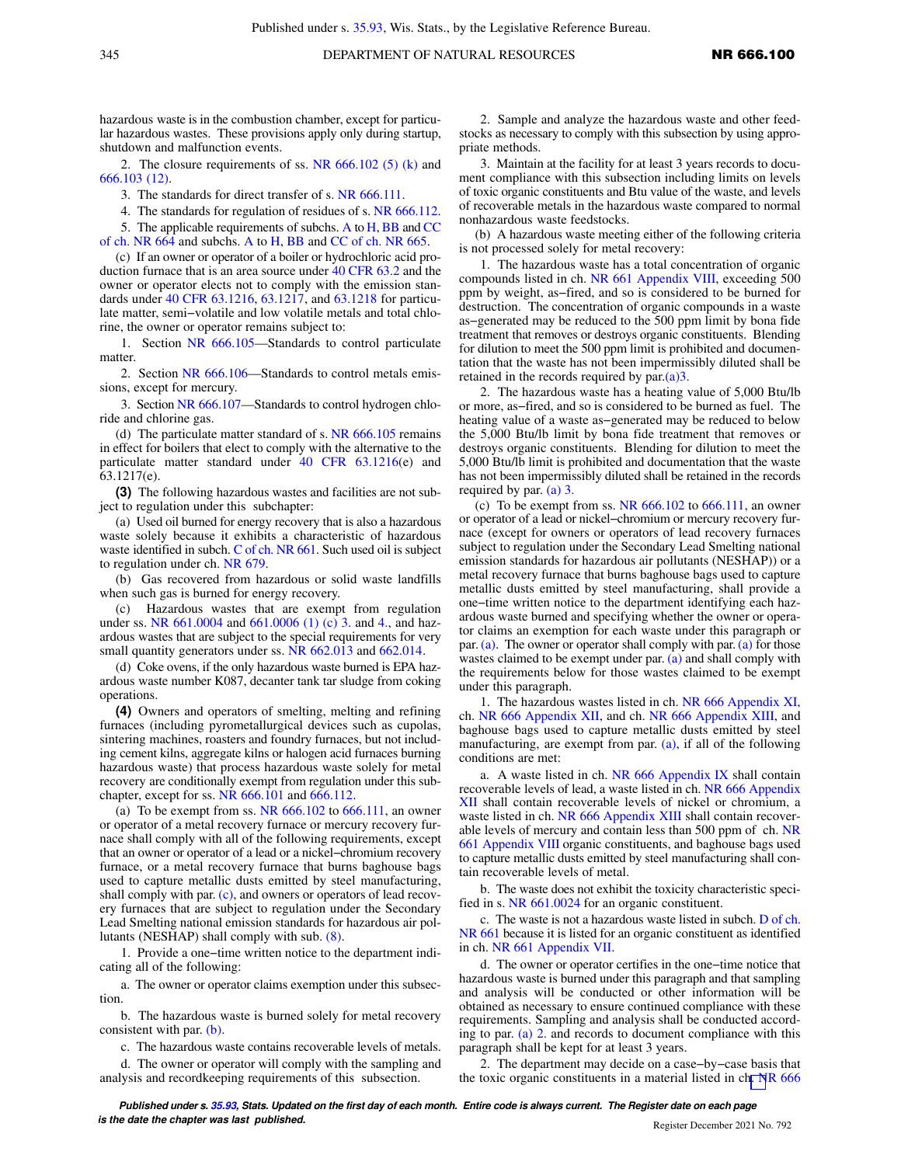hazardous waste is in the combustion chamber, except for particular hazardous wastes. These provisions apply only during startup, shutdown and malfunction events.

2. The closure requirements of ss. NR  $666.102(5)$  (k) and [666.103 \(12\).](https://docs.legis.wisconsin.gov/document/administrativecode/NR%20666.103(12))

3. The standards for direct transfer of s. [NR 666.111](https://docs.legis.wisconsin.gov/document/administrativecode/NR%20666.111).

4. The standards for regulation of residues of s. [NR 666.112.](https://docs.legis.wisconsin.gov/document/administrativecode/NR%20666.112)

5. The applicable requirements of subchs. [A](https://docs.legis.wisconsin.gov/document/administrativecode/subch.%20A%20of%20ch.%20NR%20664) to [H,](https://docs.legis.wisconsin.gov/document/administrativecode/subch.%20H%20of%20ch.%20NR%20664) [BB](https://docs.legis.wisconsin.gov/document/administrativecode/subch.%20BB%20of%20ch.%20NR%20664) and [CC](https://docs.legis.wisconsin.gov/document/administrativecode/subch.%20CC%20of%20ch.%20NR%20664) [of ch. NR 664](https://docs.legis.wisconsin.gov/document/administrativecode/subch.%20CC%20of%20ch.%20NR%20664) and subchs. [A](https://docs.legis.wisconsin.gov/document/administrativecode/subch.%20A%20of%20ch.%20NR%20665) to [H](https://docs.legis.wisconsin.gov/document/administrativecode/subch.%20H%20of%20ch.%20NR%20665), [BB](https://docs.legis.wisconsin.gov/document/administrativecode/subch.%20BB%20of%20ch.%20NR%20665) and [CC of ch. NR 665](https://docs.legis.wisconsin.gov/document/administrativecode/subch.%20CC%20of%20ch.%20NR%20665).

(c) If an owner or operator of a boiler or hydrochloric acid production furnace that is an area source under [40 CFR 63.2](https://docs.legis.wisconsin.gov/document/cfr/40%20CFR%2063.2) and the owner or operator elects not to comply with the emission standards under [40 CFR 63.1216,](https://docs.legis.wisconsin.gov/document/cfr/40%20CFR%2063.1216) [63.1217,](https://docs.legis.wisconsin.gov/document/cfr/40%20CFR%2063.1217) and [63.1218](https://docs.legis.wisconsin.gov/document/cfr/40%20CFR%2063.1218) for particulate matter, semi−volatile and low volatile metals and total chlorine, the owner or operator remains subject to:

1. Section [NR 666.105](https://docs.legis.wisconsin.gov/document/administrativecode/NR%20666.105)—Standards to control particulate matter.

2. Section [NR 666.106](https://docs.legis.wisconsin.gov/document/administrativecode/NR%20666.106)—Standards to control metals emissions, except for mercury.

3. Section [NR 666.107—](https://docs.legis.wisconsin.gov/document/administrativecode/NR%20666.107)Standards to control hydrogen chloride and chlorine gas.

(d) The particulate matter standard of s. [NR 666.105](https://docs.legis.wisconsin.gov/document/administrativecode/NR%20666.105) remains in effect for boilers that elect to comply with the alternative to the particulate matter standard under [40 CFR 63.1216\(](https://docs.legis.wisconsin.gov/document/cfr/40%20CFR%2063.1216)e) and 63.1217(e).

**(3)** The following hazardous wastes and facilities are not subject to regulation under this subchapter:

(a) Used oil burned for energy recovery that is also a hazardous waste solely because it exhibits a characteristic of hazardous waste identified in subch. [C of ch. NR 661.](https://docs.legis.wisconsin.gov/document/administrativecode/subch.%20C%20of%20ch.%20NR%20661) Such used oil is subject to regulation under ch. [NR 679](https://docs.legis.wisconsin.gov/document/administrativecode/ch.%20NR%20679).

(b) Gas recovered from hazardous or solid waste landfills when such gas is burned for energy recovery.

(c) Hazardous wastes that are exempt from regulation under ss. NR  $661.0004$  and  $661.0006$  (1) (c) 3. and [4.,](https://docs.legis.wisconsin.gov/document/administrativecode/NR%20661.0006(1)(c)4.) and hazardous wastes that are subject to the special requirements for very small quantity generators under ss. [NR 662.013](https://docs.legis.wisconsin.gov/document/administrativecode/NR%20662.013) and [662.014](https://docs.legis.wisconsin.gov/document/administrativecode/NR%20662.014).

(d) Coke ovens, if the only hazardous waste burned is EPA hazardous waste number K087, decanter tank tar sludge from coking operations.

**(4)** Owners and operators of smelting, melting and refining furnaces (including pyrometallurgical devices such as cupolas, sintering machines, roasters and foundry furnaces, but not including cement kilns, aggregate kilns or halogen acid furnaces burning hazardous waste) that process hazardous waste solely for metal recovery are conditionally exempt from regulation under this subchapter, except for ss. [NR 666.101](https://docs.legis.wisconsin.gov/document/administrativecode/NR%20666.101) and [666.112.](https://docs.legis.wisconsin.gov/document/administrativecode/NR%20666.112)

(a) To be exempt from ss. NR  $666.102$  to  $666.111$ , an owner or operator of a metal recovery furnace or mercury recovery furnace shall comply with all of the following requirements, except that an owner or operator of a lead or a nickel−chromium recovery furnace, or a metal recovery furnace that burns baghouse bags used to capture metallic dusts emitted by steel manufacturing, shall comply with par. [\(c\),](https://docs.legis.wisconsin.gov/document/administrativecode/NR%20666.100(4)(c)) and owners or operators of lead recovery furnaces that are subject to regulation under the Secondary Lead Smelting national emission standards for hazardous air pollutants (NESHAP) shall comply with sub. [\(8\)](https://docs.legis.wisconsin.gov/document/administrativecode/NR%20666.100(8)).

1. Provide a one−time written notice to the department indicating all of the following:

a. The owner or operator claims exemption under this subsection.

b. The hazardous waste is burned solely for metal recovery consistent with par. [\(b\).](https://docs.legis.wisconsin.gov/document/administrativecode/NR%20666.100(4)(b))

c. The hazardous waste contains recoverable levels of metals.

d. The owner or operator will comply with the sampling and analysis and recordkeeping requirements of this subsection.

2. Sample and analyze the hazardous waste and other feedstocks as necessary to comply with this subsection by using appropriate methods.

3. Maintain at the facility for at least 3 years records to document compliance with this subsection including limits on levels of toxic organic constituents and Btu value of the waste, and levels of recoverable metals in the hazardous waste compared to normal nonhazardous waste feedstocks.

(b) A hazardous waste meeting either of the following criteria is not processed solely for metal recovery:

1. The hazardous waste has a total concentration of organic compounds listed in ch. [NR 661 Appendix VIII,](https://docs.legis.wisconsin.gov/document/administrativecode/ch.%20NR%20661%20Appendix%20VIII) exceeding 500 ppm by weight, as−fired, and so is considered to be burned for destruction. The concentration of organic compounds in a waste as−generated may be reduced to the 500 ppm limit by bona fide treatment that removes or destroys organic constituents. Blending for dilution to meet the 500 ppm limit is prohibited and documentation that the waste has not been impermissibly diluted shall be retained in the records required by par[.\(a\)3.](https://docs.legis.wisconsin.gov/document/administrativecode/NR%20666.100(4)(a)3.)

2. The hazardous waste has a heating value of 5,000 Btu/lb or more, as−fired, and so is considered to be burned as fuel. The heating value of a waste as−generated may be reduced to below the 5,000 Btu/lb limit by bona fide treatment that removes or destroys organic constituents. Blending for dilution to meet the 5,000 Btu/lb limit is prohibited and documentation that the waste has not been impermissibly diluted shall be retained in the records required by par. [\(a\) 3.](https://docs.legis.wisconsin.gov/document/administrativecode/NR%20666.100(4)(a)3.)

(c) To be exempt from ss. NR  $666.102$  to  $666.111$ , an owner or operator of a lead or nickel−chromium or mercury recovery furnace (except for owners or operators of lead recovery furnaces subject to regulation under the Secondary Lead Smelting national emission standards for hazardous air pollutants (NESHAP)) or a metal recovery furnace that burns baghouse bags used to capture metallic dusts emitted by steel manufacturing, shall provide a one−time written notice to the department identifying each hazardous waste burned and specifying whether the owner or operator claims an exemption for each waste under this paragraph or par. [\(a\).](https://docs.legis.wisconsin.gov/document/administrativecode/NR%20666.100(4)(a)) The owner or operator shall comply with par. [\(a\)](https://docs.legis.wisconsin.gov/document/administrativecode/NR%20666.100(4)(a)) for those wastes claimed to be exempt under par. [\(a\)](https://docs.legis.wisconsin.gov/document/administrativecode/NR%20666.100(4)(a)) and shall comply with the requirements below for those wastes claimed to be exempt under this paragraph.

1. The hazardous wastes listed in ch. [NR 666 Appendix XI,](https://docs.legis.wisconsin.gov/document/administrativecode/ch.%20NR%20666%20Appendix%20XI) ch. [NR 666 Appendix XII,](https://docs.legis.wisconsin.gov/document/administrativecode/ch.%20NR%20666%20Appendix%20XII) and ch. [NR 666 Appendix XIII](https://docs.legis.wisconsin.gov/document/administrativecode/ch.%20NR%20666%20Appendix%20XIII), and baghouse bags used to capture metallic dusts emitted by steel manufacturing, are exempt from par. [\(a\),](https://docs.legis.wisconsin.gov/document/administrativecode/NR%20666.100(4)(a)) if all of the following conditions are met:

a. A waste listed in ch. [NR 666 Appendix IX](https://docs.legis.wisconsin.gov/document/administrativecode/ch.%20NR%20666%20Appendix%20IX) shall contain recoverable levels of lead, a waste listed in ch. [NR 666 Appendix](https://docs.legis.wisconsin.gov/document/administrativecode/ch.%20NR%20666%20Appendix%20XII) [XII](https://docs.legis.wisconsin.gov/document/administrativecode/ch.%20NR%20666%20Appendix%20XII) shall contain recoverable levels of nickel or chromium, a waste listed in ch. [NR 666 Appendix XIII](https://docs.legis.wisconsin.gov/document/administrativecode/ch.%20NR%20666%20Appendix%20XIII) shall contain recoverable levels of mercury and contain less than 500 ppm of ch. [NR](https://docs.legis.wisconsin.gov/document/administrativecode/ch.%20NR%20661%20Appendix%20VIII) [661 Appendix VIII](https://docs.legis.wisconsin.gov/document/administrativecode/ch.%20NR%20661%20Appendix%20VIII) organic constituents, and baghouse bags used to capture metallic dusts emitted by steel manufacturing shall contain recoverable levels of metal.

b. The waste does not exhibit the toxicity characteristic specified in s. [NR 661.0024](https://docs.legis.wisconsin.gov/document/administrativecode/NR%20661.0024) for an organic constituent.

c. The waste is not a hazardous waste listed in subch. [D of ch.](https://docs.legis.wisconsin.gov/document/administrativecode/subch.%20D%20of%20ch.%20NR%20661) [NR 661](https://docs.legis.wisconsin.gov/document/administrativecode/subch.%20D%20of%20ch.%20NR%20661) because it is listed for an organic constituent as identified in ch. [NR 661 Appendix VII.](https://docs.legis.wisconsin.gov/document/administrativecode/ch.%20NR%20661%20Appendix%20VII)

d. The owner or operator certifies in the one−time notice that hazardous waste is burned under this paragraph and that sampling and analysis will be conducted or other information will be obtained as necessary to ensure continued compliance with these requirements. Sampling and analysis shall be conducted according to par. [\(a\) 2.](https://docs.legis.wisconsin.gov/document/administrativecode/NR%20666.100(4)(a)2.) and records to document compliance with this paragraph shall be kept for at least 3 years.

2. The department may decide on a case−by−case basis that the toxic organic constituents in a material listed in ch[. N](https://docs.legis.wisconsin.gov/document/administrativecode/ch.%20NR%20666%20Appendix%20XI)R 666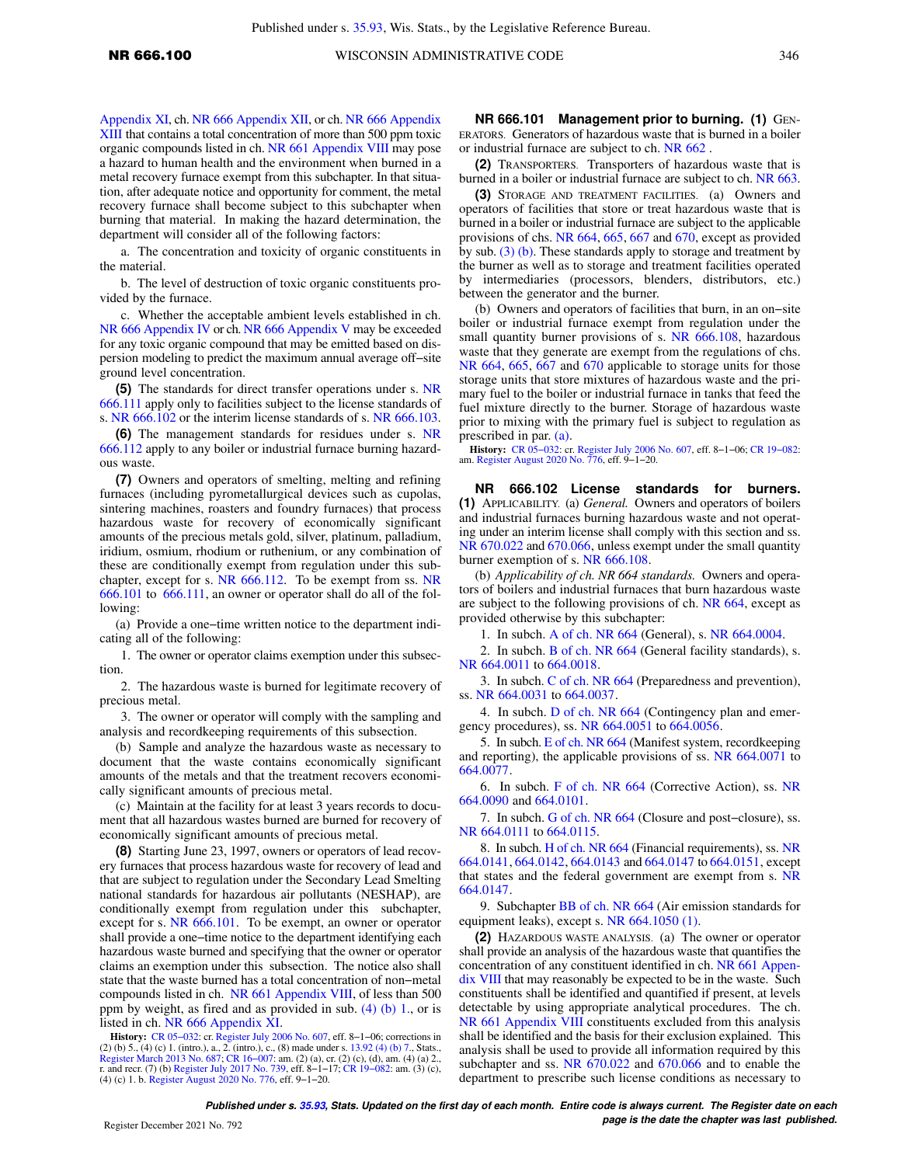[Appendix XI,](https://docs.legis.wisconsin.gov/document/administrativecode/ch.%20NR%20666%20Appendix%20XI) ch. [NR 666 Appendix XII,](https://docs.legis.wisconsin.gov/document/administrativecode/ch.%20NR%20666%20Appendix%20XII) or ch. [NR 666 Appendix](https://docs.legis.wisconsin.gov/document/administrativecode/ch.%20NR%20666%20Appendix%20XIII) [XIII](https://docs.legis.wisconsin.gov/document/administrativecode/ch.%20NR%20666%20Appendix%20XIII) that contains a total concentration of more than 500 ppm toxic organic compounds listed in ch. [NR 661 Appendix VIII](https://docs.legis.wisconsin.gov/document/administrativecode/ch.%20NR%20661%20Appendix%20VIII) may pose a hazard to human health and the environment when burned in a metal recovery furnace exempt from this subchapter. In that situation, after adequate notice and opportunity for comment, the metal recovery furnace shall become subject to this subchapter when burning that material. In making the hazard determination, the department will consider all of the following factors:

a. The concentration and toxicity of organic constituents in the material.

b. The level of destruction of toxic organic constituents provided by the furnace.

c. Whether the acceptable ambient levels established in ch. [NR 666 Appendix IV](https://docs.legis.wisconsin.gov/document/administrativecode/ch.%20NR%20666%20Appendix%20IV) or ch. [NR 666 Appendix V](https://docs.legis.wisconsin.gov/document/administrativecode/ch.%20NR%20666%20Appendix%20V) may be exceeded for any toxic organic compound that may be emitted based on dispersion modeling to predict the maximum annual average off−site ground level concentration.

**(5)** The standards for direct transfer operations under s. [NR](https://docs.legis.wisconsin.gov/document/administrativecode/NR%20666.111) [666.111](https://docs.legis.wisconsin.gov/document/administrativecode/NR%20666.111) apply only to facilities subject to the license standards of s. [NR 666.102](https://docs.legis.wisconsin.gov/document/administrativecode/NR%20666.102) or the interim license standards of s. [NR 666.103.](https://docs.legis.wisconsin.gov/document/administrativecode/NR%20666.103)

**(6)** The management standards for residues under s. [NR](https://docs.legis.wisconsin.gov/document/administrativecode/NR%20666.112) [666.112](https://docs.legis.wisconsin.gov/document/administrativecode/NR%20666.112) apply to any boiler or industrial furnace burning hazardous waste.

**(7)** Owners and operators of smelting, melting and refining furnaces (including pyrometallurgical devices such as cupolas, sintering machines, roasters and foundry furnaces) that process hazardous waste for recovery of economically significant amounts of the precious metals gold, silver, platinum, palladium, iridium, osmium, rhodium or ruthenium, or any combination of these are conditionally exempt from regulation under this subchapter, except for s. [NR 666.112.](https://docs.legis.wisconsin.gov/document/administrativecode/NR%20666.112) To be exempt from ss. [NR](https://docs.legis.wisconsin.gov/document/administrativecode/NR%20666.101) [666.101](https://docs.legis.wisconsin.gov/document/administrativecode/NR%20666.101) to [666.111,](https://docs.legis.wisconsin.gov/document/administrativecode/NR%20666.111) an owner or operator shall do all of the following:

(a) Provide a one−time written notice to the department indicating all of the following:

1. The owner or operator claims exemption under this subsection.

2. The hazardous waste is burned for legitimate recovery of precious metal.

3. The owner or operator will comply with the sampling and analysis and recordkeeping requirements of this subsection.

(b) Sample and analyze the hazardous waste as necessary to document that the waste contains economically significant amounts of the metals and that the treatment recovers economically significant amounts of precious metal.

(c) Maintain at the facility for at least 3 years records to document that all hazardous wastes burned are burned for recovery of economically significant amounts of precious metal.

**(8)** Starting June 23, 1997, owners or operators of lead recovery furnaces that process hazardous waste for recovery of lead and that are subject to regulation under the Secondary Lead Smelting national standards for hazardous air pollutants (NESHAP), are conditionally exempt from regulation under this subchapter, except for s. [NR 666.101](https://docs.legis.wisconsin.gov/document/administrativecode/NR%20666.101). To be exempt, an owner or operator shall provide a one−time notice to the department identifying each hazardous waste burned and specifying that the owner or operator claims an exemption under this subsection. The notice also shall state that the waste burned has a total concentration of non−metal compounds listed in ch. [NR 661 Appendix VIII,](https://docs.legis.wisconsin.gov/document/administrativecode/ch.%20NR%20661%20Appendix%20VIII) of less than 500 ppm by weight, as fired and as provided in sub. [\(4\) \(b\) 1.,](https://docs.legis.wisconsin.gov/document/administrativecode/NR%20666.100(4)(b)1.) or is listed in ch. [NR 666 Appendix XI](https://docs.legis.wisconsin.gov/document/administrativecode/ch.%20NR%20666%20Appendix%20XI).

**History:** [CR 05−032:](https://docs.legis.wisconsin.gov/document/cr/2005/32) cr. [Register July 2006 No. 607,](https://docs.legis.wisconsin.gov/document/register/607/B/toc) eff. 8−1−06; corrections in (4) (c) 1. (intro.), a., 2. (intro.), c., (8) made under s.  $13.92$  (4) (b) [Register March 2013 No. 687](https://docs.legis.wisconsin.gov/document/register/687/B/toc); [CR 16−007:](https://docs.legis.wisconsin.gov/document/cr/2016/7) am. (2) (a), cr. (2) (c), (d), am. (4) (a) 2., r. and recr. (7) (b) [Register July 2017 No. 739](https://docs.legis.wisconsin.gov/document/register/739/B/toc), eff. 8−1−17; [CR 19−082](https://docs.legis.wisconsin.gov/document/cr/2019/82): am. (3) (c), (4) (c) 1. b. [Register August 2020 No. 776,](https://docs.legis.wisconsin.gov/document/register/776/B/toc) eff. 9−1−20.

**NR 666.101 Management prior to burning. (1)** GEN-ERATORS. Generators of hazardous waste that is burned in a boiler or industrial furnace are subject to ch. [NR 662](https://docs.legis.wisconsin.gov/document/administrativecode/ch.%20NR%20662) .

**(2)** TRANSPORTERS. Transporters of hazardous waste that is burned in a boiler or industrial furnace are subject to ch. [NR 663.](https://docs.legis.wisconsin.gov/document/administrativecode/ch.%20NR%20663)

**(3)** STORAGE AND TREATMENT FACILITIES. (a) Owners and operators of facilities that store or treat hazardous waste that is burned in a boiler or industrial furnace are subject to the applicable provisions of chs. [NR 664,](https://docs.legis.wisconsin.gov/document/administrativecode/ch.%20NR%20664) [665,](https://docs.legis.wisconsin.gov/document/administrativecode/ch.%20NR%20665) [667](https://docs.legis.wisconsin.gov/document/administrativecode/ch.%20NR%20667) and [670,](https://docs.legis.wisconsin.gov/document/administrativecode/ch.%20NR%20670) except as provided by sub. [\(3\) \(b\)](https://docs.legis.wisconsin.gov/document/administrativecode/NR%20666.101(3)(b)). These standards apply to storage and treatment by the burner as well as to storage and treatment facilities operated by intermediaries (processors, blenders, distributors, etc.) between the generator and the burner.

(b) Owners and operators of facilities that burn, in an on−site boiler or industrial furnace exempt from regulation under the small quantity burner provisions of s. [NR 666.108,](https://docs.legis.wisconsin.gov/document/administrativecode/NR%20666.108) hazardous waste that they generate are exempt from the regulations of chs. [NR 664,](https://docs.legis.wisconsin.gov/document/administrativecode/ch.%20NR%20664) [665,](https://docs.legis.wisconsin.gov/document/administrativecode/ch.%20NR%20665) [667](https://docs.legis.wisconsin.gov/document/administrativecode/ch.%20NR%20667) and [670](https://docs.legis.wisconsin.gov/document/administrativecode/ch.%20NR%20670) applicable to storage units for those storage units that store mixtures of hazardous waste and the primary fuel to the boiler or industrial furnace in tanks that feed the fuel mixture directly to the burner. Storage of hazardous waste prior to mixing with the primary fuel is subject to regulation as prescribed in par. [\(a\).](https://docs.legis.wisconsin.gov/document/administrativecode/NR%20666.101(3)(a))

**History:** [CR 05−032](https://docs.legis.wisconsin.gov/document/cr/2005/32): cr. [Register July 2006 No. 607](https://docs.legis.wisconsin.gov/document/register/607/B/toc), eff. 8−1−06; [CR 19−082](https://docs.legis.wisconsin.gov/document/cr/2019/82): am. [Register August 2020 No. 776,](https://docs.legis.wisconsin.gov/document/register/776/B/toc) eff. 9−1−20.

**NR 666.102 License standards for burners. (1)** APPLICABILITY. (a) *General.* Owners and operators of boilers and industrial furnaces burning hazardous waste and not operating under an interim license shall comply with this section and ss. [NR 670.022](https://docs.legis.wisconsin.gov/document/administrativecode/NR%20670.022) and [670.066,](https://docs.legis.wisconsin.gov/document/administrativecode/NR%20670.066) unless exempt under the small quantity burner exemption of s. [NR 666.108.](https://docs.legis.wisconsin.gov/document/administrativecode/NR%20666.108)

(b) *Applicability of ch. NR 664 standards.* Owners and operators of boilers and industrial furnaces that burn hazardous waste are subject to the following provisions of ch. [NR 664,](https://docs.legis.wisconsin.gov/document/administrativecode/ch.%20NR%20664) except as provided otherwise by this subchapter:

1. In subch. [A of ch. NR 664](https://docs.legis.wisconsin.gov/document/administrativecode/subch.%20A%20of%20ch.%20NR%20664) (General), s. [NR 664.0004.](https://docs.legis.wisconsin.gov/document/administrativecode/NR%20664.0004)

2. In subch. [B of ch. NR 664](https://docs.legis.wisconsin.gov/document/administrativecode/subch.%20B%20of%20ch.%20NR%20664) (General facility standards), s. NR 664,0011 to 664,0018.

3. In subch. [C of ch. NR 664](https://docs.legis.wisconsin.gov/document/administrativecode/subch.%20C%20of%20ch.%20NR%20664) (Preparedness and prevention), ss. [NR 664.0031](https://docs.legis.wisconsin.gov/document/administrativecode/NR%20664.0031) to [664.0037](https://docs.legis.wisconsin.gov/document/administrativecode/NR%20664.0037).

4. In subch. [D of ch. NR 664](https://docs.legis.wisconsin.gov/document/administrativecode/subch.%20D%20of%20ch.%20NR%20664) (Contingency plan and emergency procedures), ss. [NR 664.0051](https://docs.legis.wisconsin.gov/document/administrativecode/NR%20664.0051) to [664.0056](https://docs.legis.wisconsin.gov/document/administrativecode/NR%20664.0056).

5. In subch. [E of ch. NR 664](https://docs.legis.wisconsin.gov/document/administrativecode/subch.%20E%20of%20ch.%20NR%20664) (Manifest system, recordkeeping and reporting), the applicable provisions of ss. [NR 664.0071](https://docs.legis.wisconsin.gov/document/administrativecode/NR%20664.0071) to [664.0077](https://docs.legis.wisconsin.gov/document/administrativecode/NR%20664.0077).

6. In subch. [F of ch. NR 664](https://docs.legis.wisconsin.gov/document/administrativecode/subch.%20F%20of%20ch.%20NR%20664) (Corrective Action), ss. [NR](https://docs.legis.wisconsin.gov/document/administrativecode/NR%20664.0090) [664.0090](https://docs.legis.wisconsin.gov/document/administrativecode/NR%20664.0090) and [664.0101.](https://docs.legis.wisconsin.gov/document/administrativecode/NR%20664.0101)

7. In subch. [G of ch. NR 664](https://docs.legis.wisconsin.gov/document/administrativecode/subch.%20G%20of%20ch.%20NR%20664) (Closure and post−closure), ss. [NR 664.0111](https://docs.legis.wisconsin.gov/document/administrativecode/NR%20664.0111) to [664.0115](https://docs.legis.wisconsin.gov/document/administrativecode/NR%20664.0115).

8. In subch. [H of ch. NR 664](https://docs.legis.wisconsin.gov/document/administrativecode/subch.%20H%20of%20ch.%20NR%20664) (Financial requirements), ss. [NR](https://docs.legis.wisconsin.gov/document/administrativecode/NR%20664.0141) [664.0141](https://docs.legis.wisconsin.gov/document/administrativecode/NR%20664.0141), [664.0142](https://docs.legis.wisconsin.gov/document/administrativecode/NR%20664.0142), [664.0143](https://docs.legis.wisconsin.gov/document/administrativecode/NR%20664.0143) and [664.0147](https://docs.legis.wisconsin.gov/document/administrativecode/NR%20664.0147) to [664.0151,](https://docs.legis.wisconsin.gov/document/administrativecode/NR%20664.0151) except that states and the federal government are exempt from s. [NR](https://docs.legis.wisconsin.gov/document/administrativecode/NR%20664.0147) [664.0147](https://docs.legis.wisconsin.gov/document/administrativecode/NR%20664.0147).

9. Subchapter [BB of ch. NR 664](https://docs.legis.wisconsin.gov/document/administrativecode/subch.%20BB%20of%20ch.%20NR%20664) (Air emission standards for equipment leaks), except s. [NR 664.1050 \(1\)](https://docs.legis.wisconsin.gov/document/administrativecode/NR%20664.1050(1)).

**(2)** HAZARDOUS WASTE ANALYSIS. (a) The owner or operator shall provide an analysis of the hazardous waste that quantifies the concentration of any constituent identified in ch. [NR 661 Appen](https://docs.legis.wisconsin.gov/document/administrativecode/ch.%20NR%20661%20Appendix%20VIII)[dix VIII](https://docs.legis.wisconsin.gov/document/administrativecode/ch.%20NR%20661%20Appendix%20VIII) that may reasonably be expected to be in the waste. Such constituents shall be identified and quantified if present, at levels detectable by using appropriate analytical procedures. The ch. [NR 661 Appendix VIII](https://docs.legis.wisconsin.gov/document/administrativecode/ch.%20NR%20661%20Appendix%20VIII) constituents excluded from this analysis shall be identified and the basis for their exclusion explained. This analysis shall be used to provide all information required by this subchapter and ss. [NR 670.022](https://docs.legis.wisconsin.gov/document/administrativecode/NR%20670.022) and [670.066](https://docs.legis.wisconsin.gov/document/administrativecode/NR%20670.066) and to enable the department to prescribe such license conditions as necessary to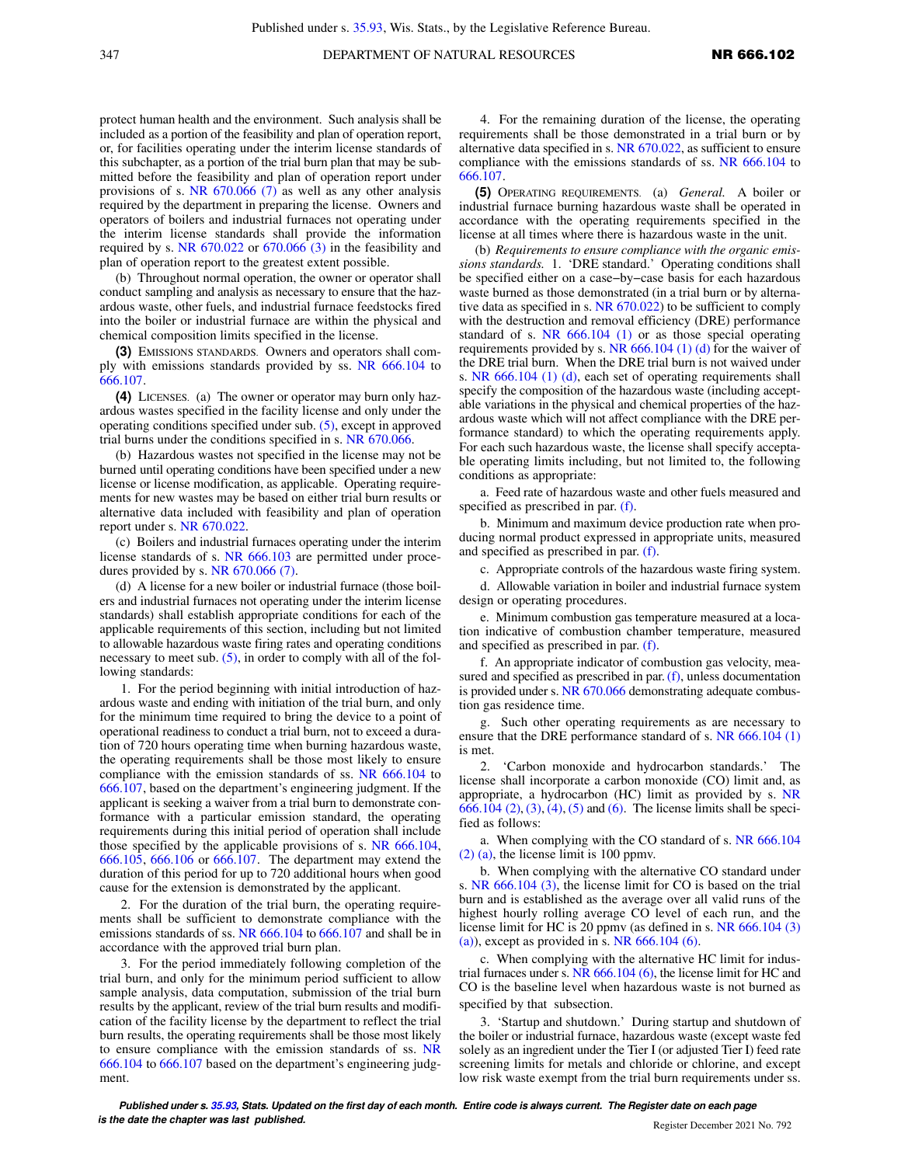protect human health and the environment. Such analysis shall be included as a portion of the feasibility and plan of operation report, or, for facilities operating under the interim license standards of this subchapter, as a portion of the trial burn plan that may be submitted before the feasibility and plan of operation report under provisions of s. [NR 670.066 \(7\)](https://docs.legis.wisconsin.gov/document/administrativecode/NR%20670.066(7)) as well as any other analysis required by the department in preparing the license. Owners and operators of boilers and industrial furnaces not operating under the interim license standards shall provide the information required by s. [NR 670.022](https://docs.legis.wisconsin.gov/document/administrativecode/NR%20670.022) or [670.066 \(3\)](https://docs.legis.wisconsin.gov/document/administrativecode/NR%20670.066(3)) in the feasibility and plan of operation report to the greatest extent possible.

(b) Throughout normal operation, the owner or operator shall conduct sampling and analysis as necessary to ensure that the hazardous waste, other fuels, and industrial furnace feedstocks fired into the boiler or industrial furnace are within the physical and chemical composition limits specified in the license.

**(3)** EMISSIONS STANDARDS. Owners and operators shall comply with emissions standards provided by ss. [NR 666.104](https://docs.legis.wisconsin.gov/document/administrativecode/NR%20666.104) to [666.107](https://docs.legis.wisconsin.gov/document/administrativecode/NR%20666.107).

**(4)** LICENSES. (a) The owner or operator may burn only hazardous wastes specified in the facility license and only under the operating conditions specified under sub. [\(5\),](https://docs.legis.wisconsin.gov/document/administrativecode/NR%20666.102(5)) except in approved trial burns under the conditions specified in s. [NR 670.066.](https://docs.legis.wisconsin.gov/document/administrativecode/NR%20670.066)

(b) Hazardous wastes not specified in the license may not be burned until operating conditions have been specified under a new license or license modification, as applicable. Operating requirements for new wastes may be based on either trial burn results or alternative data included with feasibility and plan of operation report under s. [NR 670.022.](https://docs.legis.wisconsin.gov/document/administrativecode/NR%20670.022)

(c) Boilers and industrial furnaces operating under the interim license standards of s. [NR 666.103](https://docs.legis.wisconsin.gov/document/administrativecode/NR%20666.103) are permitted under procedures provided by s. [NR 670.066 \(7\).](https://docs.legis.wisconsin.gov/document/administrativecode/NR%20670.066(7))

(d) A license for a new boiler or industrial furnace (those boilers and industrial furnaces not operating under the interim license standards) shall establish appropriate conditions for each of the applicable requirements of this section, including but not limited to allowable hazardous waste firing rates and operating conditions necessary to meet sub.  $(5)$ , in order to comply with all of the following standards:

1. For the period beginning with initial introduction of hazardous waste and ending with initiation of the trial burn, and only for the minimum time required to bring the device to a point of operational readiness to conduct a trial burn, not to exceed a duration of 720 hours operating time when burning hazardous waste, the operating requirements shall be those most likely to ensure compliance with the emission standards of ss. [NR 666.104](https://docs.legis.wisconsin.gov/document/administrativecode/NR%20666.104) to [666.107](https://docs.legis.wisconsin.gov/document/administrativecode/NR%20666.107), based on the department's engineering judgment. If the applicant is seeking a waiver from a trial burn to demonstrate conformance with a particular emission standard, the operating requirements during this initial period of operation shall include those specified by the applicable provisions of s. [NR 666.104,](https://docs.legis.wisconsin.gov/document/administrativecode/NR%20666.104) [666.105](https://docs.legis.wisconsin.gov/document/administrativecode/NR%20666.105), [666.106](https://docs.legis.wisconsin.gov/document/administrativecode/NR%20666.106) or [666.107.](https://docs.legis.wisconsin.gov/document/administrativecode/NR%20666.107) The department may extend the duration of this period for up to 720 additional hours when good cause for the extension is demonstrated by the applicant.

2. For the duration of the trial burn, the operating requirements shall be sufficient to demonstrate compliance with the emissions standards of ss. [NR 666.104](https://docs.legis.wisconsin.gov/document/administrativecode/NR%20666.104) to [666.107](https://docs.legis.wisconsin.gov/document/administrativecode/NR%20666.107) and shall be in accordance with the approved trial burn plan.

3. For the period immediately following completion of the trial burn, and only for the minimum period sufficient to allow sample analysis, data computation, submission of the trial burn results by the applicant, review of the trial burn results and modification of the facility license by the department to reflect the trial burn results, the operating requirements shall be those most likely to ensure compliance with the emission standards of ss. [NR](https://docs.legis.wisconsin.gov/document/administrativecode/NR%20666.104) [666.104](https://docs.legis.wisconsin.gov/document/administrativecode/NR%20666.104) to [666.107](https://docs.legis.wisconsin.gov/document/administrativecode/NR%20666.107) based on the department's engineering judgment.

4. For the remaining duration of the license, the operating requirements shall be those demonstrated in a trial burn or by alternative data specified in s. [NR 670.022](https://docs.legis.wisconsin.gov/document/administrativecode/NR%20670.022), as sufficient to ensure compliance with the emissions standards of ss. [NR 666.104](https://docs.legis.wisconsin.gov/document/administrativecode/NR%20666.104) to [666.107.](https://docs.legis.wisconsin.gov/document/administrativecode/NR%20666.107)

**(5)** OPERATING REQUIREMENTS. (a) *General.* A boiler or industrial furnace burning hazardous waste shall be operated in accordance with the operating requirements specified in the license at all times where there is hazardous waste in the unit.

(b) *Requirements to ensure compliance with the organic emissions standards.* 1. 'DRE standard.' Operating conditions shall be specified either on a case−by−case basis for each hazardous waste burned as those demonstrated (in a trial burn or by alternative data as specified in s. [NR 670.022](https://docs.legis.wisconsin.gov/document/administrativecode/NR%20670.022)) to be sufficient to comply with the destruction and removal efficiency (DRE) performance standard of s. [NR 666.104 \(1\)](https://docs.legis.wisconsin.gov/document/administrativecode/NR%20666.104(1)) or as those special operating requirements provided by s. NR  $666.104$  (1) (d) for the waiver of the DRE trial burn. When the DRE trial burn is not waived under s. [NR 666.104 \(1\) \(d\)](https://docs.legis.wisconsin.gov/document/administrativecode/NR%20666.104(1)(d)), each set of operating requirements shall specify the composition of the hazardous waste (including acceptable variations in the physical and chemical properties of the hazardous waste which will not affect compliance with the DRE performance standard) to which the operating requirements apply. For each such hazardous waste, the license shall specify acceptable operating limits including, but not limited to, the following conditions as appropriate:

a. Feed rate of hazardous waste and other fuels measured and specified as prescribed in par. [\(f\).](https://docs.legis.wisconsin.gov/document/administrativecode/NR%20666.102(5)(f))

b. Minimum and maximum device production rate when producing normal product expressed in appropriate units, measured and specified as prescribed in par. [\(f\)](https://docs.legis.wisconsin.gov/document/administrativecode/NR%20666.102(5)(f)).

c. Appropriate controls of the hazardous waste firing system.

d. Allowable variation in boiler and industrial furnace system design or operating procedures.

e. Minimum combustion gas temperature measured at a location indicative of combustion chamber temperature, measured and specified as prescribed in par. [\(f\)](https://docs.legis.wisconsin.gov/document/administrativecode/NR%20666.102(5)(f)).

f. An appropriate indicator of combustion gas velocity, mea-sured and specified as prescribed in par. [\(f\),](https://docs.legis.wisconsin.gov/document/administrativecode/NR%20666.102(5)(f)) unless documentation is provided under s. [NR 670.066](https://docs.legis.wisconsin.gov/document/administrativecode/NR%20670.066) demonstrating adequate combustion gas residence time.

g. Such other operating requirements as are necessary to ensure that the DRE performance standard of s. [NR 666.104 \(1\)](https://docs.legis.wisconsin.gov/document/administrativecode/NR%20666.104(1)) is met.

2. 'Carbon monoxide and hydrocarbon standards.' The license shall incorporate a carbon monoxide (CO) limit and, as appropriate, a hydrocarbon (HC) limit as provided by s. [NR](https://docs.legis.wisconsin.gov/document/administrativecode/NR%20666.104(2)) [666.104 \(2\),](https://docs.legis.wisconsin.gov/document/administrativecode/NR%20666.104(2)) [\(3\)](https://docs.legis.wisconsin.gov/document/administrativecode/NR%20666.104(3)), [\(4\),](https://docs.legis.wisconsin.gov/document/administrativecode/NR%20666.104(4)) [\(5\)](https://docs.legis.wisconsin.gov/document/administrativecode/NR%20666.104(5)) and [\(6\).](https://docs.legis.wisconsin.gov/document/administrativecode/NR%20666.104(6)) The license limits shall be specified as follows:

a. When complying with the CO standard of s. [NR 666.104](https://docs.legis.wisconsin.gov/document/administrativecode/NR%20666.104(2)(a)) [\(2\) \(a\),](https://docs.legis.wisconsin.gov/document/administrativecode/NR%20666.104(2)(a)) the license limit is 100 ppmv.

b. When complying with the alternative CO standard under s. [NR 666.104 \(3\)](https://docs.legis.wisconsin.gov/document/administrativecode/NR%20666.104(3)), the license limit for CO is based on the trial burn and is established as the average over all valid runs of the highest hourly rolling average CO level of each run, and the license limit for HC is 20 ppmv (as defined in s. [NR 666.104 \(3\)](https://docs.legis.wisconsin.gov/document/administrativecode/NR%20666.104(3)(a)) [\(a\)](https://docs.legis.wisconsin.gov/document/administrativecode/NR%20666.104(3)(a))), except as provided in s. NR  $666.104(6)$ .

c. When complying with the alternative HC limit for industrial furnaces under s. NR  $666.104$  (6), the license limit for HC and CO is the baseline level when hazardous waste is not burned as specified by that subsection.

3. 'Startup and shutdown.' During startup and shutdown of the boiler or industrial furnace, hazardous waste (except waste fed solely as an ingredient under the Tier I (or adjusted Tier I) feed rate screening limits for metals and chloride or chlorine, and except low risk waste exempt from the trial burn requirements under ss.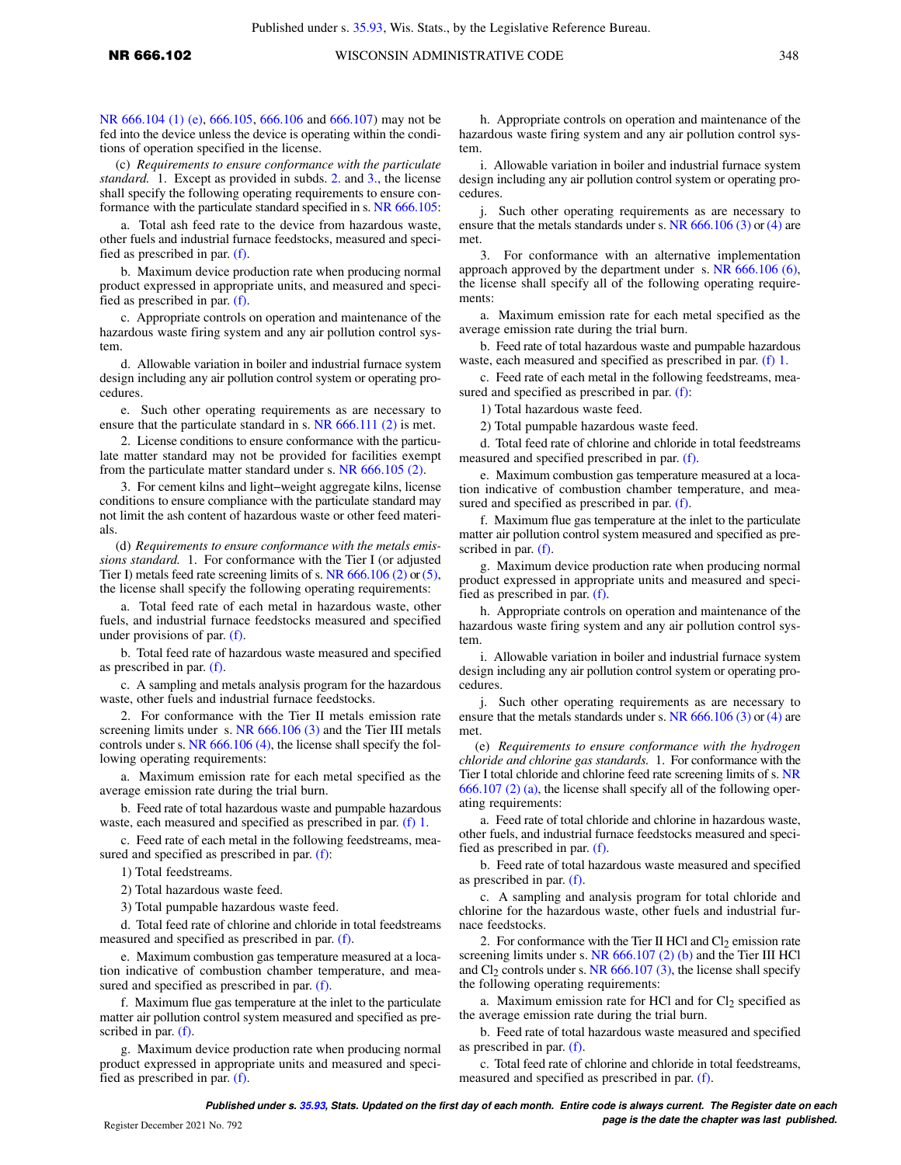[NR 666.104 \(1\) \(e\),](https://docs.legis.wisconsin.gov/document/administrativecode/NR%20666.104(1)(e)) [666.105](https://docs.legis.wisconsin.gov/document/administrativecode/NR%20666.105), [666.106](https://docs.legis.wisconsin.gov/document/administrativecode/NR%20666.106) and [666.107\)](https://docs.legis.wisconsin.gov/document/administrativecode/NR%20666.107) may not be fed into the device unless the device is operating within the conditions of operation specified in the license.

(c) *Requirements to ensure conformance with the particulate standard.* 1. Except as provided in subds. [2.](https://docs.legis.wisconsin.gov/document/administrativecode/NR%20666.102(5)(c)2.) and [3.,](https://docs.legis.wisconsin.gov/document/administrativecode/NR%20666.102(5)(c)3.) the license shall specify the following operating requirements to ensure conformance with the particulate standard specified in s. [NR 666.105](https://docs.legis.wisconsin.gov/document/administrativecode/NR%20666.105):

a. Total ash feed rate to the device from hazardous waste, other fuels and industrial furnace feedstocks, measured and specified as prescribed in par. [\(f\).](https://docs.legis.wisconsin.gov/document/administrativecode/NR%20666.102(5)(f))

b. Maximum device production rate when producing normal product expressed in appropriate units, and measured and specified as prescribed in par. [\(f\).](https://docs.legis.wisconsin.gov/document/administrativecode/NR%20666.102(5)(f))

c. Appropriate controls on operation and maintenance of the hazardous waste firing system and any air pollution control system.

d. Allowable variation in boiler and industrial furnace system design including any air pollution control system or operating procedures.

e. Such other operating requirements as are necessary to ensure that the particulate standard in s. [NR 666.111 \(2\)](https://docs.legis.wisconsin.gov/document/administrativecode/NR%20666.111(2)) is met.

2. License conditions to ensure conformance with the particulate matter standard may not be provided for facilities exempt from the particulate matter standard under s. [NR 666.105 \(2\).](https://docs.legis.wisconsin.gov/document/administrativecode/NR%20666.105(2))

3. For cement kilns and light−weight aggregate kilns, license conditions to ensure compliance with the particulate standard may not limit the ash content of hazardous waste or other feed materials.

(d) *Requirements to ensure conformance with the metals emissions standard.* 1. For conformance with the Tier I (or adjusted Tier I) metals feed rate screening limits of s. [NR 666.106 \(2\)](https://docs.legis.wisconsin.gov/document/administrativecode/NR%20666.106(2)) or [\(5\),](https://docs.legis.wisconsin.gov/document/administrativecode/NR%20666.106(5)) the license shall specify the following operating requirements:

a. Total feed rate of each metal in hazardous waste, other fuels, and industrial furnace feedstocks measured and specified under provisions of par. [\(f\)](https://docs.legis.wisconsin.gov/document/administrativecode/NR%20666.102(5)(f)).

b. Total feed rate of hazardous waste measured and specified as prescribed in par. [\(f\)](https://docs.legis.wisconsin.gov/document/administrativecode/NR%20666.102(5)(f)).

c. A sampling and metals analysis program for the hazardous waste, other fuels and industrial furnace feedstocks.

2. For conformance with the Tier II metals emission rate screening limits under s. [NR 666.106 \(3\)](https://docs.legis.wisconsin.gov/document/administrativecode/NR%20666.106(3)) and the Tier III metals controls under s. [NR 666.106 \(4\)](https://docs.legis.wisconsin.gov/document/administrativecode/NR%20666.106(4)), the license shall specify the following operating requirements:

a. Maximum emission rate for each metal specified as the average emission rate during the trial burn.

b. Feed rate of total hazardous waste and pumpable hazardous waste, each measured and specified as prescribed in par. [\(f\) 1.](https://docs.legis.wisconsin.gov/document/administrativecode/NR%20666.102(5)(f)1.)

c. Feed rate of each metal in the following feedstreams, measured and specified as prescribed in par. [\(f\):](https://docs.legis.wisconsin.gov/document/administrativecode/NR%20666.102(5)(f))

1) Total feedstreams.

2) Total hazardous waste feed.

3) Total pumpable hazardous waste feed.

d. Total feed rate of chlorine and chloride in total feedstreams measured and specified as prescribed in par. [\(f\).](https://docs.legis.wisconsin.gov/document/administrativecode/NR%20666.102(5)(f))

e. Maximum combustion gas temperature measured at a location indicative of combustion chamber temperature, and measured and specified as prescribed in par. [\(f\).](https://docs.legis.wisconsin.gov/document/administrativecode/NR%20666.102(5)(f))

f. Maximum flue gas temperature at the inlet to the particulate matter air pollution control system measured and specified as pre-scribed in par. [\(f\)](https://docs.legis.wisconsin.gov/document/administrativecode/NR%20666.102(5)(f)).

g. Maximum device production rate when producing normal product expressed in appropriate units and measured and specified as prescribed in par. [\(f\).](https://docs.legis.wisconsin.gov/document/administrativecode/NR%20666.102(5)(f))

h. Appropriate controls on operation and maintenance of the hazardous waste firing system and any air pollution control system.

i. Allowable variation in boiler and industrial furnace system design including any air pollution control system or operating procedures.

j. Such other operating requirements as are necessary to ensure that the metals standards under s. [NR 666.106 \(3\)](https://docs.legis.wisconsin.gov/document/administrativecode/NR%20666.106(3)) or [\(4\)](https://docs.legis.wisconsin.gov/document/administrativecode/NR%20666.106(4)) are met.

3. For conformance with an alternative implementation approach approved by the department under s. [NR 666.106 \(6\),](https://docs.legis.wisconsin.gov/document/administrativecode/NR%20666.106(6)) the license shall specify all of the following operating requirements:

a. Maximum emission rate for each metal specified as the average emission rate during the trial burn.

b. Feed rate of total hazardous waste and pumpable hazardous waste, each measured and specified as prescribed in par. [\(f\) 1.](https://docs.legis.wisconsin.gov/document/administrativecode/NR%20666.102(5)(f)1.)

c. Feed rate of each metal in the following feedstreams, mea-sured and specified as prescribed in par. [\(f\):](https://docs.legis.wisconsin.gov/document/administrativecode/NR%20666.102(5)(f))

1) Total hazardous waste feed.

2) Total pumpable hazardous waste feed.

d. Total feed rate of chlorine and chloride in total feedstreams measured and specified prescribed in par. [\(f\)](https://docs.legis.wisconsin.gov/document/administrativecode/NR%20666.102(5)(f)).

e. Maximum combustion gas temperature measured at a location indicative of combustion chamber temperature, and measured and specified as prescribed in par. [\(f\).](https://docs.legis.wisconsin.gov/document/administrativecode/NR%20666.102(5)(f))

f. Maximum flue gas temperature at the inlet to the particulate matter air pollution control system measured and specified as prescribed in par. [\(f\)](https://docs.legis.wisconsin.gov/document/administrativecode/NR%20666.102(5)(f)).

g. Maximum device production rate when producing normal product expressed in appropriate units and measured and specified as prescribed in par. [\(f\)](https://docs.legis.wisconsin.gov/document/administrativecode/NR%20666.102(5)(f)).

h. Appropriate controls on operation and maintenance of the hazardous waste firing system and any air pollution control system.

i. Allowable variation in boiler and industrial furnace system design including any air pollution control system or operating procedures.

j. Such other operating requirements as are necessary to ensure that the metals standards under s. [NR 666.106 \(3\)](https://docs.legis.wisconsin.gov/document/administrativecode/NR%20666.106(3)) or [\(4\)](https://docs.legis.wisconsin.gov/document/administrativecode/NR%20666.106(4)) are met.

(e) *Requirements to ensure conformance with the hydrogen chloride and chlorine gas standards.* 1. For conformance with the Tier I total chloride and chlorine feed rate screening limits of s. [NR](https://docs.legis.wisconsin.gov/document/administrativecode/NR%20666.107(2)(a)) [666.107 \(2\) \(a\),](https://docs.legis.wisconsin.gov/document/administrativecode/NR%20666.107(2)(a)) the license shall specify all of the following operating requirements:

a. Feed rate of total chloride and chlorine in hazardous waste, other fuels, and industrial furnace feedstocks measured and specified as prescribed in par. [\(f\)](https://docs.legis.wisconsin.gov/document/administrativecode/NR%20666.102(5)(f)).

b. Feed rate of total hazardous waste measured and specified as prescribed in par. [\(f\).](https://docs.legis.wisconsin.gov/document/administrativecode/NR%20666.102(5)(f))

c. A sampling and analysis program for total chloride and chlorine for the hazardous waste, other fuels and industrial furnace feedstocks.

2. For conformance with the Tier II HCl and  $Cl_2$  emission rate screening limits under s. [NR 666.107 \(2\) \(b\)](https://docs.legis.wisconsin.gov/document/administrativecode/NR%20666.107(2)(b)) and the Tier III HCl and  $Cl<sub>2</sub>$  controls under s. [NR 666.107 \(3\)](https://docs.legis.wisconsin.gov/document/administrativecode/NR%20666.107(3)), the license shall specify the following operating requirements:

a. Maximum emission rate for HCl and for  $Cl<sub>2</sub>$  specified as the average emission rate during the trial burn.

b. Feed rate of total hazardous waste measured and specified as prescribed in par. [\(f\).](https://docs.legis.wisconsin.gov/document/administrativecode/NR%20666.102(5)(f))

c. Total feed rate of chlorine and chloride in total feedstreams, measured and specified as prescribed in par. [\(f\)](https://docs.legis.wisconsin.gov/document/administrativecode/NR%20666.102(5)(f)).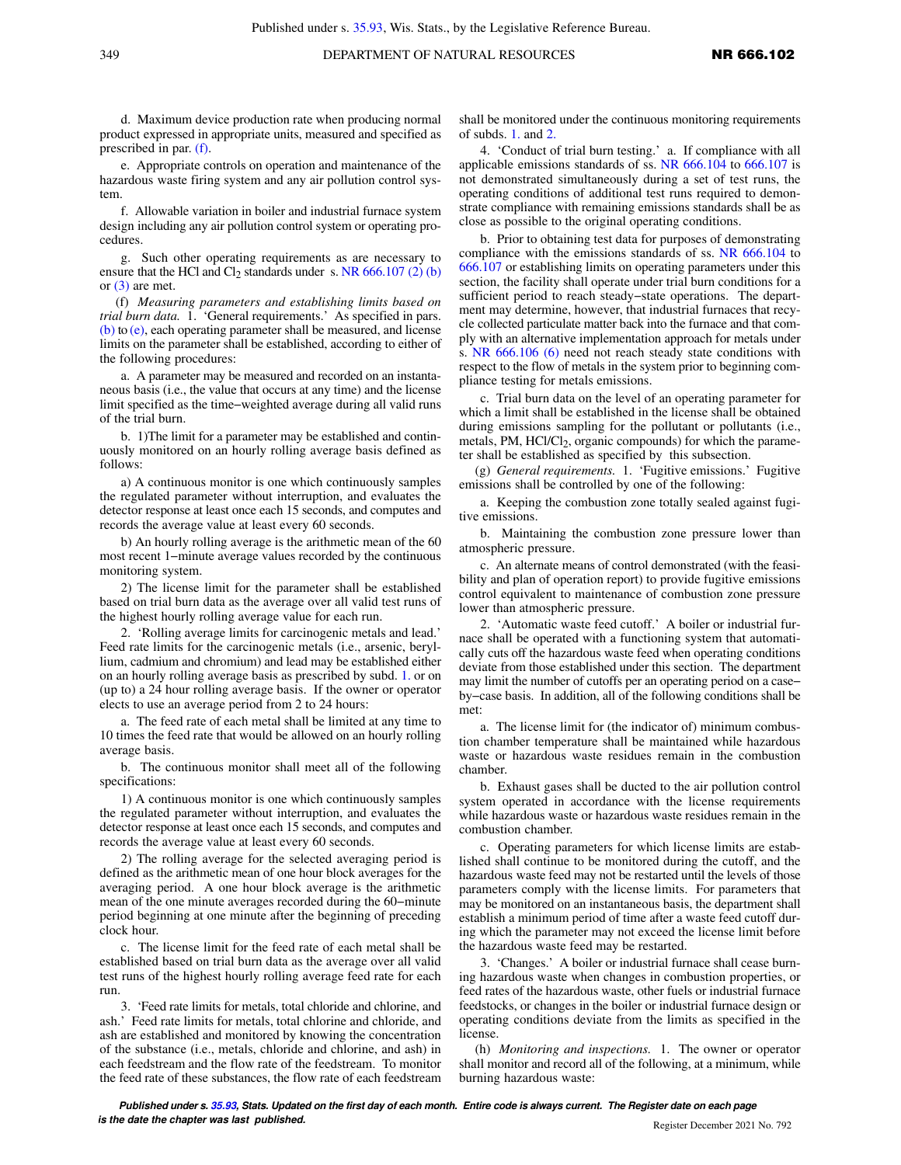d. Maximum device production rate when producing normal product expressed in appropriate units, measured and specified as prescribed in par. [\(f\).](https://docs.legis.wisconsin.gov/document/administrativecode/NR%20666.102(5)(f))

e. Appropriate controls on operation and maintenance of the hazardous waste firing system and any air pollution control system.

f. Allowable variation in boiler and industrial furnace system design including any air pollution control system or operating procedures.

g. Such other operating requirements as are necessary to ensure that the HCl and Cl<sub>2</sub> standards under s. NR  $666.107(2)$  (b) or  $(3)$  are met.

(f) *Measuring parameters and establishing limits based on trial burn data.* 1. 'General requirements.' As specified in pars. [\(b\)](https://docs.legis.wisconsin.gov/document/administrativecode/NR%20666.102(5)(b)) to [\(e\)](https://docs.legis.wisconsin.gov/document/administrativecode/NR%20666.102(5)(e)), each operating parameter shall be measured, and license limits on the parameter shall be established, according to either of the following procedures:

a. A parameter may be measured and recorded on an instantaneous basis (i.e., the value that occurs at any time) and the license limit specified as the time−weighted average during all valid runs of the trial burn.

b. 1)The limit for a parameter may be established and continuously monitored on an hourly rolling average basis defined as follows:

a) A continuous monitor is one which continuously samples the regulated parameter without interruption, and evaluates the detector response at least once each 15 seconds, and computes and records the average value at least every 60 seconds.

b) An hourly rolling average is the arithmetic mean of the 60 most recent 1−minute average values recorded by the continuous monitoring system.

2) The license limit for the parameter shall be established based on trial burn data as the average over all valid test runs of the highest hourly rolling average value for each run.

2. 'Rolling average limits for carcinogenic metals and lead.' Feed rate limits for the carcinogenic metals (i.e., arsenic, beryllium, cadmium and chromium) and lead may be established either on an hourly rolling average basis as prescribed by subd. [1.](https://docs.legis.wisconsin.gov/document/administrativecode/NR%20666.102(5)(f)1.) or on (up to) a 24 hour rolling average basis. If the owner or operator elects to use an average period from 2 to 24 hours:

a. The feed rate of each metal shall be limited at any time to 10 times the feed rate that would be allowed on an hourly rolling average basis.

b. The continuous monitor shall meet all of the following specifications:

1) A continuous monitor is one which continuously samples the regulated parameter without interruption, and evaluates the detector response at least once each 15 seconds, and computes and records the average value at least every 60 seconds.

2) The rolling average for the selected averaging period is defined as the arithmetic mean of one hour block averages for the averaging period. A one hour block average is the arithmetic mean of the one minute averages recorded during the 60−minute period beginning at one minute after the beginning of preceding clock hour.

c. The license limit for the feed rate of each metal shall be established based on trial burn data as the average over all valid test runs of the highest hourly rolling average feed rate for each run.

3. 'Feed rate limits for metals, total chloride and chlorine, and ash.' Feed rate limits for metals, total chlorine and chloride, and ash are established and monitored by knowing the concentration of the substance (i.e., metals, chloride and chlorine, and ash) in each feedstream and the flow rate of the feedstream. To monitor the feed rate of these substances, the flow rate of each feedstream shall be monitored under the continuous monitoring requirements of subds. [1.](https://docs.legis.wisconsin.gov/document/administrativecode/NR%20666.102(5)(f)1.) and [2.](https://docs.legis.wisconsin.gov/document/administrativecode/NR%20666.102(5)(f)2.)

4. 'Conduct of trial burn testing.' a. If compliance with all applicable emissions standards of ss. [NR 666.104](https://docs.legis.wisconsin.gov/document/administrativecode/NR%20666.104) to [666.107](https://docs.legis.wisconsin.gov/document/administrativecode/NR%20666.107) is not demonstrated simultaneously during a set of test runs, the operating conditions of additional test runs required to demonstrate compliance with remaining emissions standards shall be as close as possible to the original operating conditions.

b. Prior to obtaining test data for purposes of demonstrating compliance with the emissions standards of ss. [NR 666.104](https://docs.legis.wisconsin.gov/document/administrativecode/NR%20666.104) to [666.107](https://docs.legis.wisconsin.gov/document/administrativecode/NR%20666.107) or establishing limits on operating parameters under this section, the facility shall operate under trial burn conditions for a sufficient period to reach steady−state operations. The department may determine, however, that industrial furnaces that recycle collected particulate matter back into the furnace and that comply with an alternative implementation approach for metals under s. [NR 666.106 \(6\)](https://docs.legis.wisconsin.gov/document/administrativecode/NR%20666.106(6)) need not reach steady state conditions with respect to the flow of metals in the system prior to beginning compliance testing for metals emissions.

c. Trial burn data on the level of an operating parameter for which a limit shall be established in the license shall be obtained during emissions sampling for the pollutant or pollutants (i.e., metals, PM, HCl/Cl<sub>2</sub>, organic compounds) for which the parameter shall be established as specified by this subsection.

(g) *General requirements.* 1. 'Fugitive emissions.' Fugitive emissions shall be controlled by one of the following:

a. Keeping the combustion zone totally sealed against fugitive emissions.

b. Maintaining the combustion zone pressure lower than atmospheric pressure.

c. An alternate means of control demonstrated (with the feasibility and plan of operation report) to provide fugitive emissions control equivalent to maintenance of combustion zone pressure lower than atmospheric pressure.

2. 'Automatic waste feed cutoff.' A boiler or industrial furnace shall be operated with a functioning system that automatically cuts off the hazardous waste feed when operating conditions deviate from those established under this section. The department may limit the number of cutoffs per an operating period on a case− by−case basis. In addition, all of the following conditions shall be met:

a. The license limit for (the indicator of) minimum combustion chamber temperature shall be maintained while hazardous waste or hazardous waste residues remain in the combustion chamber.

b. Exhaust gases shall be ducted to the air pollution control system operated in accordance with the license requirements while hazardous waste or hazardous waste residues remain in the combustion chamber.

c. Operating parameters for which license limits are established shall continue to be monitored during the cutoff, and the hazardous waste feed may not be restarted until the levels of those parameters comply with the license limits. For parameters that may be monitored on an instantaneous basis, the department shall establish a minimum period of time after a waste feed cutoff during which the parameter may not exceed the license limit before the hazardous waste feed may be restarted.

3. 'Changes.' A boiler or industrial furnace shall cease burning hazardous waste when changes in combustion properties, or feed rates of the hazardous waste, other fuels or industrial furnace feedstocks, or changes in the boiler or industrial furnace design or operating conditions deviate from the limits as specified in the license.

(h) *Monitoring and inspections.* 1. The owner or operator shall monitor and record all of the following, at a minimum, while burning hazardous waste: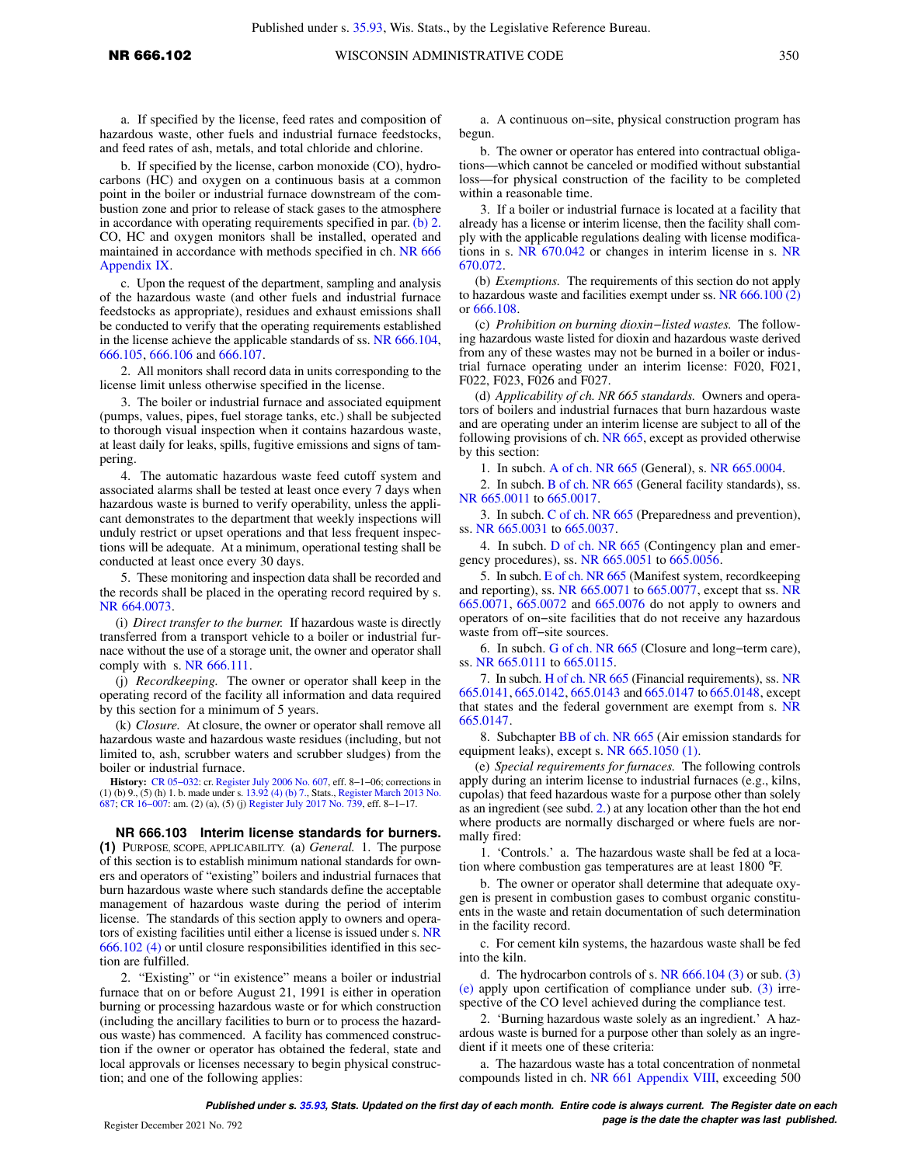a. If specified by the license, feed rates and composition of hazardous waste, other fuels and industrial furnace feedstocks, and feed rates of ash, metals, and total chloride and chlorine.

b. If specified by the license, carbon monoxide (CO), hydrocarbons (HC) and oxygen on a continuous basis at a common point in the boiler or industrial furnace downstream of the combustion zone and prior to release of stack gases to the atmosphere in accordance with operating requirements specified in par. [\(b\) 2.](https://docs.legis.wisconsin.gov/document/administrativecode/NR%20666.102(5)(b)2.) CO, HC and oxygen monitors shall be installed, operated and maintained in accordance with methods specified in ch. [NR 666](https://docs.legis.wisconsin.gov/document/administrativecode/ch.%20NR%20666%20Appendix%20IX) [Appendix IX](https://docs.legis.wisconsin.gov/document/administrativecode/ch.%20NR%20666%20Appendix%20IX).

c. Upon the request of the department, sampling and analysis of the hazardous waste (and other fuels and industrial furnace feedstocks as appropriate), residues and exhaust emissions shall be conducted to verify that the operating requirements established in the license achieve the applicable standards of ss. [NR 666.104,](https://docs.legis.wisconsin.gov/document/administrativecode/NR%20666.104) [666.105](https://docs.legis.wisconsin.gov/document/administrativecode/NR%20666.105), [666.106](https://docs.legis.wisconsin.gov/document/administrativecode/NR%20666.106) and [666.107](https://docs.legis.wisconsin.gov/document/administrativecode/NR%20666.107).

2. All monitors shall record data in units corresponding to the license limit unless otherwise specified in the license.

3. The boiler or industrial furnace and associated equipment (pumps, values, pipes, fuel storage tanks, etc.) shall be subjected to thorough visual inspection when it contains hazardous waste, at least daily for leaks, spills, fugitive emissions and signs of tampering.

4. The automatic hazardous waste feed cutoff system and associated alarms shall be tested at least once every 7 days when hazardous waste is burned to verify operability, unless the applicant demonstrates to the department that weekly inspections will unduly restrict or upset operations and that less frequent inspections will be adequate. At a minimum, operational testing shall be conducted at least once every 30 days.

5. These monitoring and inspection data shall be recorded and the records shall be placed in the operating record required by s. [NR 664.0073.](https://docs.legis.wisconsin.gov/document/administrativecode/NR%20664.0073)

(i) *Direct transfer to the burner.* If hazardous waste is directly transferred from a transport vehicle to a boiler or industrial furnace without the use of a storage unit, the owner and operator shall comply with s.  $NR$  666.111.

(j) *Recordkeeping.* The owner or operator shall keep in the operating record of the facility all information and data required by this section for a minimum of 5 years.

(k) *Closure.* At closure, the owner or operator shall remove all hazardous waste and hazardous waste residues (including, but not limited to, ash, scrubber waters and scrubber sludges) from the boiler or industrial furnace.

**History:** CR 05–032: cr. [Register July 2006 No. 607,](https://docs.legis.wisconsin.gov/document/register/607/B/toc) eff. 8–1–06; corrections in (1) (b) 9., (5) (h) 1. b. made under s. [13.92 \(4\) \(b\) 7.,](https://docs.legis.wisconsin.gov/document/statutes/13.92(4)(b)7.) Stats., [Register March 2013 No.](https://docs.legis.wisconsin.gov/document/register/687/B/toc) [687](https://docs.legis.wisconsin.gov/document/register/687/B/toc); CR 16–007: am. (2) (a), (5) (j) Register July

**NR 666.103 Interim license standards for burners. (1)** PURPOSE, SCOPE, APPLICABILITY. (a) *General.* 1. The purpose of this section is to establish minimum national standards for owners and operators of "existing" boilers and industrial furnaces that burn hazardous waste where such standards define the acceptable management of hazardous waste during the period of interim license. The standards of this section apply to owners and operators of existing facilities until either a license is issued under s. [NR](https://docs.legis.wisconsin.gov/document/administrativecode/NR%20666.102(4)) [666.102 \(4\)](https://docs.legis.wisconsin.gov/document/administrativecode/NR%20666.102(4)) or until closure responsibilities identified in this section are fulfilled.

2. "Existing" or "in existence" means a boiler or industrial furnace that on or before August 21, 1991 is either in operation burning or processing hazardous waste or for which construction (including the ancillary facilities to burn or to process the hazardous waste) has commenced. A facility has commenced construction if the owner or operator has obtained the federal, state and local approvals or licenses necessary to begin physical construction; and one of the following applies:

a. A continuous on−site, physical construction program has begun.

b. The owner or operator has entered into contractual obligations—which cannot be canceled or modified without substantial loss—for physical construction of the facility to be completed within a reasonable time.

3. If a boiler or industrial furnace is located at a facility that already has a license or interim license, then the facility shall comply with the applicable regulations dealing with license modifications in s. [NR 670.042](https://docs.legis.wisconsin.gov/document/administrativecode/NR%20670.042) or changes in interim license in s. [NR](https://docs.legis.wisconsin.gov/document/administrativecode/NR%20670.072) [670.072.](https://docs.legis.wisconsin.gov/document/administrativecode/NR%20670.072)

(b) *Exemptions.* The requirements of this section do not apply to hazardous waste and facilities exempt under ss. [NR 666.100 \(2\)](https://docs.legis.wisconsin.gov/document/administrativecode/NR%20666.100(2)) or [666.108](https://docs.legis.wisconsin.gov/document/administrativecode/NR%20666.108).

(c) *Prohibition on burning dioxin−listed wastes.* The following hazardous waste listed for dioxin and hazardous waste derived from any of these wastes may not be burned in a boiler or industrial furnace operating under an interim license: F020, F021, F022, F023, F026 and F027.

(d) *Applicability of ch. NR 665 standards.* Owners and operators of boilers and industrial furnaces that burn hazardous waste and are operating under an interim license are subject to all of the following provisions of ch. [NR 665](https://docs.legis.wisconsin.gov/document/administrativecode/ch.%20NR%20665), except as provided otherwise by this section:

1. In subch. [A of ch. NR 665](https://docs.legis.wisconsin.gov/document/administrativecode/subch.%20A%20of%20ch.%20NR%20665) (General), s. [NR 665.0004.](https://docs.legis.wisconsin.gov/document/administrativecode/NR%20665.0004)

2. In subch. [B of ch. NR 665](https://docs.legis.wisconsin.gov/document/administrativecode/subch.%20B%20of%20ch.%20NR%20665) (General facility standards), ss. [NR 665.0011](https://docs.legis.wisconsin.gov/document/administrativecode/NR%20665.0011) to [665.0017](https://docs.legis.wisconsin.gov/document/administrativecode/NR%20665.0017).

3. In subch. [C of ch. NR 665](https://docs.legis.wisconsin.gov/document/administrativecode/subch.%20C%20of%20ch.%20NR%20665) (Preparedness and prevention), ss. [NR 665.0031](https://docs.legis.wisconsin.gov/document/administrativecode/NR%20665.0031) to [665.0037](https://docs.legis.wisconsin.gov/document/administrativecode/NR%20665.0037).

4. In subch. [D of ch. NR 665](https://docs.legis.wisconsin.gov/document/administrativecode/subch.%20D%20of%20ch.%20NR%20665) (Contingency plan and emergency procedures), ss. [NR 665.0051](https://docs.legis.wisconsin.gov/document/administrativecode/NR%20665.0051) to [665.0056](https://docs.legis.wisconsin.gov/document/administrativecode/NR%20665.0056).

5. In subch. [E of ch. NR 665](https://docs.legis.wisconsin.gov/document/administrativecode/subch.%20E%20of%20ch.%20NR%20665) (Manifest system, recordkeeping and reporting), ss. [NR 665.0071](https://docs.legis.wisconsin.gov/document/administrativecode/NR%20665.0071) to [665.0077](https://docs.legis.wisconsin.gov/document/administrativecode/NR%20665.0077), except that ss. [NR](https://docs.legis.wisconsin.gov/document/administrativecode/NR%20665.0071) [665.0071](https://docs.legis.wisconsin.gov/document/administrativecode/NR%20665.0071), [665.0072](https://docs.legis.wisconsin.gov/document/administrativecode/NR%20665.0072) and [665.0076](https://docs.legis.wisconsin.gov/document/administrativecode/NR%20665.0076) do not apply to owners and operators of on−site facilities that do not receive any hazardous waste from off−site sources.

6. In subch. [G of ch. NR 665](https://docs.legis.wisconsin.gov/document/administrativecode/subch.%20G%20of%20ch.%20NR%20665) (Closure and long−term care), ss. [NR 665.0111](https://docs.legis.wisconsin.gov/document/administrativecode/NR%20665.0111) to [665.0115](https://docs.legis.wisconsin.gov/document/administrativecode/NR%20665.0115).

7. In subch. [H of ch. NR 665](https://docs.legis.wisconsin.gov/document/administrativecode/subch.%20H%20of%20ch.%20NR%20665) (Financial requirements), ss. [NR](https://docs.legis.wisconsin.gov/document/administrativecode/NR%20665.0141) [665.0141](https://docs.legis.wisconsin.gov/document/administrativecode/NR%20665.0141), [665.0142](https://docs.legis.wisconsin.gov/document/administrativecode/NR%20665.0142), [665.0143](https://docs.legis.wisconsin.gov/document/administrativecode/NR%20665.0143) and [665.0147](https://docs.legis.wisconsin.gov/document/administrativecode/NR%20665.0147) to [665.0148,](https://docs.legis.wisconsin.gov/document/administrativecode/NR%20665.0148) except that states and the federal government are exempt from s. [NR](https://docs.legis.wisconsin.gov/document/administrativecode/NR%20665.0147) [665.0147](https://docs.legis.wisconsin.gov/document/administrativecode/NR%20665.0147).

8. Subchapter [BB of ch. NR 665](https://docs.legis.wisconsin.gov/document/administrativecode/subch.%20BB%20of%20ch.%20NR%20665) (Air emission standards for equipment leaks), except s. [NR 665.1050 \(1\)](https://docs.legis.wisconsin.gov/document/administrativecode/NR%20665.1050(1)).

(e) *Special requirements for furnaces.* The following controls apply during an interim license to industrial furnaces (e.g., kilns, cupolas) that feed hazardous waste for a purpose other than solely as an ingredient (see subd. [2.](https://docs.legis.wisconsin.gov/document/administrativecode/NR%20666.103(1)(e)2.)) at any location other than the hot end where products are normally discharged or where fuels are normally fired:

1. 'Controls.' a. The hazardous waste shall be fed at a location where combustion gas temperatures are at least 1800 °F.

b. The owner or operator shall determine that adequate oxygen is present in combustion gases to combust organic constituents in the waste and retain documentation of such determination in the facility record.

c. For cement kiln systems, the hazardous waste shall be fed into the kiln.

d. The hydrocarbon controls of s. NR  $666.104$  [\(3\)](https://docs.legis.wisconsin.gov/document/administrativecode/NR%20666.103(3)(e)) or sub. (3) [\(e\)](https://docs.legis.wisconsin.gov/document/administrativecode/NR%20666.103(3)(e)) apply upon certification of compliance under sub. [\(3\)](https://docs.legis.wisconsin.gov/document/administrativecode/NR%20666.103(3)) irrespective of the CO level achieved during the compliance test.

2. 'Burning hazardous waste solely as an ingredient.' A hazardous waste is burned for a purpose other than solely as an ingredient if it meets one of these criteria:

a. The hazardous waste has a total concentration of nonmetal compounds listed in ch. [NR 661 Appendix VIII,](https://docs.legis.wisconsin.gov/document/administrativecode/ch.%20NR%20661%20Appendix%20VIII) exceeding 500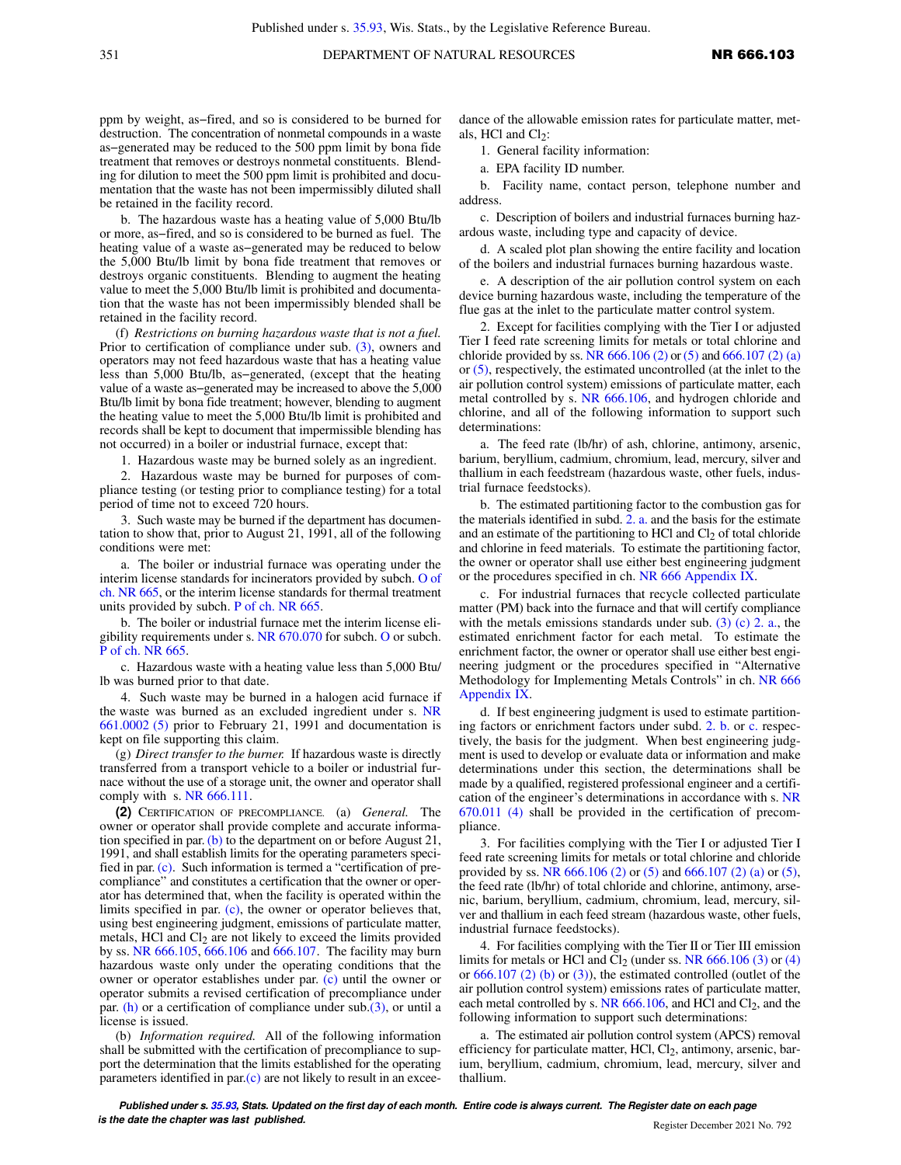ppm by weight, as−fired, and so is considered to be burned for destruction. The concentration of nonmetal compounds in a waste as−generated may be reduced to the 500 ppm limit by bona fide treatment that removes or destroys nonmetal constituents. Blending for dilution to meet the 500 ppm limit is prohibited and documentation that the waste has not been impermissibly diluted shall be retained in the facility record.

b. The hazardous waste has a heating value of 5,000 Btu/lb or more, as−fired, and so is considered to be burned as fuel. The heating value of a waste as−generated may be reduced to below the 5,000 Btu/lb limit by bona fide treatment that removes or destroys organic constituents. Blending to augment the heating value to meet the 5,000 Btu/lb limit is prohibited and documentation that the waste has not been impermissibly blended shall be retained in the facility record.

(f) *Restrictions on burning hazardous waste that is not a fuel.* Prior to certification of compliance under sub. [\(3\)](https://docs.legis.wisconsin.gov/document/administrativecode/NR%20666.103(3)), owners and operators may not feed hazardous waste that has a heating value less than 5,000 Btu/lb, as−generated, (except that the heating value of a waste as−generated may be increased to above the 5,000 Btu/lb limit by bona fide treatment; however, blending to augment the heating value to meet the 5,000 Btu/lb limit is prohibited and records shall be kept to document that impermissible blending has not occurred) in a boiler or industrial furnace, except that:

1. Hazardous waste may be burned solely as an ingredient.

2. Hazardous waste may be burned for purposes of compliance testing (or testing prior to compliance testing) for a total period of time not to exceed 720 hours.

3. Such waste may be burned if the department has documentation to show that, prior to August 21, 1991, all of the following conditions were met:

a. The boiler or industrial furnace was operating under the interim license standards for incinerators provided by subch. [O of](https://docs.legis.wisconsin.gov/document/administrativecode/subch.%20O%20of%20ch.%20NR%20665) [ch. NR 665](https://docs.legis.wisconsin.gov/document/administrativecode/subch.%20O%20of%20ch.%20NR%20665), or the interim license standards for thermal treatment units provided by subch. [P of ch. NR 665.](https://docs.legis.wisconsin.gov/document/administrativecode/subch.%20P%20of%20ch.%20NR%20665)

b. The boiler or industrial furnace met the interim license eligibility requirements under s. [NR 670.070](https://docs.legis.wisconsin.gov/document/administrativecode/NR%20670.070) for subch. [O](https://docs.legis.wisconsin.gov/document/administrativecode/subch.%20O%20of%20ch.%20NR%20665) or subch. [P of ch. NR 665](https://docs.legis.wisconsin.gov/document/administrativecode/subch.%20P%20of%20ch.%20NR%20665).

c. Hazardous waste with a heating value less than 5,000 Btu/ lb was burned prior to that date.

4. Such waste may be burned in a halogen acid furnace if the waste was burned as an excluded ingredient under s. [NR](https://docs.legis.wisconsin.gov/document/administrativecode/NR%20661.0002(5)) [661.0002 \(5\)](https://docs.legis.wisconsin.gov/document/administrativecode/NR%20661.0002(5)) prior to February 21, 1991 and documentation is kept on file supporting this claim.

(g) *Direct transfer to the burner.* If hazardous waste is directly transferred from a transport vehicle to a boiler or industrial furnace without the use of a storage unit, the owner and operator shall comply with s. [NR 666.111](https://docs.legis.wisconsin.gov/document/administrativecode/NR%20666.111).

**(2)** CERTIFICATION OF PRECOMPLIANCE. (a) *General.* The owner or operator shall provide complete and accurate information specified in par. [\(b\)](https://docs.legis.wisconsin.gov/document/administrativecode/NR%20666.103(2)(b)) to the department on or before August 21, 1991, and shall establish limits for the operating parameters specified in par. [\(c\)](https://docs.legis.wisconsin.gov/document/administrativecode/NR%20666.103(2)(c)). Such information is termed a "certification of precompliance" and constitutes a certification that the owner or operator has determined that, when the facility is operated within the limits specified in par. [\(c\)](https://docs.legis.wisconsin.gov/document/administrativecode/NR%20666.103(2)(c)), the owner or operator believes that, using best engineering judgment, emissions of particulate matter, metals, HCl and  $Cl<sub>2</sub>$  are not likely to exceed the limits provided by ss. [NR 666.105](https://docs.legis.wisconsin.gov/document/administrativecode/NR%20666.105), [666.106](https://docs.legis.wisconsin.gov/document/administrativecode/NR%20666.106) and [666.107](https://docs.legis.wisconsin.gov/document/administrativecode/NR%20666.107). The facility may burn hazardous waste only under the operating conditions that the owner or operator establishes under par. [\(c\)](https://docs.legis.wisconsin.gov/document/administrativecode/NR%20666.103(2)(c)) until the owner or operator submits a revised certification of precompliance under par. [\(h\)](https://docs.legis.wisconsin.gov/document/administrativecode/NR%20666.103(2)(h)) or a certification of compliance under  $sub.(3)$  $sub.(3)$ , or until a license is issued.

(b) *Information required.* All of the following information shall be submitted with the certification of precompliance to support the determination that the limits established for the operating parameters identified in  $par(c)$  are not likely to result in an exceedance of the allowable emission rates for particulate matter, metals, HCl and  $Cl<sub>2</sub>$ :

1. General facility information:

a. EPA facility ID number.

b. Facility name, contact person, telephone number and address.

c. Description of boilers and industrial furnaces burning hazardous waste, including type and capacity of device.

d. A scaled plot plan showing the entire facility and location of the boilers and industrial furnaces burning hazardous waste.

e. A description of the air pollution control system on each device burning hazardous waste, including the temperature of the flue gas at the inlet to the particulate matter control system.

2. Except for facilities complying with the Tier I or adjusted Tier I feed rate screening limits for metals or total chlorine and chloride provided by ss. NR  $666.106$  (2) or [\(5\)](https://docs.legis.wisconsin.gov/document/administrativecode/NR%20666.106(5)) and  $666.107$  (2) (a) or [\(5\)](https://docs.legis.wisconsin.gov/document/administrativecode/NR%20666.107(5)), respectively, the estimated uncontrolled (at the inlet to the air pollution control system) emissions of particulate matter, each metal controlled by s. [NR 666.106](https://docs.legis.wisconsin.gov/document/administrativecode/NR%20666.106), and hydrogen chloride and chlorine, and all of the following information to support such determinations:

a. The feed rate (lb/hr) of ash, chlorine, antimony, arsenic, barium, beryllium, cadmium, chromium, lead, mercury, silver and thallium in each feedstream (hazardous waste, other fuels, industrial furnace feedstocks).

b. The estimated partitioning factor to the combustion gas for the materials identified in subd. [2. a.](https://docs.legis.wisconsin.gov/document/administrativecode/NR%20666.103(2)(b)2.a.) and the basis for the estimate and an estimate of the partitioning to HCl and  $Cl<sub>2</sub>$  of total chloride and chlorine in feed materials. To estimate the partitioning factor, the owner or operator shall use either best engineering judgment or the procedures specified in ch. [NR 666 Appendix IX.](https://docs.legis.wisconsin.gov/document/administrativecode/ch.%20NR%20666%20Appendix%20IX)

c. For industrial furnaces that recycle collected particulate matter (PM) back into the furnace and that will certify compliance with the metals emissions standards under sub.  $(3)$  (c) 2. a., the estimated enrichment factor for each metal. To estimate the enrichment factor, the owner or operator shall use either best engineering judgment or the procedures specified in "Alternative Methodology for Implementing Metals Controls" in ch. [NR 666](https://docs.legis.wisconsin.gov/document/administrativecode/ch.%20NR%20666%20Appendix%20IX) [Appendix IX.](https://docs.legis.wisconsin.gov/document/administrativecode/ch.%20NR%20666%20Appendix%20IX)

d. If best engineering judgment is used to estimate partitioning factors or enrichment factors under subd. [2. b.](https://docs.legis.wisconsin.gov/document/administrativecode/NR%20666.103(2)(b)2.b.) or [c.](https://docs.legis.wisconsin.gov/document/administrativecode/NR%20666.103(2)(b)2.c.) respectively, the basis for the judgment. When best engineering judgment is used to develop or evaluate data or information and make determinations under this section, the determinations shall be made by a qualified, registered professional engineer and a certification of the engineer's determinations in accordance with s. [NR](https://docs.legis.wisconsin.gov/document/administrativecode/NR%20670.011(4)) [670.011 \(4\)](https://docs.legis.wisconsin.gov/document/administrativecode/NR%20670.011(4)) shall be provided in the certification of precompliance.

3. For facilities complying with the Tier I or adjusted Tier I feed rate screening limits for metals or total chlorine and chloride provided by ss. [NR 666.106 \(2\)](https://docs.legis.wisconsin.gov/document/administrativecode/NR%20666.106(2)) or [\(5\)](https://docs.legis.wisconsin.gov/document/administrativecode/NR%20666.106(5)) and [666.107 \(2\) \(a\)](https://docs.legis.wisconsin.gov/document/administrativecode/NR%20666.107(2)(a)) or [\(5\),](https://docs.legis.wisconsin.gov/document/administrativecode/NR%20666.107(5)) the feed rate (lb/hr) of total chloride and chlorine, antimony, arsenic, barium, beryllium, cadmium, chromium, lead, mercury, silver and thallium in each feed stream (hazardous waste, other fuels, industrial furnace feedstocks).

4. For facilities complying with the Tier II or Tier III emission limits for metals or HCl and  $Cl<sub>2</sub>$  (under ss. [NR 666.106 \(3\)](https://docs.legis.wisconsin.gov/document/administrativecode/NR%20666.106(3)) or [\(4\)](https://docs.legis.wisconsin.gov/document/administrativecode/NR%20666.106(4)) or  $666.107$  (2) (b) or [\(3\)](https://docs.legis.wisconsin.gov/document/administrativecode/NR%20666.107(3))), the estimated controlled (outlet of the air pollution control system) emissions rates of particulate matter, each metal controlled by s. NR  $666.106$ , and HCl and Cl<sub>2</sub>, and the following information to support such determinations:

a. The estimated air pollution control system (APCS) removal efficiency for particulate matter, HCl, Cl<sub>2</sub>, antimony, arsenic, barium, beryllium, cadmium, chromium, lead, mercury, silver and thallium.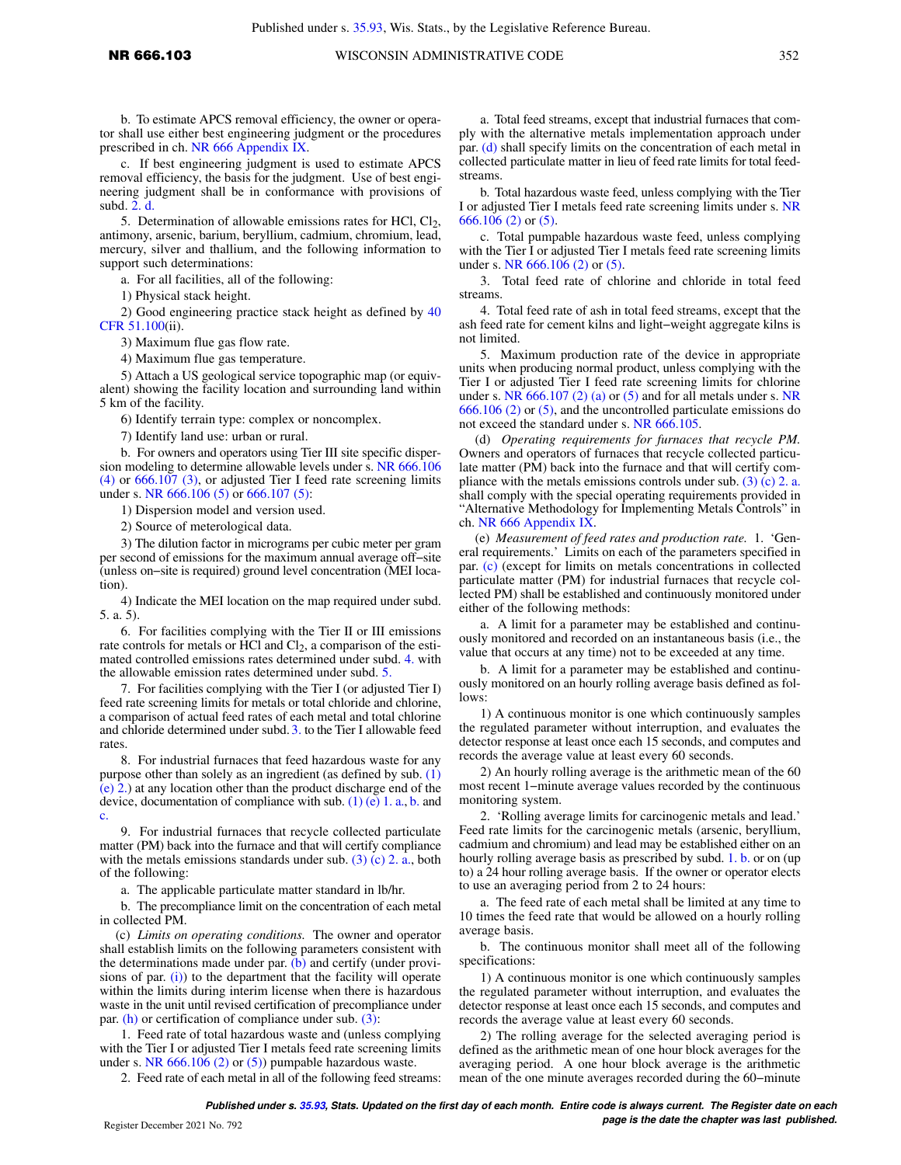b. To estimate APCS removal efficiency, the owner or operator shall use either best engineering judgment or the procedures prescribed in ch. [NR 666 Appendix IX](https://docs.legis.wisconsin.gov/document/administrativecode/ch.%20NR%20666%20Appendix%20IX).

c. If best engineering judgment is used to estimate APCS removal efficiency, the basis for the judgment. Use of best engineering judgment shall be in conformance with provisions of subd. [2. d.](https://docs.legis.wisconsin.gov/document/administrativecode/NR%20666.103(2)(b)2.d.)

5. Determination of allowable emissions rates for HCl,  $Cl_2$ , antimony, arsenic, barium, beryllium, cadmium, chromium, lead, mercury, silver and thallium, and the following information to support such determinations:

a. For all facilities, all of the following:

1) Physical stack height.

2) Good engineering practice stack height as defined by [40](https://docs.legis.wisconsin.gov/document/cfr/40%20CFR%2051.100) [CFR 51.100\(](https://docs.legis.wisconsin.gov/document/cfr/40%20CFR%2051.100)ii).

3) Maximum flue gas flow rate.

4) Maximum flue gas temperature.

5) Attach a US geological service topographic map (or equivalent) showing the facility location and surrounding land within 5 km of the facility.

6) Identify terrain type: complex or noncomplex.

7) Identify land use: urban or rural.

b. For owners and operators using Tier III site specific dispersion modeling to determine allowable levels under s. [NR 666.106](https://docs.legis.wisconsin.gov/document/administrativecode/NR%20666.106(4)) [\(4\)](https://docs.legis.wisconsin.gov/document/administrativecode/NR%20666.106(4)) or [666.107 \(3\),](https://docs.legis.wisconsin.gov/document/administrativecode/NR%20666.107(3)) or adjusted Tier I feed rate screening limits under s. [NR 666.106 \(5\)](https://docs.legis.wisconsin.gov/document/administrativecode/NR%20666.106(5)) or [666.107 \(5\)](https://docs.legis.wisconsin.gov/document/administrativecode/NR%20666.107(5)):

1) Dispersion model and version used.

2) Source of meterological data.

3) The dilution factor in micrograms per cubic meter per gram per second of emissions for the maximum annual average off−site (unless on−site is required) ground level concentration (MEI location).

4) Indicate the MEI location on the map required under subd. 5. a. 5).

6. For facilities complying with the Tier II or III emissions rate controls for metals or HCl and  $Cl<sub>2</sub>$ , a comparison of the estimated controlled emissions rates determined under subd. [4.](https://docs.legis.wisconsin.gov/document/administrativecode/NR%20666.103(2)(b)4.) with the allowable emission rates determined under subd. [5.](https://docs.legis.wisconsin.gov/document/administrativecode/NR%20666.103(2)(b)5.)

7. For facilities complying with the Tier I (or adjusted Tier I) feed rate screening limits for metals or total chloride and chlorine, a comparison of actual feed rates of each metal and total chlorine and chloride determined under subd. [3.](https://docs.legis.wisconsin.gov/document/administrativecode/NR%20666.103(2)(b)3.) to the Tier I allowable feed rates.

8. For industrial furnaces that feed hazardous waste for any purpose other than solely as an ingredient (as defined by sub. [\(1\)](https://docs.legis.wisconsin.gov/document/administrativecode/NR%20666.103(1)(e)2.) [\(e\) 2.\)](https://docs.legis.wisconsin.gov/document/administrativecode/NR%20666.103(1)(e)2.) at any location other than the product discharge end of the device, documentation of compliance with su[b.](https://docs.legis.wisconsin.gov/document/administrativecode/NR%20666.103(1)(e)1.b.)  $(1)$  (e) 1. a., b. and [c.](https://docs.legis.wisconsin.gov/document/administrativecode/NR%20666.103(1)(e)1.c.)

9. For industrial furnaces that recycle collected particulate matter (PM) back into the furnace and that will certify compliance with the metals emissions standards under sub.  $(3)$  (c) 2. a., both of the following:

a. The applicable particulate matter standard in lb/hr.

b. The precompliance limit on the concentration of each metal in collected PM.

(c) *Limits on operating conditions.* The owner and operator shall establish limits on the following parameters consistent with the determinations made under par. [\(b\)](https://docs.legis.wisconsin.gov/document/administrativecode/NR%20666.103(2)(b)) and certify (under provisions of par.  $(i)$  to the department that the facility will operate within the limits during interim license when there is hazardous waste in the unit until revised certification of precompliance under par.  $(h)$  or certification of compliance under sub.  $(3)$ :

1. Feed rate of total hazardous waste and (unless complying with the Tier I or adjusted Tier I metals feed rate screening limits under s. NR  $666.106$  (2) or [\(5\)](https://docs.legis.wisconsin.gov/document/administrativecode/NR%20666.106(5))) pumpable hazardous waste.

2. Feed rate of each metal in all of the following feed streams:

a. Total feed streams, except that industrial furnaces that comply with the alternative metals implementation approach under par. [\(d\)](https://docs.legis.wisconsin.gov/document/administrativecode/NR%20666.103(2)(d)) shall specify limits on the concentration of each metal in collected particulate matter in lieu of feed rate limits for total feedstreams.

b. Total hazardous waste feed, unless complying with the Tier I or adjusted Tier I metals feed rate screening limits under s. [NR](https://docs.legis.wisconsin.gov/document/administrativecode/NR%20666.106(2)) [666.106 \(2\)](https://docs.legis.wisconsin.gov/document/administrativecode/NR%20666.106(2)) or [\(5\)](https://docs.legis.wisconsin.gov/document/administrativecode/NR%20666.106(5)).

c. Total pumpable hazardous waste feed, unless complying with the Tier I or adjusted Tier I metals feed rate screening limits under s. [NR 666.106 \(2\)](https://docs.legis.wisconsin.gov/document/administrativecode/NR%20666.106(2)) or [\(5\).](https://docs.legis.wisconsin.gov/document/administrativecode/NR%20666.106(5))

3. Total feed rate of chlorine and chloride in total feed streams.

4. Total feed rate of ash in total feed streams, except that the ash feed rate for cement kilns and light−weight aggregate kilns is not limited.

5. Maximum production rate of the device in appropriate units when producing normal product, unless complying with the Tier I or adjusted Tier I feed rate screening limits for chlorine under s. [NR](https://docs.legis.wisconsin.gov/document/administrativecode/NR%20666.106(2))  $666.107$  (2) (a) or [\(5\)](https://docs.legis.wisconsin.gov/document/administrativecode/NR%20666.107(5)) and for all metals under s. NR [666.106 \(2\)](https://docs.legis.wisconsin.gov/document/administrativecode/NR%20666.106(2)) or [\(5\)](https://docs.legis.wisconsin.gov/document/administrativecode/NR%20666.106(5)), and the uncontrolled particulate emissions do not exceed the standard under s. [NR 666.105.](https://docs.legis.wisconsin.gov/document/administrativecode/NR%20666.105)

(d) *Operating requirements for furnaces that recycle PM.* Owners and operators of furnaces that recycle collected particulate matter (PM) back into the furnace and that will certify compliance with the metals emissions controls under sub. [\(3\) \(c\) 2. a.](https://docs.legis.wisconsin.gov/document/administrativecode/NR%20666.103(3)(c)2.a.) shall comply with the special operating requirements provided in "Alternative Methodology for Implementing Metals Controls" in ch. [NR 666 Appendix IX](https://docs.legis.wisconsin.gov/document/administrativecode/ch.%20NR%20666%20Appendix%20IX).

(e) *Measurement of feed rates and production rate.* 1. 'General requirements.' Limits on each of the parameters specified in par. [\(c\)](https://docs.legis.wisconsin.gov/document/administrativecode/NR%20666.103(2)(c)) (except for limits on metals concentrations in collected particulate matter (PM) for industrial furnaces that recycle collected PM) shall be established and continuously monitored under either of the following methods:

a. A limit for a parameter may be established and continuously monitored and recorded on an instantaneous basis (i.e., the value that occurs at any time) not to be exceeded at any time.

b. A limit for a parameter may be established and continuously monitored on an hourly rolling average basis defined as follows:

1) A continuous monitor is one which continuously samples the regulated parameter without interruption, and evaluates the detector response at least once each 15 seconds, and computes and records the average value at least every 60 seconds.

2) An hourly rolling average is the arithmetic mean of the 60 most recent 1−minute average values recorded by the continuous monitoring system.

2. 'Rolling average limits for carcinogenic metals and lead.' Feed rate limits for the carcinogenic metals (arsenic, beryllium, cadmium and chromium) and lead may be established either on an hourly rolling average basis as prescribed by subd. [1. b.](https://docs.legis.wisconsin.gov/document/administrativecode/NR%20666.103(2)(e)1.b.) or on (up to) a 24 hour rolling average basis. If the owner or operator elects to use an averaging period from 2 to 24 hours:

a. The feed rate of each metal shall be limited at any time to 10 times the feed rate that would be allowed on a hourly rolling average basis.

b. The continuous monitor shall meet all of the following specifications:

1) A continuous monitor is one which continuously samples the regulated parameter without interruption, and evaluates the detector response at least once each 15 seconds, and computes and records the average value at least every 60 seconds.

2) The rolling average for the selected averaging period is defined as the arithmetic mean of one hour block averages for the averaging period. A one hour block average is the arithmetic mean of the one minute averages recorded during the 60−minute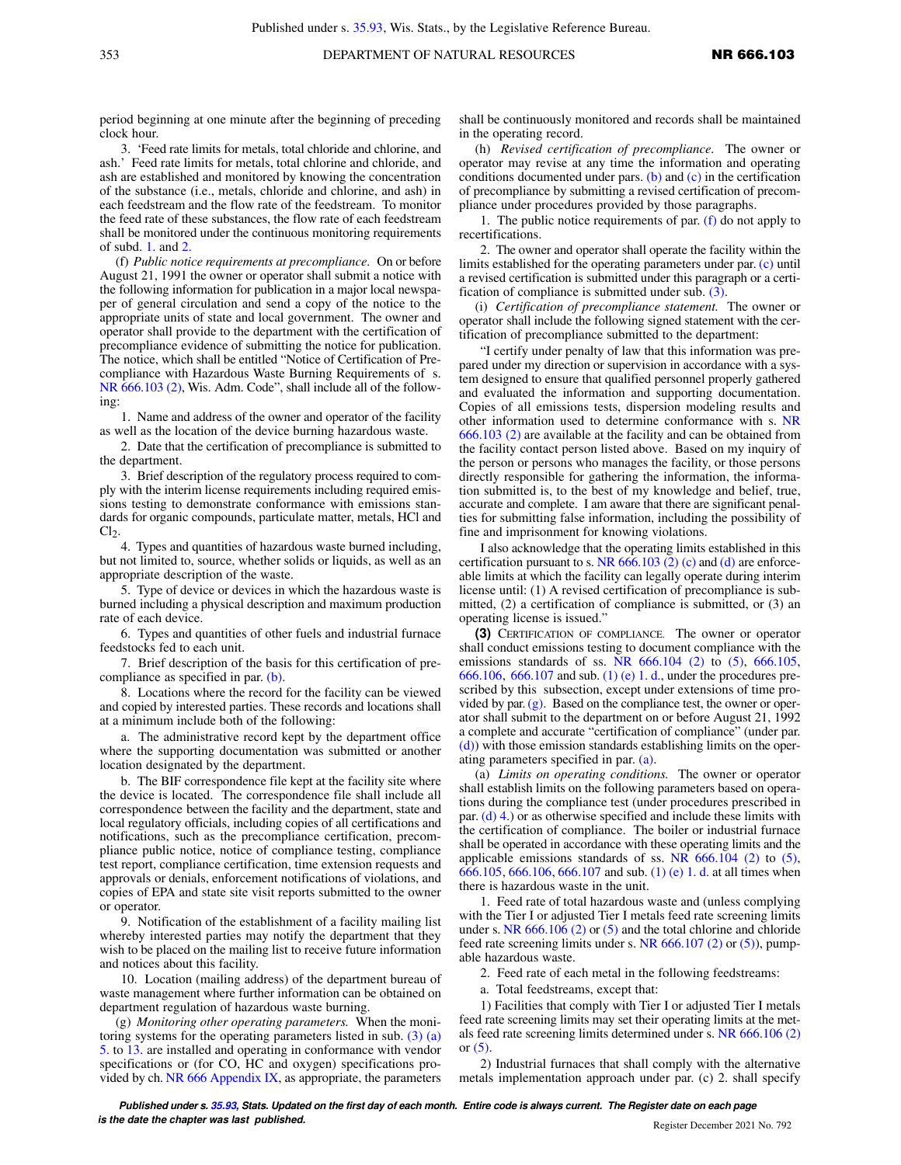period beginning at one minute after the beginning of preceding clock hour.

3. 'Feed rate limits for metals, total chloride and chlorine, and ash.' Feed rate limits for metals, total chlorine and chloride, and ash are established and monitored by knowing the concentration of the substance (i.e., metals, chloride and chlorine, and ash) in each feedstream and the flow rate of the feedstream. To monitor the feed rate of these substances, the flow rate of each feedstream shall be monitored under the continuous monitoring requirements of subd. [1.](https://docs.legis.wisconsin.gov/document/administrativecode/NR%20666.103(2)(e)1.) and [2.](https://docs.legis.wisconsin.gov/document/administrativecode/NR%20666.103(2)(e)2.)

(f) *Public notice requirements at precompliance.* On or before August 21, 1991 the owner or operator shall submit a notice with the following information for publication in a major local newspaper of general circulation and send a copy of the notice to the appropriate units of state and local government. The owner and operator shall provide to the department with the certification of precompliance evidence of submitting the notice for publication. The notice, which shall be entitled "Notice of Certification of Precompliance with Hazardous Waste Burning Requirements of s. [NR 666.103 \(2\)](https://docs.legis.wisconsin.gov/document/administrativecode/NR%20666.103(2)), Wis. Adm. Code", shall include all of the following:

1. Name and address of the owner and operator of the facility as well as the location of the device burning hazardous waste.

2. Date that the certification of precompliance is submitted to the department.

3. Brief description of the regulatory process required to comply with the interim license requirements including required emissions testing to demonstrate conformance with emissions standards for organic compounds, particulate matter, metals, HCl and  $Cl<sub>2</sub>$ .

4. Types and quantities of hazardous waste burned including, but not limited to, source, whether solids or liquids, as well as an appropriate description of the waste.

5. Type of device or devices in which the hazardous waste is burned including a physical description and maximum production rate of each device.

6. Types and quantities of other fuels and industrial furnace feedstocks fed to each unit.

7. Brief description of the basis for this certification of precompliance as specified in par. [\(b\).](https://docs.legis.wisconsin.gov/document/administrativecode/NR%20666.103(2)(b))

8. Locations where the record for the facility can be viewed and copied by interested parties. These records and locations shall at a minimum include both of the following:

a. The administrative record kept by the department office where the supporting documentation was submitted or another location designated by the department.

b. The BIF correspondence file kept at the facility site where the device is located. The correspondence file shall include all correspondence between the facility and the department, state and local regulatory officials, including copies of all certifications and notifications, such as the precompliance certification, precompliance public notice, notice of compliance testing, compliance test report, compliance certification, time extension requests and approvals or denials, enforcement notifications of violations, and copies of EPA and state site visit reports submitted to the owner or operator.

9. Notification of the establishment of a facility mailing list whereby interested parties may notify the department that they wish to be placed on the mailing list to receive future information and notices about this facility.

10. Location (mailing address) of the department bureau of waste management where further information can be obtained on department regulation of hazardous waste burning.

(g) *Monitoring other operating parameters.* When the monitoring systems for the operating parameters listed in sub. [\(3\) \(a\)](https://docs.legis.wisconsin.gov/document/administrativecode/NR%20666.103(3)(a)5.) [5.](https://docs.legis.wisconsin.gov/document/administrativecode/NR%20666.103(3)(a)5.) to [13.](https://docs.legis.wisconsin.gov/document/administrativecode/NR%20666.103(3)(a)13.) are installed and operating in conformance with vendor specifications or (for CO, HC and oxygen) specifications provided by ch. NR  $666$  Appendix IX, as appropriate, the parameters shall be continuously monitored and records shall be maintained in the operating record.

(h) *Revised certification of precompliance.* The owner or operator may revise at any time the information and operating conditions documented under pars.  $(b)$  and  $(c)$  in the certification of precompliance by submitting a revised certification of precompliance under procedures provided by those paragraphs.

1. The public notice requirements of par. [\(f\)](https://docs.legis.wisconsin.gov/document/administrativecode/NR%20666.103(2)(f)) do not apply to recertifications.

2. The owner and operator shall operate the facility within the limits established for the operating parameters under par. [\(c\)](https://docs.legis.wisconsin.gov/document/administrativecode/NR%20666.103(2)(c)) until a revised certification is submitted under this paragraph or a certification of compliance is submitted under sub. [\(3\).](https://docs.legis.wisconsin.gov/document/administrativecode/NR%20666.103(3))

(i) *Certification of precompliance statement.* The owner or operator shall include the following signed statement with the certification of precompliance submitted to the department:

"I certify under penalty of law that this information was prepared under my direction or supervision in accordance with a system designed to ensure that qualified personnel properly gathered and evaluated the information and supporting documentation. Copies of all emissions tests, dispersion modeling results and other information used to determine conformance with s. [NR](https://docs.legis.wisconsin.gov/document/administrativecode/NR%20666.103(2)) [666.103 \(2\)](https://docs.legis.wisconsin.gov/document/administrativecode/NR%20666.103(2)) are available at the facility and can be obtained from the facility contact person listed above. Based on my inquiry of the person or persons who manages the facility, or those persons directly responsible for gathering the information, the information submitted is, to the best of my knowledge and belief, true, accurate and complete. I am aware that there are significant penalties for submitting false information, including the possibility of fine and imprisonment for knowing violations.

I also acknowledge that the operating limits established in this certification pursuant to s. NR  $666.103$  (2) (c) and [\(d\)](https://docs.legis.wisconsin.gov/document/administrativecode/NR%20666.103(2)(d)) are enforceable limits at which the facility can legally operate during interim license until: (1) A revised certification of precompliance is submitted, (2) a certification of compliance is submitted, or (3) an operating license is issued."

**(3)** CERTIFICATION OF COMPLIANCE. The owner or operator shall conduct emissions testing to document compliance with the emissions standards of ss. NR  $666.104$  (2) to [\(5\),](https://docs.legis.wisconsin.gov/document/administrativecode/NR%20666.104(5))  $666.105$ , [666.106,](https://docs.legis.wisconsin.gov/document/administrativecode/NR%20666.106) [666.107](https://docs.legis.wisconsin.gov/document/administrativecode/NR%20666.107) and sub. [\(1\) \(e\) 1. d.](https://docs.legis.wisconsin.gov/document/administrativecode/NR%20666.103(1)(e)1.d.), under the procedures prescribed by this subsection, except under extensions of time provided by par.  $(g)$ . Based on the compliance test, the owner or operator shall submit to the department on or before August 21, 1992 a complete and accurate "certification of compliance" (under par. [\(d\)\)](https://docs.legis.wisconsin.gov/document/administrativecode/NR%20666.103(3)(d)) with those emission standards establishing limits on the operating parameters specified in par. [\(a\)](https://docs.legis.wisconsin.gov/document/administrativecode/NR%20666.103(3)(a)).

(a) *Limits on operating conditions.* The owner or operator shall establish limits on the following parameters based on operations during the compliance test (under procedures prescribed in par.  $(d)$  4.) or as otherwise specified and include these limits with the certification of compliance. The boiler or industrial furnace shall be operated in accordance with these operating limits and the applicable emissions standards of ss. NR  $666.104$  (2) to  $(5)$ , [666.105,](https://docs.legis.wisconsin.gov/document/administrativecode/NR%20666.105) [666.106](https://docs.legis.wisconsin.gov/document/administrativecode/NR%20666.106), [666.107](https://docs.legis.wisconsin.gov/document/administrativecode/NR%20666.107) and sub. [\(1\) \(e\) 1. d.](https://docs.legis.wisconsin.gov/document/administrativecode/NR%20666.103(1)(e)1.d.) at all times when there is hazardous waste in the unit.

1. Feed rate of total hazardous waste and (unless complying with the Tier I or adjusted Tier I metals feed rate screening limits under s. NR  $666.106$  (2) or [\(5\)](https://docs.legis.wisconsin.gov/document/administrativecode/NR%20666.106(5)) and the total chlorine and chloride feed rate screening limits under s. [NR 666.107 \(2\)](https://docs.legis.wisconsin.gov/document/administrativecode/NR%20666.107(2)) or [\(5\)](https://docs.legis.wisconsin.gov/document/administrativecode/NR%20666.107(5))), pumpable hazardous waste.

2. Feed rate of each metal in the following feedstreams:

a. Total feedstreams, except that:

1) Facilities that comply with Tier I or adjusted Tier I metals feed rate screening limits may set their operating limits at the metals feed rate screening limits determined under s. [NR 666.106 \(2\)](https://docs.legis.wisconsin.gov/document/administrativecode/NR%20666.106(2)) or [\(5\)](https://docs.legis.wisconsin.gov/document/administrativecode/NR%20666.106(5)).

2) Industrial furnaces that shall comply with the alternative metals implementation approach under par. (c) 2. shall specify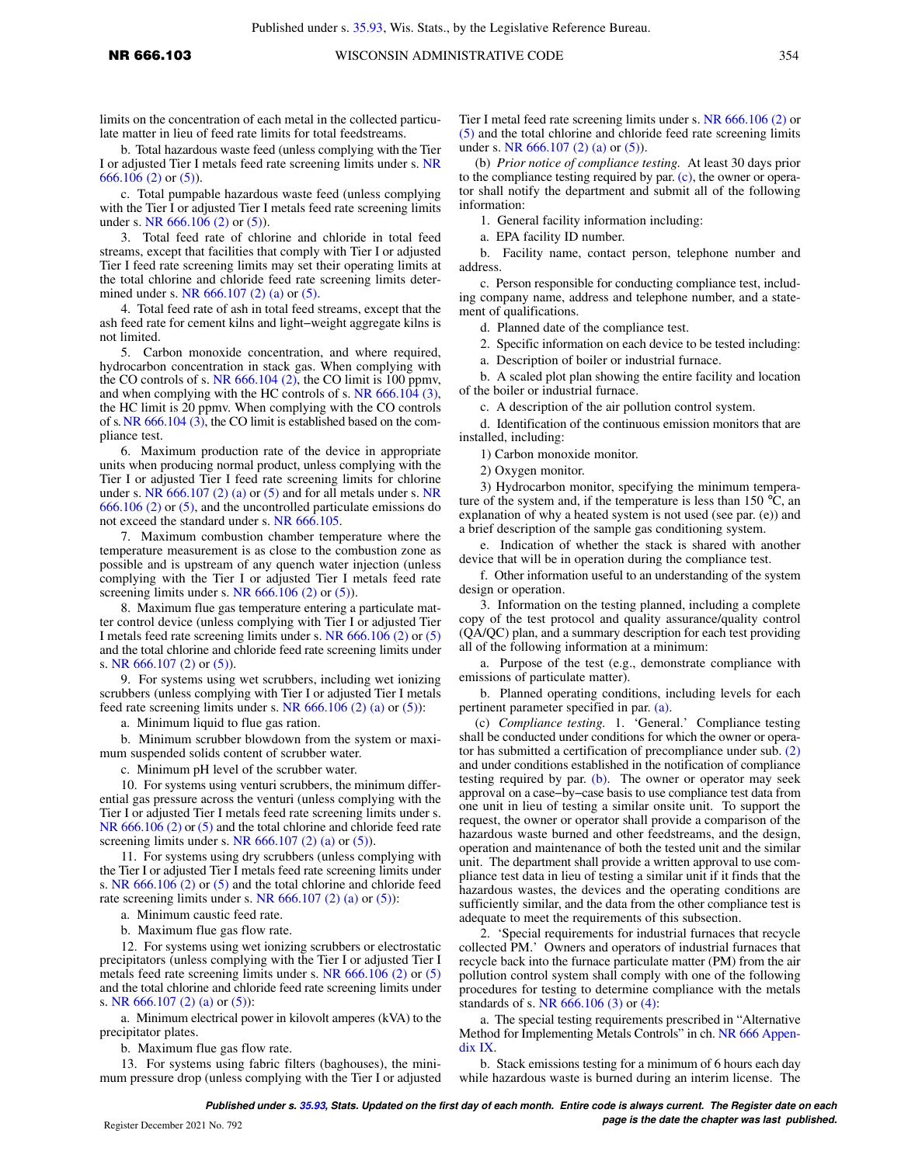limits on the concentration of each metal in the collected particulate matter in lieu of feed rate limits for total feedstreams.

b. Total hazardous waste feed (unless complying with the Tier I or adjusted Tier I metals feed rate screening limits under s. [NR](https://docs.legis.wisconsin.gov/document/administrativecode/NR%20666.106(2)) [666.106 \(2\)](https://docs.legis.wisconsin.gov/document/administrativecode/NR%20666.106(2)) or [\(5\)\)](https://docs.legis.wisconsin.gov/document/administrativecode/NR%20666.106(5)).

c. Total pumpable hazardous waste feed (unless complying with the Tier I or adjusted Tier I metals feed rate screening limits under s. [NR 666.106 \(2\)](https://docs.legis.wisconsin.gov/document/administrativecode/NR%20666.106(2)) or [\(5\)](https://docs.legis.wisconsin.gov/document/administrativecode/NR%20666.106(5))).

3. Total feed rate of chlorine and chloride in total feed streams, except that facilities that comply with Tier I or adjusted Tier I feed rate screening limits may set their operating limits at the total chlorine and chloride feed rate screening limits deter-mined under s. [NR 666.107 \(2\) \(a\)](https://docs.legis.wisconsin.gov/document/administrativecode/NR%20666.107(2)(a)) or [\(5\).](https://docs.legis.wisconsin.gov/document/administrativecode/NR%20666.107(5))

4. Total feed rate of ash in total feed streams, except that the ash feed rate for cement kilns and light−weight aggregate kilns is not limited.

5. Carbon monoxide concentration, and where required, hydrocarbon concentration in stack gas. When complying with the CO controls of s. NR  $666.104$  (2), the CO limit is 100 ppmv, and when complying with the HC controls of s. [NR 666.104 \(3\),](https://docs.legis.wisconsin.gov/document/administrativecode/NR%20666.104(3)) the HC limit is 20 ppmv. When complying with the CO controls of s. [NR 666.104 \(3\)](https://docs.legis.wisconsin.gov/document/administrativecode/NR%20666.104(3)), the CO limit is established based on the compliance test.

6. Maximum production rate of the device in appropriate units when producing normal product, unless complying with the Tier I or adjusted Tier I feed rate screening limits for chlorine under s. [NR](https://docs.legis.wisconsin.gov/document/administrativecode/NR%20666.106(2))  $666.107$  (2) (a) or [\(5\)](https://docs.legis.wisconsin.gov/document/administrativecode/NR%20666.107(5)) and for all metals under s. NR [666.106 \(2\)](https://docs.legis.wisconsin.gov/document/administrativecode/NR%20666.106(2)) or [\(5\)](https://docs.legis.wisconsin.gov/document/administrativecode/NR%20666.106(5)), and the uncontrolled particulate emissions do not exceed the standard under s. [NR 666.105.](https://docs.legis.wisconsin.gov/document/administrativecode/NR%20666.105)

7. Maximum combustion chamber temperature where the temperature measurement is as close to the combustion zone as possible and is upstream of any quench water injection (unless complying with the Tier I or adjusted Tier I metals feed rate screening limits under s. NR  $666.106$  (2) or [\(5\)](https://docs.legis.wisconsin.gov/document/administrativecode/NR%20666.106(5))).

8. Maximum flue gas temperature entering a particulate matter control device (unless complying with Tier I or adjusted Tier I metals feed rate screening limits under s. [NR 666.106 \(2\)](https://docs.legis.wisconsin.gov/document/administrativecode/NR%20666.106(2)) or [\(5\)](https://docs.legis.wisconsin.gov/document/administrativecode/NR%20666.106(5)) and the total chlorine and chloride feed rate screening limits under s. [NR 666.107 \(2\)](https://docs.legis.wisconsin.gov/document/administrativecode/NR%20666.107(2)) or [\(5\)\)](https://docs.legis.wisconsin.gov/document/administrativecode/NR%20666.107(5)).

9. For systems using wet scrubbers, including wet ionizing scrubbers (unless complying with Tier I or adjusted Tier I metals feed rate screening limits under s. NR  $666.106$  (2) (a) or [\(5\)](https://docs.legis.wisconsin.gov/document/administrativecode/NR%20666.106(5))):

a. Minimum liquid to flue gas ration.

b. Minimum scrubber blowdown from the system or maximum suspended solids content of scrubber water.

c. Minimum pH level of the scrubber water.

10. For systems using venturi scrubbers, the minimum differential gas pressure across the venturi (unless complying with the Tier I or adjusted Tier I metals feed rate screening limits under s. [NR 666.106 \(2\)](https://docs.legis.wisconsin.gov/document/administrativecode/NR%20666.106(2)) or [\(5\)](https://docs.legis.wisconsin.gov/document/administrativecode/NR%20666.106(5)) and the total chlorine and chloride feed rate screening limits under s. NR  $666.107$  (2) (a) or [\(5\)](https://docs.legis.wisconsin.gov/document/administrativecode/NR%20666.107(5))).

11. For systems using dry scrubbers (unless complying with the Tier I or adjusted Tier I metals feed rate screening limits under s. [NR 666.106 \(2\)](https://docs.legis.wisconsin.gov/document/administrativecode/NR%20666.106(2)) or [\(5\)](https://docs.legis.wisconsin.gov/document/administrativecode/NR%20666.106(5)) and the total chlorine and chloride feed rate screening limits under s. NR  $666.107$  (2) (a) or [\(5\)](https://docs.legis.wisconsin.gov/document/administrativecode/NR%20666.107(5))):

a. Minimum caustic feed rate.

b. Maximum flue gas flow rate.

12. For systems using wet ionizing scrubbers or electrostatic precipitators (unless complying with the Tier I or adjusted Tier I metals feed rate screening limits under s. [NR 666.106 \(2\)](https://docs.legis.wisconsin.gov/document/administrativecode/NR%20666.106(2)) or [\(5\)](https://docs.legis.wisconsin.gov/document/administrativecode/NR%20666.106(5)) and the total chlorine and chloride feed rate screening limits under s. [NR 666.107 \(2\) \(a\)](https://docs.legis.wisconsin.gov/document/administrativecode/NR%20666.107(2)(a)) or [\(5\)\)](https://docs.legis.wisconsin.gov/document/administrativecode/NR%20666.107(5)):

a. Minimum electrical power in kilovolt amperes (kVA) to the precipitator plates.

b. Maximum flue gas flow rate.

13. For systems using fabric filters (baghouses), the minimum pressure drop (unless complying with the Tier I or adjusted Tier I metal feed rate screening limits under s. [NR 666.106 \(2\)](https://docs.legis.wisconsin.gov/document/administrativecode/NR%20666.106(2)) or [\(5\)](https://docs.legis.wisconsin.gov/document/administrativecode/NR%20666.106(5)) and the total chlorine and chloride feed rate screening limits under s. [NR 666.107 \(2\) \(a\)](https://docs.legis.wisconsin.gov/document/administrativecode/NR%20666.107(2)(a)) or [\(5\)](https://docs.legis.wisconsin.gov/document/administrativecode/NR%20666.107(5))).

(b) *Prior notice of compliance testing.* At least 30 days prior to the compliance testing required by par. [\(c\),](https://docs.legis.wisconsin.gov/document/administrativecode/NR%20666.103(3)(c)) the owner or operator shall notify the department and submit all of the following information:

1. General facility information including:

a. EPA facility ID number.

b. Facility name, contact person, telephone number and address.

c. Person responsible for conducting compliance test, including company name, address and telephone number, and a statement of qualifications.

d. Planned date of the compliance test.

2. Specific information on each device to be tested including:

a. Description of boiler or industrial furnace.

b. A scaled plot plan showing the entire facility and location of the boiler or industrial furnace.

c. A description of the air pollution control system.

d. Identification of the continuous emission monitors that are installed, including:

1) Carbon monoxide monitor.

2) Oxygen monitor.

3) Hydrocarbon monitor, specifying the minimum temperature of the system and, if the temperature is less than 150  $\rm{°C}$ , an explanation of why a heated system is not used (see par. (e)) and a brief description of the sample gas conditioning system.

e. Indication of whether the stack is shared with another device that will be in operation during the compliance test.

f. Other information useful to an understanding of the system design or operation.

3. Information on the testing planned, including a complete copy of the test protocol and quality assurance/quality control (QA/QC) plan, and a summary description for each test providing all of the following information at a minimum:

a. Purpose of the test (e.g., demonstrate compliance with emissions of particulate matter).

b. Planned operating conditions, including levels for each pertinent parameter specified in par. [\(a\).](https://docs.legis.wisconsin.gov/document/administrativecode/NR%20666.103(3)(a))

(c) *Compliance testing.* 1. 'General.' Compliance testing shall be conducted under conditions for which the owner or operator has submitted a certification of precompliance under sub. [\(2\)](https://docs.legis.wisconsin.gov/document/administrativecode/NR%20666.103(2)) and under conditions established in the notification of compliance testing required by par. [\(b\).](https://docs.legis.wisconsin.gov/document/administrativecode/NR%20666.103(3)(b)) The owner or operator may seek approval on a case−by−case basis to use compliance test data from one unit in lieu of testing a similar onsite unit. To support the request, the owner or operator shall provide a comparison of the hazardous waste burned and other feedstreams, and the design, operation and maintenance of both the tested unit and the similar unit. The department shall provide a written approval to use compliance test data in lieu of testing a similar unit if it finds that the hazardous wastes, the devices and the operating conditions are sufficiently similar, and the data from the other compliance test is adequate to meet the requirements of this subsection.

2. 'Special requirements for industrial furnaces that recycle collected PM.' Owners and operators of industrial furnaces that recycle back into the furnace particulate matter (PM) from the air pollution control system shall comply with one of the following procedures for testing to determine compliance with the metals standards of s. [NR 666.106 \(3\)](https://docs.legis.wisconsin.gov/document/administrativecode/NR%20666.106(3)) or [\(4\)](https://docs.legis.wisconsin.gov/document/administrativecode/NR%20666.106(4)):

a. The special testing requirements prescribed in "Alternative Method for Implementing Metals Controls" in ch. [NR 666 Appen](https://docs.legis.wisconsin.gov/document/administrativecode/ch.%20NR%20666%20Appendix%20IX)[dix IX](https://docs.legis.wisconsin.gov/document/administrativecode/ch.%20NR%20666%20Appendix%20IX).

b. Stack emissions testing for a minimum of 6 hours each day while hazardous waste is burned during an interim license. The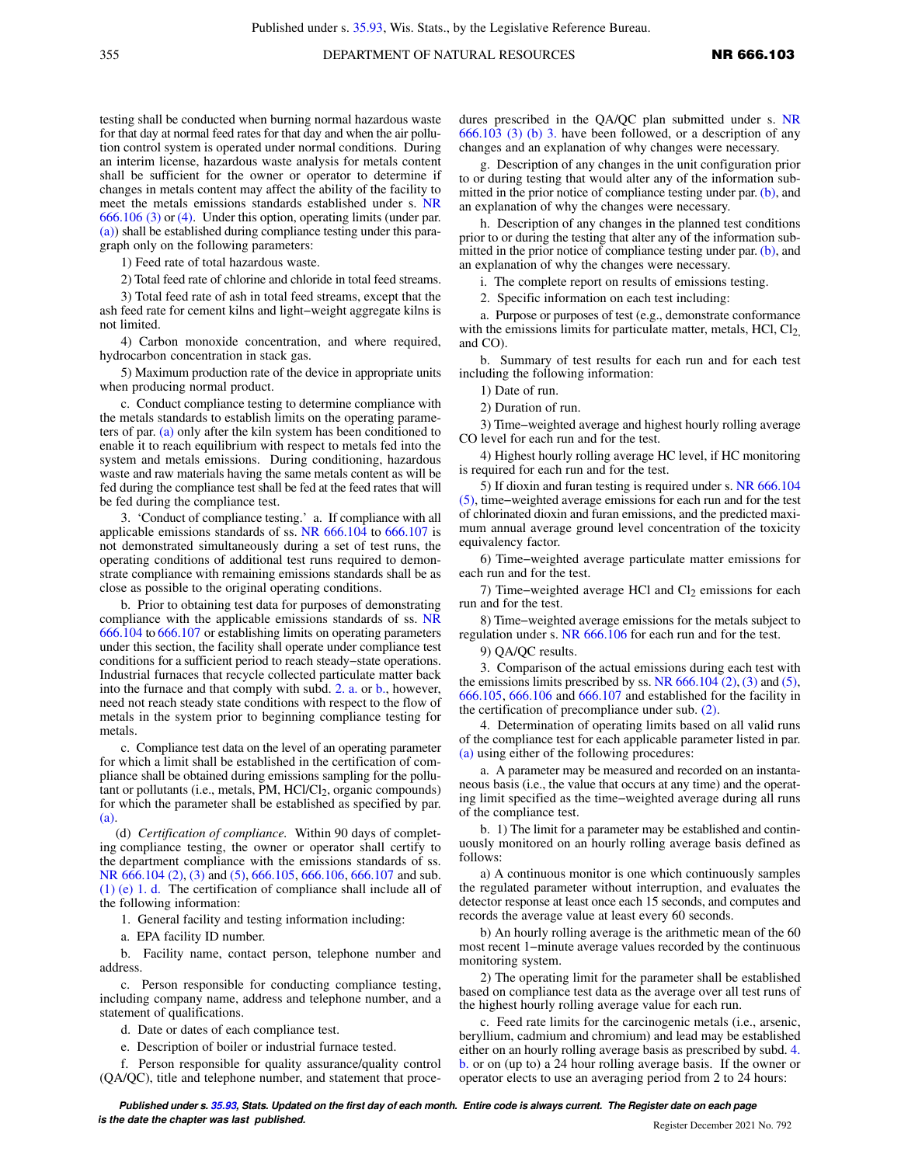testing shall be conducted when burning normal hazardous waste for that day at normal feed rates for that day and when the air pollution control system is operated under normal conditions. During an interim license, hazardous waste analysis for metals content shall be sufficient for the owner or operator to determine if changes in metals content may affect the ability of the facility to meet the metals emissions standards established under s. [NR](https://docs.legis.wisconsin.gov/document/administrativecode/NR%20666.106(3)) [666.106 \(3\)](https://docs.legis.wisconsin.gov/document/administrativecode/NR%20666.106(3)) or [\(4\)](https://docs.legis.wisconsin.gov/document/administrativecode/NR%20666.106(4)). Under this option, operating limits (under par. [\(a\)\)](https://docs.legis.wisconsin.gov/document/administrativecode/NR%20666.103(3)(a)) shall be established during compliance testing under this paragraph only on the following parameters:

1) Feed rate of total hazardous waste.

2) Total feed rate of chlorine and chloride in total feed streams.

3) Total feed rate of ash in total feed streams, except that the ash feed rate for cement kilns and light−weight aggregate kilns is not limited.

4) Carbon monoxide concentration, and where required, hydrocarbon concentration in stack gas.

5) Maximum production rate of the device in appropriate units when producing normal product.

c. Conduct compliance testing to determine compliance with the metals standards to establish limits on the operating parameters of par. [\(a\)](https://docs.legis.wisconsin.gov/document/administrativecode/NR%20666.103(3)(a)) only after the kiln system has been conditioned to enable it to reach equilibrium with respect to metals fed into the system and metals emissions. During conditioning, hazardous waste and raw materials having the same metals content as will be fed during the compliance test shall be fed at the feed rates that will be fed during the compliance test.

3. 'Conduct of compliance testing.' a. If compliance with all applicable emissions standards of ss. [NR 666.104](https://docs.legis.wisconsin.gov/document/administrativecode/NR%20666.104) to [666.107](https://docs.legis.wisconsin.gov/document/administrativecode/NR%20666.107) is not demonstrated simultaneously during a set of test runs, the operating conditions of additional test runs required to demonstrate compliance with remaining emissions standards shall be as close as possible to the original operating conditions.

b. Prior to obtaining test data for purposes of demonstrating compliance with the applicable emissions standards of ss. [NR](https://docs.legis.wisconsin.gov/document/administrativecode/NR%20666.104) [666.104](https://docs.legis.wisconsin.gov/document/administrativecode/NR%20666.104) to [666.107](https://docs.legis.wisconsin.gov/document/administrativecode/NR%20666.107) or establishing limits on operating parameters under this section, the facility shall operate under compliance test conditions for a sufficient period to reach steady−state operations. Industrial furnaces that recycle collected particulate matter back into the furnace and that comply with subd. [2. a.](https://docs.legis.wisconsin.gov/document/administrativecode/NR%20666.103(3)(c)2.a.) or [b.](https://docs.legis.wisconsin.gov/document/administrativecode/NR%20666.103(3)(c)2.b.), however, need not reach steady state conditions with respect to the flow of metals in the system prior to beginning compliance testing for metals.

c. Compliance test data on the level of an operating parameter for which a limit shall be established in the certification of compliance shall be obtained during emissions sampling for the pollutant or pollutants (i.e., metals, PM, HCl/Cl<sub>2</sub>, organic compounds) for which the parameter shall be established as specified by par. [\(a\).](https://docs.legis.wisconsin.gov/document/administrativecode/NR%20666.103(3)(a))

(d) *Certification of compliance.* Within 90 days of completing compliance testing, the owner or operator shall certify to the department compliance with the emissions standards of ss. [NR 666.104 \(2\),](https://docs.legis.wisconsin.gov/document/administrativecode/NR%20666.104(2)) [\(3\)](https://docs.legis.wisconsin.gov/document/administrativecode/NR%20666.104(3)) and [\(5\),](https://docs.legis.wisconsin.gov/document/administrativecode/NR%20666.104(5)) [666.105,](https://docs.legis.wisconsin.gov/document/administrativecode/NR%20666.105) [666.106](https://docs.legis.wisconsin.gov/document/administrativecode/NR%20666.106), [666.107](https://docs.legis.wisconsin.gov/document/administrativecode/NR%20666.107) and sub. [\(1\) \(e\) 1. d.](https://docs.legis.wisconsin.gov/document/administrativecode/NR%20666.103(1)(e)1.d.) The certification of compliance shall include all of the following information:

1. General facility and testing information including:

a. EPA facility ID number.

b. Facility name, contact person, telephone number and address.

c. Person responsible for conducting compliance testing, including company name, address and telephone number, and a statement of qualifications.

d. Date or dates of each compliance test.

e. Description of boiler or industrial furnace tested.

f. Person responsible for quality assurance/quality control (QA/QC), title and telephone number, and statement that procedures prescribed in the QA/QC plan submitted under s. [NR](https://docs.legis.wisconsin.gov/document/administrativecode/NR%20666.103(3)(b)3.) [666.103 \(3\) \(b\) 3.](https://docs.legis.wisconsin.gov/document/administrativecode/NR%20666.103(3)(b)3.) have been followed, or a description of any changes and an explanation of why changes were necessary.

g. Description of any changes in the unit configuration prior to or during testing that would alter any of the information submitted in the prior notice of compliance testing under par. [\(b\)](https://docs.legis.wisconsin.gov/document/administrativecode/NR%20666.103(3)(b)), and an explanation of why the changes were necessary.

h. Description of any changes in the planned test conditions prior to or during the testing that alter any of the information submitted in the prior notice of compliance testing under par. [\(b\)](https://docs.legis.wisconsin.gov/document/administrativecode/NR%20666.103(3)(b)), and an explanation of why the changes were necessary.

i. The complete report on results of emissions testing.

2. Specific information on each test including:

a. Purpose or purposes of test (e.g., demonstrate conformance with the emissions limits for particulate matter, metals, HCl,  $Cl<sub>2</sub>$ , and CO).

b. Summary of test results for each run and for each test including the following information:

1) Date of run.

2) Duration of run.

3) Time−weighted average and highest hourly rolling average CO level for each run and for the test.

4) Highest hourly rolling average HC level, if HC monitoring is required for each run and for the test.

5) If dioxin and furan testing is required under s. [NR 666.104](https://docs.legis.wisconsin.gov/document/administrativecode/NR%20666.104(5)) [\(5\),](https://docs.legis.wisconsin.gov/document/administrativecode/NR%20666.104(5)) time−weighted average emissions for each run and for the test of chlorinated dioxin and furan emissions, and the predicted maximum annual average ground level concentration of the toxicity equivalency factor.

6) Time−weighted average particulate matter emissions for each run and for the test.

7) Time–weighted average HCl and Cl2 emissions for each run and for the test.

8) Time−weighted average emissions for the metals subject to regulation under s. [NR 666.106](https://docs.legis.wisconsin.gov/document/administrativecode/NR%20666.106) for each run and for the test.

9) QA/QC results.

3. Comparison of the actual emissions during each test with the emissions limits prescribed by ss. NR  $666.104$  (2), [\(3\)](https://docs.legis.wisconsin.gov/document/administrativecode/NR%20666.104(3)) and [\(5\),](https://docs.legis.wisconsin.gov/document/administrativecode/NR%20666.104(5)) [666.105,](https://docs.legis.wisconsin.gov/document/administrativecode/NR%20666.105) [666.106](https://docs.legis.wisconsin.gov/document/administrativecode/NR%20666.106) and [666.107](https://docs.legis.wisconsin.gov/document/administrativecode/NR%20666.107) and established for the facility in the certification of precompliance under sub. [\(2\)](https://docs.legis.wisconsin.gov/document/administrativecode/NR%20666.103(2)).

4. Determination of operating limits based on all valid runs of the compliance test for each applicable parameter listed in par. [\(a\)](https://docs.legis.wisconsin.gov/document/administrativecode/NR%20666.103(3)(a)) using either of the following procedures:

a. A parameter may be measured and recorded on an instantaneous basis (i.e., the value that occurs at any time) and the operating limit specified as the time−weighted average during all runs of the compliance test.

b. 1) The limit for a parameter may be established and continuously monitored on an hourly rolling average basis defined as follows:

a) A continuous monitor is one which continuously samples the regulated parameter without interruption, and evaluates the detector response at least once each 15 seconds, and computes and records the average value at least every 60 seconds.

b) An hourly rolling average is the arithmetic mean of the 60 most recent 1−minute average values recorded by the continuous monitoring system.

2) The operating limit for the parameter shall be established based on compliance test data as the average over all test runs of the highest hourly rolling average value for each run.

c. Feed rate limits for the carcinogenic metals (i.e., arsenic, beryllium, cadmium and chromium) and lead may be established either on an hourly rolling average basis as prescribed by subd. [4.](https://docs.legis.wisconsin.gov/document/administrativecode/NR%20666.103(3)(d)4.b.) [b.](https://docs.legis.wisconsin.gov/document/administrativecode/NR%20666.103(3)(d)4.b.) or on (up to) a 24 hour rolling average basis. If the owner or operator elects to use an averaging period from 2 to 24 hours: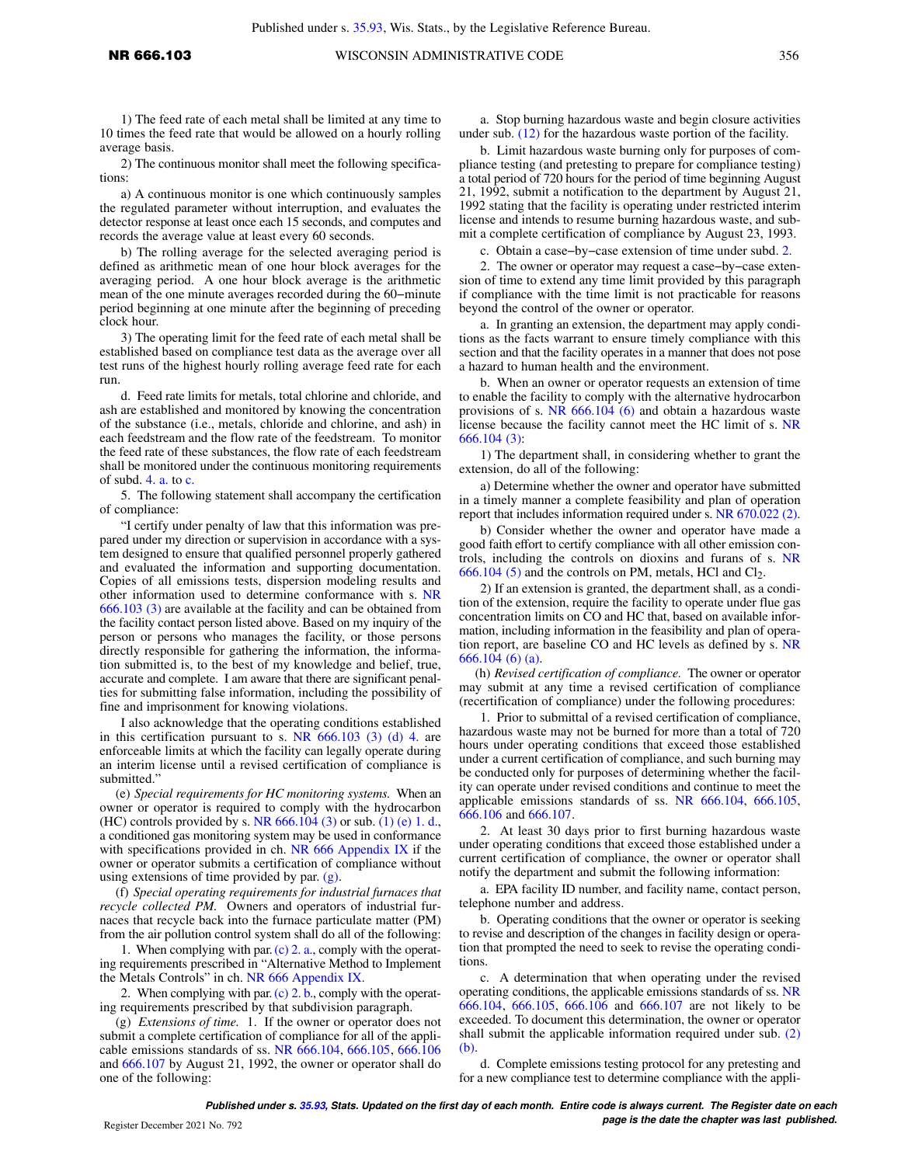1) The feed rate of each metal shall be limited at any time to 10 times the feed rate that would be allowed on a hourly rolling average basis.

2) The continuous monitor shall meet the following specifications:

a) A continuous monitor is one which continuously samples the regulated parameter without interruption, and evaluates the detector response at least once each 15 seconds, and computes and records the average value at least every 60 seconds.

b) The rolling average for the selected averaging period is defined as arithmetic mean of one hour block averages for the averaging period. A one hour block average is the arithmetic mean of the one minute averages recorded during the 60−minute period beginning at one minute after the beginning of preceding clock hour.

3) The operating limit for the feed rate of each metal shall be established based on compliance test data as the average over all test runs of the highest hourly rolling average feed rate for each run.

d. Feed rate limits for metals, total chlorine and chloride, and ash are established and monitored by knowing the concentration of the substance (i.e., metals, chloride and chlorine, and ash) in each feedstream and the flow rate of the feedstream. To monitor the feed rate of these substances, the flow rate of each feedstream shall be monitored under the continuous monitoring requirements of subd. [4. a.](https://docs.legis.wisconsin.gov/document/administrativecode/NR%20666.103(3)(d)4.a.) to [c.](https://docs.legis.wisconsin.gov/document/administrativecode/NR%20666.103(3)(d)4.c.)

5. The following statement shall accompany the certification of compliance:

"I certify under penalty of law that this information was prepared under my direction or supervision in accordance with a system designed to ensure that qualified personnel properly gathered and evaluated the information and supporting documentation. Copies of all emissions tests, dispersion modeling results and other information used to determine conformance with s. [NR](https://docs.legis.wisconsin.gov/document/administrativecode/NR%20666.103(3)) [666.103 \(3\)](https://docs.legis.wisconsin.gov/document/administrativecode/NR%20666.103(3)) are available at the facility and can be obtained from the facility contact person listed above. Based on my inquiry of the person or persons who manages the facility, or those persons directly responsible for gathering the information, the information submitted is, to the best of my knowledge and belief, true, accurate and complete. I am aware that there are significant penalties for submitting false information, including the possibility of fine and imprisonment for knowing violations.

I also acknowledge that the operating conditions established in this certification pursuant to s. NR  $666.103$  (3) (d) 4. are enforceable limits at which the facility can legally operate during an interim license until a revised certification of compliance is submitted."

(e) *Special requirements for HC monitoring systems.* When an owner or operator is required to comply with the hydrocarbon (HC) controls provided by s. NR  $666.104$  (3) or sub. [\(1\) \(e\) 1. d.,](https://docs.legis.wisconsin.gov/document/administrativecode/NR%20666.103(1)(e)1.d.) a conditioned gas monitoring system may be used in conformance with specifications provided in ch. [NR 666 Appendix IX](https://docs.legis.wisconsin.gov/document/administrativecode/ch.%20NR%20666%20Appendix%20IX) if the owner or operator submits a certification of compliance without using extensions of time provided by par.  $(g)$ .

(f) *Special operating requirements for industrial furnaces that recycle collected PM.* Owners and operators of industrial furnaces that recycle back into the furnace particulate matter (PM) from the air pollution control system shall do all of the following:

1. When complying with par. [\(c\) 2. a.](https://docs.legis.wisconsin.gov/document/administrativecode/NR%20666.103(3)(c)2.a.), comply with the operating requirements prescribed in "Alternative Method to Implement the Metals Controls" in ch. [NR 666 Appendix IX.](https://docs.legis.wisconsin.gov/document/administrativecode/ch.%20NR%20666%20Appendix%20IX)

2. When complying with par. [\(c\) 2. b.,](https://docs.legis.wisconsin.gov/document/administrativecode/NR%20666.103(3)(c)2.b.) comply with the operating requirements prescribed by that subdivision paragraph.

(g) *Extensions of time.* 1. If the owner or operator does not submit a complete certification of compliance for all of the applicable emissions standards of ss. [NR 666.104](https://docs.legis.wisconsin.gov/document/administrativecode/NR%20666.104), [666.105,](https://docs.legis.wisconsin.gov/document/administrativecode/NR%20666.105) [666.106](https://docs.legis.wisconsin.gov/document/administrativecode/NR%20666.106) and [666.107](https://docs.legis.wisconsin.gov/document/administrativecode/NR%20666.107) by August 21, 1992, the owner or operator shall do one of the following:

a. Stop burning hazardous waste and begin closure activities under sub. [\(12\)](https://docs.legis.wisconsin.gov/document/administrativecode/NR%20666.103(12)) for the hazardous waste portion of the facility.

b. Limit hazardous waste burning only for purposes of compliance testing (and pretesting to prepare for compliance testing) a total period of 720 hours for the period of time beginning August 21, 1992, submit a notification to the department by August 21, 1992 stating that the facility is operating under restricted interim license and intends to resume burning hazardous waste, and submit a complete certification of compliance by August 23, 1993.

c. Obtain a case−by−case extension of time under subd. [2.](https://docs.legis.wisconsin.gov/document/administrativecode/NR%20666.103(3)(g)2.)

2. The owner or operator may request a case−by−case extension of time to extend any time limit provided by this paragraph if compliance with the time limit is not practicable for reasons beyond the control of the owner or operator.

a. In granting an extension, the department may apply conditions as the facts warrant to ensure timely compliance with this section and that the facility operates in a manner that does not pose a hazard to human health and the environment.

b. When an owner or operator requests an extension of time to enable the facility to comply with the alternative hydrocarbon provisions of s. [NR 666.104 \(6\)](https://docs.legis.wisconsin.gov/document/administrativecode/NR%20666.104(6)) and obtain a hazardous waste license because the facility cannot meet the HC limit of s. [NR](https://docs.legis.wisconsin.gov/document/administrativecode/NR%20666.104(3)) [666.104 \(3\)](https://docs.legis.wisconsin.gov/document/administrativecode/NR%20666.104(3)):

1) The department shall, in considering whether to grant the extension, do all of the following:

a) Determine whether the owner and operator have submitted in a timely manner a complete feasibility and plan of operation report that includes information required under s. [NR 670.022 \(2\).](https://docs.legis.wisconsin.gov/document/administrativecode/NR%20670.022(2))

b) Consider whether the owner and operator have made a good faith effort to certify compliance with all other emission controls, including the controls on dioxins and furans of s. [NR](https://docs.legis.wisconsin.gov/document/administrativecode/NR%20666.104(5))  $666.104$  (5) and the controls on PM, metals, HCl and Cl<sub>2</sub>.

2) If an extension is granted, the department shall, as a condition of the extension, require the facility to operate under flue gas concentration limits on CO and HC that, based on available information, including information in the feasibility and plan of operation report, are baseline CO and HC levels as defined by s. [NR](https://docs.legis.wisconsin.gov/document/administrativecode/NR%20666.104(6)(a)) [666.104 \(6\) \(a\).](https://docs.legis.wisconsin.gov/document/administrativecode/NR%20666.104(6)(a))

(h) *Revised certification of compliance.* The owner or operator may submit at any time a revised certification of compliance (recertification of compliance) under the following procedures:

1. Prior to submittal of a revised certification of compliance, hazardous waste may not be burned for more than a total of 720 hours under operating conditions that exceed those established under a current certification of compliance, and such burning may be conducted only for purposes of determining whether the facility can operate under revised conditions and continue to meet the applicable emissions standards of ss. [NR 666.104,](https://docs.legis.wisconsin.gov/document/administrativecode/NR%20666.104) [666.105,](https://docs.legis.wisconsin.gov/document/administrativecode/NR%20666.105) [666.106](https://docs.legis.wisconsin.gov/document/administrativecode/NR%20666.106) and [666.107.](https://docs.legis.wisconsin.gov/document/administrativecode/NR%20666.107)

2. At least 30 days prior to first burning hazardous waste under operating conditions that exceed those established under a current certification of compliance, the owner or operator shall notify the department and submit the following information:

a. EPA facility ID number, and facility name, contact person, telephone number and address.

b. Operating conditions that the owner or operator is seeking to revise and description of the changes in facility design or operation that prompted the need to seek to revise the operating conditions.

c. A determination that when operating under the revised operating conditions, the applicable emissions standards of ss. [NR](https://docs.legis.wisconsin.gov/document/administrativecode/NR%20666.104) [666.104,](https://docs.legis.wisconsin.gov/document/administrativecode/NR%20666.104) [666.105,](https://docs.legis.wisconsin.gov/document/administrativecode/NR%20666.105) [666.106](https://docs.legis.wisconsin.gov/document/administrativecode/NR%20666.106) and [666.107](https://docs.legis.wisconsin.gov/document/administrativecode/NR%20666.107) are not likely to be exceeded. To document this determination, the owner or operator shall submit the applicable information required under sub. [\(2\)](https://docs.legis.wisconsin.gov/document/administrativecode/NR%20666.103(2)(b)) [\(b\).](https://docs.legis.wisconsin.gov/document/administrativecode/NR%20666.103(2)(b))

d. Complete emissions testing protocol for any pretesting and for a new compliance test to determine compliance with the appli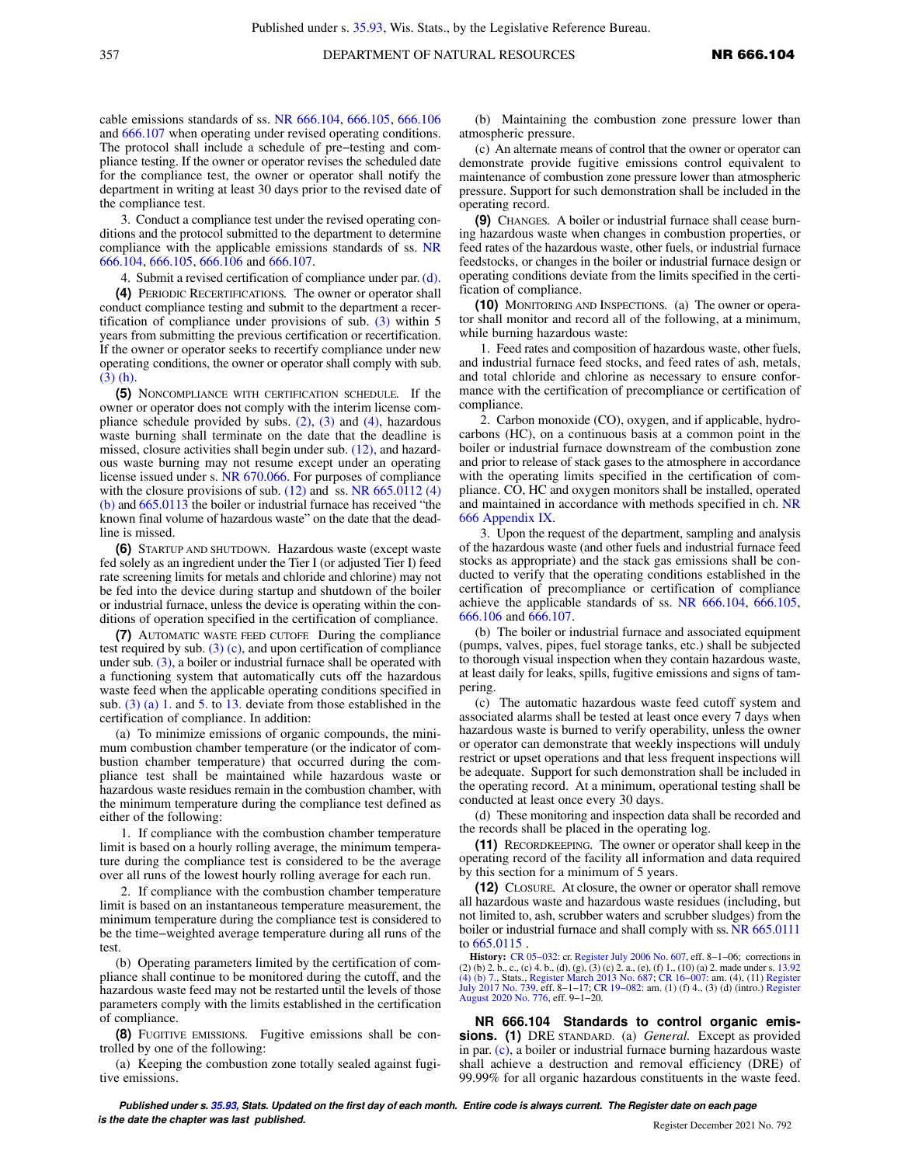cable emissions standards of ss. [NR 666.104](https://docs.legis.wisconsin.gov/document/administrativecode/NR%20666.104), [666.105,](https://docs.legis.wisconsin.gov/document/administrativecode/NR%20666.105) [666.106](https://docs.legis.wisconsin.gov/document/administrativecode/NR%20666.106) and [666.107](https://docs.legis.wisconsin.gov/document/administrativecode/NR%20666.107) when operating under revised operating conditions. The protocol shall include a schedule of pre−testing and compliance testing. If the owner or operator revises the scheduled date for the compliance test, the owner or operator shall notify the department in writing at least 30 days prior to the revised date of the compliance test.

3. Conduct a compliance test under the revised operating conditions and the protocol submitted to the department to determine compliance with the applicable emissions standards of ss. [NR](https://docs.legis.wisconsin.gov/document/administrativecode/NR%20666.104) [666.104](https://docs.legis.wisconsin.gov/document/administrativecode/NR%20666.104), [666.105](https://docs.legis.wisconsin.gov/document/administrativecode/NR%20666.105), [666.106](https://docs.legis.wisconsin.gov/document/administrativecode/NR%20666.106) and [666.107](https://docs.legis.wisconsin.gov/document/administrativecode/NR%20666.107).

4. Submit a revised certification of compliance under par. [\(d\).](https://docs.legis.wisconsin.gov/document/administrativecode/NR%20666.103(3)(d))

**(4)** PERIODIC RECERTIFICATIONS*.* The owner or operator shall conduct compliance testing and submit to the department a recertification of compliance under provisions of sub.  $(3)$  within 5 years from submitting the previous certification or recertification. If the owner or operator seeks to recertify compliance under new operating conditions, the owner or operator shall comply with sub. [\(3\) \(h\)](https://docs.legis.wisconsin.gov/document/administrativecode/NR%20666.103(3)(h)).

**(5)** NONCOMPLIANCE WITH CERTIFICATION SCHEDULE*.* If the owner or operator does not comply with the interim license compliance schedule provided by subs.  $(2)$ ,  $(3)$  and  $(4)$ , hazardous waste burning shall terminate on the date that the deadline is missed, closure activities shall begin under sub. [\(12\),](https://docs.legis.wisconsin.gov/document/administrativecode/NR%20666.103(12)) and hazardous waste burning may not resume except under an operating license issued under s. [NR 670.066.](https://docs.legis.wisconsin.gov/document/administrativecode/NR%20670.066) For purposes of compliance with the closure provisions of sub.  $(12)$  and ss. NR 665.0112  $(4)$ [\(b\)](https://docs.legis.wisconsin.gov/document/administrativecode/NR%20665.0112(4)(b)) and [665.0113](https://docs.legis.wisconsin.gov/document/administrativecode/NR%20665.0113) the boiler or industrial furnace has received "the known final volume of hazardous waste" on the date that the deadline is missed.

**(6)** STARTUP AND SHUTDOWN*.* Hazardous waste (except waste fed solely as an ingredient under the Tier I (or adjusted Tier I) feed rate screening limits for metals and chloride and chlorine) may not be fed into the device during startup and shutdown of the boiler or industrial furnace, unless the device is operating within the conditions of operation specified in the certification of compliance.

**(7)** AUTOMATIC WASTE FEED CUTOFF*.* During the compliance test required by sub.  $(3)$  (c), and upon certification of compliance under sub. [\(3\),](https://docs.legis.wisconsin.gov/document/administrativecode/NR%20666.103(3)) a boiler or industrial furnace shall be operated with a functioning system that automatically cuts off the hazardous waste feed when the applicable operating conditions specified in sub.  $(3)$  (a) 1. and [5.](https://docs.legis.wisconsin.gov/document/administrativecode/NR%20666.103(3)(a)5.) to [13.](https://docs.legis.wisconsin.gov/document/administrativecode/NR%20666.103(3)(a)13.) deviate from those established in the certification of compliance. In addition:

(a) To minimize emissions of organic compounds, the minimum combustion chamber temperature (or the indicator of combustion chamber temperature) that occurred during the compliance test shall be maintained while hazardous waste or hazardous waste residues remain in the combustion chamber, with the minimum temperature during the compliance test defined as either of the following:

1. If compliance with the combustion chamber temperature limit is based on a hourly rolling average, the minimum temperature during the compliance test is considered to be the average over all runs of the lowest hourly rolling average for each run.

2. If compliance with the combustion chamber temperature limit is based on an instantaneous temperature measurement, the minimum temperature during the compliance test is considered to be the time−weighted average temperature during all runs of the test.

(b) Operating parameters limited by the certification of compliance shall continue to be monitored during the cutoff, and the hazardous waste feed may not be restarted until the levels of those parameters comply with the limits established in the certification of compliance.

**(8)** FUGITIVE EMISSIONS*.* Fugitive emissions shall be controlled by one of the following:

(a) Keeping the combustion zone totally sealed against fugitive emissions.

(b) Maintaining the combustion zone pressure lower than atmospheric pressure.

(c) An alternate means of control that the owner or operator can demonstrate provide fugitive emissions control equivalent to maintenance of combustion zone pressure lower than atmospheric pressure. Support for such demonstration shall be included in the operating record.

**(9)** CHANGES*.* A boiler or industrial furnace shall cease burning hazardous waste when changes in combustion properties, or feed rates of the hazardous waste, other fuels, or industrial furnace feedstocks, or changes in the boiler or industrial furnace design or operating conditions deviate from the limits specified in the certification of compliance.

**(10)** MONITORING AND INSPECTIONS*.* (a) The owner or operator shall monitor and record all of the following, at a minimum, while burning hazardous waste:

1. Feed rates and composition of hazardous waste, other fuels, and industrial furnace feed stocks, and feed rates of ash, metals, and total chloride and chlorine as necessary to ensure conformance with the certification of precompliance or certification of compliance.

2. Carbon monoxide (CO), oxygen, and if applicable, hydrocarbons (HC), on a continuous basis at a common point in the boiler or industrial furnace downstream of the combustion zone and prior to release of stack gases to the atmosphere in accordance with the operating limits specified in the certification of compliance. CO, HC and oxygen monitors shall be installed, operated and maintained in accordance with methods specified in ch. [NR](https://docs.legis.wisconsin.gov/document/administrativecode/ch.%20NR%20666%20Appendix%20IX) [666 Appendix IX](https://docs.legis.wisconsin.gov/document/administrativecode/ch.%20NR%20666%20Appendix%20IX).

3. Upon the request of the department, sampling and analysis of the hazardous waste (and other fuels and industrial furnace feed stocks as appropriate) and the stack gas emissions shall be conducted to verify that the operating conditions established in the certification of precompliance or certification of compliance achieve the applicable standards of ss. [NR 666.104,](https://docs.legis.wisconsin.gov/document/administrativecode/NR%20666.104) [666.105,](https://docs.legis.wisconsin.gov/document/administrativecode/NR%20666.105) [666.106](https://docs.legis.wisconsin.gov/document/administrativecode/NR%20666.106) and [666.107.](https://docs.legis.wisconsin.gov/document/administrativecode/NR%20666.107)

(b) The boiler or industrial furnace and associated equipment (pumps, valves, pipes, fuel storage tanks, etc.) shall be subjected to thorough visual inspection when they contain hazardous waste, at least daily for leaks, spills, fugitive emissions and signs of tampering.

(c) The automatic hazardous waste feed cutoff system and associated alarms shall be tested at least once every 7 days when hazardous waste is burned to verify operability, unless the owner or operator can demonstrate that weekly inspections will unduly restrict or upset operations and that less frequent inspections will be adequate. Support for such demonstration shall be included in the operating record. At a minimum, operational testing shall be conducted at least once every 30 days.

(d) These monitoring and inspection data shall be recorded and the records shall be placed in the operating log.

**(11)** RECORDKEEPING*.* The owner or operator shall keep in the operating record of the facility all information and data required by this section for a minimum of 5 years.

**(12)** CLOSURE*.* At closure, the owner or operator shall remove all hazardous waste and hazardous waste residues (including, but not limited to, ash, scrubber waters and scrubber sludges) from the boiler or industrial furnace and shall comply with ss. [NR 665.0111](https://docs.legis.wisconsin.gov/document/administrativecode/NR%20665.0111) to [665.0115](https://docs.legis.wisconsin.gov/document/administrativecode/NR%20665.0115) .

**History:** CR 05-032: cr. [Register July 2006 No. 607](https://docs.legis.wisconsin.gov/document/register/607/B/toc), eff. 8-1-06; corrections in (2) (b) 2. b, c., (c) 4) to  $(2)$  to  $(3)$ . (c) (c) 2. a., (e), (f) 1., (10) (a) 2. made under s. [13.92](https://docs.legis.wisconsin.gov/document/statutes/13.92(4)(b)7.)<br>[\(4\) \(b\) 7.](https://docs.legis.wisconsin.gov/document/statutes/13.92(4)(b)7.), Stats., [Register](https://docs.legis.wisconsin.gov/document/register/739/B/toc) March [July 2017 No. 739](https://docs.legis.wisconsin.gov/document/register/739/B/toc), eff. 8−1−17; [CR 19−082:](https://docs.legis.wisconsin.gov/document/cr/2019/82) am. (1) (f) 4., (3) (d) (intro.) [Register](https://docs.legis.wisconsin.gov/document/register/776/B/toc) [August 2020 No. 776,](https://docs.legis.wisconsin.gov/document/register/776/B/toc) eff. 9−1−20.

**NR 666.104 Standards to control organic emissions. (1)** DRE STANDARD. (a) *General.* Except as provided in par. [\(c\)](https://docs.legis.wisconsin.gov/document/administrativecode/NR%20666.104(1)(c)), a boiler or industrial furnace burning hazardous waste shall achieve a destruction and removal efficiency (DRE) of 99.99% for all organic hazardous constituents in the waste feed.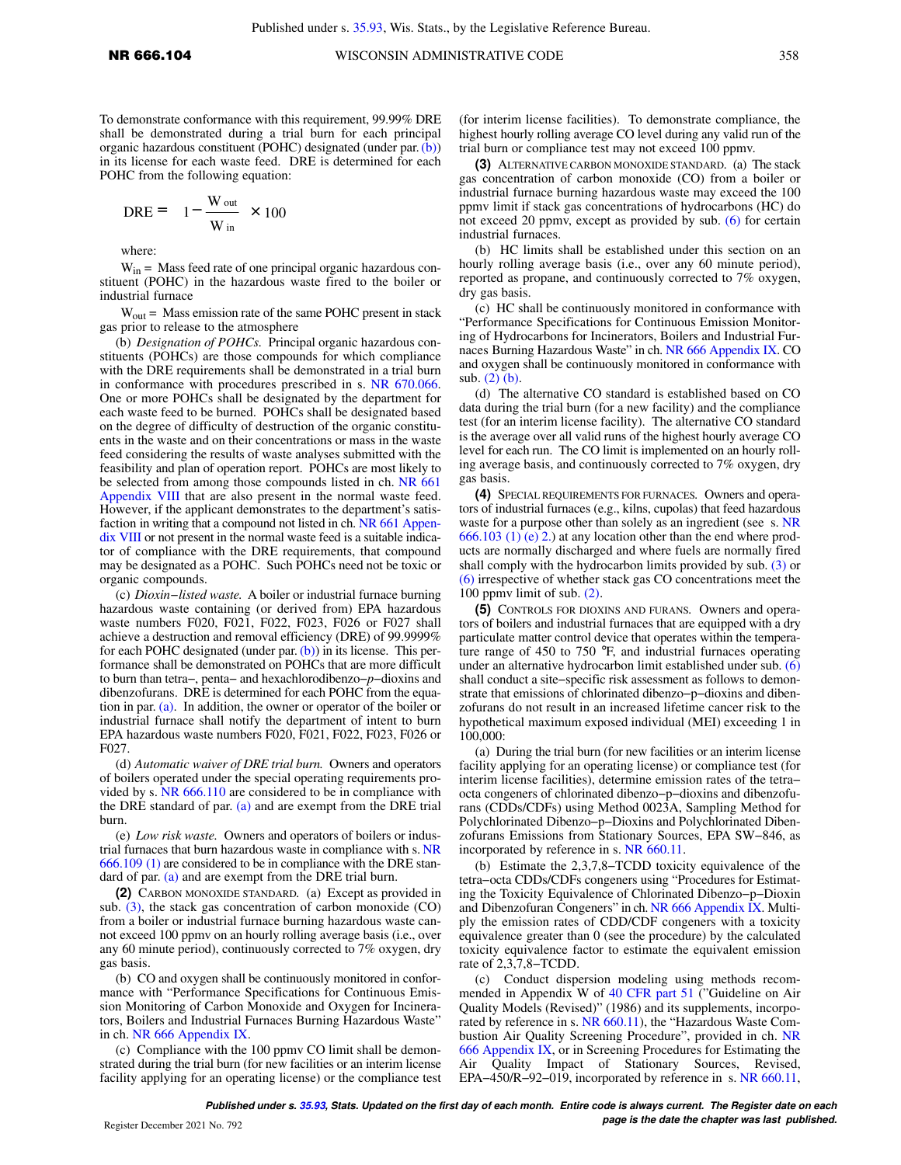To demonstrate conformance with this requirement, 99.99% DRE shall be demonstrated during a trial burn for each principal organic hazardous constituent (POHC) designated (under par.[\(b\)\)](https://docs.legis.wisconsin.gov/document/administrativecode/NR%20666.104(1)(b)) in its license for each waste feed. DRE is determined for each POHC from the following equation:

$$
DRE = \left[1 - \frac{W_{\text{out}}}{W_{\text{in}}}\right] \times 100
$$

where:

 $W_{in}$  = Mass feed rate of one principal organic hazardous constituent (POHC) in the hazardous waste fired to the boiler or industrial furnace

 $W_{\text{out}}$  = Mass emission rate of the same POHC present in stack gas prior to release to the atmosphere

(b) *Designation of POHCs.* Principal organic hazardous constituents (POHCs) are those compounds for which compliance with the DRE requirements shall be demonstrated in a trial burn in conformance with procedures prescribed in s. [NR 670.066.](https://docs.legis.wisconsin.gov/document/administrativecode/NR%20670.066) One or more POHCs shall be designated by the department for each waste feed to be burned. POHCs shall be designated based on the degree of difficulty of destruction of the organic constituents in the waste and on their concentrations or mass in the waste feed considering the results of waste analyses submitted with the feasibility and plan of operation report. POHCs are most likely to be selected from among those compounds listed in ch. [NR 661](https://docs.legis.wisconsin.gov/document/administrativecode/ch.%20NR%20661%20Appendix%20VIII) [Appendix VIII](https://docs.legis.wisconsin.gov/document/administrativecode/ch.%20NR%20661%20Appendix%20VIII) that are also present in the normal waste feed. However, if the applicant demonstrates to the department's satisfaction in writing that a compound not listed in ch. [NR 661 Appen](https://docs.legis.wisconsin.gov/document/administrativecode/ch.%20NR%20661%20Appendix%20VIII)[dix VIII](https://docs.legis.wisconsin.gov/document/administrativecode/ch.%20NR%20661%20Appendix%20VIII) or not present in the normal waste feed is a suitable indicator of compliance with the DRE requirements, that compound may be designated as a POHC. Such POHCs need not be toxic or organic compounds.

(c) *Dioxin−listed waste.* A boiler or industrial furnace burning hazardous waste containing (or derived from) EPA hazardous waste numbers F020, F021, F022, F023, F026 or F027 shall achieve a destruction and removal efficiency (DRE) of 99.9999% for each POHC designated (under par.  $(b)$ ) in its license. This performance shall be demonstrated on POHCs that are more difficult to burn than tetra−, penta− and hexachlorodibenzo−*p*−dioxins and dibenzofurans. DRE is determined for each POHC from the equation in par. [\(a\)](https://docs.legis.wisconsin.gov/document/administrativecode/NR%20666.104(1)(a)). In addition, the owner or operator of the boiler or industrial furnace shall notify the department of intent to burn EPA hazardous waste numbers F020, F021, F022, F023, F026 or F027.

(d) *Automatic waiver of DRE trial burn.* Owners and operators of boilers operated under the special operating requirements provided by s. [NR 666.110](https://docs.legis.wisconsin.gov/document/administrativecode/NR%20666.110) are considered to be in compliance with the DRE standard of par. [\(a\)](https://docs.legis.wisconsin.gov/document/administrativecode/NR%20666.104(1)(a)) and are exempt from the DRE trial burn.

(e) *Low risk waste.* Owners and operators of boilers or industrial furnaces that burn hazardous waste in compliance with s. [NR](https://docs.legis.wisconsin.gov/document/administrativecode/NR%20666.109(1)) [666.109 \(1\)](https://docs.legis.wisconsin.gov/document/administrativecode/NR%20666.109(1)) are considered to be in compliance with the DRE standard of par. [\(a\)](https://docs.legis.wisconsin.gov/document/administrativecode/NR%20666.104(1)(a)) and are exempt from the DRE trial burn.

**(2)** CARBON MONOXIDE STANDARD*.* (a) Except as provided in sub. [\(3\)](https://docs.legis.wisconsin.gov/document/administrativecode/NR%20666.104(3)), the stack gas concentration of carbon monoxide (CO) from a boiler or industrial furnace burning hazardous waste cannot exceed 100 ppmv on an hourly rolling average basis (i.e., over any 60 minute period), continuously corrected to 7% oxygen, dry gas basis.

(b) CO and oxygen shall be continuously monitored in conformance with "Performance Specifications for Continuous Emission Monitoring of Carbon Monoxide and Oxygen for Incinerators, Boilers and Industrial Furnaces Burning Hazardous Waste" in ch. [NR 666 Appendix IX](https://docs.legis.wisconsin.gov/document/administrativecode/ch.%20NR%20666%20Appendix%20IX).

(c) Compliance with the 100 ppmv CO limit shall be demonstrated during the trial burn (for new facilities or an interim license facility applying for an operating license) or the compliance test

(for interim license facilities). To demonstrate compliance, the highest hourly rolling average CO level during any valid run of the trial burn or compliance test may not exceed 100 ppmv.

**(3)** ALTERNATIVE CARBON MONOXIDE STANDARD*.* (a) The stack gas concentration of carbon monoxide (CO) from a boiler or industrial furnace burning hazardous waste may exceed the 100 ppmv limit if stack gas concentrations of hydrocarbons (HC) do not exceed 20 ppmv, except as provided by sub. [\(6\)](https://docs.legis.wisconsin.gov/document/administrativecode/NR%20666.104(6)) for certain industrial furnaces.

(b) HC limits shall be established under this section on an hourly rolling average basis (i.e., over any 60 minute period), reported as propane, and continuously corrected to 7% oxygen, dry gas basis.

(c) HC shall be continuously monitored in conformance with "Performance Specifications for Continuous Emission Monitoring of Hydrocarbons for Incinerators, Boilers and Industrial Furnaces Burning Hazardous Waste" in ch. [NR 666 Appendix IX](https://docs.legis.wisconsin.gov/document/administrativecode/ch.%20NR%20666%20Appendix%20IX). CO and oxygen shall be continuously monitored in conformance with sub. [\(2\) \(b\).](https://docs.legis.wisconsin.gov/document/administrativecode/NR%20666.104(2)(b))

(d) The alternative CO standard is established based on CO data during the trial burn (for a new facility) and the compliance test (for an interim license facility). The alternative CO standard is the average over all valid runs of the highest hourly average CO level for each run. The CO limit is implemented on an hourly rolling average basis, and continuously corrected to 7% oxygen, dry gas basis.

**(4)** SPECIAL REQUIREMENTS FOR FURNACES*.* Owners and operators of industrial furnaces (e.g., kilns, cupolas) that feed hazardous waste for a purpose other than solely as an ingredient (see s. [NR](https://docs.legis.wisconsin.gov/document/administrativecode/NR%20666.103(1)(e)2.) [666.103 \(1\) \(e\) 2.\)](https://docs.legis.wisconsin.gov/document/administrativecode/NR%20666.103(1)(e)2.) at any location other than the end where products are normally discharged and where fuels are normally fired shall comply with the hydrocarbon limits provided by sub. [\(3\)](https://docs.legis.wisconsin.gov/document/administrativecode/NR%20666.104(3)) or [\(6\)](https://docs.legis.wisconsin.gov/document/administrativecode/NR%20666.104(6)) irrespective of whether stack gas CO concentrations meet the 100 ppmv limit of sub. [\(2\).](https://docs.legis.wisconsin.gov/document/administrativecode/NR%20666.104(2))

**(5)** CONTROLS FOR DIOXINS AND FURANS*.* Owners and operators of boilers and industrial furnaces that are equipped with a dry particulate matter control device that operates within the temperature range of 450 to 750 °F, and industrial furnaces operating under an alternative hydrocarbon limit established under sub. [\(6\)](https://docs.legis.wisconsin.gov/document/administrativecode/NR%20666.104(6)) shall conduct a site−specific risk assessment as follows to demonstrate that emissions of chlorinated dibenzo−p−dioxins and dibenzofurans do not result in an increased lifetime cancer risk to the hypothetical maximum exposed individual (MEI) exceeding 1 in 100,000:

(a) During the trial burn (for new facilities or an interim license facility applying for an operating license) or compliance test (for interim license facilities), determine emission rates of the tetra− octa congeners of chlorinated dibenzo−p−dioxins and dibenzofurans (CDDs/CDFs) using Method 0023A, Sampling Method for Polychlorinated Dibenzo−p−Dioxins and Polychlorinated Dibenzofurans Emissions from Stationary Sources, EPA SW−846, as incorporated by reference in s. [NR 660.11](https://docs.legis.wisconsin.gov/document/administrativecode/NR%20660.11).

(b) Estimate the 2,3,7,8−TCDD toxicity equivalence of the tetra−octa CDDs/CDFs congeners using "Procedures for Estimating the Toxicity Equivalence of Chlorinated Dibenzo−p−Dioxin and Dibenzofuran Congeners" in ch. [NR 666 Appendix IX.](https://docs.legis.wisconsin.gov/document/administrativecode/ch.%20NR%20666%20Appendix%20IX) Multiply the emission rates of CDD/CDF congeners with a toxicity equivalence greater than 0 (see the procedure) by the calculated toxicity equivalence factor to estimate the equivalent emission rate of 2,3,7,8−TCDD.

(c) Conduct dispersion modeling using methods recommended in Appendix W of [40 CFR part 51](https://docs.legis.wisconsin.gov/document/cfr/40%20CFR%2051) ("Guideline on Air Quality Models (Revised)" (1986) and its supplements, incorporated by reference in s. [NR 660.11\)](https://docs.legis.wisconsin.gov/document/administrativecode/NR%20660.11), the "Hazardous Waste Combustion Air Quality Screening Procedure", provided in ch. [NR](https://docs.legis.wisconsin.gov/document/administrativecode/ch.%20NR%20666%20Appendix%20IX) [666 Appendix IX](https://docs.legis.wisconsin.gov/document/administrativecode/ch.%20NR%20666%20Appendix%20IX), or in Screening Procedures for Estimating the Air Quality Impact of Stationary Sources, Revised, EPA−450/R−92−019, incorporated by reference in s. [NR 660.11,](https://docs.legis.wisconsin.gov/document/administrativecode/NR%20660.11)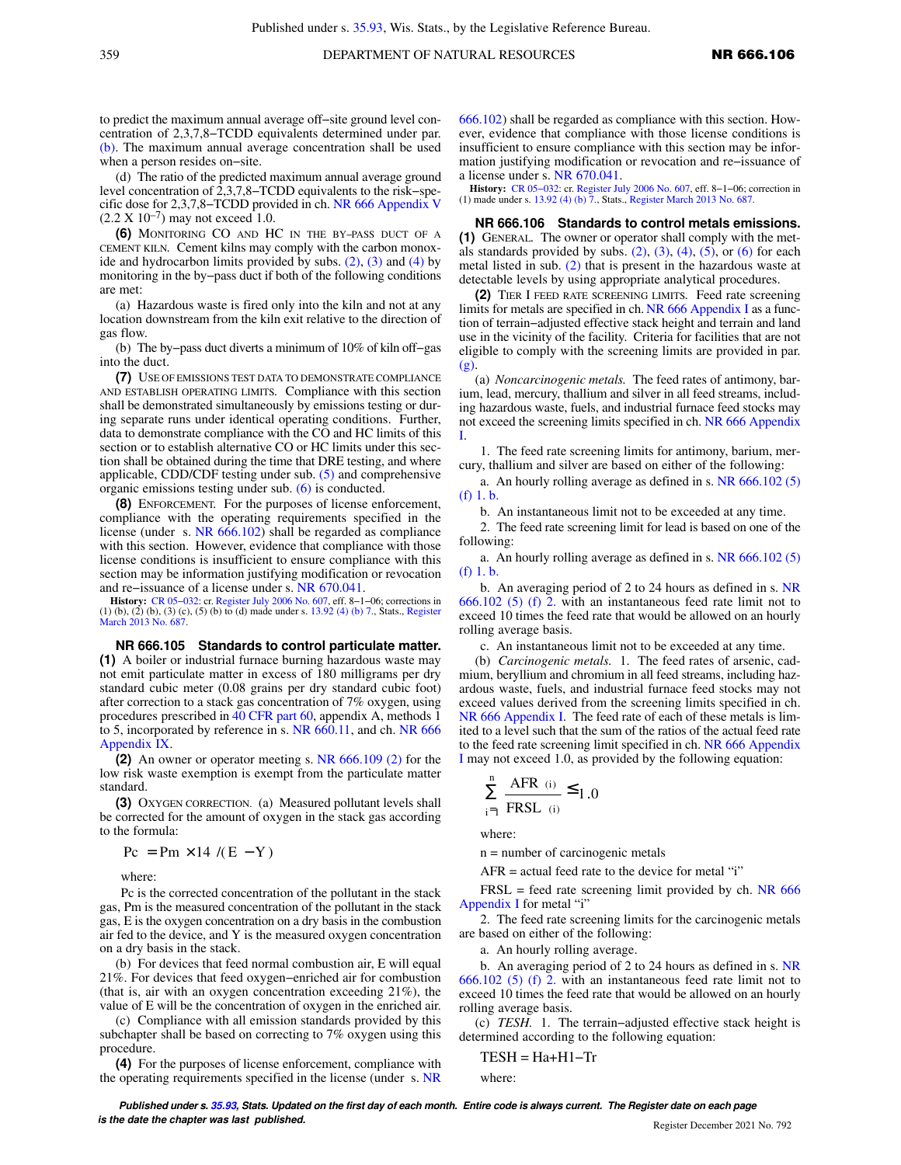to predict the maximum annual average off−site ground level concentration of 2,3,7,8−TCDD equivalents determined under par. [\(b\)](https://docs.legis.wisconsin.gov/document/administrativecode/NR%20666.104(5)(b)). The maximum annual average concentration shall be used when a person resides on−site.

(d) The ratio of the predicted maximum annual average ground level concentration of 2,3,7,8−TCDD equivalents to the risk−specific dose for 2,3,7,8−TCDD provided in ch. [NR 666 Appendix V](https://docs.legis.wisconsin.gov/document/administrativecode/ch.%20NR%20666%20Appendix%20V)  $(2.2 \text{ X } 10^{-7})$  may not exceed 1.0.

**(6)** MONITORING CO AND HC IN THE BY−PASS DUCT OF A CEMENT KILN*.* Cement kilns may comply with the carbon monoxide and hydrocarbon limits provided by subs.  $(2)$ ,  $(3)$  and  $(4)$  by monitoring in the by−pass duct if both of the following conditions are met:

(a) Hazardous waste is fired only into the kiln and not at any location downstream from the kiln exit relative to the direction of gas flow.

(b) The by−pass duct diverts a minimum of 10% of kiln off−gas into the duct.

**(7)** USE OF EMISSIONS TEST DATA TO DEMONSTRATE COMPLIANCE AND ESTABLISH OPERATING LIMITS*.* Compliance with this section shall be demonstrated simultaneously by emissions testing or during separate runs under identical operating conditions. Further, data to demonstrate compliance with the CO and HC limits of this section or to establish alternative CO or HC limits under this section shall be obtained during the time that DRE testing, and where applicable, CDD/CDF testing under sub. [\(5\)](https://docs.legis.wisconsin.gov/document/administrativecode/NR%20666.104(5)) and comprehensive organic emissions testing under sub. [\(6\)](https://docs.legis.wisconsin.gov/document/administrativecode/NR%20666.104(6)) is conducted.

**(8)** ENFORCEMENT*.* For the purposes of license enforcement, compliance with the operating requirements specified in the license (under s. [NR 666.102](https://docs.legis.wisconsin.gov/document/administrativecode/NR%20666.102)) shall be regarded as compliance with this section. However, evidence that compliance with those license conditions is insufficient to ensure compliance with this section may be information justifying modification or revocation and re−issuance of a license under s. [NR 670.041](https://docs.legis.wisconsin.gov/document/administrativecode/NR%20670.041).

**History:** CR 05–032: cr. [Register July 2006 No. 607,](https://docs.legis.wisconsin.gov/document/register/607/B/toc) eff. 8–1–06; corrections in (1) (b), (2) (b), (3) (c), (5) (b) to (d) made under s. [13.92 \(4\) \(b\) 7.](https://docs.legis.wisconsin.gov/document/statutes/13.92(4)(b)7.), Stats., [Register](https://docs.legis.wisconsin.gov/document/register/687/B/toc) [March 2013 No. 687](https://docs.legis.wisconsin.gov/document/register/687/B/toc).

**NR 666.105 Standards to control particulate matter. (1)** A boiler or industrial furnace burning hazardous waste may not emit particulate matter in excess of 180 milligrams per dry standard cubic meter (0.08 grains per dry standard cubic foot) after correction to a stack gas concentration of 7% oxygen, using procedures prescribed in [40 CFR part 60,](https://docs.legis.wisconsin.gov/document/cfr/40%20CFR%2060) appendix A, methods 1 to 5, incorporated by reference in s. [NR 660.11](https://docs.legis.wisconsin.gov/document/administrativecode/NR%20660.11), and ch. [NR 666](https://docs.legis.wisconsin.gov/document/administrativecode/ch.%20NR%20666%20Appendix%20IX) [Appendix IX](https://docs.legis.wisconsin.gov/document/administrativecode/ch.%20NR%20666%20Appendix%20IX).

**(2)** An owner or operator meeting s. [NR 666.109 \(2\)](https://docs.legis.wisconsin.gov/document/administrativecode/NR%20666.109(2)) for the low risk waste exemption is exempt from the particulate matter standard.

**(3)** OXYGEN CORRECTION. (a) Measured pollutant levels shall be corrected for the amount of oxygen in the stack gas according to the formula:

 $Pc = Pm \times 14 / (E - Y)$ 

where:

Pc is the corrected concentration of the pollutant in the stack gas, Pm is the measured concentration of the pollutant in the stack gas, E is the oxygen concentration on a dry basis in the combustion air fed to the device, and Y is the measured oxygen concentration on a dry basis in the stack.

(b) For devices that feed normal combustion air, E will equal 21%. For devices that feed oxygen−enriched air for combustion (that is, air with an oxygen concentration exceeding 21%), the value of E will be the concentration of oxygen in the enriched air.

(c) Compliance with all emission standards provided by this subchapter shall be based on correcting to 7% oxygen using this procedure.

**(4)** For the purposes of license enforcement, compliance with the operating requirements specified in the license (under s. [NR](https://docs.legis.wisconsin.gov/document/administrativecode/NR%20666.102) [666.102\)](https://docs.legis.wisconsin.gov/document/administrativecode/NR%20666.102) shall be regarded as compliance with this section. However, evidence that compliance with those license conditions is insufficient to ensure compliance with this section may be information justifying modification or revocation and re−issuance of a license under s. [NR 670.041](https://docs.legis.wisconsin.gov/document/administrativecode/NR%20670.041).

**History:** [CR 05−032:](https://docs.legis.wisconsin.gov/document/cr/2005/32) cr. [Register July 2006 No. 607](https://docs.legis.wisconsin.gov/document/register/607/B/toc), eff. 8−1−06; correction in (1) made under s. [13.92 \(4\) \(b\) 7.,](https://docs.legis.wisconsin.gov/document/statutes/13.92(4)(b)7.) Stats., [Register March 2013 No. 687](https://docs.legis.wisconsin.gov/document/register/687/B/toc).

**NR 666.106 Standards to control metals emissions. (1)** GENERAL*.* The owner or operator shall comply with the metals standards provided by subs.  $(2)$ ,  $(3)$ ,  $(4)$ ,  $(5)$ , or  $(6)$  for each metal listed in sub. [\(2\)](https://docs.legis.wisconsin.gov/document/administrativecode/NR%20666.106(2)) that is present in the hazardous waste at detectable levels by using appropriate analytical procedures.

**(2)** TIER I FEED RATE SCREENING LIMITS*.* Feed rate screening limits for metals are specified in ch. [NR 666 Appendix I](https://docs.legis.wisconsin.gov/document/administrativecode/ch.%20NR%20666%20Appendix%20I) as a function of terrain−adjusted effective stack height and terrain and land use in the vicinity of the facility. Criteria for facilities that are not eligible to comply with the screening limits are provided in par. [\(g\).](https://docs.legis.wisconsin.gov/document/administrativecode/NR%20666.106(2)(g))

(a) *Noncarcinogenic metals.* The feed rates of antimony, barium, lead, mercury, thallium and silver in all feed streams, including hazardous waste, fuels, and industrial furnace feed stocks may not exceed the screening limits specified in ch. [NR 666 Appendix](https://docs.legis.wisconsin.gov/document/administrativecode/ch.%20NR%20666%20Appendix%20I) [I](https://docs.legis.wisconsin.gov/document/administrativecode/ch.%20NR%20666%20Appendix%20I).

1. The feed rate screening limits for antimony, barium, mercury, thallium and silver are based on either of the following:

a. An hourly rolling average as defined in s. [NR 666.102 \(5\)](https://docs.legis.wisconsin.gov/document/administrativecode/NR%20666.102(5)(f)1.b.) [\(f\) 1. b.](https://docs.legis.wisconsin.gov/document/administrativecode/NR%20666.102(5)(f)1.b.)

b. An instantaneous limit not to be exceeded at any time.

2. The feed rate screening limit for lead is based on one of the following:

a. An hourly rolling average as defined in s. [NR 666.102 \(5\)](https://docs.legis.wisconsin.gov/document/administrativecode/NR%20666.102(5)(f)1.b.) [\(f\) 1. b.](https://docs.legis.wisconsin.gov/document/administrativecode/NR%20666.102(5)(f)1.b.)

b. An averaging period of 2 to 24 hours as defined in s. [NR](https://docs.legis.wisconsin.gov/document/administrativecode/NR%20666.102(5)(f)2.) [666.102 \(5\) \(f\) 2.](https://docs.legis.wisconsin.gov/document/administrativecode/NR%20666.102(5)(f)2.) with an instantaneous feed rate limit not to exceed 10 times the feed rate that would be allowed on an hourly rolling average basis.

c. An instantaneous limit not to be exceeded at any time.

(b) *Carcinogenic metals.* 1. The feed rates of arsenic, cadmium, beryllium and chromium in all feed streams, including hazardous waste, fuels, and industrial furnace feed stocks may not exceed values derived from the screening limits specified in ch. [NR 666 Appendix I.](https://docs.legis.wisconsin.gov/document/administrativecode/ch.%20NR%20666%20Appendix%20I) The feed rate of each of these metals is limited to a level such that the sum of the ratios of the actual feed rate to the feed rate screening limit specified in ch. [NR 666 Appendix](https://docs.legis.wisconsin.gov/document/administrativecode/ch.%20NR%20666%20Appendix%20I) [I](https://docs.legis.wisconsin.gov/document/administrativecode/ch.%20NR%20666%20Appendix%20I) may not exceed 1.0, as provided by the following equation:

$$
\sum_{i=1}^{n} \frac{\text{AFR}_{i}}{\text{FRSL}_{i}} \leq 1.0
$$

where:

n = number of carcinogenic metals

 $AFR = actual feed rate to the device for metal "i"$ 

 $FRSL =$  feed rate screening limit provided by ch. [NR 666](https://docs.legis.wisconsin.gov/document/administrativecode/ch.%20NR%20666%20Appendix%20I) [Appendix I](https://docs.legis.wisconsin.gov/document/administrativecode/ch.%20NR%20666%20Appendix%20I) for metal "i"

2. The feed rate screening limits for the carcinogenic metals are based on either of the following:

a. An hourly rolling average.

b. An averaging period of 2 to 24 hours as defined in s. [NR](https://docs.legis.wisconsin.gov/document/administrativecode/NR%20666.102(5)(f)2.) [666.102 \(5\) \(f\) 2.](https://docs.legis.wisconsin.gov/document/administrativecode/NR%20666.102(5)(f)2.) with an instantaneous feed rate limit not to exceed 10 times the feed rate that would be allowed on an hourly rolling average basis.

(c) *TESH.* 1. The terrain−adjusted effective stack height is determined according to the following equation:

$$
TEST = Ha + H1 - Tr
$$

where: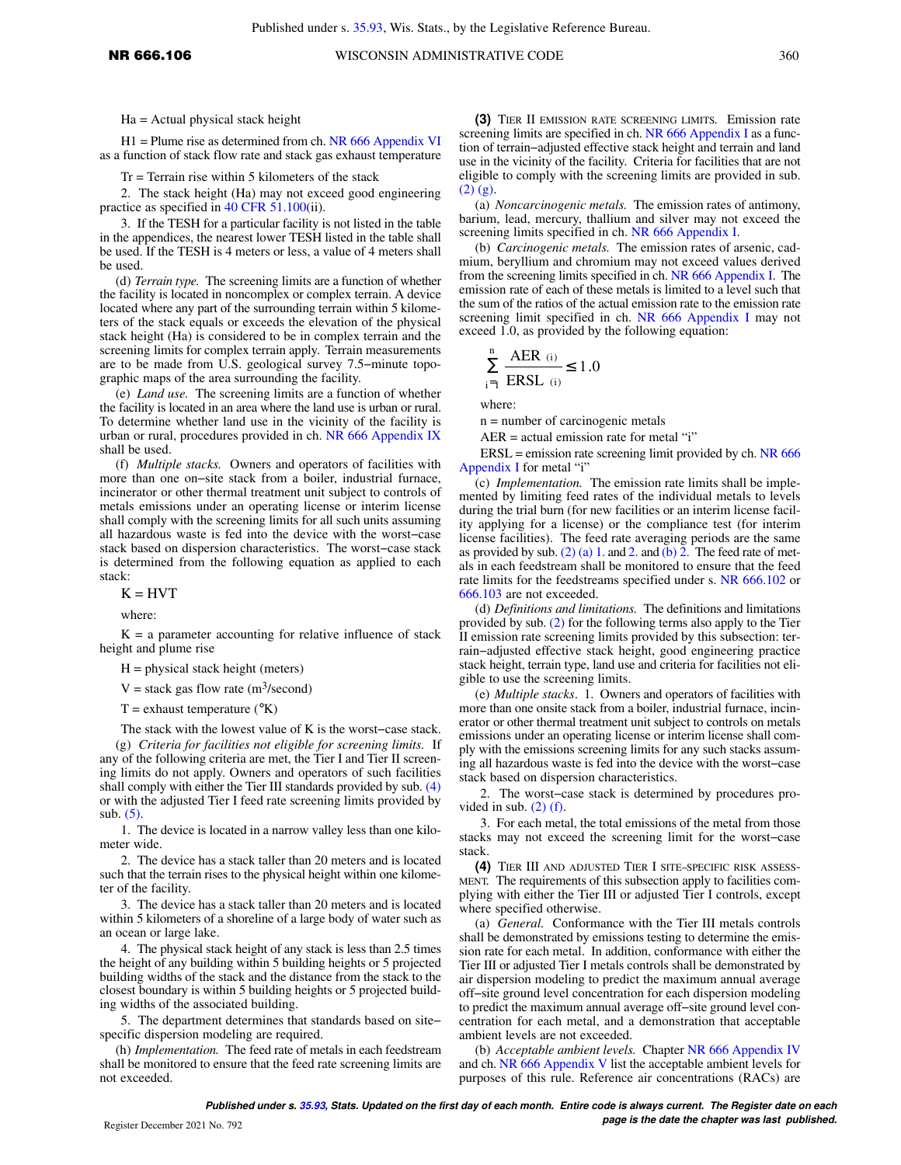Ha = Actual physical stack height

H1 = Plume rise as determined from ch. [NR 666 Appendix VI](https://docs.legis.wisconsin.gov/document/administrativecode/ch.%20NR%20666%20Appendix%20VI) as a function of stack flow rate and stack gas exhaust temperature

 $Tr = Terrain rise within 5 kilometers of the stack$ 

2. The stack height (Ha) may not exceed good engineering practice as specified in [40 CFR 51.100](https://docs.legis.wisconsin.gov/document/cfr/40%20CFR%2051.100)(ii).

3. If the TESH for a particular facility is not listed in the table in the appendices, the nearest lower TESH listed in the table shall be used. If the TESH is 4 meters or less, a value of 4 meters shall be used.

(d) *Terrain type.* The screening limits are a function of whether the facility is located in noncomplex or complex terrain. A device located where any part of the surrounding terrain within 5 kilometers of the stack equals or exceeds the elevation of the physical stack height (Ha) is considered to be in complex terrain and the screening limits for complex terrain apply. Terrain measurements are to be made from U.S. geological survey 7.5−minute topographic maps of the area surrounding the facility.

(e) *Land use.* The screening limits are a function of whether the facility is located in an area where the land use is urban or rural. To determine whether land use in the vicinity of the facility is urban or rural, procedures provided in ch. [NR 666 Appendix IX](https://docs.legis.wisconsin.gov/document/administrativecode/ch.%20NR%20666%20Appendix%20IX) shall be used.

(f) *Multiple stacks.* Owners and operators of facilities with more than one on−site stack from a boiler, industrial furnace, incinerator or other thermal treatment unit subject to controls of metals emissions under an operating license or interim license shall comply with the screening limits for all such units assuming all hazardous waste is fed into the device with the worst−case stack based on dispersion characteristics. The worst−case stack is determined from the following equation as applied to each stack:

 $K = HVT$ 

where:

 $K = a$  parameter accounting for relative influence of stack height and plume rise

 $H =$  physical stack height (meters)

 $V =$  stack gas flow rate (m<sup>3</sup>/second)

 $T =$  exhaust temperature ( $\mathrm{K}$ )

The stack with the lowest value of K is the worst−case stack.

(g) *Criteria for facilities not eligible for screening limits.* If any of the following criteria are met, the Tier I and Tier II screening limits do not apply. Owners and operators of such facilities shall comply with either the Tier III standards provided by sub. [\(4\)](https://docs.legis.wisconsin.gov/document/administrativecode/NR%20666.106(4)) or with the adjusted Tier I feed rate screening limits provided by sub. [\(5\)](https://docs.legis.wisconsin.gov/document/administrativecode/NR%20666.106(5)).

1. The device is located in a narrow valley less than one kilometer wide.

2. The device has a stack taller than 20 meters and is located such that the terrain rises to the physical height within one kilometer of the facility.

3. The device has a stack taller than 20 meters and is located within 5 kilometers of a shoreline of a large body of water such as an ocean or large lake.

4. The physical stack height of any stack is less than 2.5 times the height of any building within 5 building heights or 5 projected building widths of the stack and the distance from the stack to the closest boundary is within 5 building heights or 5 projected building widths of the associated building.

5. The department determines that standards based on site− specific dispersion modeling are required.

(h) *Implementation.* The feed rate of metals in each feedstream shall be monitored to ensure that the feed rate screening limits are not exceeded.

**(3)** TIER II EMISSION RATE SCREENING LIMITS*.* Emission rate screening limits are specified in ch. [NR 666 Appendix I](https://docs.legis.wisconsin.gov/document/administrativecode/ch.%20NR%20666%20Appendix%20I) as a function of terrain−adjusted effective stack height and terrain and land use in the vicinity of the facility. Criteria for facilities that are not eligible to comply with the screening limits are provided in sub.  $(2)$   $(g)$ .

(a) *Noncarcinogenic metals.* The emission rates of antimony, barium, lead, mercury, thallium and silver may not exceed the screening limits specified in ch. [NR 666 Appendix I.](https://docs.legis.wisconsin.gov/document/administrativecode/ch.%20NR%20666%20Appendix%20I)

(b) *Carcinogenic metals.* The emission rates of arsenic, cadmium, beryllium and chromium may not exceed values derived from the screening limits specified in ch. [NR 666 Appendix I](https://docs.legis.wisconsin.gov/document/administrativecode/ch.%20NR%20666%20Appendix%20I). The emission rate of each of these metals is limited to a level such that the sum of the ratios of the actual emission rate to the emission rate screening limit specified in ch. [NR 666 Appendix I](https://docs.legis.wisconsin.gov/document/administrativecode/ch.%20NR%20666%20Appendix%20I) may not exceed 1.0, as provided by the following equation:

$$
\sum_{i=1}^{n} \frac{AER_{(i)}}{ERSL_{(i)}} \le 1.0
$$

where:

n = number of carcinogenic metals

 $AER = actual emission rate for metal "i"$ 

 $ERSL =$  emission rate screening limit provided by ch. [NR 666](https://docs.legis.wisconsin.gov/document/administrativecode/ch.%20NR%20666%20Appendix%20I) [Appendix I](https://docs.legis.wisconsin.gov/document/administrativecode/ch.%20NR%20666%20Appendix%20I) for metal "i"

(c) *Implementation.* The emission rate limits shall be implemented by limiting feed rates of the individual metals to levels during the trial burn (for new facilities or an interim license facility applying for a license) or the compliance test (for interim license facilities). The feed rate averaging periods are the same as provided by sub.  $(2)$  (a) 1. and [2.](https://docs.legis.wisconsin.gov/document/administrativecode/NR%20666.106(2)(a)2.) and [\(b\) 2.](https://docs.legis.wisconsin.gov/document/administrativecode/NR%20666.106(2)(b)2.) The feed rate of metals in each feedstream shall be monitored to ensure that the feed rate limits for the feedstreams specified under s. [NR 666.102](https://docs.legis.wisconsin.gov/document/administrativecode/NR%20666.102) or [666.103](https://docs.legis.wisconsin.gov/document/administrativecode/NR%20666.103) are not exceeded.

(d) *Definitions and limitations.* The definitions and limitations provided by sub. [\(2\)](https://docs.legis.wisconsin.gov/document/administrativecode/NR%20666.106(2)) for the following terms also apply to the Tier II emission rate screening limits provided by this subsection: terrain−adjusted effective stack height, good engineering practice stack height, terrain type, land use and criteria for facilities not eligible to use the screening limits.

(e) *Multiple stacks*. 1. Owners and operators of facilities with more than one onsite stack from a boiler, industrial furnace, incinerator or other thermal treatment unit subject to controls on metals emissions under an operating license or interim license shall comply with the emissions screening limits for any such stacks assuming all hazardous waste is fed into the device with the worst−case stack based on dispersion characteristics.

2. The worst−case stack is determined by procedures provided in sub.  $(2)$  (f).

3. For each metal, the total emissions of the metal from those stacks may not exceed the screening limit for the worst−case stack.

**(4)** TIER III AND ADJUSTED TIER I SITE−SPECIFIC RISK ASSESS-MENT*.* The requirements of this subsection apply to facilities complying with either the Tier III or adjusted Tier I controls, except where specified otherwise.

(a) *General.* Conformance with the Tier III metals controls shall be demonstrated by emissions testing to determine the emission rate for each metal. In addition, conformance with either the Tier III or adjusted Tier I metals controls shall be demonstrated by air dispersion modeling to predict the maximum annual average off−site ground level concentration for each dispersion modeling to predict the maximum annual average off−site ground level concentration for each metal, and a demonstration that acceptable ambient levels are not exceeded.

(b) *Acceptable ambient levels.* Chapter [NR 666 Appendix IV](https://docs.legis.wisconsin.gov/document/administrativecode/ch.%20NR%20666%20Appendix%20IV) and ch. [NR 666 Appendix V](https://docs.legis.wisconsin.gov/document/administrativecode/ch.%20NR%20666%20Appendix%20V) list the acceptable ambient levels for purposes of this rule. Reference air concentrations (RACs) are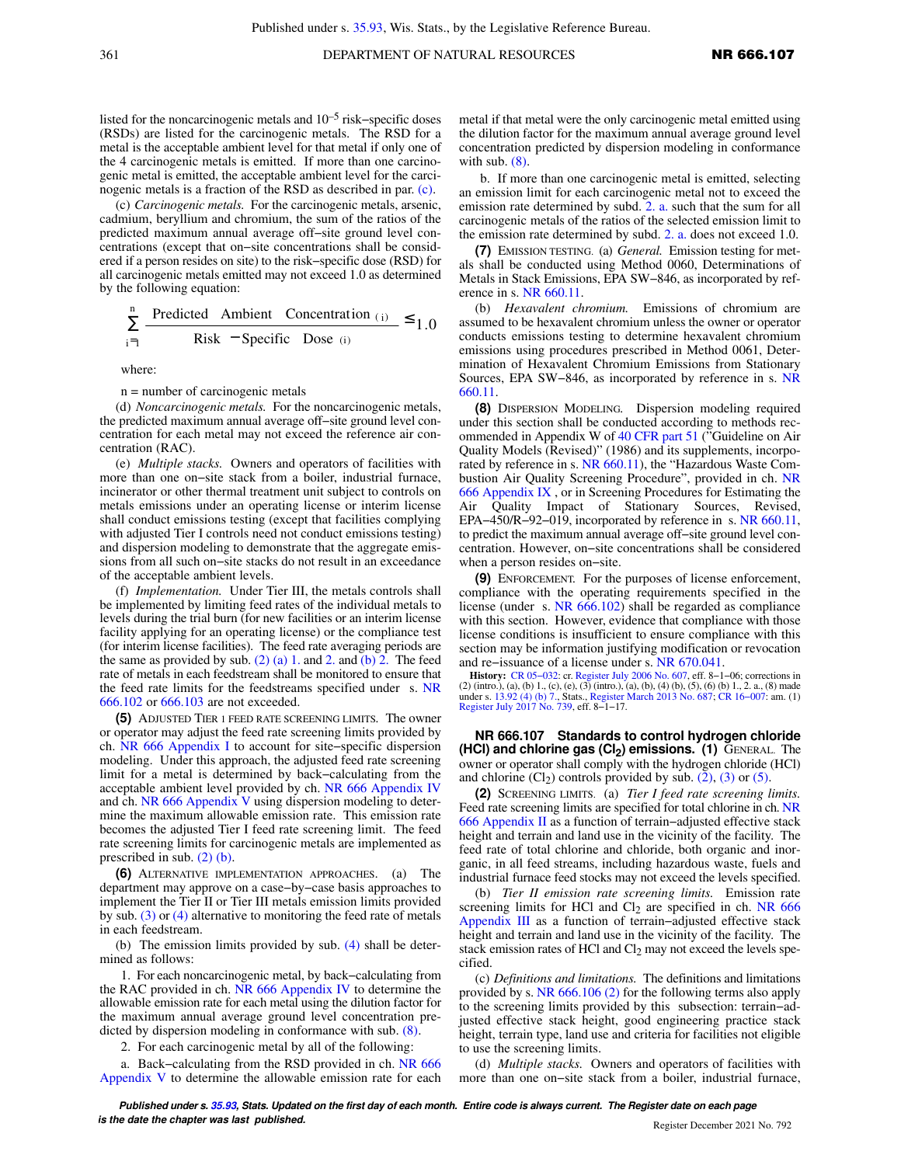listed for the noncarcinogenic metals and 10–5 risk−specific doses (RSDs) are listed for the carcinogenic metals. The RSD for a metal is the acceptable ambient level for that metal if only one of the 4 carcinogenic metals is emitted. If more than one carcinogenic metal is emitted, the acceptable ambient level for the carcinogenic metals is a fraction of the RSD as described in par. [\(c\)](https://docs.legis.wisconsin.gov/document/administrativecode/NR%20666.106(4)(c)).

(c) *Carcinogenic metals.* For the carcinogenic metals, arsenic, cadmium, beryllium and chromium, the sum of the ratios of the predicted maximum annual average off−site ground level concentrations (except that on−site concentrations shall be considered if a person resides on site) to the risk−specific dose (RSD) for all carcinogenic metals emitted may not exceed 1.0 as determined by the following equation:

$$
\sum_{i=1}^{n} \frac{\text{Predicted}\quad \text{Ambient}\quad \text{Concentration}\ (i)}{\text{Risk}\quad \text{Specific}\quad \text{Dose}\ (i)} \le 1.0
$$

where:

n = number of carcinogenic metals

(d) *Noncarcinogenic metals.* For the noncarcinogenic metals, the predicted maximum annual average off−site ground level concentration for each metal may not exceed the reference air concentration (RAC).

(e) *Multiple stacks.* Owners and operators of facilities with more than one on−site stack from a boiler, industrial furnace, incinerator or other thermal treatment unit subject to controls on metals emissions under an operating license or interim license shall conduct emissions testing (except that facilities complying with adjusted Tier I controls need not conduct emissions testing) and dispersion modeling to demonstrate that the aggregate emissions from all such on−site stacks do not result in an exceedance of the acceptable ambient levels.

(f) *Implementation.* Under Tier III, the metals controls shall be implemented by limiting feed rates of the individual metals to levels during the trial burn (for new facilities or an interim license facility applying for an operating license) or the compliance test (for interim license facilities). The feed rate averaging periods are the same as provided by sub.  $(2)$  (a) 1. and [2.](https://docs.legis.wisconsin.gov/document/administrativecode/NR%20666.106(2)(a)2.) and [\(b\) 2.](https://docs.legis.wisconsin.gov/document/administrativecode/NR%20666.106(2)(b)2.) The feed rate of metals in each feedstream shall be monitored to ensure that the feed rate limits for the feedstreams specified under s. [NR](https://docs.legis.wisconsin.gov/document/administrativecode/NR%20666.102) [666.102](https://docs.legis.wisconsin.gov/document/administrativecode/NR%20666.102) or [666.103](https://docs.legis.wisconsin.gov/document/administrativecode/NR%20666.103) are not exceeded.

**(5)** ADJUSTED TIER 1 FEED RATE SCREENING LIMITS*.* The owner or operator may adjust the feed rate screening limits provided by ch. [NR 666 Appendix I](https://docs.legis.wisconsin.gov/document/administrativecode/ch.%20NR%20666%20Appendix%20I) to account for site−specific dispersion modeling. Under this approach, the adjusted feed rate screening limit for a metal is determined by back−calculating from the acceptable ambient level provided by ch. [NR 666 Appendix IV](https://docs.legis.wisconsin.gov/document/administrativecode/ch.%20NR%20666%20Appendix%20IV) and ch. [NR 666 Appendix V](https://docs.legis.wisconsin.gov/document/administrativecode/ch.%20NR%20666%20Appendix%20V) using dispersion modeling to determine the maximum allowable emission rate. This emission rate becomes the adjusted Tier I feed rate screening limit. The feed rate screening limits for carcinogenic metals are implemented as prescribed in sub. [\(2\) \(b\)](https://docs.legis.wisconsin.gov/document/administrativecode/NR%20666.106(2)(b)).

**(6)** ALTERNATIVE IMPLEMENTATION APPROACHES. (a) The department may approve on a case−by−case basis approaches to implement the Tier II or Tier III metals emission limits provided by sub. [\(3\)](https://docs.legis.wisconsin.gov/document/administrativecode/NR%20666.106(3)) or [\(4\)](https://docs.legis.wisconsin.gov/document/administrativecode/NR%20666.106(4)) alternative to monitoring the feed rate of metals in each feedstream.

(b) The emission limits provided by sub. [\(4\)](https://docs.legis.wisconsin.gov/document/administrativecode/NR%20666.106(4)) shall be determined as follows:

1. For each noncarcinogenic metal, by back−calculating from the RAC provided in ch. [NR 666 Appendix IV](https://docs.legis.wisconsin.gov/document/administrativecode/ch.%20NR%20666%20Appendix%20IV) to determine the allowable emission rate for each metal using the dilution factor for the maximum annual average ground level concentration predicted by dispersion modeling in conformance with sub. [\(8\)](https://docs.legis.wisconsin.gov/document/administrativecode/NR%20666.106(8)).

2. For each carcinogenic metal by all of the following:

a. Back−calculating from the RSD provided in ch. [NR 666](https://docs.legis.wisconsin.gov/document/administrativecode/ch.%20NR%20666%20Appendix%20V) [Appendix V](https://docs.legis.wisconsin.gov/document/administrativecode/ch.%20NR%20666%20Appendix%20V) to determine the allowable emission rate for each

metal if that metal were the only carcinogenic metal emitted using the dilution factor for the maximum annual average ground level concentration predicted by dispersion modeling in conformance with sub. [\(8\)](https://docs.legis.wisconsin.gov/document/administrativecode/NR%20666.106(8)).

b. If more than one carcinogenic metal is emitted, selecting an emission limit for each carcinogenic metal not to exceed the emission rate determined by subd. [2. a.](https://docs.legis.wisconsin.gov/document/administrativecode/NR%20666.106(6)(b)2.a.) such that the sum for all carcinogenic metals of the ratios of the selected emission limit to the emission rate determined by subd. [2. a.](https://docs.legis.wisconsin.gov/document/administrativecode/NR%20666.106(6)(b)2.a.) does not exceed 1.0.

**(7)** EMISSION TESTING. (a) *General.* Emission testing for metals shall be conducted using Method 0060, Determinations of Metals in Stack Emissions, EPA SW−846, as incorporated by reference in s. [NR 660.11.](https://docs.legis.wisconsin.gov/document/administrativecode/NR%20660.11)

*Hexavalent chromium.* Emissions of chromium are assumed to be hexavalent chromium unless the owner or operator conducts emissions testing to determine hexavalent chromium emissions using procedures prescribed in Method 0061, Determination of Hexavalent Chromium Emissions from Stationary Sources, EPA SW−846, as incorporated by reference in s. [NR](https://docs.legis.wisconsin.gov/document/administrativecode/NR%20660.11) [660.11.](https://docs.legis.wisconsin.gov/document/administrativecode/NR%20660.11)

**(8)** DISPERSION MODELING*.* Dispersion modeling required under this section shall be conducted according to methods recommended in Appendix W of [40 CFR part 51](https://docs.legis.wisconsin.gov/document/cfr/40%20CFR%2051) ("Guideline on Air Quality Models (Revised)" (1986) and its supplements, incorporated by reference in s. [NR 660.11\)](https://docs.legis.wisconsin.gov/document/administrativecode/NR%20660.11), the "Hazardous Waste Combustion Air Quality Screening Procedure", provided in ch. [NR](https://docs.legis.wisconsin.gov/document/administrativecode/ch.%20NR%20666%20Appendix%20IX) [666 Appendix IX](https://docs.legis.wisconsin.gov/document/administrativecode/ch.%20NR%20666%20Appendix%20IX) , or in Screening Procedures for Estimating the Air Quality Impact of Stationary Sources, Revised, EPA−450/R−92−019, incorporated by reference in s. [NR 660.11,](https://docs.legis.wisconsin.gov/document/administrativecode/NR%20660.11) to predict the maximum annual average off−site ground level concentration. However, on−site concentrations shall be considered when a person resides on−site.

**(9)** ENFORCEMENT*.* For the purposes of license enforcement, compliance with the operating requirements specified in the license (under s. [NR 666.102\)](https://docs.legis.wisconsin.gov/document/administrativecode/NR%20666.102) shall be regarded as compliance with this section. However, evidence that compliance with those license conditions is insufficient to ensure compliance with this section may be information justifying modification or revocation and re−issuance of a license under s. [NR 670.041.](https://docs.legis.wisconsin.gov/document/administrativecode/NR%20670.041)

**History:** [CR 05−032](https://docs.legis.wisconsin.gov/document/cr/2005/32): cr. [Register July 2006 No. 607](https://docs.legis.wisconsin.gov/document/register/607/B/toc), eff. 8−1−06; corrections in (2) (intro.), (a), (b) 1., (c), (e), (3) (intro.), (a), (b), (4) (b), (5), (6) (b) 1., 2. a., (8) made under s. [13.92 \(4\) \(b\) 7.,](https://docs.legis.wisconsin.gov/document/statutes/13.92(4)(b)7.) Stats., [Register March 2013 No. 687;](https://docs.legis.wisconsin.gov/document/register/687/B/toc) [CR 16−007](https://docs.legis.wisconsin.gov/document/cr/2016/7): am. (1) [Register July 2017 No. 739](https://docs.legis.wisconsin.gov/document/register/739/B/toc), eff. 8−1−17.

**NR 666.107 Standards to control hydrogen chloride (HCl) and chlorine gas (Cl2) emissions. (1)** GENERAL. The owner or operator shall comply with the hydrogen chloride (HCl) and chlorine  $(Cl<sub>2</sub>)$  controls provided by sub.  $(2)$ ,  $(3)$  or  $(5)$ .

**(2)** SCREENING LIMITS. (a) *Tier I feed rate screening limits.* Feed rate screening limits are specified for total chlorine in ch. [NR](https://docs.legis.wisconsin.gov/document/administrativecode/ch.%20NR%20666%20Appendix%20II) [666 Appendix II](https://docs.legis.wisconsin.gov/document/administrativecode/ch.%20NR%20666%20Appendix%20II) as a function of terrain−adjusted effective stack height and terrain and land use in the vicinity of the facility. The feed rate of total chlorine and chloride, both organic and inorganic, in all feed streams, including hazardous waste, fuels and industrial furnace feed stocks may not exceed the levels specified.

(b) *Tier II emission rate screening limits.* Emission rate screening limits for HCl and  $Cl<sub>2</sub>$  are specified in ch. [NR 666](https://docs.legis.wisconsin.gov/document/administrativecode/ch.%20NR%20666%20Appendix%20III) [Appendix III](https://docs.legis.wisconsin.gov/document/administrativecode/ch.%20NR%20666%20Appendix%20III) as a function of terrain−adjusted effective stack height and terrain and land use in the vicinity of the facility. The stack emission rates of HCl and  $Cl<sub>2</sub>$  may not exceed the levels specified.

(c) *Definitions and limitations.* The definitions and limitations provided by s. [NR 666.106 \(2\)](https://docs.legis.wisconsin.gov/document/administrativecode/NR%20666.106(2)) for the following terms also apply to the screening limits provided by this subsection: terrain−adjusted effective stack height, good engineering practice stack height, terrain type, land use and criteria for facilities not eligible to use the screening limits.

(d) *Multiple stacks.* Owners and operators of facilities with more than one on−site stack from a boiler, industrial furnace,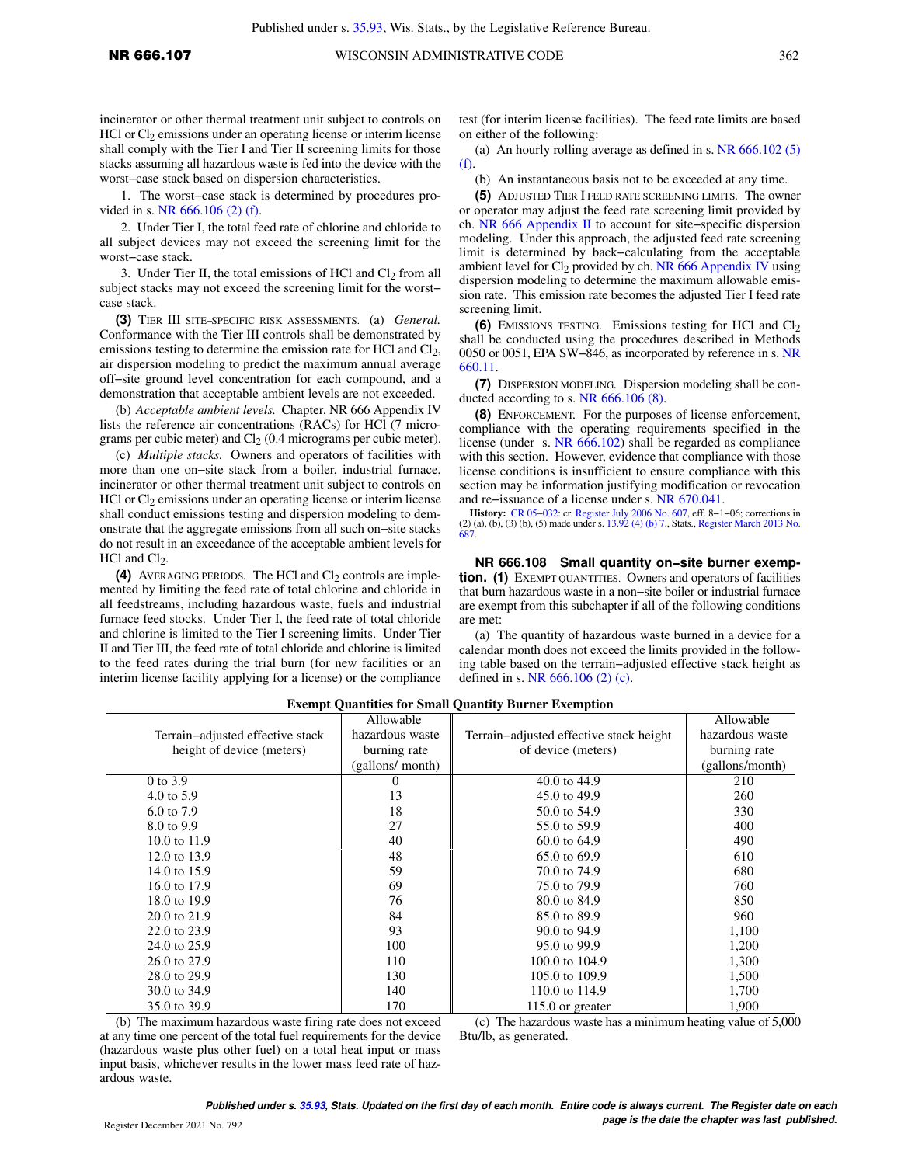incinerator or other thermal treatment unit subject to controls on  $HCI$  or  $Cl<sub>2</sub>$  emissions under an operating license or interim license shall comply with the Tier I and Tier II screening limits for those stacks assuming all hazardous waste is fed into the device with the worst−case stack based on dispersion characteristics.

1. The worst−case stack is determined by procedures provided in s. [NR 666.106 \(2\) \(f\).](https://docs.legis.wisconsin.gov/document/administrativecode/NR%20666.106(2)(f))

2. Under Tier I, the total feed rate of chlorine and chloride to all subject devices may not exceed the screening limit for the worst−case stack.

3. Under Tier II, the total emissions of HCl and  $Cl<sub>2</sub>$  from all subject stacks may not exceed the screening limit for the worst− case stack.

**(3)** TIER III SITE−SPECIFIC RISK ASSESSMENTS. (a) *General.* Conformance with the Tier III controls shall be demonstrated by emissions testing to determine the emission rate for HCl and  $Cl<sub>2</sub>$ , air dispersion modeling to predict the maximum annual average off−site ground level concentration for each compound, and a demonstration that acceptable ambient levels are not exceeded.

(b) *Acceptable ambient levels.* Chapter. NR 666 Appendix IV lists the reference air concentrations (RACs) for HCl (7 micrograms per cubic meter) and  $Cl<sub>2</sub>$  (0.4 micrograms per cubic meter).

(c) *Multiple stacks.* Owners and operators of facilities with more than one on−site stack from a boiler, industrial furnace, incinerator or other thermal treatment unit subject to controls on  $HCI$  or  $Cl<sub>2</sub>$  emissions under an operating license or interim license shall conduct emissions testing and dispersion modeling to demonstrate that the aggregate emissions from all such on−site stacks do not result in an exceedance of the acceptable ambient levels for  $HCl$  and  $Cl<sub>2</sub>$ .

**(4)** AVERAGING PERIODS. The HCl and  $Cl_2$  controls are implemented by limiting the feed rate of total chlorine and chloride in all feedstreams, including hazardous waste, fuels and industrial furnace feed stocks. Under Tier I, the feed rate of total chloride and chlorine is limited to the Tier I screening limits. Under Tier II and Tier III, the feed rate of total chloride and chlorine is limited to the feed rates during the trial burn (for new facilities or an interim license facility applying for a license) or the compliance

test (for interim license facilities). The feed rate limits are based on either of the following:

(a) An hourly rolling average as defined in s. [NR 666.102 \(5\)](https://docs.legis.wisconsin.gov/document/administrativecode/NR%20666.102(5)(f)) [\(f\)](https://docs.legis.wisconsin.gov/document/administrativecode/NR%20666.102(5)(f)).

(b) An instantaneous basis not to be exceeded at any time.

**(5)** ADJUSTED TIER I FEED RATE SCREENING LIMITS*.* The owner or operator may adjust the feed rate screening limit provided by ch. [NR 666 Appendix II](https://docs.legis.wisconsin.gov/document/administrativecode/ch.%20NR%20666%20Appendix%20II) to account for site−specific dispersion modeling. Under this approach, the adjusted feed rate screening limit is determined by back−calculating from the acceptable ambient level for  $Cl_2$  provided by ch. [NR 666 Appendix IV](https://docs.legis.wisconsin.gov/document/administrativecode/ch.%20NR%20666%20Appendix%20IV) using dispersion modeling to determine the maximum allowable emission rate. This emission rate becomes the adjusted Tier I feed rate screening limit.

**(6)** EMISSIONS TESTING. Emissions testing for HCl and Cl<sub>2</sub> shall be conducted using the procedures described in Methods 0050 or 0051, EPA SW−846, as incorporated by reference in s. [NR](https://docs.legis.wisconsin.gov/document/administrativecode/NR%20660.11) [660.11.](https://docs.legis.wisconsin.gov/document/administrativecode/NR%20660.11)

**(7)** DISPERSION MODELING*.* Dispersion modeling shall be conducted according to s. [NR 666.106 \(8\).](https://docs.legis.wisconsin.gov/document/administrativecode/NR%20666.106(8))

**(8)** ENFORCEMENT*.* For the purposes of license enforcement, compliance with the operating requirements specified in the license (under s. [NR 666.102\)](https://docs.legis.wisconsin.gov/document/administrativecode/NR%20666.102) shall be regarded as compliance with this section. However, evidence that compliance with those license conditions is insufficient to ensure compliance with this section may be information justifying modification or revocation and re−issuance of a license under s. [NR 670.041.](https://docs.legis.wisconsin.gov/document/administrativecode/NR%20670.041)

**History:** [CR 05−032](https://docs.legis.wisconsin.gov/document/cr/2005/32): cr. [Register July 2006 No. 607](https://docs.legis.wisconsin.gov/document/register/607/B/toc), eff. 8−1−06; corrections in (2) (a), (b), (3) (b), (5) made under s. [13.92 \(4\) \(b\) 7.](https://docs.legis.wisconsin.gov/document/statutes/13.92(4)(b)7.), Stats., [Register March 2013 No.](https://docs.legis.wisconsin.gov/document/register/687/B/toc) [687.](https://docs.legis.wisconsin.gov/document/register/687/B/toc)

**NR 666.108 Small quantity on−site burner exemption. (1)** EXEMPT QUANTITIES. Owners and operators of facilities that burn hazardous waste in a non−site boiler or industrial furnace are exempt from this subchapter if all of the following conditions are met:

(a) The quantity of hazardous waste burned in a device for a calendar month does not exceed the limits provided in the following table based on the terrain−adjusted effective stack height as defined in s. [NR 666.106 \(2\) \(c\)](https://docs.legis.wisconsin.gov/document/administrativecode/NR%20666.106(2)(c)).

|                                  | Allowable        |                                         | Allowable       |
|----------------------------------|------------------|-----------------------------------------|-----------------|
| Terrain-adjusted effective stack | hazardous waste  | Terrain-adjusted effective stack height | hazardous waste |
| height of device (meters)        | burning rate     | of device (meters)                      | burning rate    |
|                                  | (gallons/ month) |                                         | (gallons/month) |
| 0 to 3.9                         | $_{0}$           | 40.0 to 44.9                            | 210             |
| 4.0 to $5.9$                     | 13               | 45.0 to 49.9                            | 260             |
| 6.0 to 7.9                       | 18               | 50.0 to 54.9                            | 330             |
| 8.0 to 9.9                       | 27               | 55.0 to 59.9                            | 400             |
| 10.0 to 11.9                     | 40               | 60.0 to 64.9                            | 490             |
| 12.0 to 13.9                     | 48               | 65.0 to 69.9                            | 610             |
| 14.0 to 15.9                     | 59               | 70.0 to 74.9                            | 680             |
| 16.0 to 17.9                     | 69               | 75.0 to 79.9                            | 760             |
| 18.0 to 19.9                     | 76               | 80.0 to 84.9                            | 850             |
| 20.0 to 21.9                     | 84               | 85.0 to 89.9                            | 960             |
| 22.0 to 23.9                     | 93               | 90.0 to 94.9                            | 1,100           |
| 24.0 to 25.9                     | 100              | 95.0 to 99.9                            | 1,200           |
| 26.0 to 27.9                     | 110              | 100.0 to 104.9                          | 1,300           |
| 28.0 to 29.9                     | 130              | 105.0 to 109.9                          | 1,500           |
| 30.0 to 34.9                     | 140              | 110.0 to 114.9                          | 1,700           |
| 35.0 to 39.9                     | 170              | $115.0$ or greater                      | 1,900           |

**Exempt Quantities for Small Quantity Burner Exemption**

(b) The maximum hazardous waste firing rate does not exceed at any time one percent of the total fuel requirements for the device (hazardous waste plus other fuel) on a total heat input or mass input basis, whichever results in the lower mass feed rate of hazardous waste.

(c) The hazardous waste has a minimum heating value of 5,000 Btu/lb, as generated.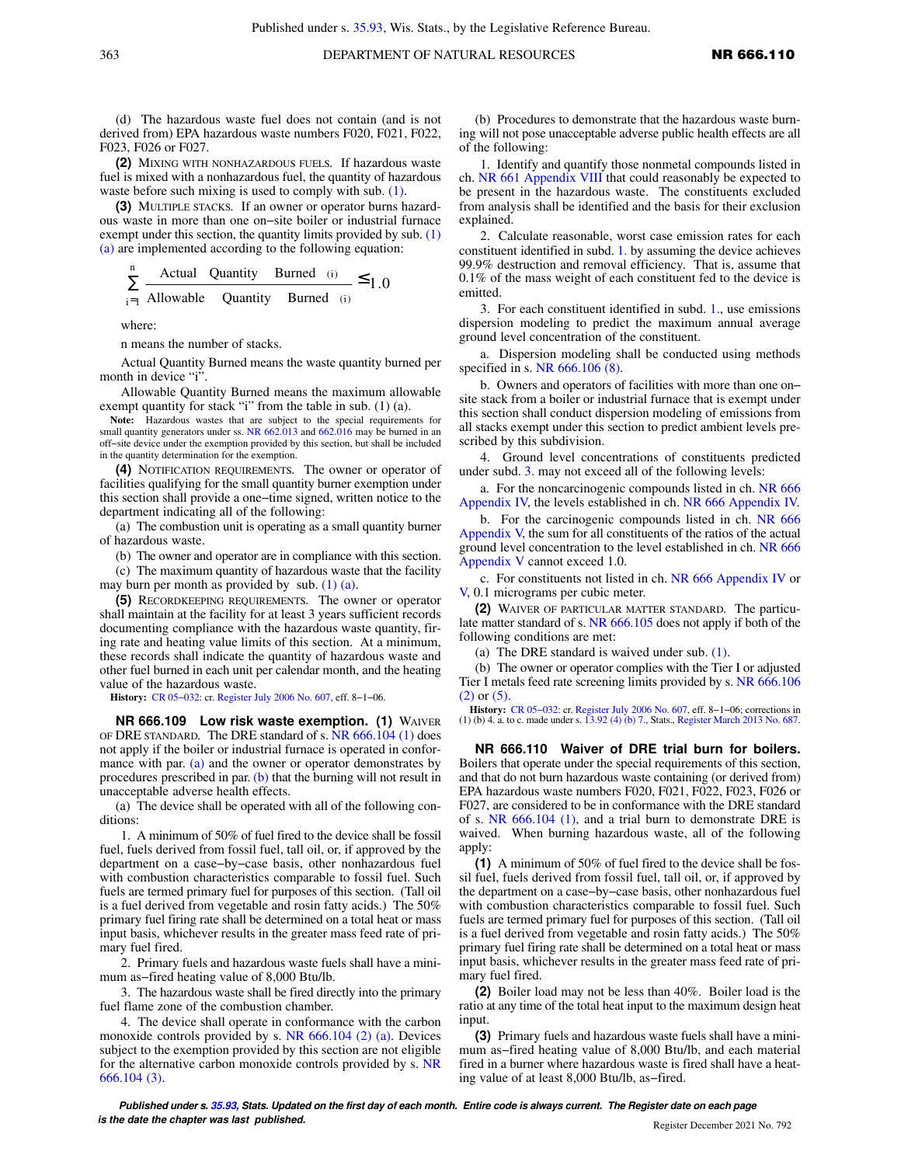(d) The hazardous waste fuel does not contain (and is not derived from) EPA hazardous waste numbers F020, F021, F022, F023, F026 or F027.

**(2)** MIXING WITH NONHAZARDOUS FUELS*.* If hazardous waste fuel is mixed with a nonhazardous fuel, the quantity of hazardous waste before such mixing is used to comply with sub. [\(1\).](https://docs.legis.wisconsin.gov/document/administrativecode/NR%20666.108(1))

**(3)** MULTIPLE STACKS*.* If an owner or operator burns hazardous waste in more than one on−site boiler or industrial furnace exempt under this section, the quantity limits provided by sub. [\(1\)](https://docs.legis.wisconsin.gov/document/administrativecode/NR%20666.108(1)(a)) [\(a\)](https://docs.legis.wisconsin.gov/document/administrativecode/NR%20666.108(1)(a)) are implemented according to the following equation:

$$
\sum_{i=1}^{n} \frac{\text{Actual Quantity } \text{Burned (i)}}{\text{Allowable Quantity } \text{Burned (i)}} \le 1.0
$$

where:

n means the number of stacks.

Actual Quantity Burned means the waste quantity burned per month in device "i".

Allowable Quantity Burned means the maximum allowable exempt quantity for stack "i" from the table in sub. (1) (a).

**Note:** Hazardous wastes that are subject to the special requirements for small quantity generators under ss. [NR 662.013](https://docs.legis.wisconsin.gov/document/administrativecode/NR%20662.013) and [662.016](https://docs.legis.wisconsin.gov/document/administrativecode/NR%20662.016) may be burned in an off−site device under the exemption provided by this section, but shall be included in the quantity determination for the exemption.

**(4)** NOTIFICATION REQUIREMENTS*.* The owner or operator of facilities qualifying for the small quantity burner exemption under this section shall provide a one−time signed, written notice to the department indicating all of the following:

(a) The combustion unit is operating as a small quantity burner of hazardous waste.

(b) The owner and operator are in compliance with this section.

(c) The maximum quantity of hazardous waste that the facility may burn per month as provided by sub. [\(1\) \(a\).](https://docs.legis.wisconsin.gov/document/administrativecode/NR%20666.108(1)(a))

**(5)** RECORDKEEPING REQUIREMENTS*.* The owner or operator shall maintain at the facility for at least 3 years sufficient records documenting compliance with the hazardous waste quantity, firing rate and heating value limits of this section. At a minimum, these records shall indicate the quantity of hazardous waste and other fuel burned in each unit per calendar month, and the heating value of the hazardous waste.

**History:** [CR 05−032](https://docs.legis.wisconsin.gov/document/cr/2005/32): cr. [Register July 2006 No. 607,](https://docs.legis.wisconsin.gov/document/register/607/B/toc) eff. 8−1−06.

**NR 666.109 Low risk waste exemption. (1)** WAIVER OF DRE STANDARD*.* The DRE standard of s. [NR 666.104 \(1\)](https://docs.legis.wisconsin.gov/document/administrativecode/NR%20666.104(1)) does not apply if the boiler or industrial furnace is operated in confor-mance with par. [\(a\)](https://docs.legis.wisconsin.gov/document/administrativecode/NR%20666.109(1)(a)) and the owner or operator demonstrates by procedures prescribed in par.  $(b)$  that the burning will not result in unacceptable adverse health effects.

(a) The device shall be operated with all of the following conditions:

1. A minimum of 50% of fuel fired to the device shall be fossil fuel, fuels derived from fossil fuel, tall oil, or, if approved by the department on a case−by−case basis, other nonhazardous fuel with combustion characteristics comparable to fossil fuel. Such fuels are termed primary fuel for purposes of this section. (Tall oil is a fuel derived from vegetable and rosin fatty acids.) The 50% primary fuel firing rate shall be determined on a total heat or mass input basis, whichever results in the greater mass feed rate of primary fuel fired.

2. Primary fuels and hazardous waste fuels shall have a minimum as−fired heating value of 8,000 Btu/lb.

3. The hazardous waste shall be fired directly into the primary fuel flame zone of the combustion chamber.

4. The device shall operate in conformance with the carbon monoxide controls provided by s. [NR 666.104 \(2\) \(a\).](https://docs.legis.wisconsin.gov/document/administrativecode/NR%20666.104(2)(a)) Devices subject to the exemption provided by this section are not eligible for the alternative carbon monoxide controls provided by s. [NR](https://docs.legis.wisconsin.gov/document/administrativecode/NR%20666.104(3)) [666.104 \(3\)](https://docs.legis.wisconsin.gov/document/administrativecode/NR%20666.104(3)).

(b) Procedures to demonstrate that the hazardous waste burning will not pose unacceptable adverse public health effects are all of the following:

1. Identify and quantify those nonmetal compounds listed in ch. [NR 661 Appendix VIII](https://docs.legis.wisconsin.gov/document/administrativecode/ch.%20NR%20661%20Appendix%20VIII) that could reasonably be expected to be present in the hazardous waste. The constituents excluded from analysis shall be identified and the basis for their exclusion explained.

2. Calculate reasonable, worst case emission rates for each constituent identified in subd. [1.](https://docs.legis.wisconsin.gov/document/administrativecode/NR%20666.109(1)(b)1.) by assuming the device achieves 99.9% destruction and removal efficiency. That is, assume that 0.1% of the mass weight of each constituent fed to the device is emitted.

3. For each constituent identified in subd. [1.](https://docs.legis.wisconsin.gov/document/administrativecode/NR%20666.109(1)(b)1.), use emissions dispersion modeling to predict the maximum annual average ground level concentration of the constituent.

a. Dispersion modeling shall be conducted using methods specified in s. [NR 666.106 \(8\)](https://docs.legis.wisconsin.gov/document/administrativecode/NR%20666.106(8)).

b. Owners and operators of facilities with more than one on− site stack from a boiler or industrial furnace that is exempt under this section shall conduct dispersion modeling of emissions from all stacks exempt under this section to predict ambient levels prescribed by this subdivision.

4. Ground level concentrations of constituents predicted under subd. [3.](https://docs.legis.wisconsin.gov/document/administrativecode/NR%20666.109(1)(b)3.) may not exceed all of the following levels:

a. For the noncarcinogenic compounds listed in ch. [NR 666](https://docs.legis.wisconsin.gov/document/administrativecode/ch.%20NR%20666%20Appendix%20IV) [Appendix IV,](https://docs.legis.wisconsin.gov/document/administrativecode/ch.%20NR%20666%20Appendix%20IV) the levels established in ch. [NR 666 Appendix IV.](https://docs.legis.wisconsin.gov/document/administrativecode/ch.%20NR%20666%20Appendix%20IV)

b. For the carcinogenic compounds listed in ch. [NR 666](https://docs.legis.wisconsin.gov/document/administrativecode/ch.%20NR%20666%20Appendix%20V) [Appendix V,](https://docs.legis.wisconsin.gov/document/administrativecode/ch.%20NR%20666%20Appendix%20V) the sum for all constituents of the ratios of the actual ground level concentration to the level established in ch. [NR 666](https://docs.legis.wisconsin.gov/document/administrativecode/ch.%20NR%20666%20Appendix%20V) [Appendix V](https://docs.legis.wisconsin.gov/document/administrativecode/ch.%20NR%20666%20Appendix%20V) cannot exceed 1.0.

c. For constituents not listed in ch. [NR 666 Appendix IV](https://docs.legis.wisconsin.gov/document/administrativecode/ch.%20NR%20666%20Appendix%20IV) or [V,](https://docs.legis.wisconsin.gov/document/administrativecode/ch.%20NR%20666%20Appendix%20V) 0.1 micrograms per cubic meter.

**(2)** WAIVER OF PARTICULAR MATTER STANDARD*.* The particulate matter standard of s. [NR 666.105](https://docs.legis.wisconsin.gov/document/administrativecode/NR%20666.105) does not apply if both of the following conditions are met:

(a) The DRE standard is waived under sub. [\(1\)](https://docs.legis.wisconsin.gov/document/administrativecode/NR%20666.109(1)).

(b) The owner or operator complies with the Tier I or adjusted Tier I metals feed rate screening limits provided by s. [NR 666.106](https://docs.legis.wisconsin.gov/document/administrativecode/NR%20666.106(2)) [\(2\)](https://docs.legis.wisconsin.gov/document/administrativecode/NR%20666.106(2)) or [\(5\)](https://docs.legis.wisconsin.gov/document/administrativecode/NR%20666.106(5)).

**History:** [CR 05−032](https://docs.legis.wisconsin.gov/document/cr/2005/32): cr. [Register July 2006 No. 607](https://docs.legis.wisconsin.gov/document/register/607/B/toc), eff. 8−1−06; corrections in (1) (b) 4. a. to c. made under s. [13.92 \(4\) \(b\) 7.,](https://docs.legis.wisconsin.gov/document/statutes/13.92(4)(b)7.) Stats., [Register March 2013 No. 687](https://docs.legis.wisconsin.gov/document/register/687/B/toc).

**NR 666.110 Waiver of DRE trial burn for boilers.** Boilers that operate under the special requirements of this section, and that do not burn hazardous waste containing (or derived from) EPA hazardous waste numbers F020, F021, F022, F023, F026 or F027, are considered to be in conformance with the DRE standard of s. [NR 666.104 \(1\)](https://docs.legis.wisconsin.gov/document/administrativecode/NR%20666.104(1)), and a trial burn to demonstrate DRE is waived. When burning hazardous waste, all of the following apply:

**(1)** A minimum of 50% of fuel fired to the device shall be fossil fuel, fuels derived from fossil fuel, tall oil, or, if approved by the department on a case−by−case basis, other nonhazardous fuel with combustion characteristics comparable to fossil fuel. Such fuels are termed primary fuel for purposes of this section. (Tall oil is a fuel derived from vegetable and rosin fatty acids.) The 50% primary fuel firing rate shall be determined on a total heat or mass input basis, whichever results in the greater mass feed rate of primary fuel fired.

**(2)** Boiler load may not be less than 40%. Boiler load is the ratio at any time of the total heat input to the maximum design heat input.

**(3)** Primary fuels and hazardous waste fuels shall have a minimum as−fired heating value of 8,000 Btu/lb, and each material fired in a burner where hazardous waste is fired shall have a heating value of at least 8,000 Btu/lb, as−fired.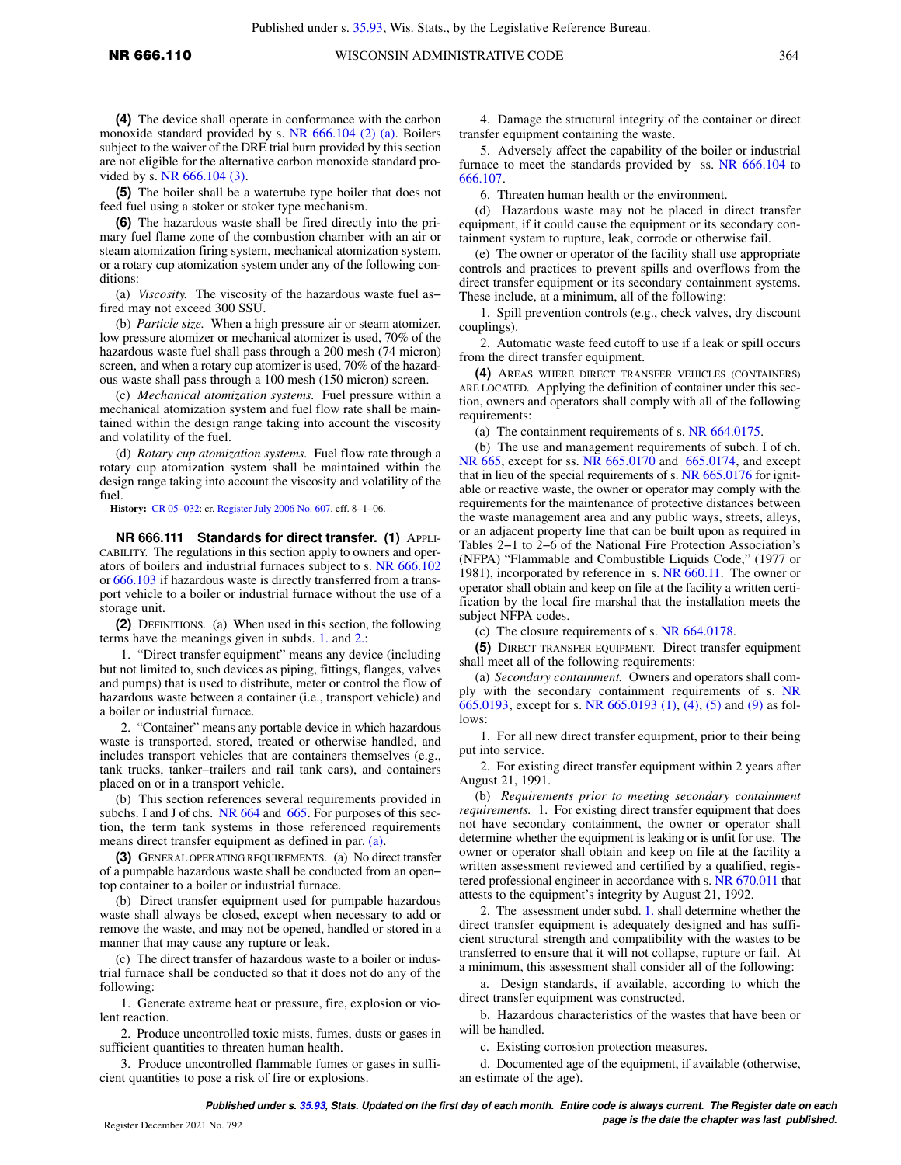**(4)** The device shall operate in conformance with the carbon monoxide standard provided by s. [NR 666.104 \(2\) \(a\).](https://docs.legis.wisconsin.gov/document/administrativecode/NR%20666.104(2)(a)) Boilers subject to the waiver of the DRE trial burn provided by this section are not eligible for the alternative carbon monoxide standard provided by s. [NR 666.104 \(3\).](https://docs.legis.wisconsin.gov/document/administrativecode/NR%20666.104(3))

**(5)** The boiler shall be a watertube type boiler that does not feed fuel using a stoker or stoker type mechanism.

**(6)** The hazardous waste shall be fired directly into the primary fuel flame zone of the combustion chamber with an air or steam atomization firing system, mechanical atomization system, or a rotary cup atomization system under any of the following conditions:

(a) *Viscosity.* The viscosity of the hazardous waste fuel as− fired may not exceed 300 SSU.

(b) *Particle size.* When a high pressure air or steam atomizer, low pressure atomizer or mechanical atomizer is used, 70% of the hazardous waste fuel shall pass through a 200 mesh (74 micron) screen, and when a rotary cup atomizer is used, 70% of the hazardous waste shall pass through a 100 mesh (150 micron) screen.

(c) *Mechanical atomization systems.* Fuel pressure within a mechanical atomization system and fuel flow rate shall be maintained within the design range taking into account the viscosity and volatility of the fuel.

(d) *Rotary cup atomization systems.* Fuel flow rate through a rotary cup atomization system shall be maintained within the design range taking into account the viscosity and volatility of the fuel.

**History:** [CR 05−032](https://docs.legis.wisconsin.gov/document/cr/2005/32): cr. [Register July 2006 No. 607,](https://docs.legis.wisconsin.gov/document/register/607/B/toc) eff. 8−1−06.

**NR 666.111 Standards for direct transfer. (1)** APPLI-CABILITY. The regulations in this section apply to owners and operators of boilers and industrial furnaces subject to s. [NR 666.102](https://docs.legis.wisconsin.gov/document/administrativecode/NR%20666.102) or [666.103](https://docs.legis.wisconsin.gov/document/administrativecode/NR%20666.103) if hazardous waste is directly transferred from a transport vehicle to a boiler or industrial furnace without the use of a storage unit.

**(2)** DEFINITIONS*.* (a) When used in this section, the following terms have the meanings given in subds. [1.](https://docs.legis.wisconsin.gov/document/administrativecode/NR%20666.111(2)(a)1.) and [2.:](https://docs.legis.wisconsin.gov/document/administrativecode/NR%20666.111(2)(a)2.)

1. "Direct transfer equipment" means any device (including but not limited to, such devices as piping, fittings, flanges, valves and pumps) that is used to distribute, meter or control the flow of hazardous waste between a container (i.e., transport vehicle) and a boiler or industrial furnace.

2. "Container" means any portable device in which hazardous waste is transported, stored, treated or otherwise handled, and includes transport vehicles that are containers themselves (e.g., tank trucks, tanker−trailers and rail tank cars), and containers placed on or in a transport vehicle.

(b) This section references several requirements provided in subchs. I and J of chs. [NR 664](https://docs.legis.wisconsin.gov/document/administrativecode/ch.%20NR%20664) and [665.](https://docs.legis.wisconsin.gov/document/administrativecode/ch.%20NR%20665) For purposes of this section, the term tank systems in those referenced requirements means direct transfer equipment as defined in par. [\(a\).](https://docs.legis.wisconsin.gov/document/administrativecode/NR%20666.111(2)(a))

**(3)** GENERAL OPERATING REQUIREMENTS*.* (a) No direct transfer of a pumpable hazardous waste shall be conducted from an open− top container to a boiler or industrial furnace.

(b) Direct transfer equipment used for pumpable hazardous waste shall always be closed, except when necessary to add or remove the waste, and may not be opened, handled or stored in a manner that may cause any rupture or leak.

(c) The direct transfer of hazardous waste to a boiler or industrial furnace shall be conducted so that it does not do any of the following:

1. Generate extreme heat or pressure, fire, explosion or violent reaction.

2. Produce uncontrolled toxic mists, fumes, dusts or gases in sufficient quantities to threaten human health.

3. Produce uncontrolled flammable fumes or gases in sufficient quantities to pose a risk of fire or explosions.

4. Damage the structural integrity of the container or direct transfer equipment containing the waste.

5. Adversely affect the capability of the boiler or industrial furnace to meet the standards provided by ss. [NR 666.104](https://docs.legis.wisconsin.gov/document/administrativecode/NR%20666.104) to [666.107.](https://docs.legis.wisconsin.gov/document/administrativecode/NR%20666.107)

6. Threaten human health or the environment.

(d) Hazardous waste may not be placed in direct transfer equipment, if it could cause the equipment or its secondary containment system to rupture, leak, corrode or otherwise fail.

(e) The owner or operator of the facility shall use appropriate controls and practices to prevent spills and overflows from the direct transfer equipment or its secondary containment systems. These include, at a minimum, all of the following:

1. Spill prevention controls (e.g., check valves, dry discount couplings).

2. Automatic waste feed cutoff to use if a leak or spill occurs from the direct transfer equipment.

**(4)** AREAS WHERE DIRECT TRANSFER VEHICLES (CONTAINERS) ARE LOCATED*.* Applying the definition of container under this section, owners and operators shall comply with all of the following requirements:

(a) The containment requirements of s. [NR 664.0175.](https://docs.legis.wisconsin.gov/document/administrativecode/NR%20664.0175)

(b) The use and management requirements of subch. I of ch. [NR 665,](https://docs.legis.wisconsin.gov/document/administrativecode/ch.%20NR%20665) except for ss. [NR 665.0170](https://docs.legis.wisconsin.gov/document/administrativecode/NR%20665.0170) and [665.0174](https://docs.legis.wisconsin.gov/document/administrativecode/NR%20665.0174), and except that in lieu of the special requirements of s. [NR 665.0176](https://docs.legis.wisconsin.gov/document/administrativecode/NR%20665.0176) for ignitable or reactive waste, the owner or operator may comply with the requirements for the maintenance of protective distances between the waste management area and any public ways, streets, alleys, or an adjacent property line that can be built upon as required in Tables 2−1 to 2−6 of the National Fire Protection Association's (NFPA) "Flammable and Combustible Liquids Code," (1977 or 1981), incorporated by reference in s. [NR 660.11.](https://docs.legis.wisconsin.gov/document/administrativecode/NR%20660.11) The owner or operator shall obtain and keep on file at the facility a written certification by the local fire marshal that the installation meets the subject NFPA codes.

(c) The closure requirements of s. [NR 664.0178](https://docs.legis.wisconsin.gov/document/administrativecode/NR%20664.0178).

**(5)** DIRECT TRANSFER EQUIPMENT. Direct transfer equipment shall meet all of the following requirements:

(a) *Secondary containment.* Owners and operators shall comply with the secondary containment requirements of s. [NR](https://docs.legis.wisconsin.gov/document/administrativecode/NR%20665.0193) [665.0193](https://docs.legis.wisconsin.gov/document/administrativecode/NR%20665.0193), except for s. [NR 665.0193 \(1\),](https://docs.legis.wisconsin.gov/document/administrativecode/NR%20665.0193(1)) [\(4\)](https://docs.legis.wisconsin.gov/document/administrativecode/NR%20665.0193(4)), [\(5\)](https://docs.legis.wisconsin.gov/document/administrativecode/NR%20665.0193(5)) and [\(9\)](https://docs.legis.wisconsin.gov/document/administrativecode/NR%20665.0193(9)) as follows:

1. For all new direct transfer equipment, prior to their being put into service.

2. For existing direct transfer equipment within 2 years after August 21, 1991.

(b) *Requirements prior to meeting secondary containment requirements.* 1. For existing direct transfer equipment that does not have secondary containment, the owner or operator shall determine whether the equipment is leaking or is unfit for use. The owner or operator shall obtain and keep on file at the facility a written assessment reviewed and certified by a qualified, registered professional engineer in accordance with s. [NR 670.011](https://docs.legis.wisconsin.gov/document/administrativecode/NR%20670.011) that attests to the equipment's integrity by August 21, 1992.

2. The assessment under subd. [1.](https://docs.legis.wisconsin.gov/document/administrativecode/NR%20666.111(5)(b)1.) shall determine whether the direct transfer equipment is adequately designed and has sufficient structural strength and compatibility with the wastes to be transferred to ensure that it will not collapse, rupture or fail. At a minimum, this assessment shall consider all of the following:

a. Design standards, if available, according to which the direct transfer equipment was constructed.

b. Hazardous characteristics of the wastes that have been or will be handled.

c. Existing corrosion protection measures.

d. Documented age of the equipment, if available (otherwise, an estimate of the age).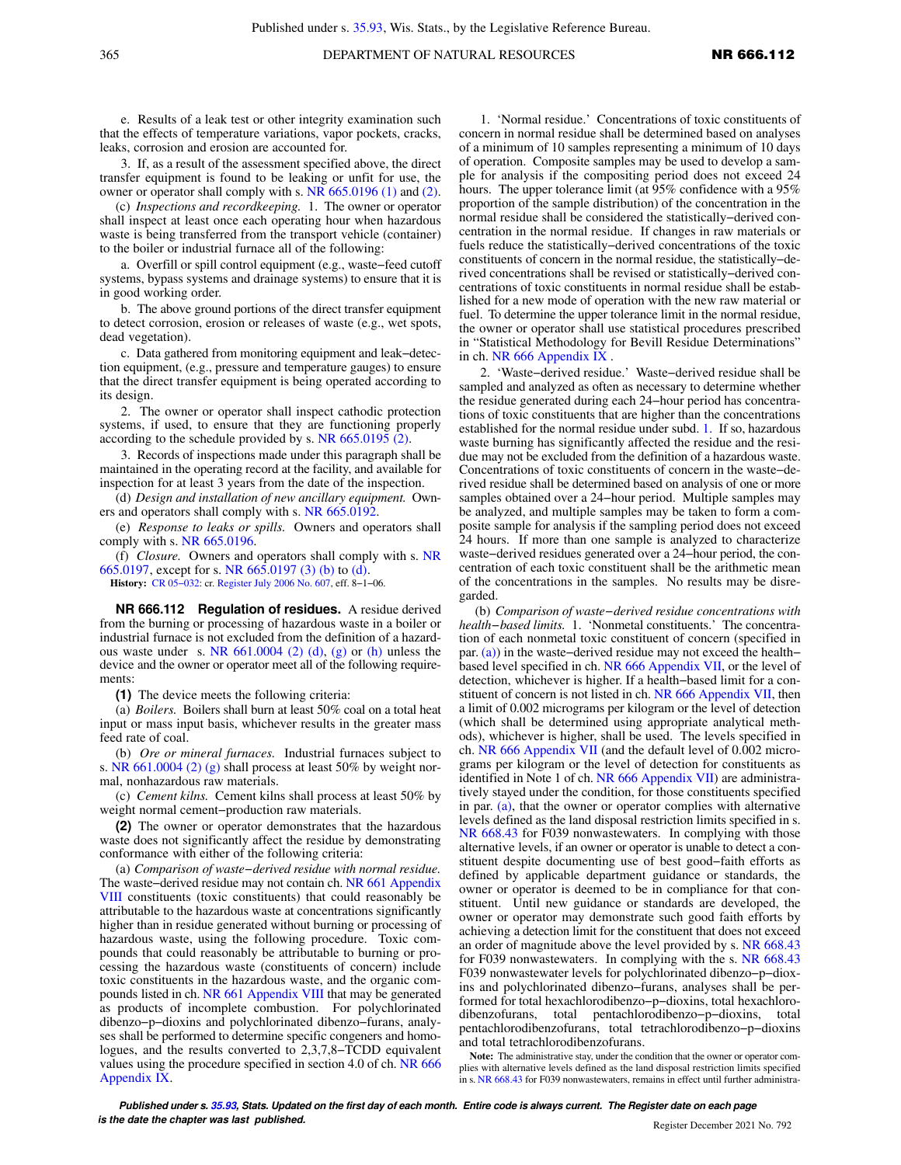e. Results of a leak test or other integrity examination such that the effects of temperature variations, vapor pockets, cracks, leaks, corrosion and erosion are accounted for.

3. If, as a result of the assessment specified above, the direct transfer equipment is found to be leaking or unfit for use, the owner or operator shall comply with s. [NR 665.0196 \(1\)](https://docs.legis.wisconsin.gov/document/administrativecode/NR%20665.0196(1)) and [\(2\).](https://docs.legis.wisconsin.gov/document/administrativecode/NR%20665.0196(2))

(c) *Inspections and recordkeeping.* 1. The owner or operator shall inspect at least once each operating hour when hazardous waste is being transferred from the transport vehicle (container) to the boiler or industrial furnace all of the following:

a. Overfill or spill control equipment (e.g., waste−feed cutoff systems, bypass systems and drainage systems) to ensure that it is in good working order.

b. The above ground portions of the direct transfer equipment to detect corrosion, erosion or releases of waste (e.g., wet spots, dead vegetation).

c. Data gathered from monitoring equipment and leak−detection equipment, (e.g., pressure and temperature gauges) to ensure that the direct transfer equipment is being operated according to its design.

2. The owner or operator shall inspect cathodic protection systems, if used, to ensure that they are functioning properly according to the schedule provided by s. [NR 665.0195 \(2\).](https://docs.legis.wisconsin.gov/document/administrativecode/NR%20665.0195(2))

3. Records of inspections made under this paragraph shall be maintained in the operating record at the facility, and available for inspection for at least 3 years from the date of the inspection.

(d) *Design and installation of new ancillary equipment.* Owners and operators shall comply with s. [NR 665.0192.](https://docs.legis.wisconsin.gov/document/administrativecode/NR%20665.0192)

(e) *Response to leaks or spills.* Owners and operators shall comply with s. [NR 665.0196](https://docs.legis.wisconsin.gov/document/administrativecode/NR%20665.0196).

(f) *Closure.* Owners and operators shall comply with s. [NR](https://docs.legis.wisconsin.gov/document/administrativecode/NR%20665.0197) [665.0197,](https://docs.legis.wisconsin.gov/document/administrativecode/NR%20665.0197) except for s. [NR 665.0197 \(3\) \(b\)](https://docs.legis.wisconsin.gov/document/administrativecode/NR%20665.0197(3)(b)) to [\(d\).](https://docs.legis.wisconsin.gov/document/administrativecode/NR%20665.0197(3)(d)) **History:** [CR 05−032](https://docs.legis.wisconsin.gov/document/cr/2005/32): cr. [Register July 2006 No. 607,](https://docs.legis.wisconsin.gov/document/register/607/B/toc) eff. 8−1−06.

**NR 666.112 Regulation of residues.** A residue derived from the burning or processing of hazardous waste in a boiler or industrial furnace is not excluded from the definition of a hazardous waste under s. NR  $661.0004$  (2) (d), [\(g\)](https://docs.legis.wisconsin.gov/document/administrativecode/NR%20661.0004(2)(g)) or [\(h\)](https://docs.legis.wisconsin.gov/document/administrativecode/NR%20661.0004(2)(h)) unless the device and the owner or operator meet all of the following requirements:

**(1)** The device meets the following criteria:

(a) *Boilers.* Boilers shall burn at least 50% coal on a total heat input or mass input basis, whichever results in the greater mass feed rate of coal.

(b) *Ore or mineral furnaces.* Industrial furnaces subject to s. [NR 661.0004 \(2\) \(g\)](https://docs.legis.wisconsin.gov/document/administrativecode/NR%20661.0004(2)(g)) shall process at least 50% by weight normal, nonhazardous raw materials.

(c) *Cement kilns.* Cement kilns shall process at least 50% by weight normal cement−production raw materials.

**(2)** The owner or operator demonstrates that the hazardous waste does not significantly affect the residue by demonstrating conformance with either of the following criteria:

(a) *Comparison of waste−derived residue with normal residue.* The waste−derived residue may not contain ch. [NR 661 Appendix](https://docs.legis.wisconsin.gov/document/administrativecode/ch.%20NR%20661%20Appendix%20VIII) [VIII](https://docs.legis.wisconsin.gov/document/administrativecode/ch.%20NR%20661%20Appendix%20VIII) constituents (toxic constituents) that could reasonably be attributable to the hazardous waste at concentrations significantly higher than in residue generated without burning or processing of hazardous waste, using the following procedure. Toxic compounds that could reasonably be attributable to burning or processing the hazardous waste (constituents of concern) include toxic constituents in the hazardous waste, and the organic compounds listed in ch. [NR 661 Appendix VIII](https://docs.legis.wisconsin.gov/document/administrativecode/ch.%20NR%20661%20Appendix%20VIII) that may be generated as products of incomplete combustion. For polychlorinated dibenzo−p−dioxins and polychlorinated dibenzo−furans, analyses shall be performed to determine specific congeners and homologues, and the results converted to 2,3,7,8−TCDD equivalent values using the procedure specified in section 4.0 of ch. [NR 666](https://docs.legis.wisconsin.gov/document/administrativecode/ch.%20NR%20666%20Appendix%20IX) [Appendix IX](https://docs.legis.wisconsin.gov/document/administrativecode/ch.%20NR%20666%20Appendix%20IX).

1. 'Normal residue.' Concentrations of toxic constituents of concern in normal residue shall be determined based on analyses of a minimum of 10 samples representing a minimum of 10 days of operation. Composite samples may be used to develop a sample for analysis if the compositing period does not exceed 24 hours. The upper tolerance limit (at 95% confidence with a 95% proportion of the sample distribution) of the concentration in the normal residue shall be considered the statistically−derived concentration in the normal residue. If changes in raw materials or fuels reduce the statistically−derived concentrations of the toxic constituents of concern in the normal residue, the statistically−derived concentrations shall be revised or statistically−derived concentrations of toxic constituents in normal residue shall be established for a new mode of operation with the new raw material or fuel. To determine the upper tolerance limit in the normal residue, the owner or operator shall use statistical procedures prescribed in "Statistical Methodology for Bevill Residue Determinations" in ch. [NR 666 Appendix IX](https://docs.legis.wisconsin.gov/document/administrativecode/ch.%20NR%20666%20Appendix%20IX) .

2. 'Waste−derived residue.' Waste−derived residue shall be sampled and analyzed as often as necessary to determine whether the residue generated during each 24−hour period has concentrations of toxic constituents that are higher than the concentrations established for the normal residue under subd. [1.](https://docs.legis.wisconsin.gov/document/administrativecode/NR%20666.112(2)(a)1.) If so, hazardous waste burning has significantly affected the residue and the residue may not be excluded from the definition of a hazardous waste. Concentrations of toxic constituents of concern in the waste−derived residue shall be determined based on analysis of one or more samples obtained over a 24−hour period. Multiple samples may be analyzed, and multiple samples may be taken to form a composite sample for analysis if the sampling period does not exceed 24 hours. If more than one sample is analyzed to characterize waste−derived residues generated over a 24−hour period, the concentration of each toxic constituent shall be the arithmetic mean of the concentrations in the samples. No results may be disregarded.

(b) *Comparison of waste−derived residue concentrations with health−based limits.* 1. 'Nonmetal constituents.' The concentration of each nonmetal toxic constituent of concern (specified in par. [\(a\)](https://docs.legis.wisconsin.gov/document/administrativecode/NR%20666.112(2)(a))) in the waste-derived residue may not exceed the health– based level specified in ch. [NR 666 Appendix VII,](https://docs.legis.wisconsin.gov/document/administrativecode/ch.%20NR%20666%20Appendix%20VII) or the level of detection, whichever is higher. If a health−based limit for a constituent of concern is not listed in ch. [NR 666 Appendix VII,](https://docs.legis.wisconsin.gov/document/administrativecode/ch.%20NR%20666%20Appendix%20VII) then a limit of 0.002 micrograms per kilogram or the level of detection (which shall be determined using appropriate analytical methods), whichever is higher, shall be used. The levels specified in ch. [NR 666 Appendix VII](https://docs.legis.wisconsin.gov/document/administrativecode/ch.%20NR%20666%20Appendix%20VII) (and the default level of 0.002 micrograms per kilogram or the level of detection for constituents as identified in Note 1 of ch. [NR 666 Appendix VII](https://docs.legis.wisconsin.gov/document/administrativecode/ch.%20NR%20666%20Appendix%20VII)) are administratively stayed under the condition, for those constituents specified in par. [\(a\)](https://docs.legis.wisconsin.gov/document/administrativecode/NR%20666.112(2)(a)), that the owner or operator complies with alternative levels defined as the land disposal restriction limits specified in s. [NR 668.43](https://docs.legis.wisconsin.gov/document/administrativecode/NR%20668.43) for F039 nonwastewaters. In complying with those alternative levels, if an owner or operator is unable to detect a constituent despite documenting use of best good−faith efforts as defined by applicable department guidance or standards, the owner or operator is deemed to be in compliance for that constituent. Until new guidance or standards are developed, the owner or operator may demonstrate such good faith efforts by achieving a detection limit for the constituent that does not exceed an order of magnitude above the level provided by s. [NR 668.43](https://docs.legis.wisconsin.gov/document/administrativecode/NR%20668.43) for F039 nonwastewaters. In complying with the s. [NR 668.43](https://docs.legis.wisconsin.gov/document/administrativecode/NR%20668.43) F039 nonwastewater levels for polychlorinated dibenzo−p−dioxins and polychlorinated dibenzo−furans, analyses shall be performed for total hexachlorodibenzo−p−dioxins, total hexachlorodibenzofurans, total pentachlorodibenzo−p−dioxins, total pentachlorodibenzofurans, total tetrachlorodibenzo−p−dioxins and total tetrachlorodibenzofurans.

**Note:** The administrative stay, under the condition that the owner or operator complies with alternative levels defined as the land disposal restriction limits specified in s. [NR 668.43](https://docs.legis.wisconsin.gov/document/administrativecode/NR%20668.43) for F039 nonwastewaters, remains in effect until further administra-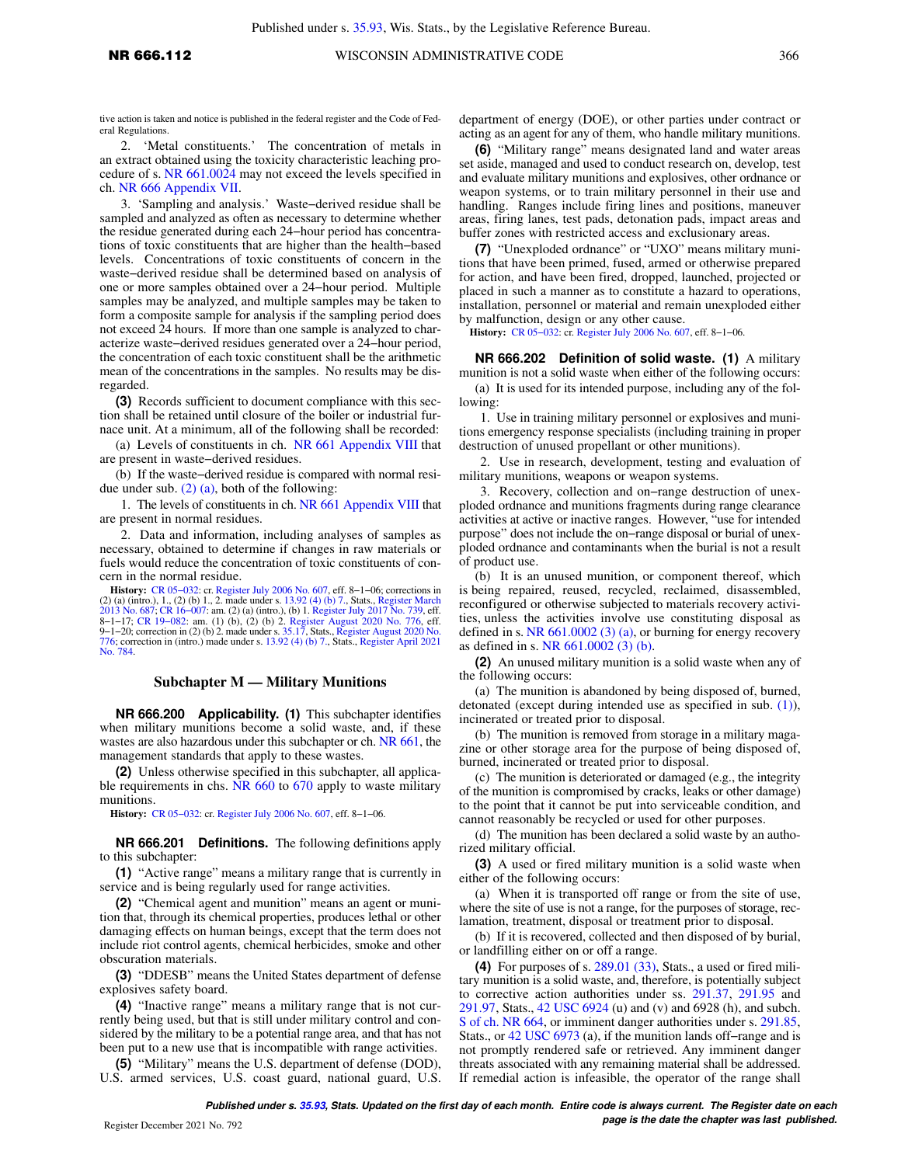tive action is taken and notice is published in the federal register and the Code of Federal Regulations.

2. 'Metal constituents.' The concentration of metals in an extract obtained using the toxicity characteristic leaching procedure of s. [NR 661.0024](https://docs.legis.wisconsin.gov/document/administrativecode/NR%20661.0024) may not exceed the levels specified in ch. [NR 666 Appendix VII](https://docs.legis.wisconsin.gov/document/administrativecode/ch.%20NR%20666%20Appendix%20VII).

3. 'Sampling and analysis.' Waste−derived residue shall be sampled and analyzed as often as necessary to determine whether the residue generated during each 24−hour period has concentrations of toxic constituents that are higher than the health−based levels. Concentrations of toxic constituents of concern in the waste−derived residue shall be determined based on analysis of one or more samples obtained over a 24−hour period. Multiple samples may be analyzed, and multiple samples may be taken to form a composite sample for analysis if the sampling period does not exceed 24 hours. If more than one sample is analyzed to characterize waste−derived residues generated over a 24−hour period, the concentration of each toxic constituent shall be the arithmetic mean of the concentrations in the samples. No results may be disregarded.

**(3)** Records sufficient to document compliance with this section shall be retained until closure of the boiler or industrial furnace unit. At a minimum, all of the following shall be recorded:

(a) Levels of constituents in ch. [NR 661 Appendix VIII](https://docs.legis.wisconsin.gov/document/administrativecode/ch.%20NR%20661%20Appendix%20VIII) that are present in waste−derived residues.

(b) If the waste−derived residue is compared with normal residue under sub.  $(2)$  (a), both of the following:

1. The levels of constituents in ch. [NR 661 Appendix VIII](https://docs.legis.wisconsin.gov/document/administrativecode/ch.%20NR%20661%20Appendix%20VIII) that are present in normal residues.

2. Data and information, including analyses of samples as necessary, obtained to determine if changes in raw materials or fuels would reduce the concentration of toxic constituents of concern in the normal residue.

**History:** [CR 05−032:](https://docs.legis.wisconsin.gov/document/cr/2005/32) cr. [Register July 2006 No. 607,](https://docs.legis.wisconsin.gov/document/register/607/B/toc) eff. 8−1−06; corrections in (2) (a) (intro.), 1., (2) (b) 1., 2. made under s. [13.92 \(4\) \(b\) 7.](https://docs.legis.wisconsin.gov/document/statutes/13.92(4)(b)7.), Stats., [Register March](https://docs.legis.wisconsin.gov/document/register/687/B/toc) [2013 No. 687](https://docs.legis.wisconsin.gov/document/register/687/B/toc); CR 16–007: am. (2) (a) (intro.), (b) 1. [Register July 2017 No. 739](https://docs.legis.wisconsin.gov/document/register/739/B/toc), eff. 2013 No. 687; CR 16–007: am. (1) (b), (2) ( [776](https://docs.legis.wisconsin.gov/document/register/776/B/toc); correction in (intro.) made under s. [13.92 \(4\) \(b\) 7.,](https://docs.legis.wisconsin.gov/document/statutes/13.92(4)(b)7.) Stats., [Register April 2021](https://docs.legis.wisconsin.gov/document/register/784/B/toc) [No. 784](https://docs.legis.wisconsin.gov/document/register/784/B/toc).

#### **Subchapter M — Military Munitions**

**NR 666.200 Applicability. (1)** This subchapter identifies when military munitions become a solid waste, and, if these wastes are also hazardous under this subchapter or ch. [NR 661](https://docs.legis.wisconsin.gov/document/administrativecode/ch.%20NR%20661), the management standards that apply to these wastes.

**(2)** Unless otherwise specified in this subchapter, all applica-ble requirements in chs. [NR 660](https://docs.legis.wisconsin.gov/document/administrativecode/ch.%20NR%20660) to [670](https://docs.legis.wisconsin.gov/document/administrativecode/ch.%20NR%20670) apply to waste military munitions.

**History:** [CR 05−032](https://docs.legis.wisconsin.gov/document/cr/2005/32): cr. [Register July 2006 No. 607,](https://docs.legis.wisconsin.gov/document/register/607/B/toc) eff. 8−1−06.

**NR 666.201 Definitions.** The following definitions apply to this subchapter:

**(1)** "Active range" means a military range that is currently in service and is being regularly used for range activities.

**(2)** "Chemical agent and munition" means an agent or munition that, through its chemical properties, produces lethal or other damaging effects on human beings, except that the term does not include riot control agents, chemical herbicides, smoke and other obscuration materials.

**(3)** "DDESB" means the United States department of defense explosives safety board.

**(4)** "Inactive range" means a military range that is not currently being used, but that is still under military control and considered by the military to be a potential range area, and that has not been put to a new use that is incompatible with range activities.

**(5)** "Military" means the U.S. department of defense (DOD), U.S. armed services, U.S. coast guard, national guard, U.S. department of energy (DOE), or other parties under contract or acting as an agent for any of them, who handle military munitions.

**(6)** "Military range" means designated land and water areas set aside, managed and used to conduct research on, develop, test and evaluate military munitions and explosives, other ordnance or weapon systems, or to train military personnel in their use and handling. Ranges include firing lines and positions, maneuver areas, firing lanes, test pads, detonation pads, impact areas and buffer zones with restricted access and exclusionary areas.

**(7)** "Unexploded ordnance" or "UXO" means military munitions that have been primed, fused, armed or otherwise prepared for action, and have been fired, dropped, launched, projected or placed in such a manner as to constitute a hazard to operations, installation, personnel or material and remain unexploded either by malfunction, design or any other cause.

**History:** [CR 05−032:](https://docs.legis.wisconsin.gov/document/cr/2005/32) cr. [Register July 2006 No. 607](https://docs.legis.wisconsin.gov/document/register/607/B/toc), eff. 8−1−06.

**NR 666.202 Definition of solid waste. (1)** A military munition is not a solid waste when either of the following occurs: (a) It is used for its intended purpose, including any of the following:

1. Use in training military personnel or explosives and munitions emergency response specialists (including training in proper destruction of unused propellant or other munitions).

2. Use in research, development, testing and evaluation of military munitions, weapons or weapon systems.

3. Recovery, collection and on−range destruction of unexploded ordnance and munitions fragments during range clearance activities at active or inactive ranges. However, "use for intended purpose" does not include the on−range disposal or burial of unexploded ordnance and contaminants when the burial is not a result of product use.

(b) It is an unused munition, or component thereof, which is being repaired, reused, recycled, reclaimed, disassembled, reconfigured or otherwise subjected to materials recovery activities, unless the activities involve use constituting disposal as defined in s. [NR 661.0002 \(3\) \(a\),](https://docs.legis.wisconsin.gov/document/administrativecode/NR%20661.0002(3)(a)) or burning for energy recovery as defined in s. [NR 661.0002 \(3\) \(b\)](https://docs.legis.wisconsin.gov/document/administrativecode/NR%20661.0002(3)(b)).

**(2)** An unused military munition is a solid waste when any of the following occurs:

(a) The munition is abandoned by being disposed of, burned, detonated (except during intended use as specified in sub. [\(1\)\)](https://docs.legis.wisconsin.gov/document/administrativecode/NR%20666.202(1)), incinerated or treated prior to disposal.

(b) The munition is removed from storage in a military magazine or other storage area for the purpose of being disposed of, burned, incinerated or treated prior to disposal.

(c) The munition is deteriorated or damaged (e.g., the integrity of the munition is compromised by cracks, leaks or other damage) to the point that it cannot be put into serviceable condition, and cannot reasonably be recycled or used for other purposes.

(d) The munition has been declared a solid waste by an authorized military official.

**(3)** A used or fired military munition is a solid waste when either of the following occurs:

(a) When it is transported off range or from the site of use, where the site of use is not a range, for the purposes of storage, reclamation, treatment, disposal or treatment prior to disposal.

(b) If it is recovered, collected and then disposed of by burial, or landfilling either on or off a range.

**(4)** For purposes of s. [289.01 \(33\),](https://docs.legis.wisconsin.gov/document/statutes/289.01(33)) Stats., a used or fired military munition is a solid waste, and, therefore, is potentially subject to corrective action authorities under ss. [291.37,](https://docs.legis.wisconsin.gov/document/statutes/291.37) [291.95](https://docs.legis.wisconsin.gov/document/statutes/291.95) and [291.97](https://docs.legis.wisconsin.gov/document/statutes/291.97), Stats., [42 USC 6924](https://docs.legis.wisconsin.gov/document/usc/42%20USC%206924) (u) and (v) and 6928 (h), and subch. [S of ch. NR 664,](https://docs.legis.wisconsin.gov/document/administrativecode/subch.%20S%20of%20ch.%20NR%20664) or imminent danger authorities under s. [291.85,](https://docs.legis.wisconsin.gov/document/statutes/291.85) Stats., or [42 USC 6973](https://docs.legis.wisconsin.gov/document/usc/42%20USC%206973) (a), if the munition lands off−range and is not promptly rendered safe or retrieved. Any imminent danger threats associated with any remaining material shall be addressed. If remedial action is infeasible, the operator of the range shall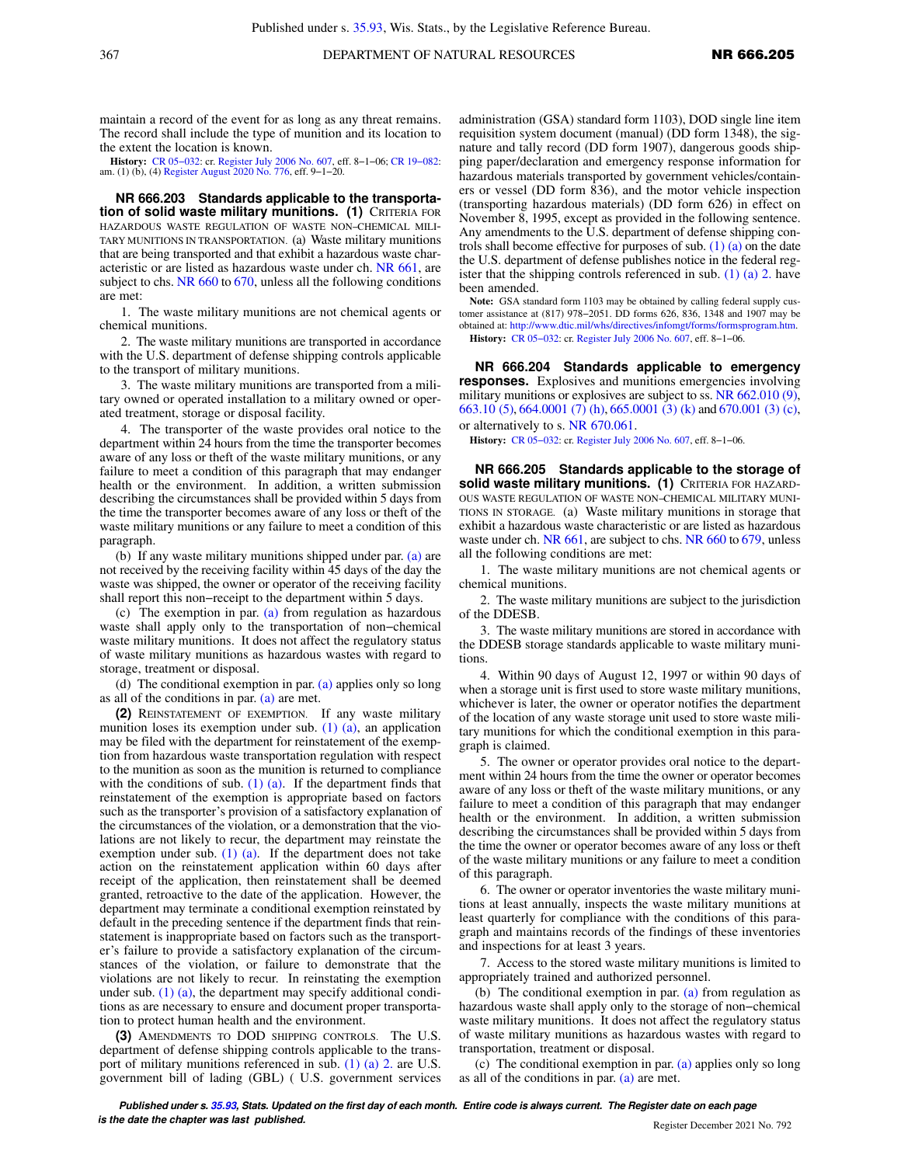maintain a record of the event for as long as any threat remains. The record shall include the type of munition and its location to the extent the location is known.

**History:** [CR 05−032:](https://docs.legis.wisconsin.gov/document/cr/2005/32) cr. [Register July 2006 No. 607,](https://docs.legis.wisconsin.gov/document/register/607/B/toc) eff. 8−1−06; [CR 19−082:](https://docs.legis.wisconsin.gov/document/cr/2019/82) am. (1) (b), (4) [Register August 2020 No. 776,](https://docs.legis.wisconsin.gov/document/register/776/B/toc) eff. 9−1−20.

**NR 666.203 Standards applicable to the transportation of solid waste military munitions. (1)** CRITERIA FOR HAZARDOUS WASTE REGULATION OF WASTE NON−CHEMICAL MILI-TARY MUNITIONS IN TRANSPORTATION. (a) Waste military munitions that are being transported and that exhibit a hazardous waste characteristic or are listed as hazardous waste under ch. [NR 661](https://docs.legis.wisconsin.gov/document/administrativecode/ch.%20NR%20661), are subject to chs. [NR 660](https://docs.legis.wisconsin.gov/document/administrativecode/ch.%20NR%20660) to [670,](https://docs.legis.wisconsin.gov/document/administrativecode/ch.%20NR%20670) unless all the following conditions are met:

1. The waste military munitions are not chemical agents or chemical munitions.

2. The waste military munitions are transported in accordance with the U.S. department of defense shipping controls applicable to the transport of military munitions.

3. The waste military munitions are transported from a military owned or operated installation to a military owned or operated treatment, storage or disposal facility.

4. The transporter of the waste provides oral notice to the department within 24 hours from the time the transporter becomes aware of any loss or theft of the waste military munitions, or any failure to meet a condition of this paragraph that may endanger health or the environment. In addition, a written submission describing the circumstances shall be provided within 5 days from the time the transporter becomes aware of any loss or theft of the waste military munitions or any failure to meet a condition of this paragraph.

(b) If any waste military munitions shipped under par. [\(a\)](https://docs.legis.wisconsin.gov/document/administrativecode/NR%20666.203(1)(a)) are not received by the receiving facility within 45 days of the day the waste was shipped, the owner or operator of the receiving facility shall report this non−receipt to the department within 5 days.

(c) The exemption in par. [\(a\)](https://docs.legis.wisconsin.gov/document/administrativecode/NR%20666.203(1)(a)) from regulation as hazardous waste shall apply only to the transportation of non−chemical waste military munitions. It does not affect the regulatory status of waste military munitions as hazardous wastes with regard to storage, treatment or disposal.

(d) The conditional exemption in par. [\(a\)](https://docs.legis.wisconsin.gov/document/administrativecode/NR%20666.203(1)(a)) applies only so long as all of the conditions in par. [\(a\)](https://docs.legis.wisconsin.gov/document/administrativecode/NR%20666.203(1)(a)) are met.

**(2)** REINSTATEMENT OF EXEMPTION. If any waste military munition loses its exemption under sub. [\(1\) \(a\),](https://docs.legis.wisconsin.gov/document/administrativecode/NR%20666.203(1)(a)) an application may be filed with the department for reinstatement of the exemption from hazardous waste transportation regulation with respect to the munition as soon as the munition is returned to compliance with the conditions of sub.  $(1)$   $(a)$ . If the department finds that reinstatement of the exemption is appropriate based on factors such as the transporter's provision of a satisfactory explanation of the circumstances of the violation, or a demonstration that the violations are not likely to recur, the department may reinstate the exemption under sub.  $(1)$   $(a)$ . If the department does not take action on the reinstatement application within 60 days after receipt of the application, then reinstatement shall be deemed granted, retroactive to the date of the application. However, the department may terminate a conditional exemption reinstated by default in the preceding sentence if the department finds that reinstatement is inappropriate based on factors such as the transporter's failure to provide a satisfactory explanation of the circumstances of the violation, or failure to demonstrate that the violations are not likely to recur. In reinstating the exemption under sub.  $(1)$   $(a)$ , the department may specify additional conditions as are necessary to ensure and document proper transportation to protect human health and the environment.

**(3)** AMENDMENTS TO DOD SHIPPING CONTROLS. The U.S. department of defense shipping controls applicable to the transport of military munitions referenced in sub. [\(1\) \(a\) 2.](https://docs.legis.wisconsin.gov/document/administrativecode/NR%20666.203(1)(a)2.) are U.S. government bill of lading (GBL) ( U.S. government services

administration (GSA) standard form 1103), DOD single line item requisition system document (manual) (DD form 1348), the signature and tally record (DD form 1907), dangerous goods shipping paper/declaration and emergency response information for hazardous materials transported by government vehicles/containers or vessel (DD form 836), and the motor vehicle inspection (transporting hazardous materials) (DD form 626) in effect on November 8, 1995, except as provided in the following sentence. Any amendments to the U.S. department of defense shipping controls shall become effective for purposes of sub. [\(1\) \(a\)](https://docs.legis.wisconsin.gov/document/administrativecode/NR%20666.203(1)(a)) on the date the U.S. department of defense publishes notice in the federal register that the shipping controls referenced in sub. (1) (a)  $2$ . have been amended.

**Note:** GSA standard form 1103 may be obtained by calling federal supply customer assistance at (817) 978−2051. DD forms 626, 836, 1348 and 1907 may be obtained at: [http://www.dtic.mil/whs/directives/infomgt/forms/formsprogram.htm.](http://www.dtic.mil/whs/directives/infomgt/forms/formsprogram.htm)

**History:** [CR 05−032:](https://docs.legis.wisconsin.gov/document/cr/2005/32) cr. [Register July 2006 No. 607](https://docs.legis.wisconsin.gov/document/register/607/B/toc), eff. 8−1−06.

**NR 666.204 Standards applicable to emergency responses.** Explosives and munitions emergencies involving military munitions or explosives are subject to ss. [NR 662.010 \(9\),](https://docs.legis.wisconsin.gov/document/administrativecode/NR%20662.010(9)) [663.10 \(5\)](https://docs.legis.wisconsin.gov/document/administrativecode/NR%20663.10(5)), [664.0001 \(7\) \(h\),](https://docs.legis.wisconsin.gov/document/administrativecode/NR%20664.0001(7)(h)) [665.0001 \(3\) \(k\)](https://docs.legis.wisconsin.gov/document/administrativecode/NR%20665.0001(3)(k)) and [670.001 \(3\) \(c\),](https://docs.legis.wisconsin.gov/document/administrativecode/NR%20670.001(3)(c)) or alternatively to s. [NR 670.061.](https://docs.legis.wisconsin.gov/document/administrativecode/NR%20670.061)

**History:** [CR 05−032:](https://docs.legis.wisconsin.gov/document/cr/2005/32) cr. [Register July 2006 No. 607](https://docs.legis.wisconsin.gov/document/register/607/B/toc), eff. 8−1−06.

**NR 666.205 Standards applicable to the storage of solid waste military munitions. (1)** CRITERIA FOR HAZARD-OUS WASTE REGULATION OF WASTE NON−CHEMICAL MILITARY MUNI-TIONS IN STORAGE. (a) Waste military munitions in storage that exhibit a hazardous waste characteristic or are listed as hazardous waste under ch. [NR 661](https://docs.legis.wisconsin.gov/document/administrativecode/ch.%20NR%20661), are subject to chs. [NR 660](https://docs.legis.wisconsin.gov/document/administrativecode/ch.%20NR%20660) to [679,](https://docs.legis.wisconsin.gov/document/administrativecode/ch.%20NR%20679) unless all the following conditions are met:

1. The waste military munitions are not chemical agents or chemical munitions.

2. The waste military munitions are subject to the jurisdiction of the DDESB.

3. The waste military munitions are stored in accordance with the DDESB storage standards applicable to waste military munitions.

4. Within 90 days of August 12, 1997 or within 90 days of when a storage unit is first used to store waste military munitions, whichever is later, the owner or operator notifies the department of the location of any waste storage unit used to store waste military munitions for which the conditional exemption in this paragraph is claimed.

5. The owner or operator provides oral notice to the department within 24 hours from the time the owner or operator becomes aware of any loss or theft of the waste military munitions, or any failure to meet a condition of this paragraph that may endanger health or the environment. In addition, a written submission describing the circumstances shall be provided within 5 days from the time the owner or operator becomes aware of any loss or theft of the waste military munitions or any failure to meet a condition of this paragraph.

6. The owner or operator inventories the waste military munitions at least annually, inspects the waste military munitions at least quarterly for compliance with the conditions of this paragraph and maintains records of the findings of these inventories and inspections for at least 3 years.

7. Access to the stored waste military munitions is limited to appropriately trained and authorized personnel.

(b) The conditional exemption in par. [\(a\)](https://docs.legis.wisconsin.gov/document/administrativecode/NR%20666.205(1)(a)) from regulation as hazardous waste shall apply only to the storage of non−chemical waste military munitions. It does not affect the regulatory status of waste military munitions as hazardous wastes with regard to transportation, treatment or disposal.

(c) The conditional exemption in par. [\(a\)](https://docs.legis.wisconsin.gov/document/administrativecode/NR%20666.205(1)(a)) applies only so long as all of the conditions in par.  $(a)$  are met.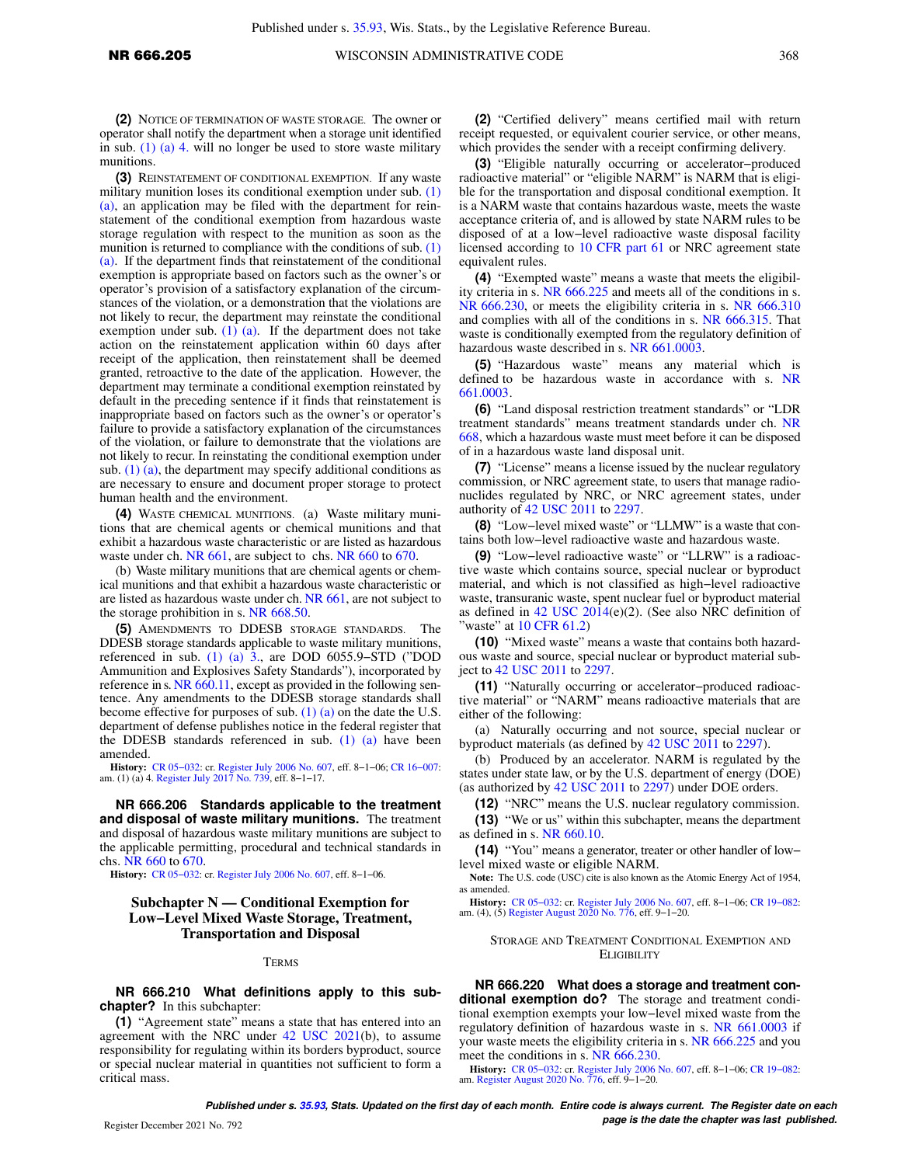**(3)** REINSTATEMENT OF CONDITIONAL EXEMPTION. If any waste military munition loses its conditional exemption under sub. [\(1\)](https://docs.legis.wisconsin.gov/document/administrativecode/NR%20666.205(1)(a)) [\(a\),](https://docs.legis.wisconsin.gov/document/administrativecode/NR%20666.205(1)(a)) an application may be filed with the department for reinstatement of the conditional exemption from hazardous waste storage regulation with respect to the munition as soon as the munition is returned to compliance with the conditions of sub. [\(1\)](https://docs.legis.wisconsin.gov/document/administrativecode/NR%20666.205(1)(a)) [\(a\).](https://docs.legis.wisconsin.gov/document/administrativecode/NR%20666.205(1)(a)) If the department finds that reinstatement of the conditional exemption is appropriate based on factors such as the owner's or operator's provision of a satisfactory explanation of the circumstances of the violation, or a demonstration that the violations are not likely to recur, the department may reinstate the conditional exemption under sub.  $(1)$   $(a)$ . If the department does not take action on the reinstatement application within 60 days after receipt of the application, then reinstatement shall be deemed granted, retroactive to the date of the application. However, the department may terminate a conditional exemption reinstated by default in the preceding sentence if it finds that reinstatement is inappropriate based on factors such as the owner's or operator's failure to provide a satisfactory explanation of the circumstances of the violation, or failure to demonstrate that the violations are not likely to recur. In reinstating the conditional exemption under sub.  $(1)$   $(a)$ , the department may specify additional conditions as are necessary to ensure and document proper storage to protect human health and the environment.

**(4)** WASTE CHEMICAL MUNITIONS. (a) Waste military munitions that are chemical agents or chemical munitions and that exhibit a hazardous waste characteristic or are listed as hazardous waste under ch. [NR 661,](https://docs.legis.wisconsin.gov/document/administrativecode/ch.%20NR%20661) are subject to chs. [NR 660](https://docs.legis.wisconsin.gov/document/administrativecode/ch.%20NR%20660) to [670.](https://docs.legis.wisconsin.gov/document/administrativecode/ch.%20NR%20670)

(b) Waste military munitions that are chemical agents or chemical munitions and that exhibit a hazardous waste characteristic or are listed as hazardous waste under ch. [NR 661](https://docs.legis.wisconsin.gov/document/administrativecode/ch.%20NR%20661), are not subject to the storage prohibition in s. [NR 668.50](https://docs.legis.wisconsin.gov/document/administrativecode/NR%20668.50).

**(5)** AMENDMENTS TO DDESB STORAGE STANDARDS. The DDESB storage standards applicable to waste military munitions, referenced in sub.  $(1)$   $(a)$   $\overline{3}$ , are DOD 6055.9–STD ("DOD Ammunition and Explosives Safety Standards"), incorporated by reference in s. [NR 660.11,](https://docs.legis.wisconsin.gov/document/administrativecode/NR%20660.11) except as provided in the following sentence. Any amendments to the DDESB storage standards shall become effective for purposes of sub.  $(1)$   $(a)$  on the date the U.S. department of defense publishes notice in the federal register that the DDESB standards referenced in sub. [\(1\) \(a\)](https://docs.legis.wisconsin.gov/document/administrativecode/NR%20666.205(1)(a)) have been amended.

**History:** [CR 05−032:](https://docs.legis.wisconsin.gov/document/cr/2005/32) cr. [Register July 2006 No. 607,](https://docs.legis.wisconsin.gov/document/register/607/B/toc) eff. 8−1−06; [CR 16−007:](https://docs.legis.wisconsin.gov/document/cr/2016/7) am. (1) (a) 4. [Register July 2017 No. 739](https://docs.legis.wisconsin.gov/document/register/739/B/toc), eff. 8−1−17.

**NR 666.206 Standards applicable to the treatment and disposal of waste military munitions.** The treatment and disposal of hazardous waste military munitions are subject to the applicable permitting, procedural and technical standards in chs. [NR 660](https://docs.legis.wisconsin.gov/document/administrativecode/ch.%20NR%20660) to [670.](https://docs.legis.wisconsin.gov/document/administrativecode/ch.%20NR%20670)

**History:** [CR 05−032](https://docs.legis.wisconsin.gov/document/cr/2005/32): cr. [Register July 2006 No. 607,](https://docs.legis.wisconsin.gov/document/register/607/B/toc) eff. 8−1−06.

## **Subchapter N — Conditional Exemption for Low−Level Mixed Waste Storage, Treatment, Transportation and Disposal**

#### **TERMS**

**NR 666.210 What definitions apply to this subchapter?** In this subchapter:

**(1)** "Agreement state" means a state that has entered into an agreement with the NRC under [42 USC 2021](https://docs.legis.wisconsin.gov/document/usc/42%20USC%202021)(b), to assume responsibility for regulating within its borders byproduct, source or special nuclear material in quantities not sufficient to form a critical mass.

**(2)** "Certified delivery" means certified mail with return receipt requested, or equivalent courier service, or other means, which provides the sender with a receipt confirming delivery.

**(3)** "Eligible naturally occurring or accelerator−produced radioactive material" or "eligible NARM" is NARM that is eligible for the transportation and disposal conditional exemption. It is a NARM waste that contains hazardous waste, meets the waste acceptance criteria of, and is allowed by state NARM rules to be disposed of at a low−level radioactive waste disposal facility licensed according to [10 CFR part 61](https://docs.legis.wisconsin.gov/document/cfr/10%20CFR%2061) or NRC agreement state equivalent rules.

**(4)** "Exempted waste" means a waste that meets the eligibility criteria in s. [NR 666.225](https://docs.legis.wisconsin.gov/document/administrativecode/NR%20666.225) and meets all of the conditions in s. [NR 666.230](https://docs.legis.wisconsin.gov/document/administrativecode/NR%20666.230), or meets the eligibility criteria in s. [NR 666.310](https://docs.legis.wisconsin.gov/document/administrativecode/NR%20666.310) and complies with all of the conditions in s. [NR 666.315.](https://docs.legis.wisconsin.gov/document/administrativecode/NR%20666.315) That waste is conditionally exempted from the regulatory definition of hazardous waste described in s. [NR 661.0003](https://docs.legis.wisconsin.gov/document/administrativecode/NR%20661.0003).

**(5)** "Hazardous waste" means any material which is defined to be hazardous waste in accordance with s. [NR](https://docs.legis.wisconsin.gov/document/administrativecode/NR%20661.0003) [661.0003](https://docs.legis.wisconsin.gov/document/administrativecode/NR%20661.0003).

**(6)** "Land disposal restriction treatment standards" or "LDR treatment standards" means treatment standards under ch. [NR](https://docs.legis.wisconsin.gov/document/administrativecode/ch.%20NR%20668) [668,](https://docs.legis.wisconsin.gov/document/administrativecode/ch.%20NR%20668) which a hazardous waste must meet before it can be disposed of in a hazardous waste land disposal unit.

**(7)** "License" means a license issued by the nuclear regulatory commission, or NRC agreement state, to users that manage radionuclides regulated by NRC, or NRC agreement states, under authority of [42 USC 2011](https://docs.legis.wisconsin.gov/document/usc/42%20USC%202011) to [2297](https://docs.legis.wisconsin.gov/document/usc/42%20USC%202297).

**(8)** "Low−level mixed waste" or "LLMW" is a waste that contains both low−level radioactive waste and hazardous waste.

**(9)** "Low−level radioactive waste" or "LLRW" is a radioactive waste which contains source, special nuclear or byproduct material, and which is not classified as high−level radioactive waste, transuranic waste, spent nuclear fuel or byproduct material as defined in  $42$  USC  $2014(e)(2)$ . (See also NRC definition of 'waste'' at  $10$  CFR  $61.2$ )

**(10)** "Mixed waste" means a waste that contains both hazardous waste and source, special nuclear or byproduct material subject to [42 USC 2011](https://docs.legis.wisconsin.gov/document/usc/42%20USC%202011) to [2297](https://docs.legis.wisconsin.gov/document/usc/42%20USC%202297).

**(11)** "Naturally occurring or accelerator−produced radioactive material" or "NARM" means radioactive materials that are either of the following:

(a) Naturally occurring and not source, special nuclear or byproduct materials (as defined by [42 USC 2011](https://docs.legis.wisconsin.gov/document/usc/42%20USC%202011) to [2297\)](https://docs.legis.wisconsin.gov/document/usc/42%20USC%202297).

(b) Produced by an accelerator. NARM is regulated by the states under state law, or by the U.S. department of energy (DOE) (as authorized by [42 USC 2011](https://docs.legis.wisconsin.gov/document/usc/42%20USC%202011) to [2297](https://docs.legis.wisconsin.gov/document/usc/42%20USC%202297)) under DOE orders.

**(12)** "NRC" means the U.S. nuclear regulatory commission.

**(13)** "We or us" within this subchapter, means the department as defined in s. [NR 660.10](https://docs.legis.wisconsin.gov/document/administrativecode/NR%20660.10).

**(14)** "You" means a generator, treater or other handler of low− level mixed waste or eligible NARM.

**Note:** The U.S. code (USC) cite is also known as the Atomic Energy Act of 1954, as amended.

**History:** [CR 05−032](https://docs.legis.wisconsin.gov/document/cr/2005/32): cr. [Register July 2006 No. 607](https://docs.legis.wisconsin.gov/document/register/607/B/toc), eff. 8−1−06; [CR 19−082](https://docs.legis.wisconsin.gov/document/cr/2019/82): am. (4), (5) [Register August 2020 No. 776](https://docs.legis.wisconsin.gov/document/register/776/B/toc), eff. 9−1−20.

#### STORAGE AND TREATMENT CONDITIONAL EXEMPTION AND **ELIGIBILITY**

**NR 666.220 What does a storage and treatment conditional exemption do?** The storage and treatment conditional exemption exempts your low−level mixed waste from the regulatory definition of hazardous waste in s. [NR 661.0003](https://docs.legis.wisconsin.gov/document/administrativecode/NR%20661.0003) if your waste meets the eligibility criteria in s. [NR 666.225](https://docs.legis.wisconsin.gov/document/administrativecode/NR%20666.225) and you meet the conditions in s. [NR 666.230.](https://docs.legis.wisconsin.gov/document/administrativecode/NR%20666.230)

**History:** [CR 05−032](https://docs.legis.wisconsin.gov/document/cr/2005/32): cr. [Register July 2006 No. 607](https://docs.legis.wisconsin.gov/document/register/607/B/toc), eff. 8−1−06; [CR 19−082](https://docs.legis.wisconsin.gov/document/cr/2019/82): am. [Register August 2020 No. 776,](https://docs.legis.wisconsin.gov/document/register/776/B/toc) eff. 9−1−20.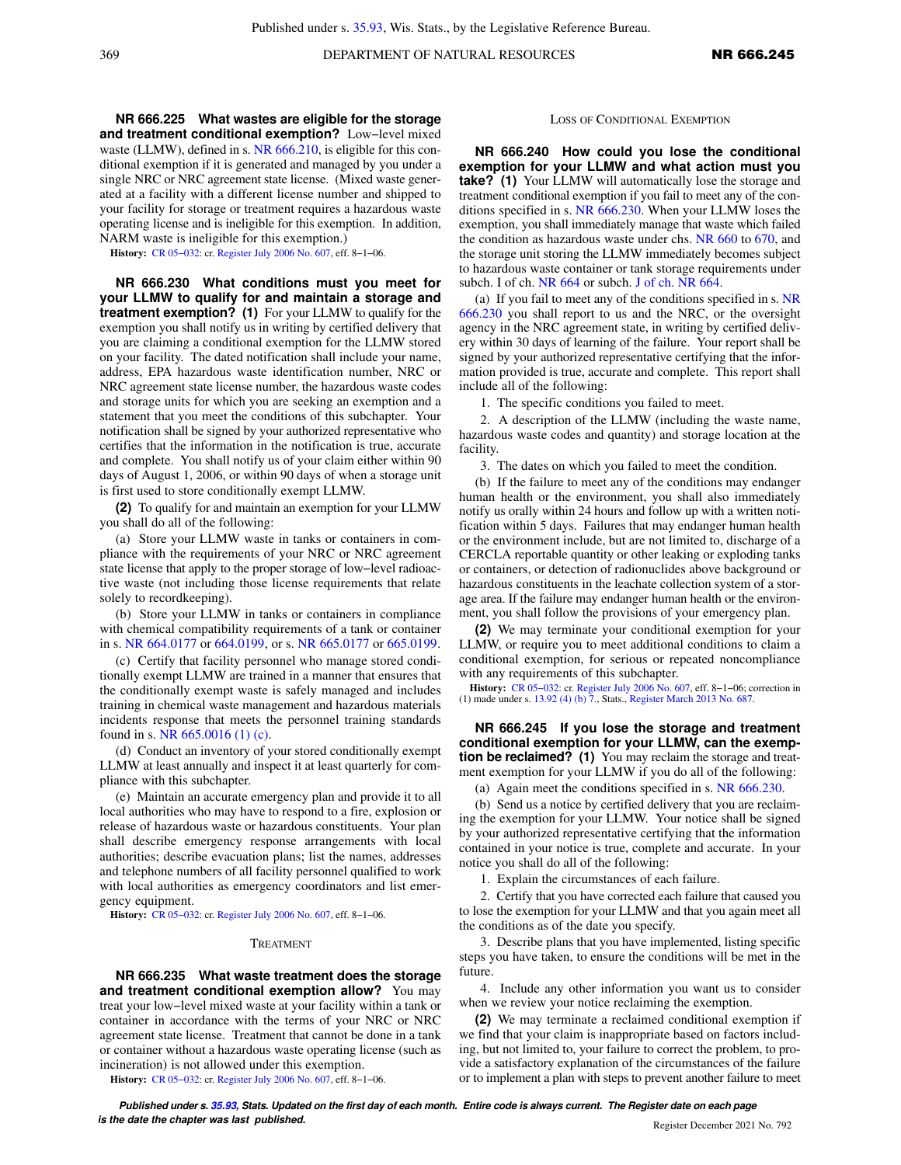**NR 666.225 What wastes are eligible for the storage and treatment conditional exemption?** Low−level mixed waste (LLMW), defined in s. [NR 666.210](https://docs.legis.wisconsin.gov/document/administrativecode/NR%20666.210), is eligible for this conditional exemption if it is generated and managed by you under a single NRC or NRC agreement state license. (Mixed waste generated at a facility with a different license number and shipped to your facility for storage or treatment requires a hazardous waste operating license and is ineligible for this exemption. In addition, NARM waste is ineligible for this exemption.)

**History:** [CR 05−032](https://docs.legis.wisconsin.gov/document/cr/2005/32): cr. [Register July 2006 No. 607,](https://docs.legis.wisconsin.gov/document/register/607/B/toc) eff. 8−1−06.

**NR 666.230 What conditions must you meet for your LLMW to qualify for and maintain a storage and treatment exemption? (1)** For your LLMW to qualify for the exemption you shall notify us in writing by certified delivery that you are claiming a conditional exemption for the LLMW stored on your facility. The dated notification shall include your name, address, EPA hazardous waste identification number, NRC or NRC agreement state license number, the hazardous waste codes and storage units for which you are seeking an exemption and a statement that you meet the conditions of this subchapter. Your notification shall be signed by your authorized representative who certifies that the information in the notification is true, accurate and complete. You shall notify us of your claim either within 90 days of August 1, 2006, or within 90 days of when a storage unit is first used to store conditionally exempt LLMW.

**(2)** To qualify for and maintain an exemption for your LLMW you shall do all of the following:

(a) Store your LLMW waste in tanks or containers in compliance with the requirements of your NRC or NRC agreement state license that apply to the proper storage of low−level radioactive waste (not including those license requirements that relate solely to recordkeeping).

(b) Store your LLMW in tanks or containers in compliance with chemical compatibility requirements of a tank or container in s. [NR 664.0177](https://docs.legis.wisconsin.gov/document/administrativecode/NR%20664.0177) or [664.0199](https://docs.legis.wisconsin.gov/document/administrativecode/NR%20664.0199), or s. [NR 665.0177](https://docs.legis.wisconsin.gov/document/administrativecode/NR%20665.0177) or [665.0199](https://docs.legis.wisconsin.gov/document/administrativecode/NR%20665.0199).

(c) Certify that facility personnel who manage stored conditionally exempt LLMW are trained in a manner that ensures that the conditionally exempt waste is safely managed and includes training in chemical waste management and hazardous materials incidents response that meets the personnel training standards found in s. [NR 665.0016 \(1\) \(c\)](https://docs.legis.wisconsin.gov/document/administrativecode/NR%20665.0016(1)(c)).

(d) Conduct an inventory of your stored conditionally exempt LLMW at least annually and inspect it at least quarterly for compliance with this subchapter.

(e) Maintain an accurate emergency plan and provide it to all local authorities who may have to respond to a fire, explosion or release of hazardous waste or hazardous constituents. Your plan shall describe emergency response arrangements with local authorities; describe evacuation plans; list the names, addresses and telephone numbers of all facility personnel qualified to work with local authorities as emergency coordinators and list emergency equipment.

**History:** [CR 05−032](https://docs.legis.wisconsin.gov/document/cr/2005/32): cr. [Register July 2006 No. 607,](https://docs.legis.wisconsin.gov/document/register/607/B/toc) eff. 8−1−06.

#### TREATMENT

**NR 666.235 What waste treatment does the storage and treatment conditional exemption allow?** You may treat your low−level mixed waste at your facility within a tank or container in accordance with the terms of your NRC or NRC agreement state license. Treatment that cannot be done in a tank or container without a hazardous waste operating license (such as incineration) is not allowed under this exemption.

**History:** [CR 05−032](https://docs.legis.wisconsin.gov/document/cr/2005/32): cr. [Register July 2006 No. 607,](https://docs.legis.wisconsin.gov/document/register/607/B/toc) eff. 8−1−06.

#### LOSS OF CONDITIONAL EXEMPTION

**NR 666.240 How could you lose the conditional exemption for your LLMW and what action must you take? (1)** Your LLMW will automatically lose the storage and treatment conditional exemption if you fail to meet any of the conditions specified in s. [NR 666.230.](https://docs.legis.wisconsin.gov/document/administrativecode/NR%20666.230) When your LLMW loses the exemption, you shall immediately manage that waste which failed the condition as hazardous waste under chs. [NR 660](https://docs.legis.wisconsin.gov/document/administrativecode/ch.%20NR%20660) to [670,](https://docs.legis.wisconsin.gov/document/administrativecode/ch.%20NR%20670) and the storage unit storing the LLMW immediately becomes subject to hazardous waste container or tank storage requirements under subch. I of ch. [NR 664](https://docs.legis.wisconsin.gov/document/administrativecode/ch.%20NR%20664) or subch. [J of ch. NR 664](https://docs.legis.wisconsin.gov/document/administrativecode/subch.%20J%20of%20ch.%20NR%20664).

(a) If you fail to meet any of the conditions specified in s. [NR](https://docs.legis.wisconsin.gov/document/administrativecode/NR%20666.230) [666.230](https://docs.legis.wisconsin.gov/document/administrativecode/NR%20666.230) you shall report to us and the NRC, or the oversight agency in the NRC agreement state, in writing by certified delivery within 30 days of learning of the failure. Your report shall be signed by your authorized representative certifying that the information provided is true, accurate and complete. This report shall include all of the following:

1. The specific conditions you failed to meet.

2. A description of the LLMW (including the waste name, hazardous waste codes and quantity) and storage location at the facility.

3. The dates on which you failed to meet the condition.

(b) If the failure to meet any of the conditions may endanger human health or the environment, you shall also immediately notify us orally within 24 hours and follow up with a written notification within 5 days. Failures that may endanger human health or the environment include, but are not limited to, discharge of a CERCLA reportable quantity or other leaking or exploding tanks or containers, or detection of radionuclides above background or hazardous constituents in the leachate collection system of a storage area. If the failure may endanger human health or the environment, you shall follow the provisions of your emergency plan.

**(2)** We may terminate your conditional exemption for your LLMW, or require you to meet additional conditions to claim a conditional exemption, for serious or repeated noncompliance with any requirements of this subchapter.

**History:** [CR 05−032:](https://docs.legis.wisconsin.gov/document/cr/2005/32) cr. [Register July 2006 No. 607](https://docs.legis.wisconsin.gov/document/register/607/B/toc), eff. 8−1−06; correction in (1) made under s. [13.92 \(4\) \(b\) 7.,](https://docs.legis.wisconsin.gov/document/statutes/13.92(4)(b)7.) Stats., [Register March 2013 No. 687](https://docs.legis.wisconsin.gov/document/register/687/B/toc).

**NR 666.245 If you lose the storage and treatment conditional exemption for your LLMW, can the exemption be reclaimed?** (1) You may reclaim the storage and treatment exemption for your LLMW if you do all of the following:

(a) Again meet the conditions specified in s. [NR 666.230.](https://docs.legis.wisconsin.gov/document/administrativecode/NR%20666.230)

(b) Send us a notice by certified delivery that you are reclaiming the exemption for your LLMW. Your notice shall be signed by your authorized representative certifying that the information contained in your notice is true, complete and accurate. In your notice you shall do all of the following:

1. Explain the circumstances of each failure.

2. Certify that you have corrected each failure that caused you to lose the exemption for your LLMW and that you again meet all the conditions as of the date you specify.

3. Describe plans that you have implemented, listing specific steps you have taken, to ensure the conditions will be met in the future.

4. Include any other information you want us to consider when we review your notice reclaiming the exemption.

**(2)** We may terminate a reclaimed conditional exemption if we find that your claim is inappropriate based on factors including, but not limited to, your failure to correct the problem, to provide a satisfactory explanation of the circumstances of the failure or to implement a plan with steps to prevent another failure to meet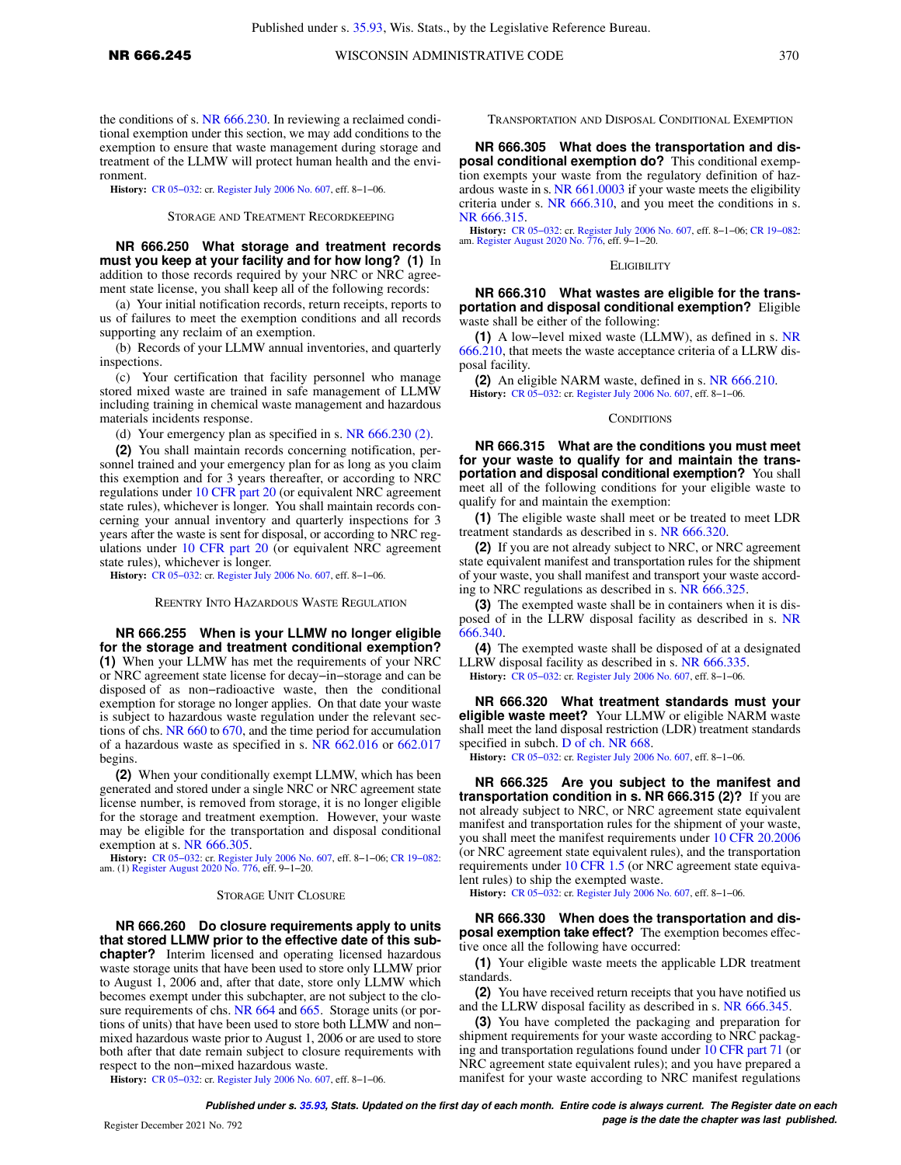the conditions of s. [NR 666.230](https://docs.legis.wisconsin.gov/document/administrativecode/NR%20666.230). In reviewing a reclaimed conditional exemption under this section, we may add conditions to the exemption to ensure that waste management during storage and treatment of the LLMW will protect human health and the environment.

**History:** [CR 05−032](https://docs.legis.wisconsin.gov/document/cr/2005/32): cr. [Register July 2006 No. 607,](https://docs.legis.wisconsin.gov/document/register/607/B/toc) eff. 8−1−06.

STORAGE AND TREATMENT RECORDKEEPING

**NR 666.250 What storage and treatment records must you keep at your facility and for how long? (1)** In addition to those records required by your NRC or NRC agreement state license, you shall keep all of the following records:

(a) Your initial notification records, return receipts, reports to us of failures to meet the exemption conditions and all records supporting any reclaim of an exemption.

(b) Records of your LLMW annual inventories, and quarterly inspections.

(c) Your certification that facility personnel who manage stored mixed waste are trained in safe management of LLMW including training in chemical waste management and hazardous materials incidents response.

(d) Your emergency plan as specified in s. [NR 666.230 \(2\)](https://docs.legis.wisconsin.gov/document/administrativecode/NR%20666.230(2)).

**(2)** You shall maintain records concerning notification, personnel trained and your emergency plan for as long as you claim this exemption and for 3 years thereafter, or according to NRC regulations under [10 CFR part 20](https://docs.legis.wisconsin.gov/document/cfr/10%20CFR%2020) (or equivalent NRC agreement state rules), whichever is longer. You shall maintain records concerning your annual inventory and quarterly inspections for 3 years after the waste is sent for disposal, or according to NRC regulations under [10 CFR part 20](https://docs.legis.wisconsin.gov/document/cfr/10%20CFR%2020) (or equivalent NRC agreement state rules), whichever is longer.

**History:** [CR 05−032](https://docs.legis.wisconsin.gov/document/cr/2005/32): cr. [Register July 2006 No. 607,](https://docs.legis.wisconsin.gov/document/register/607/B/toc) eff. 8−1−06.

REENTRY INTO HAZARDOUS WASTE REGULATION

**NR 666.255 When is your LLMW no longer eligible for the storage and treatment conditional exemption? (1)** When your LLMW has met the requirements of your NRC or NRC agreement state license for decay−in−storage and can be disposed of as non−radioactive waste, then the conditional exemption for storage no longer applies. On that date your waste is subject to hazardous waste regulation under the relevant sections of chs. [NR 660](https://docs.legis.wisconsin.gov/document/administrativecode/ch.%20NR%20660) to [670,](https://docs.legis.wisconsin.gov/document/administrativecode/ch.%20NR%20670) and the time period for accumulation of a hazardous waste as specified in s. [NR 662.016](https://docs.legis.wisconsin.gov/document/administrativecode/NR%20662.016) or [662.017](https://docs.legis.wisconsin.gov/document/administrativecode/NR%20662.017) begins.

**(2)** When your conditionally exempt LLMW, which has been generated and stored under a single NRC or NRC agreement state license number, is removed from storage, it is no longer eligible for the storage and treatment exemption. However, your waste may be eligible for the transportation and disposal conditional exemption at s. [NR 666.305](https://docs.legis.wisconsin.gov/document/administrativecode/NR%20666.305).

**History:** [CR 05−032:](https://docs.legis.wisconsin.gov/document/cr/2005/32) cr. [Register July 2006 No. 607,](https://docs.legis.wisconsin.gov/document/register/607/B/toc) eff. 8−1−06; [CR 19−082:](https://docs.legis.wisconsin.gov/document/cr/2019/82) am. (1) [Register August 2020 No. 776](https://docs.legis.wisconsin.gov/document/register/776/B/toc), eff. 9−1−20.

#### STORAGE UNIT CLOSURE

**NR 666.260 Do closure requirements apply to units that stored LLMW prior to the effective date of this subchapter?** Interim licensed and operating licensed hazardous waste storage units that have been used to store only LLMW prior to August 1, 2006 and, after that date, store only LLMW which becomes exempt under this subchapter, are not subject to the clo-sure requirements of chs. [NR 664](https://docs.legis.wisconsin.gov/document/administrativecode/ch.%20NR%20664) and [665.](https://docs.legis.wisconsin.gov/document/administrativecode/ch.%20NR%20665) Storage units (or portions of units) that have been used to store both LLMW and non− mixed hazardous waste prior to August 1, 2006 or are used to store both after that date remain subject to closure requirements with respect to the non−mixed hazardous waste.

**History:** [CR 05−032](https://docs.legis.wisconsin.gov/document/cr/2005/32): cr. [Register July 2006 No. 607,](https://docs.legis.wisconsin.gov/document/register/607/B/toc) eff. 8−1−06.

TRANSPORTATION AND DISPOSAL CONDITIONAL EXEMPTION

**NR 666.305 What does the transportation and disposal conditional exemption do?** This conditional exemption exempts your waste from the regulatory definition of hazardous waste in s. [NR 661.0003](https://docs.legis.wisconsin.gov/document/administrativecode/NR%20661.0003) if your waste meets the eligibility criteria under s. [NR 666.310,](https://docs.legis.wisconsin.gov/document/administrativecode/NR%20666.310) and you meet the conditions in s. [NR 666.315](https://docs.legis.wisconsin.gov/document/administrativecode/NR%20666.315).

**History:** [CR 05−032](https://docs.legis.wisconsin.gov/document/cr/2005/32): cr. [Register July 2006 No. 607](https://docs.legis.wisconsin.gov/document/register/607/B/toc), eff. 8−1−06; [CR 19−082](https://docs.legis.wisconsin.gov/document/cr/2019/82): am. [Register August 2020 No. 776,](https://docs.legis.wisconsin.gov/document/register/776/B/toc) eff. 9−1−20.

#### ELIGIBILITY

**NR 666.310 What wastes are eligible for the transportation and disposal conditional exemption?** Eligible waste shall be either of the following:

**(1)** A low−level mixed waste (LLMW), as defined in s. [NR](https://docs.legis.wisconsin.gov/document/administrativecode/NR%20666.210) [666.210,](https://docs.legis.wisconsin.gov/document/administrativecode/NR%20666.210) that meets the waste acceptance criteria of a LLRW disposal facility.

**(2)** An eligible NARM waste, defined in s. [NR 666.210.](https://docs.legis.wisconsin.gov/document/administrativecode/NR%20666.210)

**History:** [CR 05−032:](https://docs.legis.wisconsin.gov/document/cr/2005/32) cr. [Register July 2006 No. 607](https://docs.legis.wisconsin.gov/document/register/607/B/toc), eff. 8−1−06.

#### **CONDITIONS**

**NR 666.315 What are the conditions you must meet for your waste to qualify for and maintain the transportation and disposal conditional exemption?** You shall meet all of the following conditions for your eligible waste to qualify for and maintain the exemption:

**(1)** The eligible waste shall meet or be treated to meet LDR treatment standards as described in s. [NR 666.320](https://docs.legis.wisconsin.gov/document/administrativecode/NR%20666.320).

**(2)** If you are not already subject to NRC, or NRC agreement state equivalent manifest and transportation rules for the shipment of your waste, you shall manifest and transport your waste according to NRC regulations as described in s. [NR 666.325.](https://docs.legis.wisconsin.gov/document/administrativecode/NR%20666.325)

**(3)** The exempted waste shall be in containers when it is dis-posed of in the LLRW disposal facility as described in s. [NR](https://docs.legis.wisconsin.gov/document/administrativecode/NR%20666.340) [666.340.](https://docs.legis.wisconsin.gov/document/administrativecode/NR%20666.340)

**(4)** The exempted waste shall be disposed of at a designated LLRW disposal facility as described in s. [NR 666.335.](https://docs.legis.wisconsin.gov/document/administrativecode/NR%20666.335)

**History:** [CR 05−032:](https://docs.legis.wisconsin.gov/document/cr/2005/32) cr. [Register July 2006 No. 607](https://docs.legis.wisconsin.gov/document/register/607/B/toc), eff. 8−1−06.

**NR 666.320 What treatment standards must your eligible waste meet?** Your LLMW or eligible NARM waste shall meet the land disposal restriction (LDR) treatment standards specified in subch. [D of ch. NR 668](https://docs.legis.wisconsin.gov/document/administrativecode/subch.%20D%20of%20ch.%20NR%20668).

**History:** [CR 05−032:](https://docs.legis.wisconsin.gov/document/cr/2005/32) cr. [Register July 2006 No. 607](https://docs.legis.wisconsin.gov/document/register/607/B/toc), eff. 8−1−06.

**NR 666.325 Are you subject to the manifest and transportation condition in s. NR 666.315 (2)?** If you are not already subject to NRC, or NRC agreement state equivalent manifest and transportation rules for the shipment of your waste, you shall meet the manifest requirements under [10 CFR 20.2006](https://docs.legis.wisconsin.gov/document/cfr/10%20CFR%2020.2006) (or NRC agreement state equivalent rules), and the transportation requirements under [10 CFR 1.5](https://docs.legis.wisconsin.gov/document/cfr/10%20CFR%201.5) (or NRC agreement state equivalent rules) to ship the exempted waste.

**History:** [CR 05−032:](https://docs.legis.wisconsin.gov/document/cr/2005/32) cr. [Register July 2006 No. 607](https://docs.legis.wisconsin.gov/document/register/607/B/toc), eff. 8−1−06.

**NR 666.330 When does the transportation and disposal exemption take effect?** The exemption becomes effective once all the following have occurred:

**(1)** Your eligible waste meets the applicable LDR treatment standards.

**(2)** You have received return receipts that you have notified us and the LLRW disposal facility as described in s. [NR 666.345](https://docs.legis.wisconsin.gov/document/administrativecode/NR%20666.345).

**(3)** You have completed the packaging and preparation for shipment requirements for your waste according to NRC packaging and transportation regulations found under [10 CFR part 71](https://docs.legis.wisconsin.gov/document/cfr/10%20CFR%2071) (or NRC agreement state equivalent rules); and you have prepared a manifest for your waste according to NRC manifest regulations

**Published under s. [35.93,](https://docs.legis.wisconsin.gov/document/statutes/35.93) Stats. Updated on the first day of each month. Entire code is always current. The Register date on each** Register December 2021 No. 792 *page is the date the chapter was last published.*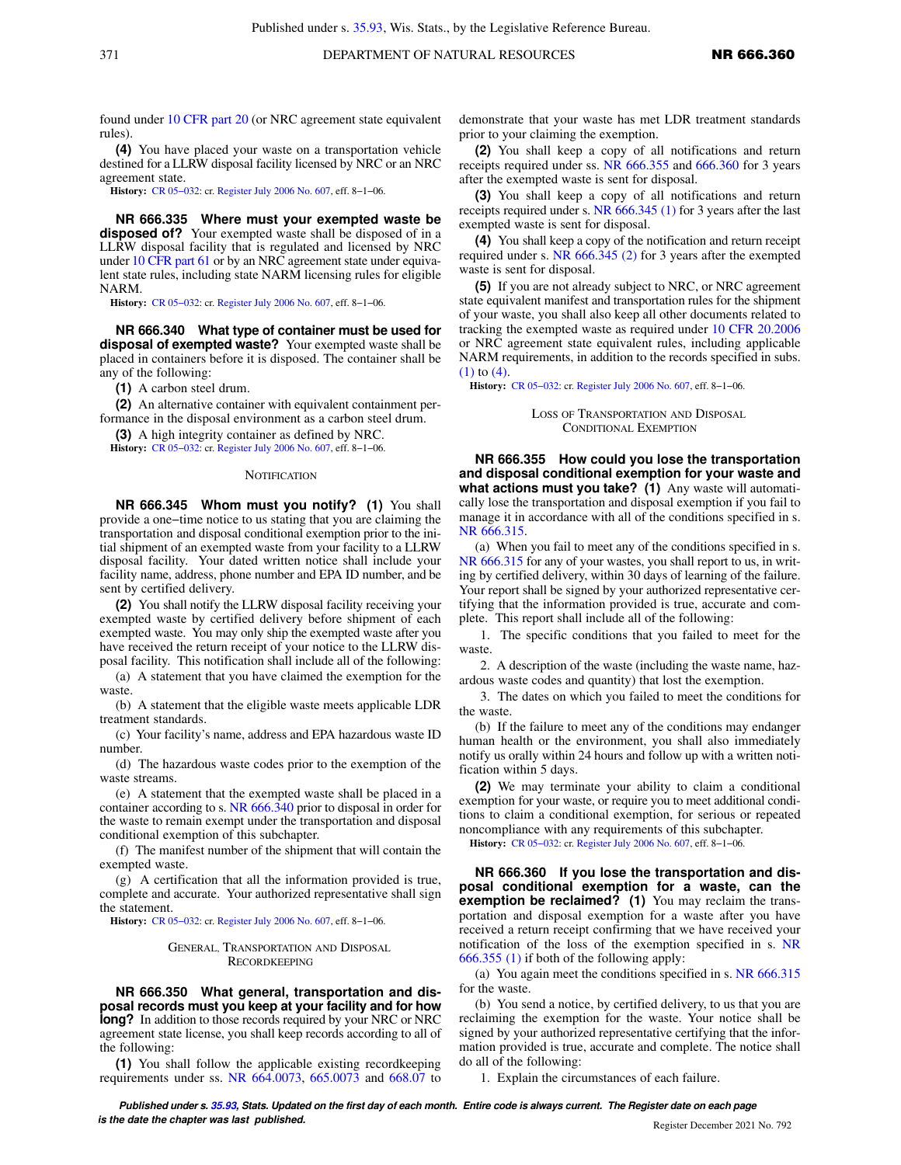found under [10 CFR part 20](https://docs.legis.wisconsin.gov/document/cfr/10%20CFR%2020) (or NRC agreement state equivalent rules).

**(4)** You have placed your waste on a transportation vehicle destined for a LLRW disposal facility licensed by NRC or an NRC agreement state.

**History:** [CR 05−032](https://docs.legis.wisconsin.gov/document/cr/2005/32): cr. [Register July 2006 No. 607,](https://docs.legis.wisconsin.gov/document/register/607/B/toc) eff. 8−1−06.

**NR 666.335 Where must your exempted waste be disposed of?** Your exempted waste shall be disposed of in a LLRW disposal facility that is regulated and licensed by NRC under [10 CFR part 61](https://docs.legis.wisconsin.gov/document/cfr/10%20CFR%2061) or by an NRC agreement state under equivalent state rules, including state NARM licensing rules for eligible NARM.

**History:** [CR 05−032](https://docs.legis.wisconsin.gov/document/cr/2005/32): cr. [Register July 2006 No. 607,](https://docs.legis.wisconsin.gov/document/register/607/B/toc) eff. 8−1−06.

**NR 666.340 What type of container must be used for disposal of exempted waste?** Your exempted waste shall be placed in containers before it is disposed. The container shall be any of the following:

**(1)** A carbon steel drum.

**(2)** An alternative container with equivalent containment performance in the disposal environment as a carbon steel drum.

**(3)** A high integrity container as defined by NRC.

**History:** [CR 05−032](https://docs.legis.wisconsin.gov/document/cr/2005/32): cr. [Register July 2006 No. 607,](https://docs.legis.wisconsin.gov/document/register/607/B/toc) eff. 8−1−06.

#### **NOTIFICATION**

**NR 666.345 Whom must you notify? (1)** You shall provide a one−time notice to us stating that you are claiming the transportation and disposal conditional exemption prior to the initial shipment of an exempted waste from your facility to a LLRW disposal facility. Your dated written notice shall include your facility name, address, phone number and EPA ID number, and be sent by certified delivery.

**(2)** You shall notify the LLRW disposal facility receiving your exempted waste by certified delivery before shipment of each exempted waste. You may only ship the exempted waste after you have received the return receipt of your notice to the LLRW disposal facility. This notification shall include all of the following:

(a) A statement that you have claimed the exemption for the waste.

(b) A statement that the eligible waste meets applicable LDR treatment standards.

(c) Your facility's name, address and EPA hazardous waste ID number.

(d) The hazardous waste codes prior to the exemption of the waste streams.

(e) A statement that the exempted waste shall be placed in a container according to s. [NR 666.340](https://docs.legis.wisconsin.gov/document/administrativecode/NR%20666.340) prior to disposal in order for the waste to remain exempt under the transportation and disposal conditional exemption of this subchapter.

(f) The manifest number of the shipment that will contain the exempted waste.

(g) A certification that all the information provided is true, complete and accurate. Your authorized representative shall sign the statement.

**History:** [CR 05−032](https://docs.legis.wisconsin.gov/document/cr/2005/32): cr. [Register July 2006 No. 607,](https://docs.legis.wisconsin.gov/document/register/607/B/toc) eff. 8−1−06.

#### GENERAL, TRANSPORTATION AND DISPOSAL RECORDKEEPING

**NR 666.350 What general, transportation and disposal records must you keep at your facility and for how long?** In addition to those records required by your NRC or NRC agreement state license, you shall keep records according to all of the following:

**(1)** You shall follow the applicable existing recordkeeping requirements under ss. [NR 664.0073](https://docs.legis.wisconsin.gov/document/administrativecode/NR%20664.0073), [665.0073](https://docs.legis.wisconsin.gov/document/administrativecode/NR%20665.0073) and [668.07](https://docs.legis.wisconsin.gov/document/administrativecode/NR%20668.07) to demonstrate that your waste has met LDR treatment standards prior to your claiming the exemption.

**(2)** You shall keep a copy of all notifications and return receipts required under ss. [NR 666.355](https://docs.legis.wisconsin.gov/document/administrativecode/NR%20666.355) and [666.360](https://docs.legis.wisconsin.gov/document/administrativecode/NR%20666.360) for 3 years after the exempted waste is sent for disposal.

**(3)** You shall keep a copy of all notifications and return receipts required under s. [NR 666.345 \(1\)](https://docs.legis.wisconsin.gov/document/administrativecode/NR%20666.345(1)) for 3 years after the last exempted waste is sent for disposal.

**(4)** You shall keep a copy of the notification and return receipt required under s. [NR 666.345 \(2\)](https://docs.legis.wisconsin.gov/document/administrativecode/NR%20666.345(2)) for 3 years after the exempted waste is sent for disposal.

**(5)** If you are not already subject to NRC, or NRC agreement state equivalent manifest and transportation rules for the shipment of your waste, you shall also keep all other documents related to tracking the exempted waste as required under [10 CFR 20.2006](https://docs.legis.wisconsin.gov/document/cfr/10%20CFR%2020.2006) or NRC agreement state equivalent rules, including applicable NARM requirements, in addition to the records specified in subs. [\(1\)](https://docs.legis.wisconsin.gov/document/administrativecode/NR%20666.350(1)) to [\(4\).](https://docs.legis.wisconsin.gov/document/administrativecode/NR%20666.350(4))

**History:** [CR 05−032:](https://docs.legis.wisconsin.gov/document/cr/2005/32) cr. [Register July 2006 No. 607](https://docs.legis.wisconsin.gov/document/register/607/B/toc), eff. 8−1−06.

LOSS OF TRANSPORTATION AND DISPOSAL CONDITIONAL EXEMPTION

**NR 666.355 How could you lose the transportation and disposal conditional exemption for your waste and what actions must you take? (1)** Any waste will automatically lose the transportation and disposal exemption if you fail to manage it in accordance with all of the conditions specified in s. [NR 666.315](https://docs.legis.wisconsin.gov/document/administrativecode/NR%20666.315).

(a) When you fail to meet any of the conditions specified in s. [NR 666.315](https://docs.legis.wisconsin.gov/document/administrativecode/NR%20666.315) for any of your wastes, you shall report to us, in writing by certified delivery, within 30 days of learning of the failure. Your report shall be signed by your authorized representative certifying that the information provided is true, accurate and complete. This report shall include all of the following:

1. The specific conditions that you failed to meet for the waste.

2. A description of the waste (including the waste name, hazardous waste codes and quantity) that lost the exemption.

3. The dates on which you failed to meet the conditions for the waste.

(b) If the failure to meet any of the conditions may endanger human health or the environment, you shall also immediately notify us orally within 24 hours and follow up with a written notification within 5 days.

**(2)** We may terminate your ability to claim a conditional exemption for your waste, or require you to meet additional conditions to claim a conditional exemption, for serious or repeated noncompliance with any requirements of this subchapter.

**History:** [CR 05−032:](https://docs.legis.wisconsin.gov/document/cr/2005/32) cr. [Register July 2006 No. 607](https://docs.legis.wisconsin.gov/document/register/607/B/toc), eff. 8−1−06.

**NR 666.360 If you lose the transportation and disposal conditional exemption for a waste, can the exemption be reclaimed?** (1) You may reclaim the transportation and disposal exemption for a waste after you have received a return receipt confirming that we have received your notification of the loss of the exemption specified in s. [NR](https://docs.legis.wisconsin.gov/document/administrativecode/NR%20666.355(1)) [666.355 \(1\)](https://docs.legis.wisconsin.gov/document/administrativecode/NR%20666.355(1)) if both of the following apply:

(a) You again meet the conditions specified in s. [NR 666.315](https://docs.legis.wisconsin.gov/document/administrativecode/NR%20666.315) for the waste.

(b) You send a notice, by certified delivery, to us that you are reclaiming the exemption for the waste. Your notice shall be signed by your authorized representative certifying that the information provided is true, accurate and complete. The notice shall do all of the following:

1. Explain the circumstances of each failure.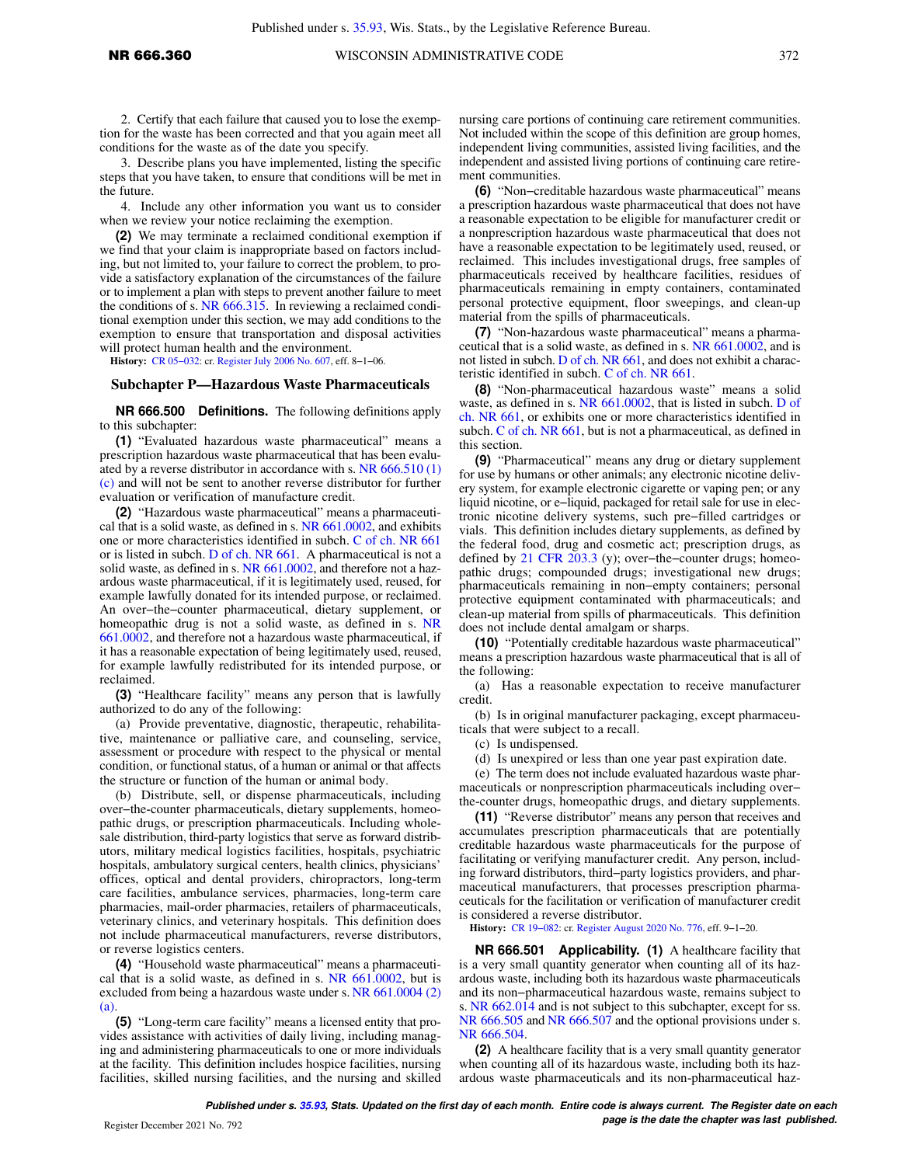2. Certify that each failure that caused you to lose the exemption for the waste has been corrected and that you again meet all conditions for the waste as of the date you specify.

3. Describe plans you have implemented, listing the specific steps that you have taken, to ensure that conditions will be met in the future.

4. Include any other information you want us to consider when we review your notice reclaiming the exemption.

**(2)** We may terminate a reclaimed conditional exemption if we find that your claim is inappropriate based on factors including, but not limited to, your failure to correct the problem, to provide a satisfactory explanation of the circumstances of the failure or to implement a plan with steps to prevent another failure to meet the conditions of s. [NR 666.315.](https://docs.legis.wisconsin.gov/document/administrativecode/NR%20666.315) In reviewing a reclaimed conditional exemption under this section, we may add conditions to the exemption to ensure that transportation and disposal activities will protect human health and the environment.

**History:** [CR 05−032](https://docs.legis.wisconsin.gov/document/cr/2005/32): cr. [Register July 2006 No. 607,](https://docs.legis.wisconsin.gov/document/register/607/B/toc) eff. 8−1−06.

#### **Subchapter P—Hazardous Waste Pharmaceuticals**

**NR 666.500 Definitions.** The following definitions apply to this subchapter:

**(1)** "Evaluated hazardous waste pharmaceutical" means a prescription hazardous waste pharmaceutical that has been evaluated by a reverse distributor in accordance with s. [NR 666.510 \(1\)](https://docs.legis.wisconsin.gov/document/administrativecode/NR%20666.510(1)(c)) [\(c\)](https://docs.legis.wisconsin.gov/document/administrativecode/NR%20666.510(1)(c)) and will not be sent to another reverse distributor for further evaluation or verification of manufacture credit.

**(2)** "Hazardous waste pharmaceutical" means a pharmaceutical that is a solid waste, as defined in s. [NR 661.0002,](https://docs.legis.wisconsin.gov/document/administrativecode/NR%20661.0002) and exhibits one or more characteristics identified in subch. [C of ch. NR 661](https://docs.legis.wisconsin.gov/document/administrativecode/subch.%20C%20of%20ch.%20NR%20661) or is listed in subch. [D of ch. NR 661](https://docs.legis.wisconsin.gov/document/administrativecode/subch.%20D%20of%20ch.%20NR%20661). A pharmaceutical is not a solid waste, as defined in s. [NR 661.0002,](https://docs.legis.wisconsin.gov/document/administrativecode/NR%20661.0002) and therefore not a hazardous waste pharmaceutical, if it is legitimately used, reused, for example lawfully donated for its intended purpose, or reclaimed. An over−the−counter pharmaceutical, dietary supplement, or homeopathic drug is not a solid waste, as defined in s. [NR](https://docs.legis.wisconsin.gov/document/administrativecode/NR%20661.0002) [661.0002,](https://docs.legis.wisconsin.gov/document/administrativecode/NR%20661.0002) and therefore not a hazardous waste pharmaceutical, if it has a reasonable expectation of being legitimately used, reused, for example lawfully redistributed for its intended purpose, or reclaimed.

**(3)** "Healthcare facility" means any person that is lawfully authorized to do any of the following:

(a) Provide preventative, diagnostic, therapeutic, rehabilitative, maintenance or palliative care, and counseling, service, assessment or procedure with respect to the physical or mental condition, or functional status, of a human or animal or that affects the structure or function of the human or animal body.

(b) Distribute, sell, or dispense pharmaceuticals, including over−the-counter pharmaceuticals, dietary supplements, homeopathic drugs, or prescription pharmaceuticals. Including wholesale distribution, third-party logistics that serve as forward distributors, military medical logistics facilities, hospitals, psychiatric hospitals, ambulatory surgical centers, health clinics, physicians' offices, optical and dental providers, chiropractors, long-term care facilities, ambulance services, pharmacies, long-term care pharmacies, mail-order pharmacies, retailers of pharmaceuticals, veterinary clinics, and veterinary hospitals. This definition does not include pharmaceutical manufacturers, reverse distributors, or reverse logistics centers.

**(4)** "Household waste pharmaceutical" means a pharmaceutical that is a solid waste, as defined in s. [NR 661.0002](https://docs.legis.wisconsin.gov/document/administrativecode/NR%20661.0002), but is excluded from being a hazardous waste under s. [NR 661.0004 \(2\)](https://docs.legis.wisconsin.gov/document/administrativecode/NR%20661.0004(2)(a)) [\(a\)](https://docs.legis.wisconsin.gov/document/administrativecode/NR%20661.0004(2)(a)).

**(5)** "Long-term care facility" means a licensed entity that provides assistance with activities of daily living, including managing and administering pharmaceuticals to one or more individuals at the facility. This definition includes hospice facilities, nursing facilities, skilled nursing facilities, and the nursing and skilled

nursing care portions of continuing care retirement communities. Not included within the scope of this definition are group homes, independent living communities, assisted living facilities, and the independent and assisted living portions of continuing care retirement communities.

**(6)** "Non−creditable hazardous waste pharmaceutical" means a prescription hazardous waste pharmaceutical that does not have a reasonable expectation to be eligible for manufacturer credit or a nonprescription hazardous waste pharmaceutical that does not have a reasonable expectation to be legitimately used, reused, or reclaimed. This includes investigational drugs, free samples of pharmaceuticals received by healthcare facilities, residues of pharmaceuticals remaining in empty containers, contaminated personal protective equipment, floor sweepings, and clean-up material from the spills of pharmaceuticals.

**(7)** "Non-hazardous waste pharmaceutical" means a pharmaceutical that is a solid waste, as defined in s. [NR 661.0002](https://docs.legis.wisconsin.gov/document/administrativecode/NR%20661.0002), and is not listed in subch. [D of ch. NR 661](https://docs.legis.wisconsin.gov/document/administrativecode/subch.%20D%20of%20ch.%20NR%20661), and does not exhibit a characteristic identified in subch. [C of ch. NR 661](https://docs.legis.wisconsin.gov/document/administrativecode/subch.%20C%20of%20ch.%20NR%20661).

**(8)** "Non-pharmaceutical hazardous waste" means a solid waste, as defined in s. [NR 661.0002,](https://docs.legis.wisconsin.gov/document/administrativecode/NR%20661.0002) that is listed in subch. [D of](https://docs.legis.wisconsin.gov/document/administrativecode/subch.%20D%20of%20ch.%20NR%20661) [ch. NR 661,](https://docs.legis.wisconsin.gov/document/administrativecode/subch.%20D%20of%20ch.%20NR%20661) or exhibits one or more characteristics identified in subch. [C of ch. NR 661](https://docs.legis.wisconsin.gov/document/administrativecode/subch.%20C%20of%20ch.%20NR%20661), but is not a pharmaceutical, as defined in this section.

**(9)** "Pharmaceutical" means any drug or dietary supplement for use by humans or other animals; any electronic nicotine delivery system, for example electronic cigarette or vaping pen; or any liquid nicotine, or e−liquid, packaged for retail sale for use in electronic nicotine delivery systems, such pre−filled cartridges or vials. This definition includes dietary supplements, as defined by the federal food, drug and cosmetic act; prescription drugs, as defined by [21 CFR 203.3](https://docs.legis.wisconsin.gov/document/cfr/21%20CFR%20203.3) (y); over−the−counter drugs; homeopathic drugs; compounded drugs; investigational new drugs; pharmaceuticals remaining in non−empty containers; personal protective equipment contaminated with pharmaceuticals; and clean-up material from spills of pharmaceuticals. This definition does not include dental amalgam or sharps.

**(10)** "Potentially creditable hazardous waste pharmaceutical" means a prescription hazardous waste pharmaceutical that is all of the following:

(a) Has a reasonable expectation to receive manufacturer credit.

(b) Is in original manufacturer packaging, except pharmaceuticals that were subject to a recall.

(c) Is undispensed.

(d) Is unexpired or less than one year past expiration date.

(e) The term does not include evaluated hazardous waste pharmaceuticals or nonprescription pharmaceuticals including over− the-counter drugs, homeopathic drugs, and dietary supplements.

**(11)** "Reverse distributor" means any person that receives and accumulates prescription pharmaceuticals that are potentially creditable hazardous waste pharmaceuticals for the purpose of facilitating or verifying manufacturer credit. Any person, including forward distributors, third−party logistics providers, and pharmaceutical manufacturers, that processes prescription pharmaceuticals for the facilitation or verification of manufacturer credit is considered a reverse distributor.

**History:** [CR 19−082:](https://docs.legis.wisconsin.gov/document/cr/2019/82) cr. [Register August 2020 No. 776,](https://docs.legis.wisconsin.gov/document/register/776/B/toc) eff. 9−1−20.

**NR 666.501 Applicability. (1)** A healthcare facility that is a very small quantity generator when counting all of its hazardous waste, including both its hazardous waste pharmaceuticals and its non−pharmaceutical hazardous waste, remains subject to s. [NR 662.014](https://docs.legis.wisconsin.gov/document/administrativecode/NR%20662.014) and is not subject to this subchapter, except for ss. [NR 666.505](https://docs.legis.wisconsin.gov/document/administrativecode/NR%20666.505) and [NR 666.507](https://docs.legis.wisconsin.gov/document/administrativecode/NR%20666.507) and the optional provisions under s. [NR 666.504](https://docs.legis.wisconsin.gov/document/administrativecode/NR%20666.504).

**(2)** A healthcare facility that is a very small quantity generator when counting all of its hazardous waste, including both its hazardous waste pharmaceuticals and its non-pharmaceutical haz-

**Published under s. [35.93,](https://docs.legis.wisconsin.gov/document/statutes/35.93) Stats. Updated on the first day of each month. Entire code is always current. The Register date on each Page is the date the chapter was last published. page is the date the chapter was last published.**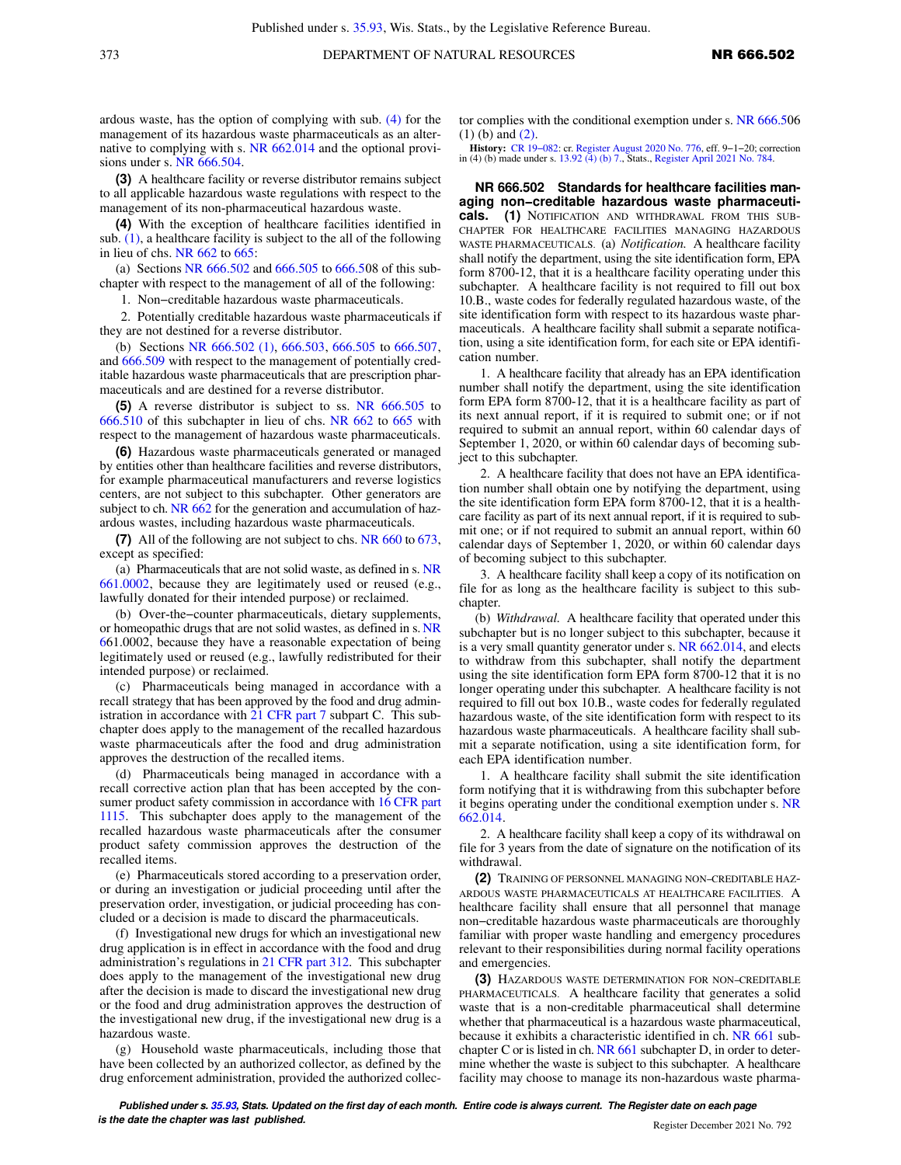ardous waste, has the option of complying with sub. [\(4\)](https://docs.legis.wisconsin.gov/document/administrativecode/NR%20666.501(4)) for the management of its hazardous waste pharmaceuticals as an alternative to complying with s. [NR 662.014](https://docs.legis.wisconsin.gov/document/administrativecode/NR%20662.014) and the optional provisions under s. [NR 666.504.](https://docs.legis.wisconsin.gov/document/administrativecode/NR%20666.504)

**(3)** A healthcare facility or reverse distributor remains subject to all applicable hazardous waste regulations with respect to the management of its non-pharmaceutical hazardous waste.

**(4)** With the exception of healthcare facilities identified in sub. [\(1\)](https://docs.legis.wisconsin.gov/document/administrativecode/NR%20666.501(1)), a healthcare facility is subject to the all of the following in lieu of chs. [NR 662](https://docs.legis.wisconsin.gov/document/administrativecode/ch.%20NR%20662) to [665:](https://docs.legis.wisconsin.gov/document/administrativecode/ch.%20NR%20665)

(a) Sections [NR 666.502](https://docs.legis.wisconsin.gov/document/administrativecode/NR%20666.502) and [666.505](https://docs.legis.wisconsin.gov/document/administrativecode/NR%20666.505) to [666.5](https://docs.legis.wisconsin.gov/document/administrativecode/NR%20666.508)08 of this subchapter with respect to the management of all of the following:

1. Non−creditable hazardous waste pharmaceuticals.

2. Potentially creditable hazardous waste pharmaceuticals if they are not destined for a reverse distributor.

(b) Sections [NR 666.502 \(1\)](https://docs.legis.wisconsin.gov/document/administrativecode/NR%20666.502(1)), [666.503,](https://docs.legis.wisconsin.gov/document/administrativecode/NR%20666.503) [666.505](https://docs.legis.wisconsin.gov/document/administrativecode/NR%20666.505) to [666.507,](https://docs.legis.wisconsin.gov/document/administrativecode/NR%20666.507) and [666.509](https://docs.legis.wisconsin.gov/document/administrativecode/NR%20666.509) with respect to the management of potentially creditable hazardous waste pharmaceuticals that are prescription pharmaceuticals and are destined for a reverse distributor.

**(5)** A reverse distributor is subject to ss. [NR 666.505](https://docs.legis.wisconsin.gov/document/administrativecode/NR%20666.505) to [666.510](https://docs.legis.wisconsin.gov/document/administrativecode/NR%20666.510) of this subchapter in lieu of chs. [NR 662](https://docs.legis.wisconsin.gov/document/administrativecode/ch.%20NR%20662) to [665](https://docs.legis.wisconsin.gov/document/administrativecode/ch.%20NR%20665) with respect to the management of hazardous waste pharmaceuticals.

**(6)** Hazardous waste pharmaceuticals generated or managed by entities other than healthcare facilities and reverse distributors, for example pharmaceutical manufacturers and reverse logistics centers, are not subject to this subchapter. Other generators are subject to ch. [NR 662](https://docs.legis.wisconsin.gov/document/administrativecode/ch.%20NR%20662) for the generation and accumulation of hazardous wastes, including hazardous waste pharmaceuticals.

**(7)** All of the following are not subject to chs. [NR 660](https://docs.legis.wisconsin.gov/document/administrativecode/ch.%20NR%20660) to [673,](https://docs.legis.wisconsin.gov/document/administrativecode/ch.%20NR%20673) except as specified:

(a) Pharmaceuticals that are not solid waste, as defined in s. [NR](https://docs.legis.wisconsin.gov/document/administrativecode/NR%20661.0002) [661.0002,](https://docs.legis.wisconsin.gov/document/administrativecode/NR%20661.0002) because they are legitimately used or reused (e.g., lawfully donated for their intended purpose) or reclaimed.

(b) Over-the−counter pharmaceuticals, dietary supplements, or homeopathic drugs that are not solid wastes, as defined in s. [NR](https://docs.legis.wisconsin.gov/document/administrativecode/NR%20661.0002) [661.0002,](https://docs.legis.wisconsin.gov/document/administrativecode/NR%20661.0002) because they have a reasonable expectation of being legitimately used or reused (e.g., lawfully redistributed for their intended purpose) or reclaimed.

(c) Pharmaceuticals being managed in accordance with a recall strategy that has been approved by the food and drug administration in accordance with [21 CFR part 7](https://docs.legis.wisconsin.gov/document/cfr/21%20CFR%207) subpart C. This subchapter does apply to the management of the recalled hazardous waste pharmaceuticals after the food and drug administration approves the destruction of the recalled items.

(d) Pharmaceuticals being managed in accordance with a recall corrective action plan that has been accepted by the con-sumer product safety commission in accordance with [16 CFR part](https://docs.legis.wisconsin.gov/document/cfr/16%20CFR%201115) [1115](https://docs.legis.wisconsin.gov/document/cfr/16%20CFR%201115). This subchapter does apply to the management of the recalled hazardous waste pharmaceuticals after the consumer product safety commission approves the destruction of the recalled items.

(e) Pharmaceuticals stored according to a preservation order, or during an investigation or judicial proceeding until after the preservation order, investigation, or judicial proceeding has concluded or a decision is made to discard the pharmaceuticals.

(f) Investigational new drugs for which an investigational new drug application is in effect in accordance with the food and drug administration's regulations in [21 CFR part 312](https://docs.legis.wisconsin.gov/document/cfr/21%20CFR%20312). This subchapter does apply to the management of the investigational new drug after the decision is made to discard the investigational new drug or the food and drug administration approves the destruction of the investigational new drug, if the investigational new drug is a hazardous waste.

(g) Household waste pharmaceuticals, including those that have been collected by an authorized collector, as defined by the drug enforcement administration, provided the authorized collector complies with the conditional exemption under s. [NR 666.5](https://docs.legis.wisconsin.gov/document/administrativecode/NR%20666.506(1)(b))06 [\(1\) \(b\)](https://docs.legis.wisconsin.gov/document/administrativecode/NR%20666.506(1)(b)) and [\(2\)](https://docs.legis.wisconsin.gov/document/administrativecode/NR%20666.506(2)).

**History:** [CR 19−082:](https://docs.legis.wisconsin.gov/document/cr/2019/82) cr. [Register August 2020 No. 776,](https://docs.legis.wisconsin.gov/document/register/776/B/toc) eff. 9−1−20; correction in (4) (b) made under s. [13.92 \(4\) \(b\) 7.,](https://docs.legis.wisconsin.gov/document/statutes/13.92(4)(b)7.) Stats., [Register April 2021 No. 784](https://docs.legis.wisconsin.gov/document/register/784/B/toc).

**NR 666.502 Standards for healthcare facilities managing non−creditable hazardous waste pharmaceuticals. (1)** NOTIFICATION AND WITHDRAWAL FROM THIS SUB-CHAPTER FOR HEALTHCARE FACILITIES MANAGING HAZARDOUS WASTE PHARMACEUTICALS. (a) *Notification.* A healthcare facility shall notify the department, using the site identification form, EPA form 8700-12, that it is a healthcare facility operating under this subchapter. A healthcare facility is not required to fill out box 10.B., waste codes for federally regulated hazardous waste, of the site identification form with respect to its hazardous waste pharmaceuticals. A healthcare facility shall submit a separate notification, using a site identification form, for each site or EPA identification number.

1. A healthcare facility that already has an EPA identification number shall notify the department, using the site identification form EPA form 8700-12, that it is a healthcare facility as part of its next annual report, if it is required to submit one; or if not required to submit an annual report, within 60 calendar days of September 1, 2020, or within 60 calendar days of becoming subject to this subchapter.

2. A healthcare facility that does not have an EPA identification number shall obtain one by notifying the department, using the site identification form EPA form 8700-12, that it is a healthcare facility as part of its next annual report, if it is required to submit one; or if not required to submit an annual report, within 60 calendar days of September 1, 2020, or within 60 calendar days of becoming subject to this subchapter.

3. A healthcare facility shall keep a copy of its notification on file for as long as the healthcare facility is subject to this subchapter.

(b) *Withdrawal.* A healthcare facility that operated under this subchapter but is no longer subject to this subchapter, because it is a very small quantity generator under s. [NR 662.014,](https://docs.legis.wisconsin.gov/document/administrativecode/NR%20662.014) and elects to withdraw from this subchapter, shall notify the department using the site identification form EPA form 8700-12 that it is no longer operating under this subchapter. A healthcare facility is not required to fill out box 10.B., waste codes for federally regulated hazardous waste, of the site identification form with respect to its hazardous waste pharmaceuticals. A healthcare facility shall submit a separate notification, using a site identification form, for each EPA identification number.

1. A healthcare facility shall submit the site identification form notifying that it is withdrawing from this subchapter before it begins operating under the conditional exemption under s. [NR](https://docs.legis.wisconsin.gov/document/administrativecode/NR%20662.014) [662.014.](https://docs.legis.wisconsin.gov/document/administrativecode/NR%20662.014)

2. A healthcare facility shall keep a copy of its withdrawal on file for 3 years from the date of signature on the notification of its withdrawal.

**(2)** TRAINING OF PERSONNEL MANAGING NON−CREDITABLE HAZ-ARDOUS WASTE PHARMACEUTICALS AT HEALTHCARE FACILITIES. A healthcare facility shall ensure that all personnel that manage non−creditable hazardous waste pharmaceuticals are thoroughly familiar with proper waste handling and emergency procedures relevant to their responsibilities during normal facility operations and emergencies.

**(3)** HAZARDOUS WASTE DETERMINATION FOR NON−CREDITABLE PHARMACEUTICALS. A healthcare facility that generates a solid waste that is a non-creditable pharmaceutical shall determine whether that pharmaceutical is a hazardous waste pharmaceutical, because it exhibits a characteristic identified in ch. [NR 661](https://docs.legis.wisconsin.gov/document/administrativecode/ch.%20NR%20661) subchapter C or is listed in ch. [NR 661](https://docs.legis.wisconsin.gov/document/administrativecode/ch.%20NR%20661) subchapter D, in order to determine whether the waste is subject to this subchapter. A healthcare facility may choose to manage its non-hazardous waste pharma-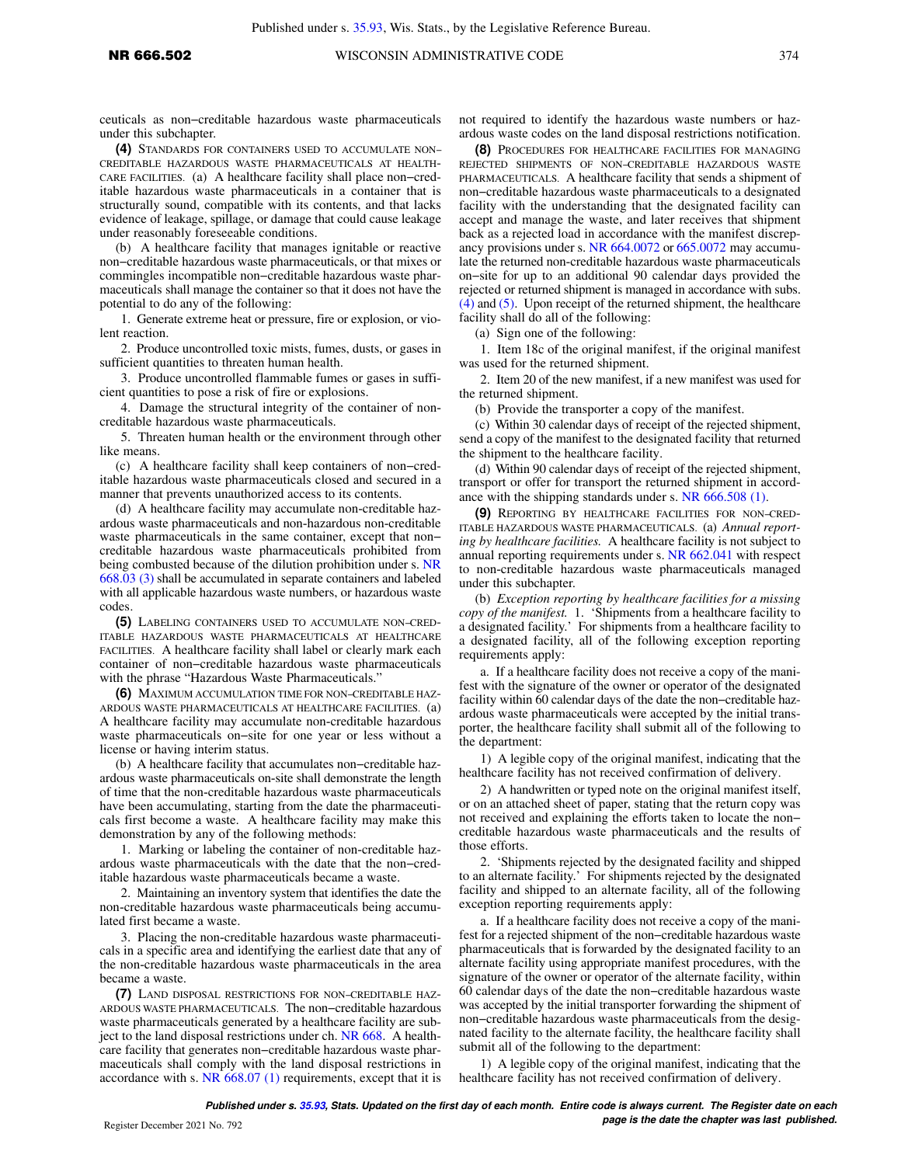ceuticals as non−creditable hazardous waste pharmaceuticals under this subchapter.

**(4)** STANDARDS FOR CONTAINERS USED TO ACCUMULATE NON− CREDITABLE HAZARDOUS WASTE PHARMACEUTICALS AT HEALTH-CARE FACILITIES. (a) A healthcare facility shall place non−creditable hazardous waste pharmaceuticals in a container that is structurally sound, compatible with its contents, and that lacks evidence of leakage, spillage, or damage that could cause leakage under reasonably foreseeable conditions.

(b) A healthcare facility that manages ignitable or reactive non−creditable hazardous waste pharmaceuticals, or that mixes or commingles incompatible non−creditable hazardous waste pharmaceuticals shall manage the container so that it does not have the potential to do any of the following:

1. Generate extreme heat or pressure, fire or explosion, or violent reaction.

2. Produce uncontrolled toxic mists, fumes, dusts, or gases in sufficient quantities to threaten human health.

3. Produce uncontrolled flammable fumes or gases in sufficient quantities to pose a risk of fire or explosions.

4. Damage the structural integrity of the container of noncreditable hazardous waste pharmaceuticals.

5. Threaten human health or the environment through other like means.

(c) A healthcare facility shall keep containers of non−creditable hazardous waste pharmaceuticals closed and secured in a manner that prevents unauthorized access to its contents.

(d) A healthcare facility may accumulate non-creditable hazardous waste pharmaceuticals and non-hazardous non-creditable waste pharmaceuticals in the same container, except that non− creditable hazardous waste pharmaceuticals prohibited from being combusted because of the dilution prohibition under s. [NR](https://docs.legis.wisconsin.gov/document/administrativecode/NR%20668.03(3)) [668.03 \(3\)](https://docs.legis.wisconsin.gov/document/administrativecode/NR%20668.03(3)) shall be accumulated in separate containers and labeled with all applicable hazardous waste numbers, or hazardous waste codes.

**(5)** LABELING CONTAINERS USED TO ACCUMULATE NON−CRED-ITABLE HAZARDOUS WASTE PHARMACEUTICALS AT HEALTHCARE FACILITIES. A healthcare facility shall label or clearly mark each container of non−creditable hazardous waste pharmaceuticals with the phrase "Hazardous Waste Pharmaceuticals."

**(6)** MAXIMUM ACCUMULATION TIME FOR NON−CREDITABLE HAZ-ARDOUS WASTE PHARMACEUTICALS AT HEALTHCARE FACILITIES. (a) A healthcare facility may accumulate non-creditable hazardous waste pharmaceuticals on−site for one year or less without a license or having interim status.

(b) A healthcare facility that accumulates non−creditable hazardous waste pharmaceuticals on-site shall demonstrate the length of time that the non-creditable hazardous waste pharmaceuticals have been accumulating, starting from the date the pharmaceuticals first become a waste. A healthcare facility may make this demonstration by any of the following methods:

1. Marking or labeling the container of non-creditable hazardous waste pharmaceuticals with the date that the non−creditable hazardous waste pharmaceuticals became a waste.

2. Maintaining an inventory system that identifies the date the non-creditable hazardous waste pharmaceuticals being accumulated first became a waste.

3. Placing the non-creditable hazardous waste pharmaceuticals in a specific area and identifying the earliest date that any of the non-creditable hazardous waste pharmaceuticals in the area became a waste.

**(7)** LAND DISPOSAL RESTRICTIONS FOR NON−CREDITABLE HAZ-ARDOUS WASTE PHARMACEUTICALS. The non−creditable hazardous waste pharmaceuticals generated by a healthcare facility are subject to the land disposal restrictions under ch. [NR 668.](https://docs.legis.wisconsin.gov/document/administrativecode/ch.%20NR%20668) A healthcare facility that generates non−creditable hazardous waste pharmaceuticals shall comply with the land disposal restrictions in accordance with s. NR  $668.07$  (1) requirements, except that it is not required to identify the hazardous waste numbers or hazardous waste codes on the land disposal restrictions notification.

**(8)** PROCEDURES FOR HEALTHCARE FACILITIES FOR MANAGING REJECTED SHIPMENTS OF NON−CREDITABLE HAZARDOUS WASTE PHARMACEUTICALS. A healthcare facility that sends a shipment of non−creditable hazardous waste pharmaceuticals to a designated facility with the understanding that the designated facility can accept and manage the waste, and later receives that shipment back as a rejected load in accordance with the manifest discrepancy provisions under s. [NR 664.0072](https://docs.legis.wisconsin.gov/document/administrativecode/NR%20664.0072) or [665.0072](https://docs.legis.wisconsin.gov/document/administrativecode/NR%20665.0072) may accumulate the returned non-creditable hazardous waste pharmaceuticals on−site for up to an additional 90 calendar days provided the rejected or returned shipment is managed in accordance with subs. [\(4\)](https://docs.legis.wisconsin.gov/document/administrativecode/NR%20666.502(4)) and [\(5\).](https://docs.legis.wisconsin.gov/document/administrativecode/NR%20666.502(5)) Upon receipt of the returned shipment, the healthcare facility shall do all of the following:

(a) Sign one of the following:

1. Item 18c of the original manifest, if the original manifest was used for the returned shipment.

2. Item 20 of the new manifest, if a new manifest was used for the returned shipment.

(b) Provide the transporter a copy of the manifest.

(c) Within 30 calendar days of receipt of the rejected shipment, send a copy of the manifest to the designated facility that returned the shipment to the healthcare facility.

(d) Within 90 calendar days of receipt of the rejected shipment, transport or offer for transport the returned shipment in accordance with the shipping standards under s. [NR 666.508 \(1\)](https://docs.legis.wisconsin.gov/document/administrativecode/NR%20666.508(1)).

**(9)** REPORTING BY HEALTHCARE FACILITIES FOR NON−CRED-ITABLE HAZARDOUS WASTE PHARMACEUTICALS. (a) *Annual reporting by healthcare facilities.* A healthcare facility is not subject to annual reporting requirements under s. [NR 662.041](https://docs.legis.wisconsin.gov/document/administrativecode/NR%20662.041) with respect to non-creditable hazardous waste pharmaceuticals managed under this subchapter.

(b) *Exception reporting by healthcare facilities for a missing copy of the manifest.* 1. 'Shipments from a healthcare facility to a designated facility.' For shipments from a healthcare facility to a designated facility, all of the following exception reporting requirements apply:

a. If a healthcare facility does not receive a copy of the manifest with the signature of the owner or operator of the designated facility within 60 calendar days of the date the non−creditable hazardous waste pharmaceuticals were accepted by the initial transporter, the healthcare facility shall submit all of the following to the department:

1) A legible copy of the original manifest, indicating that the healthcare facility has not received confirmation of delivery.

2) A handwritten or typed note on the original manifest itself, or on an attached sheet of paper, stating that the return copy was not received and explaining the efforts taken to locate the non− creditable hazardous waste pharmaceuticals and the results of those efforts.

2. 'Shipments rejected by the designated facility and shipped to an alternate facility.' For shipments rejected by the designated facility and shipped to an alternate facility, all of the following exception reporting requirements apply:

a. If a healthcare facility does not receive a copy of the manifest for a rejected shipment of the non−creditable hazardous waste pharmaceuticals that is forwarded by the designated facility to an alternate facility using appropriate manifest procedures, with the signature of the owner or operator of the alternate facility, within 60 calendar days of the date the non−creditable hazardous waste was accepted by the initial transporter forwarding the shipment of non−creditable hazardous waste pharmaceuticals from the designated facility to the alternate facility, the healthcare facility shall submit all of the following to the department:

1) A legible copy of the original manifest, indicating that the healthcare facility has not received confirmation of delivery.

**Published under s. [35.93,](https://docs.legis.wisconsin.gov/document/statutes/35.93) Stats. Updated on the first day of each month. Entire code is always current. The Register date on each Page is the date the chapter was last published. page is the date the chapter was last published.**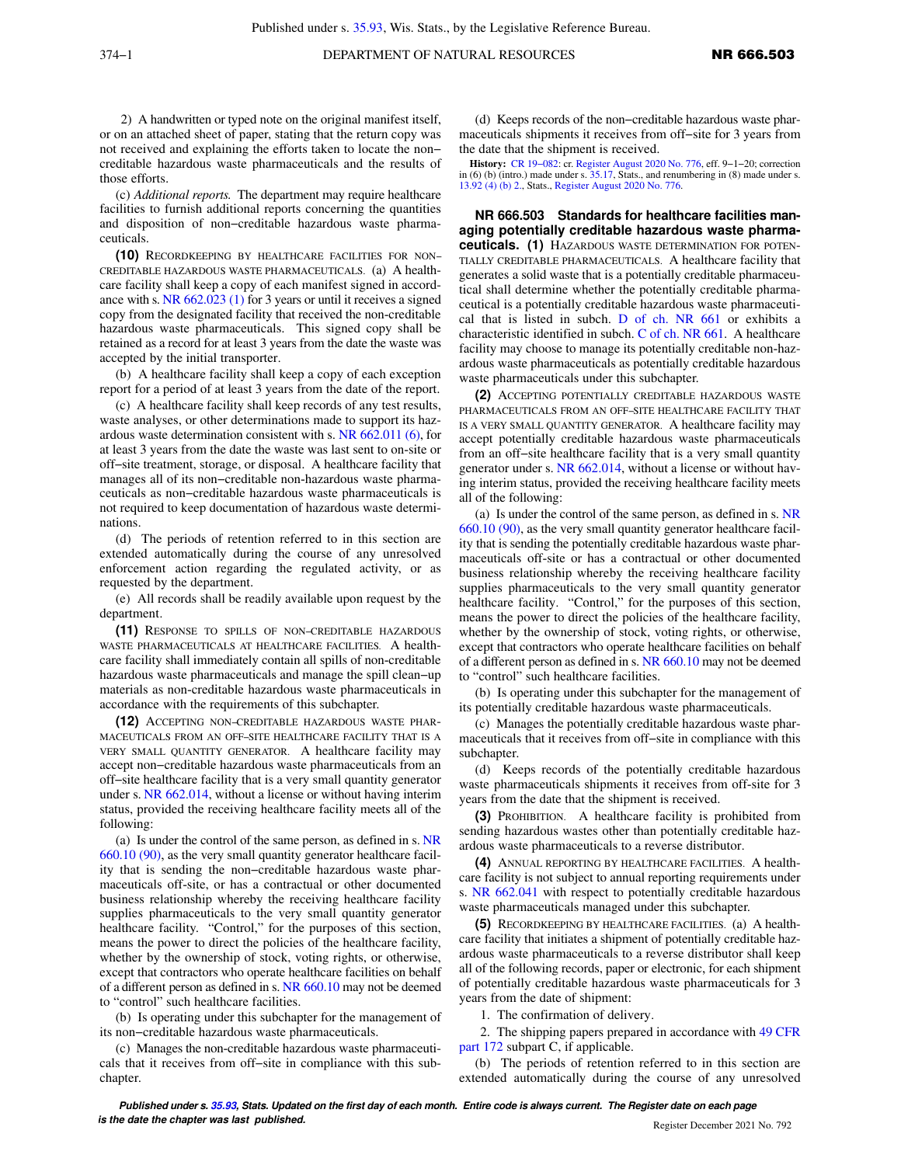2) A handwritten or typed note on the original manifest itself, or on an attached sheet of paper, stating that the return copy was not received and explaining the efforts taken to locate the non− creditable hazardous waste pharmaceuticals and the results of those efforts.

(c) *Additional reports.* The department may require healthcare facilities to furnish additional reports concerning the quantities and disposition of non−creditable hazardous waste pharmaceuticals.

**(10)** RECORDKEEPING BY HEALTHCARE FACILITIES FOR NON− CREDITABLE HAZARDOUS WASTE PHARMACEUTICALS. (a) A healthcare facility shall keep a copy of each manifest signed in accordance with s. [NR 662.023 \(1\)](https://docs.legis.wisconsin.gov/document/administrativecode/NR%20662.023(1)) for 3 years or until it receives a signed copy from the designated facility that received the non-creditable hazardous waste pharmaceuticals. This signed copy shall be retained as a record for at least 3 years from the date the waste was accepted by the initial transporter.

(b) A healthcare facility shall keep a copy of each exception report for a period of at least 3 years from the date of the report.

(c) A healthcare facility shall keep records of any test results, waste analyses, or other determinations made to support its hazardous waste determination consistent with s. [NR 662.011 \(6\),](https://docs.legis.wisconsin.gov/document/administrativecode/NR%20662.011(6)) for at least 3 years from the date the waste was last sent to on-site or off−site treatment, storage, or disposal. A healthcare facility that manages all of its non−creditable non-hazardous waste pharmaceuticals as non−creditable hazardous waste pharmaceuticals is not required to keep documentation of hazardous waste determinations.

(d) The periods of retention referred to in this section are extended automatically during the course of any unresolved enforcement action regarding the regulated activity, or as requested by the department.

(e) All records shall be readily available upon request by the department.

**(11)** RESPONSE TO SPILLS OF NON−CREDITABLE HAZARDOUS WASTE PHARMACEUTICALS AT HEALTHCARE FACILITIES*.* A healthcare facility shall immediately contain all spills of non-creditable hazardous waste pharmaceuticals and manage the spill clean−up materials as non-creditable hazardous waste pharmaceuticals in accordance with the requirements of this subchapter.

**(12)** ACCEPTING NON−CREDITABLE HAZARDOUS WASTE PHAR-MACEUTICALS FROM AN OFF−SITE HEALTHCARE FACILITY THAT IS A VERY SMALL QUANTITY GENERATOR. A healthcare facility may accept non−creditable hazardous waste pharmaceuticals from an off−site healthcare facility that is a very small quantity generator under s. [NR 662.014,](https://docs.legis.wisconsin.gov/document/administrativecode/NR%20662.014) without a license or without having interim status, provided the receiving healthcare facility meets all of the following:

(a) Is under the control of the same person, as defined in s. [NR](https://docs.legis.wisconsin.gov/document/administrativecode/NR%20660.10(90)) [660.10 \(90\)](https://docs.legis.wisconsin.gov/document/administrativecode/NR%20660.10(90)), as the very small quantity generator healthcare facility that is sending the non−creditable hazardous waste pharmaceuticals off-site, or has a contractual or other documented business relationship whereby the receiving healthcare facility supplies pharmaceuticals to the very small quantity generator healthcare facility. "Control," for the purposes of this section, means the power to direct the policies of the healthcare facility, whether by the ownership of stock, voting rights, or otherwise, except that contractors who operate healthcare facilities on behalf of a different person as defined in s. [NR 660.10](https://docs.legis.wisconsin.gov/document/administrativecode/NR%20660.10) may not be deemed to "control" such healthcare facilities.

(b) Is operating under this subchapter for the management of its non−creditable hazardous waste pharmaceuticals.

(c) Manages the non-creditable hazardous waste pharmaceuticals that it receives from off−site in compliance with this subchapter.

(d) Keeps records of the non−creditable hazardous waste pharmaceuticals shipments it receives from off−site for 3 years from the date that the shipment is received.

**History:** [CR 19−082:](https://docs.legis.wisconsin.gov/document/cr/2019/82) cr. [Register August 2020 No. 776,](https://docs.legis.wisconsin.gov/document/register/776/B/toc) eff. 9−1−20; correction in (6) (b) (intro.) made under s. [35.17,](https://docs.legis.wisconsin.gov/document/statutes/35.17) Stats., and renumbering in (8) made under s. [13.92 \(4\) \(b\) 2.,](https://docs.legis.wisconsin.gov/document/statutes/13.92(4)(b)2.) Stats., [Register August 2020 No. 776.](https://docs.legis.wisconsin.gov/document/register/776/B/toc)

**NR 666.503 Standards for healthcare facilities managing potentially creditable hazardous waste pharmaceuticals. (1)** HAZARDOUS WASTE DETERMINATION FOR POTEN-TIALLY CREDITABLE PHARMACEUTICALS. A healthcare facility that generates a solid waste that is a potentially creditable pharmaceutical shall determine whether the potentially creditable pharmaceutical is a potentially creditable hazardous waste pharmaceutical that is listed in subch. [D of ch. NR 661](https://docs.legis.wisconsin.gov/document/administrativecode/subch.%20D%20of%20ch.%20NR%20661) or exhibits a characteristic identified in subch. [C of ch. NR 661](https://docs.legis.wisconsin.gov/document/administrativecode/subch.%20C%20of%20ch.%20NR%20661). A healthcare facility may choose to manage its potentially creditable non-hazardous waste pharmaceuticals as potentially creditable hazardous waste pharmaceuticals under this subchapter.

**(2)** ACCEPTING POTENTIALLY CREDITABLE HAZARDOUS WASTE PHARMACEUTICALS FROM AN OFF−SITE HEALTHCARE FACILITY THAT IS A VERY SMALL QUANTITY GENERATOR. A healthcare facility may accept potentially creditable hazardous waste pharmaceuticals from an off−site healthcare facility that is a very small quantity generator under s. [NR 662.014](https://docs.legis.wisconsin.gov/document/administrativecode/NR%20662.014), without a license or without having interim status, provided the receiving healthcare facility meets all of the following:

(a) Is under the control of the same person, as defined in s. [NR](https://docs.legis.wisconsin.gov/document/administrativecode/NR%20660.10(90)) [660.10 \(90\),](https://docs.legis.wisconsin.gov/document/administrativecode/NR%20660.10(90)) as the very small quantity generator healthcare facility that is sending the potentially creditable hazardous waste pharmaceuticals off-site or has a contractual or other documented business relationship whereby the receiving healthcare facility supplies pharmaceuticals to the very small quantity generator healthcare facility. "Control," for the purposes of this section, means the power to direct the policies of the healthcare facility, whether by the ownership of stock, voting rights, or otherwise, except that contractors who operate healthcare facilities on behalf of a different person as defined in s. [NR 660.10](https://docs.legis.wisconsin.gov/document/administrativecode/NR%20660.10) may not be deemed to "control" such healthcare facilities.

(b) Is operating under this subchapter for the management of its potentially creditable hazardous waste pharmaceuticals.

(c) Manages the potentially creditable hazardous waste pharmaceuticals that it receives from off−site in compliance with this subchapter.

(d) Keeps records of the potentially creditable hazardous waste pharmaceuticals shipments it receives from off-site for 3 years from the date that the shipment is received.

**(3)** PROHIBITION. A healthcare facility is prohibited from sending hazardous wastes other than potentially creditable hazardous waste pharmaceuticals to a reverse distributor.

**(4)** ANNUAL REPORTING BY HEALTHCARE FACILITIES. A healthcare facility is not subject to annual reporting requirements under s. [NR 662.041](https://docs.legis.wisconsin.gov/document/administrativecode/NR%20662.041) with respect to potentially creditable hazardous waste pharmaceuticals managed under this subchapter.

**(5)** RECORDKEEPING BY HEALTHCARE FACILITIES. (a) A healthcare facility that initiates a shipment of potentially creditable hazardous waste pharmaceuticals to a reverse distributor shall keep all of the following records, paper or electronic, for each shipment of potentially creditable hazardous waste pharmaceuticals for 3 years from the date of shipment:

1. The confirmation of delivery.

2. The shipping papers prepared in accordance with [49 CFR](https://docs.legis.wisconsin.gov/document/cfr/49%20CFR%20172) [part 172](https://docs.legis.wisconsin.gov/document/cfr/49%20CFR%20172) subpart C, if applicable.

(b) The periods of retention referred to in this section are extended automatically during the course of any unresolved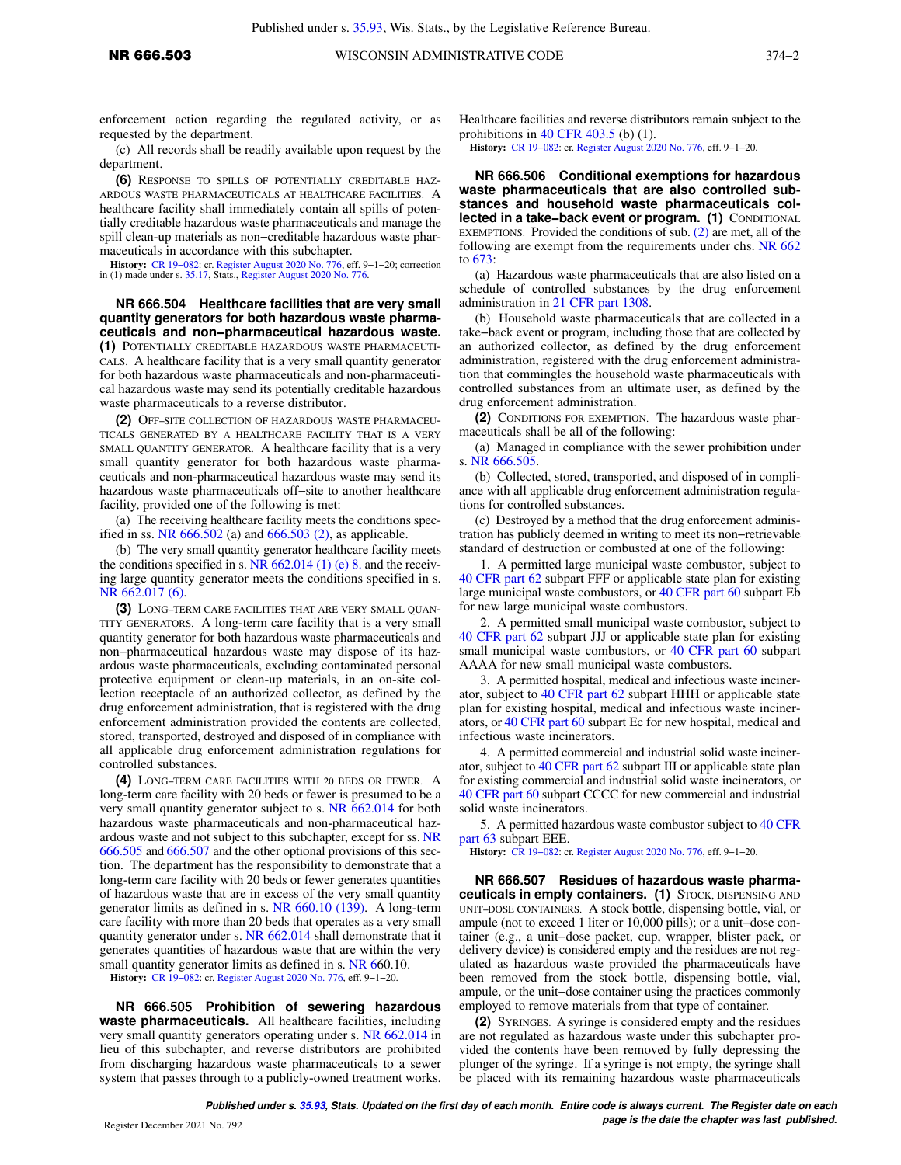enforcement action regarding the regulated activity, or as requested by the department.

(c) All records shall be readily available upon request by the department.

**(6)** RESPONSE TO SPILLS OF POTENTIALLY CREDITABLE HAZ-ARDOUS WASTE PHARMACEUTICALS AT HEALTHCARE FACILITIES. A healthcare facility shall immediately contain all spills of potentially creditable hazardous waste pharmaceuticals and manage the spill clean-up materials as non−creditable hazardous waste pharmaceuticals in accordance with this subchapter.

**History:** [CR 19−082](https://docs.legis.wisconsin.gov/document/cr/2019/82): cr. [Register August 2020 No. 776](https://docs.legis.wisconsin.gov/document/register/776/B/toc), eff. 9−1−20; correction in (1) made under s. [35.17,](https://docs.legis.wisconsin.gov/document/statutes/35.17) Stats., [Register August 2020 No. 776](https://docs.legis.wisconsin.gov/document/register/776/B/toc).

### **NR 666.504 Healthcare facilities that are very small quantity generators for both hazardous waste pharmaceuticals and non−pharmaceutical hazardous waste.**

**(1)** POTENTIALLY CREDITABLE HAZARDOUS WASTE PHARMACEUTI-CALS. A healthcare facility that is a very small quantity generator for both hazardous waste pharmaceuticals and non-pharmaceutical hazardous waste may send its potentially creditable hazardous waste pharmaceuticals to a reverse distributor.

**(2)** OFF−SITE COLLECTION OF HAZARDOUS WASTE PHARMACEU-TICALS GENERATED BY A HEALTHCARE FACILITY THAT IS A VERY SMALL QUANTITY GENERATOR. A healthcare facility that is a very small quantity generator for both hazardous waste pharmaceuticals and non-pharmaceutical hazardous waste may send its hazardous waste pharmaceuticals off−site to another healthcare facility, provided one of the following is met:

(a) The receiving healthcare facility meets the conditions specified in ss. NR  $666.502$  (a) and  $666.503$  (2), as applicable.

(b) The very small quantity generator healthcare facility meets the conditions specified in s.  $NR$  662.014 (1) (e) 8. and the receiving large quantity generator meets the conditions specified in s. [NR 662.017 \(6\).](https://docs.legis.wisconsin.gov/document/administrativecode/NR%20662.017(6))

**(3)** LONG−TERM CARE FACILITIES THAT ARE VERY SMALL QUAN-TITY GENERATORS. A long-term care facility that is a very small quantity generator for both hazardous waste pharmaceuticals and non−pharmaceutical hazardous waste may dispose of its hazardous waste pharmaceuticals, excluding contaminated personal protective equipment or clean-up materials, in an on-site collection receptacle of an authorized collector, as defined by the drug enforcement administration, that is registered with the drug enforcement administration provided the contents are collected, stored, transported, destroyed and disposed of in compliance with all applicable drug enforcement administration regulations for controlled substances.

**(4)** LONG−TERM CARE FACILITIES WITH 20 BEDS OR FEWER. A long-term care facility with 20 beds or fewer is presumed to be a very small quantity generator subject to s. [NR 662.014](https://docs.legis.wisconsin.gov/document/administrativecode/NR%20662.014) for both hazardous waste pharmaceuticals and non-pharmaceutical hazardous waste and not subject to this subchapter, except for ss. [NR](https://docs.legis.wisconsin.gov/document/administrativecode/NR%20666.505) [666.505](https://docs.legis.wisconsin.gov/document/administrativecode/NR%20666.505) and [666.507](https://docs.legis.wisconsin.gov/document/administrativecode/NR%20666.507) and the other optional provisions of this section. The department has the responsibility to demonstrate that a long-term care facility with 20 beds or fewer generates quantities of hazardous waste that are in excess of the very small quantity generator limits as defined in s. [NR 660.10 \(139\).](https://docs.legis.wisconsin.gov/document/administrativecode/NR%20660.10(139)) A long-term care facility with more than 20 beds that operates as a very small quantity generator under s. [NR 662.014](https://docs.legis.wisconsin.gov/document/administrativecode/NR%20662.014) shall demonstrate that it generates quantities of hazardous waste that are within the very small quantity generator limits as defined in s. [NR 660.10.](https://docs.legis.wisconsin.gov/document/administrativecode/NR%20660.10)

**History:** [CR 19−082](https://docs.legis.wisconsin.gov/document/cr/2019/82): cr. [Register August 2020 No. 776](https://docs.legis.wisconsin.gov/document/register/776/B/toc), eff. 9−1−20.

**NR 666.505 Prohibition of sewering hazardous waste pharmaceuticals.** All healthcare facilities, including very small quantity generators operating under s. [NR 662.014](https://docs.legis.wisconsin.gov/document/administrativecode/NR%20662.014) in lieu of this subchapter, and reverse distributors are prohibited from discharging hazardous waste pharmaceuticals to a sewer system that passes through to a publicly-owned treatment works. Healthcare facilities and reverse distributors remain subject to the prohibitions in [40 CFR 403.5](https://docs.legis.wisconsin.gov/document/cfr/40%20CFR%20403.5) (b) (1).

**History:** [CR 19−082:](https://docs.legis.wisconsin.gov/document/cr/2019/82) cr. [Register August 2020 No. 776,](https://docs.legis.wisconsin.gov/document/register/776/B/toc) eff. 9−1−20.

**NR 666.506 Conditional exemptions for hazardous waste pharmaceuticals that are also controlled substances and household waste pharmaceuticals collected in a take−back event or program. (1)** CONDITIONAL EXEMPTIONS. Provided the conditions of sub.  $(2)$  are met, all of the following are exempt from the requirements under chs. [NR 662](https://docs.legis.wisconsin.gov/document/administrativecode/ch.%20NR%20662) to [673:](https://docs.legis.wisconsin.gov/document/administrativecode/ch.%20NR%20673)

(a) Hazardous waste pharmaceuticals that are also listed on a schedule of controlled substances by the drug enforcement administration in [21 CFR part 1308.](https://docs.legis.wisconsin.gov/document/cfr/21%20CFR%201308)

(b) Household waste pharmaceuticals that are collected in a take−back event or program, including those that are collected by an authorized collector, as defined by the drug enforcement administration, registered with the drug enforcement administration that commingles the household waste pharmaceuticals with controlled substances from an ultimate user, as defined by the drug enforcement administration.

**(2)** CONDITIONS FOR EXEMPTION. The hazardous waste pharmaceuticals shall be all of the following:

(a) Managed in compliance with the sewer prohibition under s. [NR 666.505](https://docs.legis.wisconsin.gov/document/administrativecode/NR%20666.505).

(b) Collected, stored, transported, and disposed of in compliance with all applicable drug enforcement administration regulations for controlled substances.

(c) Destroyed by a method that the drug enforcement administration has publicly deemed in writing to meet its non−retrievable standard of destruction or combusted at one of the following:

1. A permitted large municipal waste combustor, subject to [40 CFR part 62](https://docs.legis.wisconsin.gov/document/cfr/40%20CFR%2062) subpart FFF or applicable state plan for existing large municipal waste combustors, or [40 CFR part 60](https://docs.legis.wisconsin.gov/document/cfr/40%20CFR%2060) subpart Eb for new large municipal waste combustors.

2. A permitted small municipal waste combustor, subject to [40 CFR part 62](https://docs.legis.wisconsin.gov/document/cfr/40%20CFR%2062) subpart JJJ or applicable state plan for existing small municipal waste combustors, or [40 CFR part 60](https://docs.legis.wisconsin.gov/document/cfr/40%20CFR%2060) subpart AAAA for new small municipal waste combustors.

3. A permitted hospital, medical and infectious waste incinerator, subject to [40 CFR part 62](https://docs.legis.wisconsin.gov/document/cfr/40%20CFR%2062) subpart HHH or applicable state plan for existing hospital, medical and infectious waste incinerators, or [40 CFR part 60](https://docs.legis.wisconsin.gov/document/cfr/40%20CFR%2060) subpart Ec for new hospital, medical and infectious waste incinerators.

4. A permitted commercial and industrial solid waste incinerator, subject to [40 CFR part 62](https://docs.legis.wisconsin.gov/document/cfr/40%20CFR%2062) subpart III or applicable state plan for existing commercial and industrial solid waste incinerators, or [40 CFR part 60](https://docs.legis.wisconsin.gov/document/cfr/40%20CFR%2060) subpart CCCC for new commercial and industrial solid waste incinerators.

5. A permitted hazardous waste combustor subject to [40 CFR](https://docs.legis.wisconsin.gov/document/cfr/40%20CFR%2063) [part 63](https://docs.legis.wisconsin.gov/document/cfr/40%20CFR%2063) subpart EEE.

**History:** [CR 19−082:](https://docs.legis.wisconsin.gov/document/cr/2019/82) cr. [Register August 2020 No. 776,](https://docs.legis.wisconsin.gov/document/register/776/B/toc) eff. 9−1−20.

**NR 666.507 Residues of hazardous waste pharmaceuticals in empty containers. (1)** STOCK, DISPENSING AND UNIT−DOSE CONTAINERS. A stock bottle, dispensing bottle, vial, or ampule (not to exceed 1 liter or 10,000 pills); or a unit−dose container (e.g., a unit−dose packet, cup, wrapper, blister pack, or delivery device) is considered empty and the residues are not regulated as hazardous waste provided the pharmaceuticals have been removed from the stock bottle, dispensing bottle, vial, ampule, or the unit−dose container using the practices commonly employed to remove materials from that type of container.

**(2)** SYRINGES. A syringe is considered empty and the residues are not regulated as hazardous waste under this subchapter provided the contents have been removed by fully depressing the plunger of the syringe. If a syringe is not empty, the syringe shall be placed with its remaining hazardous waste pharmaceuticals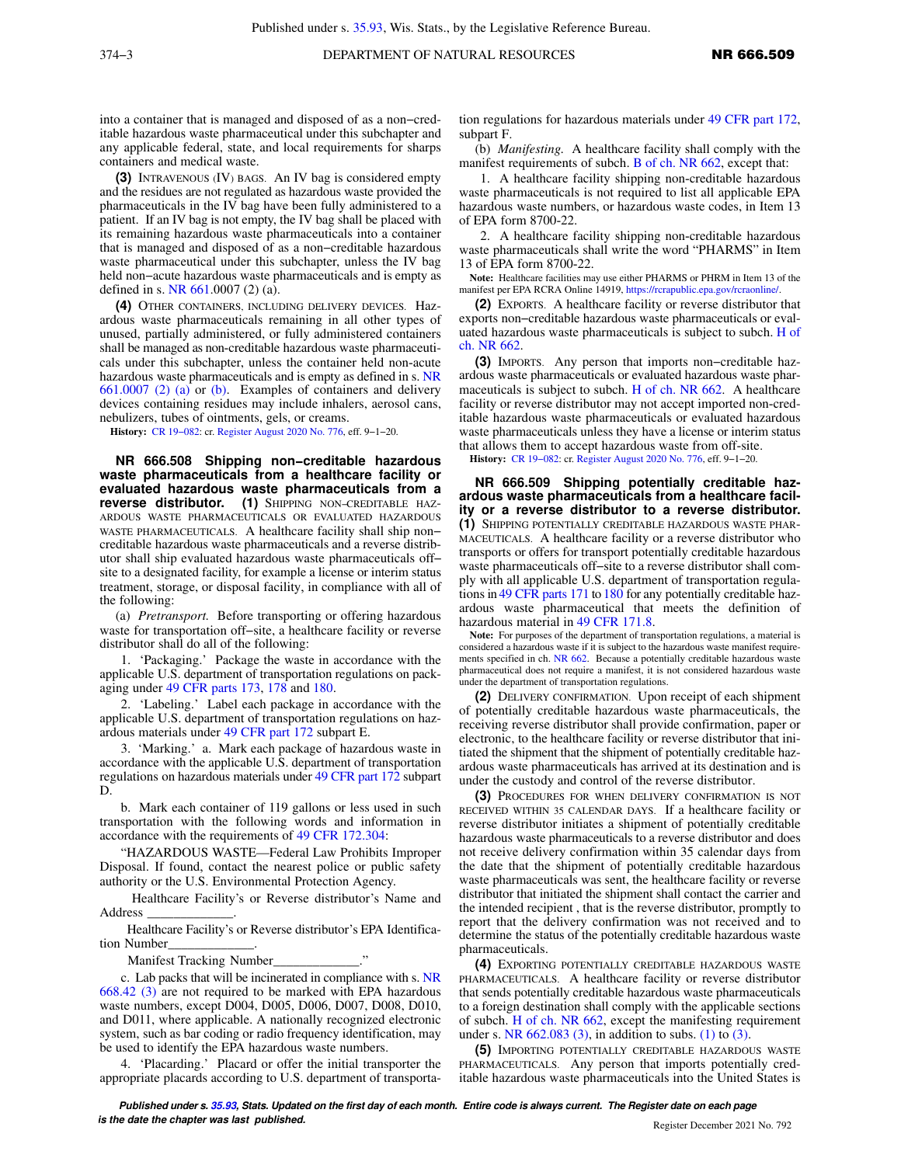into a container that is managed and disposed of as a non−creditable hazardous waste pharmaceutical under this subchapter and any applicable federal, state, and local requirements for sharps containers and medical waste.

**(3)** INTRAVENOUS (IV) BAGS. An IV bag is considered empty and the residues are not regulated as hazardous waste provided the pharmaceuticals in the IV bag have been fully administered to a patient. If an IV bag is not empty, the IV bag shall be placed with its remaining hazardous waste pharmaceuticals into a container that is managed and disposed of as a non−creditable hazardous waste pharmaceutical under this subchapter, unless the IV bag held non−acute hazardous waste pharmaceuticals and is empty as defined in s. NR 661.000[7 \(2\) \(a\)](https://docs.legis.wisconsin.gov/document/administrativecode/NR%20661.0007(2)(a)).

**(4)** OTHER CONTAINERS, INCLUDING DELIVERY DEVICES. Hazardous waste pharmaceuticals remaining in all other types of unused, partially administered, or fully administered containers shall be managed as non-creditable hazardous waste pharmaceuticals under this subchapter, unless the container held non-acute hazardous waste pharmaceuticals and is empty as defined in s. [NR](https://docs.legis.wisconsin.gov/document/administrativecode/NR%20661.0007(2)(a)) [661.0007 \(2\) \(a\)](https://docs.legis.wisconsin.gov/document/administrativecode/NR%20661.0007(2)(a)) or [\(b\)](https://docs.legis.wisconsin.gov/document/administrativecode/NR%20661.0007(2)(b)). Examples of containers and delivery devices containing residues may include inhalers, aerosol cans, nebulizers, tubes of ointments, gels, or creams.

**History:** [CR 19−082](https://docs.legis.wisconsin.gov/document/cr/2019/82): cr. [Register August 2020 No. 776](https://docs.legis.wisconsin.gov/document/register/776/B/toc), eff. 9−1−20.

**NR 666.508 Shipping non−creditable hazardous waste pharmaceuticals from a healthcare facility or evaluated hazardous waste pharmaceuticals from a reverse distributor. (1)** SHIPPING NON−CREDITABLE HAZ-ARDOUS WASTE PHARMACEUTICALS OR EVALUATED HAZARDOUS WASTE PHARMACEUTICALS. A healthcare facility shall ship non− creditable hazardous waste pharmaceuticals and a reverse distributor shall ship evaluated hazardous waste pharmaceuticals off− site to a designated facility, for example a license or interim status treatment, storage, or disposal facility, in compliance with all of the following:

(a) *Pretransport.* Before transporting or offering hazardous waste for transportation off−site, a healthcare facility or reverse distributor shall do all of the following:

1. 'Packaging.' Package the waste in accordance with the applicable U.S. department of transportation regulations on packaging under [49 CFR parts 173](https://docs.legis.wisconsin.gov/document/cfr/49%20CFR%20173), [178](https://docs.legis.wisconsin.gov/document/cfr/49%20CFR%20178) and [180](https://docs.legis.wisconsin.gov/document/cfr/49%20CFR%20180).

2. 'Labeling.' Label each package in accordance with the applicable U.S. department of transportation regulations on hazardous materials under [49 CFR part 172](https://docs.legis.wisconsin.gov/document/cfr/49%20CFR%20172) subpart E.

3. 'Marking.' a. Mark each package of hazardous waste in accordance with the applicable U.S. department of transportation regulations on hazardous materials under [49 CFR part 172](https://docs.legis.wisconsin.gov/document/cfr/49%20CFR%20172) subpart D.

b. Mark each container of 119 gallons or less used in such transportation with the following words and information in accordance with the requirements of [49 CFR 172.304:](https://docs.legis.wisconsin.gov/document/cfr/49%20CFR%20172.304)

"HAZARDOUS WASTE—Federal Law Prohibits Improper Disposal. If found, contact the nearest police or public safety authority or the U.S. Environmental Protection Agency.

 Healthcare Facility's or Reverse distributor's Name and Address \_\_\_\_\_\_\_\_\_\_\_\_\_.

 Healthcare Facility's or Reverse distributor's EPA Identification Number

Manifest Tracking Number\_

c. Lab packs that will be incinerated in compliance with s. [NR](https://docs.legis.wisconsin.gov/document/administrativecode/NR%20668.42(3)) [668.42 \(3\)](https://docs.legis.wisconsin.gov/document/administrativecode/NR%20668.42(3)) are not required to be marked with EPA hazardous waste numbers, except D004, D005, D006, D007, D008, D010, and D011, where applicable. A nationally recognized electronic system, such as bar coding or radio frequency identification, may be used to identify the EPA hazardous waste numbers.

4. 'Placarding.' Placard or offer the initial transporter the appropriate placards according to U.S. department of transporta-

tion regulations for hazardous materials under [49 CFR part 172,](https://docs.legis.wisconsin.gov/document/cfr/49%20CFR%20172) subpart F.

(b) *Manifesting.* A healthcare facility shall comply with the manifest requirements of subch. [B of ch. NR 662](https://docs.legis.wisconsin.gov/document/administrativecode/subch.%20B%20of%20ch.%20NR%20662), except that:

1. A healthcare facility shipping non-creditable hazardous waste pharmaceuticals is not required to list all applicable EPA hazardous waste numbers, or hazardous waste codes, in Item 13 of EPA form 8700-22.

2. A healthcare facility shipping non-creditable hazardous waste pharmaceuticals shall write the word "PHARMS" in Item 13 of EPA form 8700-22.

**Note:** Healthcare facilities may use either PHARMS or PHRM in Item 13 of the manifest per EPA RCRA Online 14919, <https://rcrapublic.epa.gov/rcraonline/>.

**(2)** EXPORTS. A healthcare facility or reverse distributor that exports non−creditable hazardous waste pharmaceuticals or evaluated hazardous waste pharmaceuticals is subject to subch. [H of](https://docs.legis.wisconsin.gov/document/administrativecode/subch.%20H%20of%20ch.%20NR%20662) [ch. NR 662.](https://docs.legis.wisconsin.gov/document/administrativecode/subch.%20H%20of%20ch.%20NR%20662)

**(3)** IMPORTS. Any person that imports non−creditable hazardous waste pharmaceuticals or evaluated hazardous waste pharmaceuticals is subject to subch. [H of ch. NR 662](https://docs.legis.wisconsin.gov/document/administrativecode/subch.%20H%20of%20ch.%20NR%20662). A healthcare facility or reverse distributor may not accept imported non-creditable hazardous waste pharmaceuticals or evaluated hazardous waste pharmaceuticals unless they have a license or interim status that allows them to accept hazardous waste from off-site.

**History:** [CR 19−082:](https://docs.legis.wisconsin.gov/document/cr/2019/82) cr. [Register August 2020 No. 776,](https://docs.legis.wisconsin.gov/document/register/776/B/toc) eff. 9−1−20.

**NR 666.509 Shipping potentially creditable hazardous waste pharmaceuticals from a healthcare facility or a reverse distributor to a reverse distributor. (1)** SHIPPING POTENTIALLY CREDITABLE HAZARDOUS WASTE PHAR-MACEUTICALS. A healthcare facility or a reverse distributor who transports or offers for transport potentially creditable hazardous waste pharmaceuticals off−site to a reverse distributor shall comply with all applicable U.S. department of transportation regulations in [49 CFR parts 171](https://docs.legis.wisconsin.gov/document/cfr/49%20CFR%20171) to [180](https://docs.legis.wisconsin.gov/document/cfr/49%20CFR%20180) for any potentially creditable hazardous waste pharmaceutical that meets the definition of hazardous material in [49 CFR 171.8](https://docs.legis.wisconsin.gov/document/cfr/49%20CFR%20171.8).

**Note:** For purposes of the department of transportation regulations, a material is considered a hazardous waste if it is subject to the hazardous waste manifest requirements specified in ch. [NR 662.](https://docs.legis.wisconsin.gov/document/administrativecode/ch.%20NR%20662) Because a potentially creditable hazardous waste pharmaceutical does not require a manifest, it is not considered hazardous waste under the department of transportation regulations.

**(2)** DELIVERY CONFIRMATION. Upon receipt of each shipment of potentially creditable hazardous waste pharmaceuticals, the receiving reverse distributor shall provide confirmation, paper or electronic, to the healthcare facility or reverse distributor that initiated the shipment that the shipment of potentially creditable hazardous waste pharmaceuticals has arrived at its destination and is under the custody and control of the reverse distributor.

**(3)** PROCEDURES FOR WHEN DELIVERY CONFIRMATION IS NOT RECEIVED WITHIN 35 CALENDAR DAYS. If a healthcare facility or reverse distributor initiates a shipment of potentially creditable hazardous waste pharmaceuticals to a reverse distributor and does not receive delivery confirmation within 35 calendar days from the date that the shipment of potentially creditable hazardous waste pharmaceuticals was sent, the healthcare facility or reverse distributor that initiated the shipment shall contact the carrier and the intended recipient , that is the reverse distributor, promptly to report that the delivery confirmation was not received and to determine the status of the potentially creditable hazardous waste pharmaceuticals.

**(4)** EXPORTING POTENTIALLY CREDITABLE HAZARDOUS WASTE PHARMACEUTICALS. A healthcare facility or reverse distributor that sends potentially creditable hazardous waste pharmaceuticals to a foreign destination shall comply with the applicable sections of subch. [H of ch. NR 662](https://docs.legis.wisconsin.gov/document/administrativecode/subch.%20H%20of%20ch.%20NR%20662), except the manifesting requirement under s. NR  $662.083$  (3), in addition to subs. [\(1\)](https://docs.legis.wisconsin.gov/document/administrativecode/NR%20666.509(1)) to [\(3\)](https://docs.legis.wisconsin.gov/document/administrativecode/NR%20666.509(3)).

**(5)** IMPORTING POTENTIALLY CREDITABLE HAZARDOUS WASTE PHARMACEUTICALS. Any person that imports potentially creditable hazardous waste pharmaceuticals into the United States is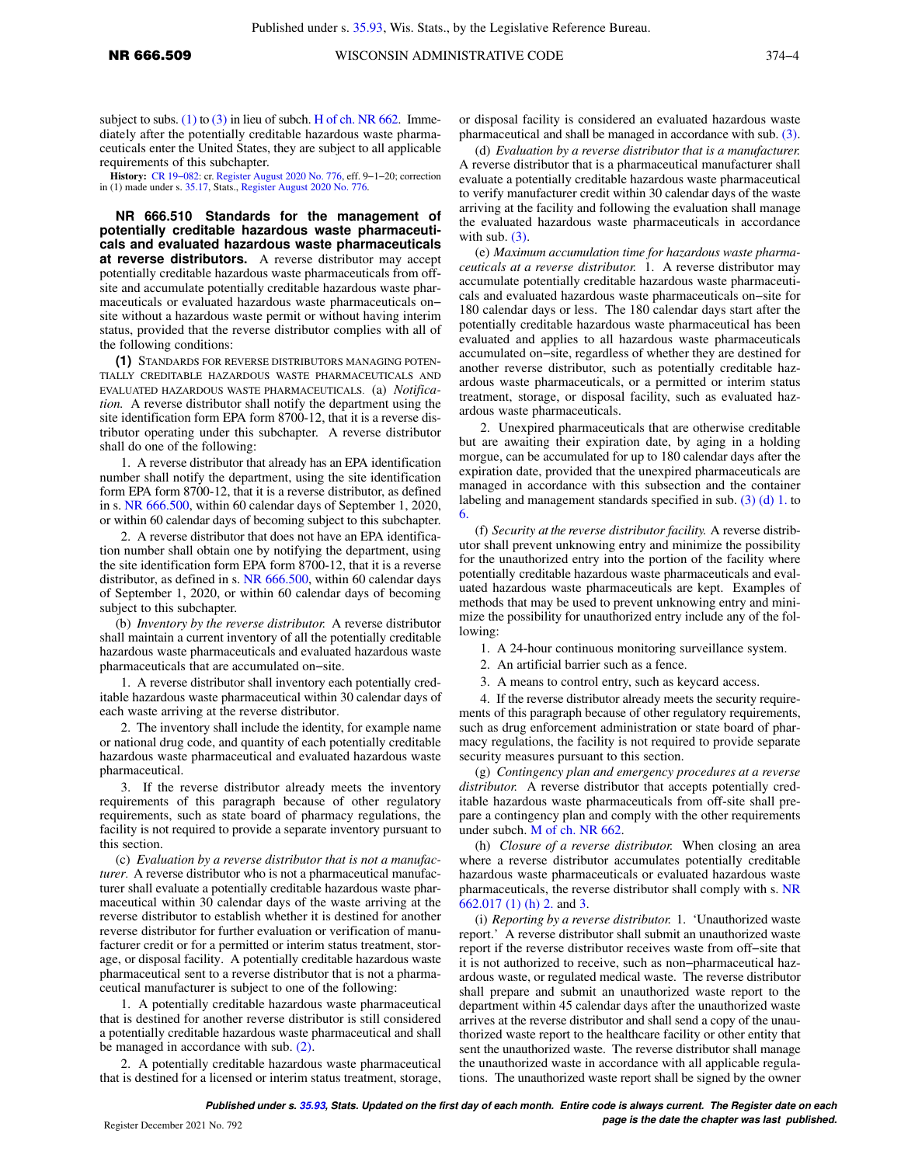subject to subs.  $(1)$  to  $(3)$  in lieu of subch. [H of ch. NR 662.](https://docs.legis.wisconsin.gov/document/administrativecode/subch.%20H%20of%20ch.%20NR%20662) Immediately after the potentially creditable hazardous waste pharmaceuticals enter the United States, they are subject to all applicable requirements of this subchapter.

**History:** [CR 19−082](https://docs.legis.wisconsin.gov/document/cr/2019/82): cr. [Register August 2020 No. 776](https://docs.legis.wisconsin.gov/document/register/776/B/toc), eff. 9−1−20; correction in (1) made under s. [35.17,](https://docs.legis.wisconsin.gov/document/statutes/35.17) Stats., [Register August 2020 No. 776](https://docs.legis.wisconsin.gov/document/register/776/B/toc).

**NR 666.510 Standards for the management of potentially creditable hazardous waste pharmaceuticals and evaluated hazardous waste pharmaceuticals at reverse distributors.** A reverse distributor may accept potentially creditable hazardous waste pharmaceuticals from offsite and accumulate potentially creditable hazardous waste pharmaceuticals or evaluated hazardous waste pharmaceuticals on− site without a hazardous waste permit or without having interim status, provided that the reverse distributor complies with all of the following conditions:

**(1)** STANDARDS FOR REVERSE DISTRIBUTORS MANAGING POTEN-TIALLY CREDITABLE HAZARDOUS WASTE PHARMACEUTICALS AND EVALUATED HAZARDOUS WASTE PHARMACEUTICALS. (a) *Notification.* A reverse distributor shall notify the department using the site identification form EPA form 8700-12, that it is a reverse distributor operating under this subchapter. A reverse distributor shall do one of the following:

1. A reverse distributor that already has an EPA identification number shall notify the department, using the site identification form EPA form 8700-12, that it is a reverse distributor, as defined in s. [NR 666.500,](https://docs.legis.wisconsin.gov/document/administrativecode/NR%20666.500) within 60 calendar days of September 1, 2020, or within 60 calendar days of becoming subject to this subchapter.

2. A reverse distributor that does not have an EPA identification number shall obtain one by notifying the department, using the site identification form EPA form 8700-12, that it is a reverse distributor, as defined in s. [NR 666.500,](https://docs.legis.wisconsin.gov/document/administrativecode/NR%20666.500) within 60 calendar days of September 1, 2020, or within 60 calendar days of becoming subject to this subchapter.

(b) *Inventory by the reverse distributor.* A reverse distributor shall maintain a current inventory of all the potentially creditable hazardous waste pharmaceuticals and evaluated hazardous waste pharmaceuticals that are accumulated on−site.

1. A reverse distributor shall inventory each potentially creditable hazardous waste pharmaceutical within 30 calendar days of each waste arriving at the reverse distributor.

2. The inventory shall include the identity, for example name or national drug code, and quantity of each potentially creditable hazardous waste pharmaceutical and evaluated hazardous waste pharmaceutical.

3. If the reverse distributor already meets the inventory requirements of this paragraph because of other regulatory requirements, such as state board of pharmacy regulations, the facility is not required to provide a separate inventory pursuant to this section.

(c) *Evaluation by a reverse distributor that is not a manufacturer.* A reverse distributor who is not a pharmaceutical manufacturer shall evaluate a potentially creditable hazardous waste pharmaceutical within 30 calendar days of the waste arriving at the reverse distributor to establish whether it is destined for another reverse distributor for further evaluation or verification of manufacturer credit or for a permitted or interim status treatment, storage, or disposal facility. A potentially creditable hazardous waste pharmaceutical sent to a reverse distributor that is not a pharmaceutical manufacturer is subject to one of the following:

1. A potentially creditable hazardous waste pharmaceutical that is destined for another reverse distributor is still considered a potentially creditable hazardous waste pharmaceutical and shall be managed in accordance with sub. [\(2\).](https://docs.legis.wisconsin.gov/document/administrativecode/NR%20666.510(2))

2. A potentially creditable hazardous waste pharmaceutical that is destined for a licensed or interim status treatment, storage, or disposal facility is considered an evaluated hazardous waste pharmaceutical and shall be managed in accordance with sub. [\(3\).](https://docs.legis.wisconsin.gov/document/administrativecode/NR%20666.510(3))

(d) *Evaluation by a reverse distributor that is a manufacturer.* A reverse distributor that is a pharmaceutical manufacturer shall evaluate a potentially creditable hazardous waste pharmaceutical to verify manufacturer credit within 30 calendar days of the waste arriving at the facility and following the evaluation shall manage the evaluated hazardous waste pharmaceuticals in accordance with sub.  $(3)$ .

(e) *Maximum accumulation time for hazardous waste pharmaceuticals at a reverse distributor.* 1. A reverse distributor may accumulate potentially creditable hazardous waste pharmaceuticals and evaluated hazardous waste pharmaceuticals on−site for 180 calendar days or less. The 180 calendar days start after the potentially creditable hazardous waste pharmaceutical has been evaluated and applies to all hazardous waste pharmaceuticals accumulated on−site, regardless of whether they are destined for another reverse distributor, such as potentially creditable hazardous waste pharmaceuticals, or a permitted or interim status treatment, storage, or disposal facility, such as evaluated hazardous waste pharmaceuticals.

2. Unexpired pharmaceuticals that are otherwise creditable but are awaiting their expiration date, by aging in a holding morgue, can be accumulated for up to 180 calendar days after the expiration date, provided that the unexpired pharmaceuticals are managed in accordance with this subsection and the container labeling and management standards specified in sub. [\(3\) \(d\) 1.](https://docs.legis.wisconsin.gov/document/administrativecode/NR%20666.510(3)(d)1.) to [6.](https://docs.legis.wisconsin.gov/document/administrativecode/NR%20666.510(3)(d)6.)

(f) *Security at the reverse distributor facility.* A reverse distributor shall prevent unknowing entry and minimize the possibility for the unauthorized entry into the portion of the facility where potentially creditable hazardous waste pharmaceuticals and evaluated hazardous waste pharmaceuticals are kept. Examples of methods that may be used to prevent unknowing entry and minimize the possibility for unauthorized entry include any of the following:

1. A 24-hour continuous monitoring surveillance system.

2. An artificial barrier such as a fence.

3. A means to control entry, such as keycard access.

4. If the reverse distributor already meets the security requirements of this paragraph because of other regulatory requirements, such as drug enforcement administration or state board of pharmacy regulations, the facility is not required to provide separate security measures pursuant to this section.

(g) *Contingency plan and emergency procedures at a reverse distributor.* A reverse distributor that accepts potentially creditable hazardous waste pharmaceuticals from off-site shall prepare a contingency plan and comply with the other requirements under subch. [M of ch. NR 662](https://docs.legis.wisconsin.gov/document/administrativecode/subch.%20M%20of%20ch.%20NR%20662).

(h) *Closure of a reverse distributor.* When closing an area where a reverse distributor accumulates potentially creditable hazardous waste pharmaceuticals or evaluated hazardous waste pharmaceuticals, the reverse distributor shall comply with s. [NR](https://docs.legis.wisconsin.gov/document/administrativecode/NR%20662.017(1)(h)2.) [662.017 \(1\) \(h\) 2.](https://docs.legis.wisconsin.gov/document/administrativecode/NR%20662.017(1)(h)2.) and [3](https://docs.legis.wisconsin.gov/document/administrativecode/NR%20662.017(1)(h)3.).

(i) *Reporting by a reverse distributor.* 1. 'Unauthorized waste report.' A reverse distributor shall submit an unauthorized waste report if the reverse distributor receives waste from off−site that it is not authorized to receive, such as non−pharmaceutical hazardous waste, or regulated medical waste. The reverse distributor shall prepare and submit an unauthorized waste report to the department within 45 calendar days after the unauthorized waste arrives at the reverse distributor and shall send a copy of the unauthorized waste report to the healthcare facility or other entity that sent the unauthorized waste. The reverse distributor shall manage the unauthorized waste in accordance with all applicable regulations. The unauthorized waste report shall be signed by the owner

**Published under s. [35.93,](https://docs.legis.wisconsin.gov/document/statutes/35.93) Stats. Updated on the first day of each month. Entire code is always current. The Register date on each Page is the date the chapter was last published. page is the date the chapter was last published.**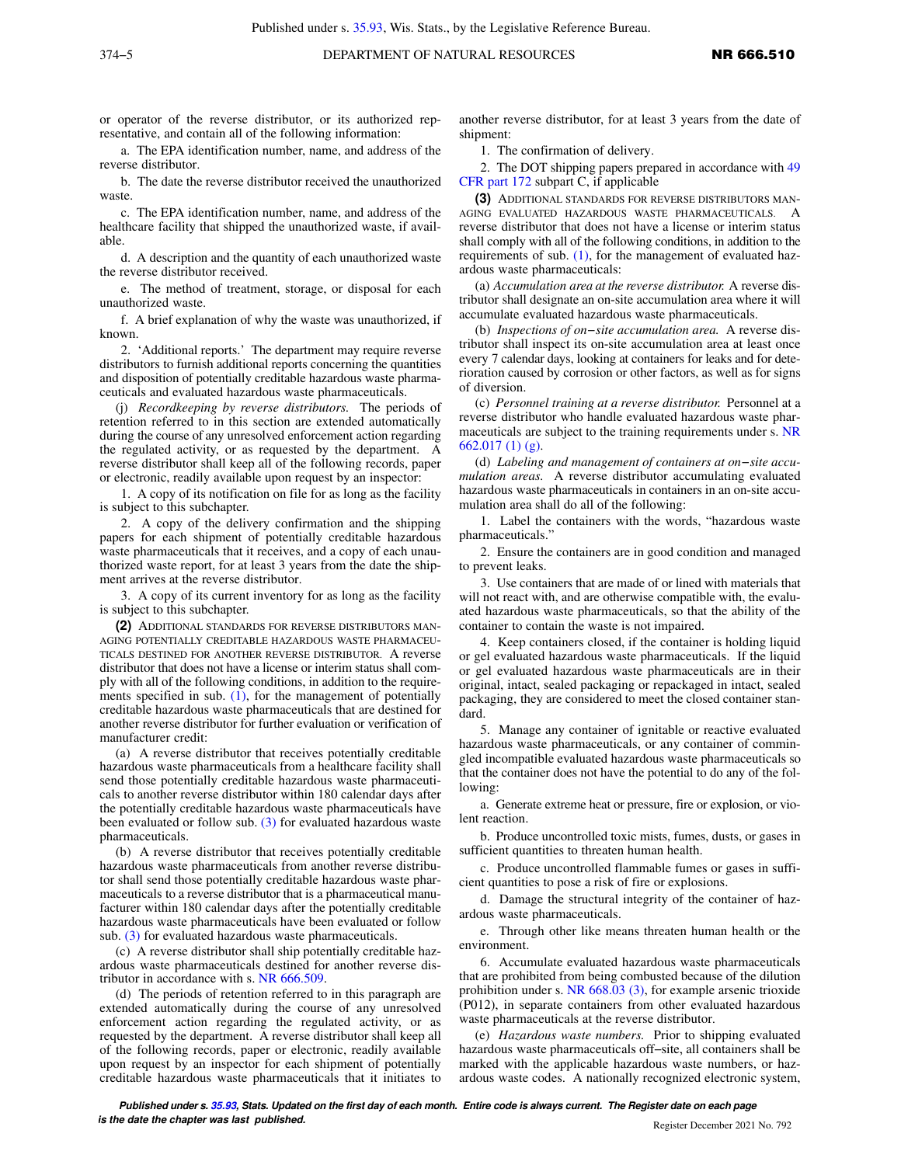or operator of the reverse distributor, or its authorized representative, and contain all of the following information:

a. The EPA identification number, name, and address of the reverse distributor.

b. The date the reverse distributor received the unauthorized waste.

c. The EPA identification number, name, and address of the healthcare facility that shipped the unauthorized waste, if available.

d. A description and the quantity of each unauthorized waste the reverse distributor received.

e. The method of treatment, storage, or disposal for each unauthorized waste.

f. A brief explanation of why the waste was unauthorized, if known.

2. 'Additional reports.' The department may require reverse distributors to furnish additional reports concerning the quantities and disposition of potentially creditable hazardous waste pharmaceuticals and evaluated hazardous waste pharmaceuticals.

(j) *Recordkeeping by reverse distributors.* The periods of retention referred to in this section are extended automatically during the course of any unresolved enforcement action regarding the regulated activity, or as requested by the department. reverse distributor shall keep all of the following records, paper or electronic, readily available upon request by an inspector:

1. A copy of its notification on file for as long as the facility is subject to this subchapter.

2. A copy of the delivery confirmation and the shipping papers for each shipment of potentially creditable hazardous waste pharmaceuticals that it receives, and a copy of each unauthorized waste report, for at least 3 years from the date the shipment arrives at the reverse distributor.

3. A copy of its current inventory for as long as the facility is subject to this subchapter.

**(2)** ADDITIONAL STANDARDS FOR REVERSE DISTRIBUTORS MAN-AGING POTENTIALLY CREDITABLE HAZARDOUS WASTE PHARMACEU-TICALS DESTINED FOR ANOTHER REVERSE DISTRIBUTOR. A reverse distributor that does not have a license or interim status shall comply with all of the following conditions, in addition to the requirements specified in sub. [\(1\)](https://docs.legis.wisconsin.gov/document/administrativecode/NR%20666.510(1)), for the management of potentially creditable hazardous waste pharmaceuticals that are destined for another reverse distributor for further evaluation or verification of manufacturer credit:

(a) A reverse distributor that receives potentially creditable hazardous waste pharmaceuticals from a healthcare facility shall send those potentially creditable hazardous waste pharmaceuticals to another reverse distributor within 180 calendar days after the potentially creditable hazardous waste pharmaceuticals have been evaluated or follow sub. [\(3\)](https://docs.legis.wisconsin.gov/document/administrativecode/NR%20666.510(3)) for evaluated hazardous waste pharmaceuticals.

(b) A reverse distributor that receives potentially creditable hazardous waste pharmaceuticals from another reverse distributor shall send those potentially creditable hazardous waste pharmaceuticals to a reverse distributor that is a pharmaceutical manufacturer within 180 calendar days after the potentially creditable hazardous waste pharmaceuticals have been evaluated or follow sub. [\(3\)](https://docs.legis.wisconsin.gov/document/administrativecode/NR%20666.510(3)) for evaluated hazardous waste pharmaceuticals.

(c) A reverse distributor shall ship potentially creditable hazardous waste pharmaceuticals destined for another reverse distributor in accordance with s. [NR 666.509](https://docs.legis.wisconsin.gov/document/administrativecode/NR%20666.509).

(d) The periods of retention referred to in this paragraph are extended automatically during the course of any unresolved enforcement action regarding the regulated activity, or as requested by the department. A reverse distributor shall keep all of the following records, paper or electronic, readily available upon request by an inspector for each shipment of potentially creditable hazardous waste pharmaceuticals that it initiates to another reverse distributor, for at least 3 years from the date of shipment:

1. The confirmation of delivery.

2. The DOT shipping papers prepared in accordance with [49](https://docs.legis.wisconsin.gov/document/cfr/49%20CFR%20172) [CFR part 172](https://docs.legis.wisconsin.gov/document/cfr/49%20CFR%20172) subpart C, if applicable

**(3)** ADDITIONAL STANDARDS FOR REVERSE DISTRIBUTORS MAN-AGING EVALUATED HAZARDOUS WASTE PHARMACEUTICALS. A reverse distributor that does not have a license or interim status shall comply with all of the following conditions, in addition to the requirements of sub. [\(1\)](https://docs.legis.wisconsin.gov/document/administrativecode/NR%20666.510(1)), for the management of evaluated hazardous waste pharmaceuticals:

(a) *Accumulation area at the reverse distributor.* A reverse distributor shall designate an on-site accumulation area where it will accumulate evaluated hazardous waste pharmaceuticals.

(b) *Inspections of on−site accumulation area.* A reverse distributor shall inspect its on-site accumulation area at least once every 7 calendar days, looking at containers for leaks and for deterioration caused by corrosion or other factors, as well as for signs of diversion.

(c) *Personnel training at a reverse distributor.* Personnel at a reverse distributor who handle evaluated hazardous waste pharmaceuticals are subject to the training requirements under s. [NR](https://docs.legis.wisconsin.gov/document/administrativecode/NR%20662.017(1)(g)) [662.017 \(1\) \(g\)](https://docs.legis.wisconsin.gov/document/administrativecode/NR%20662.017(1)(g)).

(d) *Labeling and management of containers at on−site accumulation areas.* A reverse distributor accumulating evaluated hazardous waste pharmaceuticals in containers in an on-site accumulation area shall do all of the following:

1. Label the containers with the words, "hazardous waste pharmaceuticals."

2. Ensure the containers are in good condition and managed to prevent leaks.

3. Use containers that are made of or lined with materials that will not react with, and are otherwise compatible with, the evaluated hazardous waste pharmaceuticals, so that the ability of the container to contain the waste is not impaired.

4. Keep containers closed, if the container is holding liquid or gel evaluated hazardous waste pharmaceuticals. If the liquid or gel evaluated hazardous waste pharmaceuticals are in their original, intact, sealed packaging or repackaged in intact, sealed packaging, they are considered to meet the closed container standard.

5. Manage any container of ignitable or reactive evaluated hazardous waste pharmaceuticals, or any container of commingled incompatible evaluated hazardous waste pharmaceuticals so that the container does not have the potential to do any of the following:

a. Generate extreme heat or pressure, fire or explosion, or violent reaction.

b. Produce uncontrolled toxic mists, fumes, dusts, or gases in sufficient quantities to threaten human health.

c. Produce uncontrolled flammable fumes or gases in sufficient quantities to pose a risk of fire or explosions.

d. Damage the structural integrity of the container of hazardous waste pharmaceuticals.

e. Through other like means threaten human health or the environment.

6. Accumulate evaluated hazardous waste pharmaceuticals that are prohibited from being combusted because of the dilution prohibition under s. [NR 668.03 \(3\)](https://docs.legis.wisconsin.gov/document/administrativecode/NR%20668.03(3)), for example arsenic trioxide (P012), in separate containers from other evaluated hazardous waste pharmaceuticals at the reverse distributor.

(e) *Hazardous waste numbers.* Prior to shipping evaluated hazardous waste pharmaceuticals off−site, all containers shall be marked with the applicable hazardous waste numbers, or hazardous waste codes. A nationally recognized electronic system,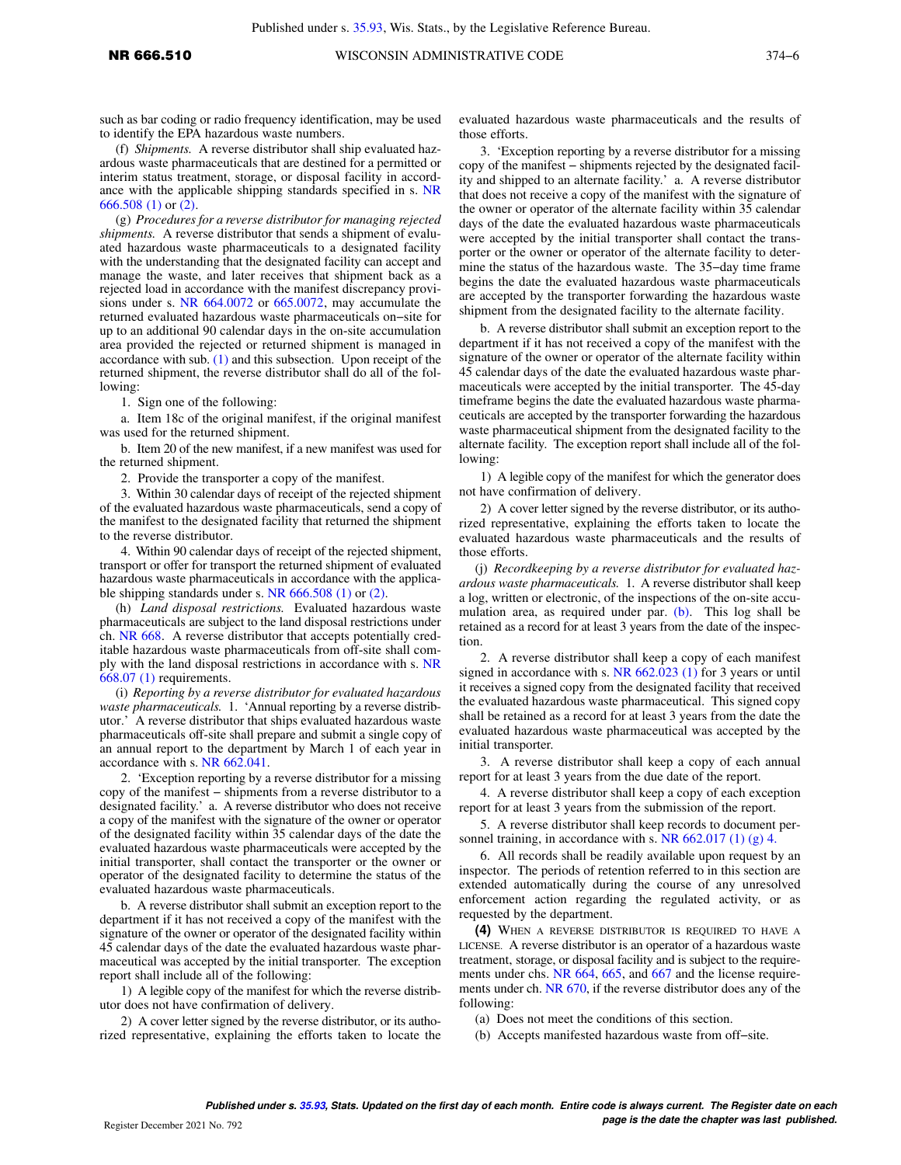such as bar coding or radio frequency identification, may be used to identify the EPA hazardous waste numbers.

(f) *Shipments.* A reverse distributor shall ship evaluated hazardous waste pharmaceuticals that are destined for a permitted or interim status treatment, storage, or disposal facility in accordance with the applicable shipping standards specified in s. [NR](https://docs.legis.wisconsin.gov/document/administrativecode/NR%20666.508(1)) [666.508 \(1\)](https://docs.legis.wisconsin.gov/document/administrativecode/NR%20666.508(1)) or [\(2\)](https://docs.legis.wisconsin.gov/document/administrativecode/NR%20666.508(2)).

(g) *Procedures for a reverse distributor for managing rejected shipments.* A reverse distributor that sends a shipment of evaluated hazardous waste pharmaceuticals to a designated facility with the understanding that the designated facility can accept and manage the waste, and later receives that shipment back as a rejected load in accordance with the manifest discrepancy provisions under s. [NR 664.0072](https://docs.legis.wisconsin.gov/document/administrativecode/NR%20664.0072) or [665.0072](https://docs.legis.wisconsin.gov/document/administrativecode/NR%20665.0072), may accumulate the returned evaluated hazardous waste pharmaceuticals on−site for up to an additional 90 calendar days in the on-site accumulation area provided the rejected or returned shipment is managed in accordance with sub.  $(1)$  and this subsection. Upon receipt of the returned shipment, the reverse distributor shall do all of the following:

1. Sign one of the following:

a. Item 18c of the original manifest, if the original manifest was used for the returned shipment.

b. Item 20 of the new manifest, if a new manifest was used for the returned shipment.

2. Provide the transporter a copy of the manifest.

3. Within 30 calendar days of receipt of the rejected shipment of the evaluated hazardous waste pharmaceuticals, send a copy of the manifest to the designated facility that returned the shipment to the reverse distributor.

4. Within 90 calendar days of receipt of the rejected shipment, transport or offer for transport the returned shipment of evaluated hazardous waste pharmaceuticals in accordance with the applicable shipping standards under s. [NR 666.508 \(1\)](https://docs.legis.wisconsin.gov/document/administrativecode/NR%20666.508(1)) or [\(2\)](https://docs.legis.wisconsin.gov/document/administrativecode/NR%20666.508(2)).

(h) *Land disposal restrictions.* Evaluated hazardous waste pharmaceuticals are subject to the land disposal restrictions under ch. [NR 668.](https://docs.legis.wisconsin.gov/document/administrativecode/ch.%20NR%20668) A reverse distributor that accepts potentially creditable hazardous waste pharmaceuticals from off-site shall comply with the land disposal restrictions in accordance with s. [NR](https://docs.legis.wisconsin.gov/document/administrativecode/NR%20668.07(1)) [668.07 \(1\)](https://docs.legis.wisconsin.gov/document/administrativecode/NR%20668.07(1)) requirements.

(i) *Reporting by a reverse distributor for evaluated hazardous waste pharmaceuticals.* 1. 'Annual reporting by a reverse distributor.' A reverse distributor that ships evaluated hazardous waste pharmaceuticals off-site shall prepare and submit a single copy of an annual report to the department by March 1 of each year in accordance with s. [NR 662.041](https://docs.legis.wisconsin.gov/document/administrativecode/NR%20662.041).

2. 'Exception reporting by a reverse distributor for a missing copy of the manifest − shipments from a reverse distributor to a designated facility.' a. A reverse distributor who does not receive a copy of the manifest with the signature of the owner or operator of the designated facility within 35 calendar days of the date the evaluated hazardous waste pharmaceuticals were accepted by the initial transporter, shall contact the transporter or the owner or operator of the designated facility to determine the status of the evaluated hazardous waste pharmaceuticals.

b. A reverse distributor shall submit an exception report to the department if it has not received a copy of the manifest with the signature of the owner or operator of the designated facility within 45 calendar days of the date the evaluated hazardous waste pharmaceutical was accepted by the initial transporter. The exception report shall include all of the following:

1) A legible copy of the manifest for which the reverse distributor does not have confirmation of delivery.

2) A cover letter signed by the reverse distributor, or its authorized representative, explaining the efforts taken to locate the evaluated hazardous waste pharmaceuticals and the results of those efforts.

3. 'Exception reporting by a reverse distributor for a missing copy of the manifest − shipments rejected by the designated facility and shipped to an alternate facility.' a. A reverse distributor that does not receive a copy of the manifest with the signature of the owner or operator of the alternate facility within 35 calendar days of the date the evaluated hazardous waste pharmaceuticals were accepted by the initial transporter shall contact the transporter or the owner or operator of the alternate facility to determine the status of the hazardous waste. The 35−day time frame begins the date the evaluated hazardous waste pharmaceuticals are accepted by the transporter forwarding the hazardous waste shipment from the designated facility to the alternate facility.

b. A reverse distributor shall submit an exception report to the department if it has not received a copy of the manifest with the signature of the owner or operator of the alternate facility within 45 calendar days of the date the evaluated hazardous waste pharmaceuticals were accepted by the initial transporter. The 45-day timeframe begins the date the evaluated hazardous waste pharmaceuticals are accepted by the transporter forwarding the hazardous waste pharmaceutical shipment from the designated facility to the alternate facility. The exception report shall include all of the following:

1) A legible copy of the manifest for which the generator does not have confirmation of delivery.

2) A cover letter signed by the reverse distributor, or its authorized representative, explaining the efforts taken to locate the evaluated hazardous waste pharmaceuticals and the results of those efforts.

(j) *Recordkeeping by a reverse distributor for evaluated hazardous waste pharmaceuticals.* 1. A reverse distributor shall keep a log, written or electronic, of the inspections of the on-site accumulation area, as required under par.  $(b)$ . This log shall be retained as a record for at least 3 years from the date of the inspection.

2. A reverse distributor shall keep a copy of each manifest signed in accordance with s. [NR 662.023 \(1\)](https://docs.legis.wisconsin.gov/document/administrativecode/NR%20662.023(1)) for 3 years or until it receives a signed copy from the designated facility that received the evaluated hazardous waste pharmaceutical. This signed copy shall be retained as a record for at least 3 years from the date the evaluated hazardous waste pharmaceutical was accepted by the initial transporter.

3. A reverse distributor shall keep a copy of each annual report for at least 3 years from the due date of the report.

4. A reverse distributor shall keep a copy of each exception report for at least 3 years from the submission of the report.

5. A reverse distributor shall keep records to document personnel training, in accordance with s. NR  $662.017(1)(g)$  4.

6. All records shall be readily available upon request by an inspector. The periods of retention referred to in this section are extended automatically during the course of any unresolved enforcement action regarding the regulated activity, or as requested by the department.

**(4)** WHEN A REVERSE DISTRIBUTOR IS REQUIRED TO HAVE A LICENSE. A reverse distributor is an operator of a hazardous waste treatment, storage, or disposal facility and is subject to the require-ments under chs. [NR 664,](https://docs.legis.wisconsin.gov/document/administrativecode/ch.%20NR%20664) [665,](https://docs.legis.wisconsin.gov/document/administrativecode/ch.%20NR%20665) and [667](https://docs.legis.wisconsin.gov/document/administrativecode/ch.%20NR%20667) and the license requirements under ch. [NR 670,](https://docs.legis.wisconsin.gov/document/administrativecode/ch.%20NR%20670) if the reverse distributor does any of the following:

(a) Does not meet the conditions of this section.

(b) Accepts manifested hazardous waste from off−site.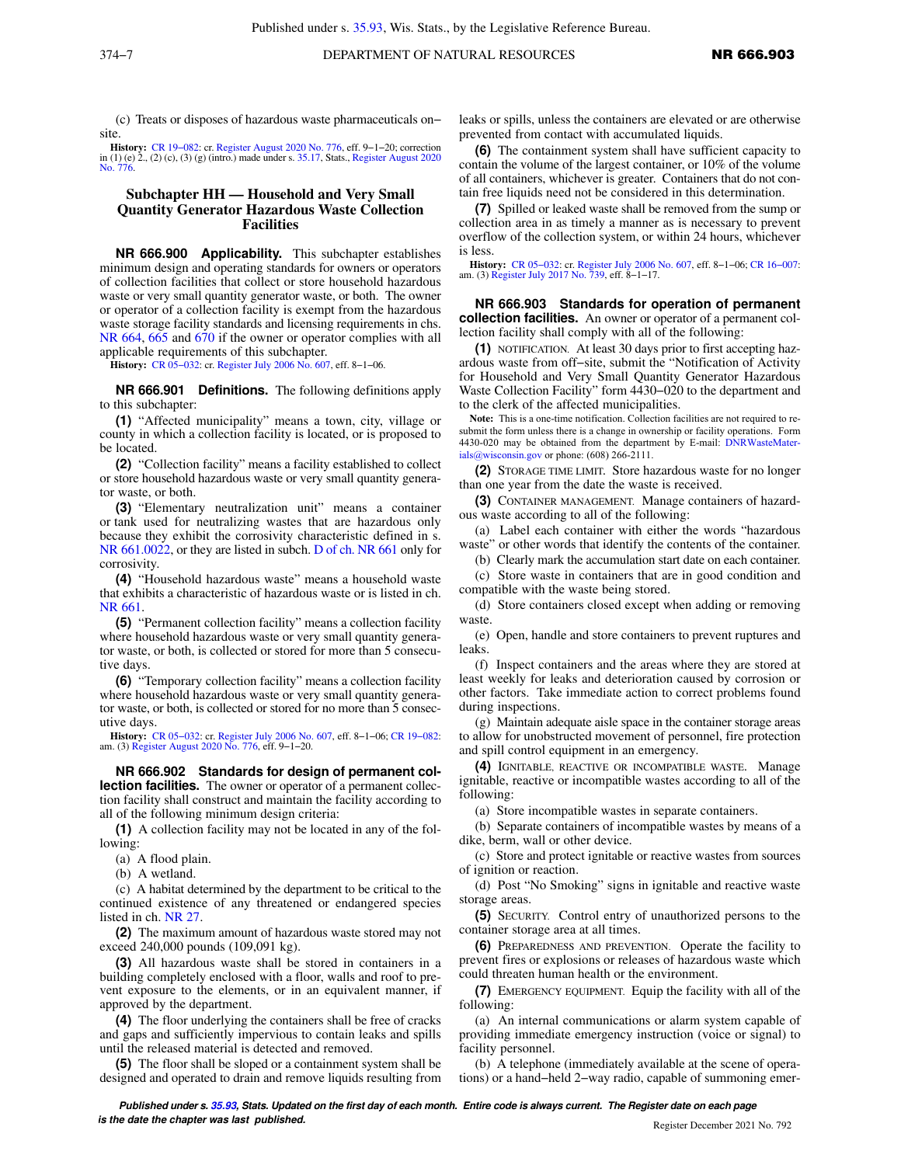(c) Treats or disposes of hazardous waste pharmaceuticals on− site.

**History:** [CR 19−082](https://docs.legis.wisconsin.gov/document/cr/2019/82): cr. [Register August 2020 No. 776](https://docs.legis.wisconsin.gov/document/register/776/B/toc), eff. 9−1−20; correction in (1) (e) 2., (2) (c), (3) (g) (intro.) made under s. [35.17,](https://docs.legis.wisconsin.gov/document/statutes/35.17) Stats., [Register August 2020](https://docs.legis.wisconsin.gov/document/register/776/B/toc) [No. 776](https://docs.legis.wisconsin.gov/document/register/776/B/toc).

## **Subchapter HH — Household and Very Small Quantity Generator Hazardous Waste Collection Facilities**

**NR 666.900 Applicability.** This subchapter establishes minimum design and operating standards for owners or operators of collection facilities that collect or store household hazardous waste or very small quantity generator waste, or both. The owner or operator of a collection facility is exempt from the hazardous waste storage facility standards and licensing requirements in chs. [NR 664](https://docs.legis.wisconsin.gov/document/administrativecode/ch.%20NR%20664), [665](https://docs.legis.wisconsin.gov/document/administrativecode/ch.%20NR%20665) and [670](https://docs.legis.wisconsin.gov/document/administrativecode/ch.%20NR%20670) if the owner or operator complies with all applicable requirements of this subchapter.

**History:** [CR 05−032](https://docs.legis.wisconsin.gov/document/cr/2005/32): cr. [Register July 2006 No. 607,](https://docs.legis.wisconsin.gov/document/register/607/B/toc) eff. 8−1−06.

**NR 666.901 Definitions.** The following definitions apply to this subchapter:

**(1)** "Affected municipality" means a town, city, village or county in which a collection facility is located, or is proposed to be located.

**(2)** "Collection facility" means a facility established to collect or store household hazardous waste or very small quantity generator waste, or both.

**(3)** "Elementary neutralization unit" means a container or tank used for neutralizing wastes that are hazardous only because they exhibit the corrosivity characteristic defined in s. [NR 661.0022,](https://docs.legis.wisconsin.gov/document/administrativecode/NR%20661.0022) or they are listed in subch. [D of ch. NR 661](https://docs.legis.wisconsin.gov/document/administrativecode/subch.%20D%20of%20ch.%20NR%20661) only for corrosivity.

**(4)** "Household hazardous waste" means a household waste that exhibits a characteristic of hazardous waste or is listed in ch. [NR 661](https://docs.legis.wisconsin.gov/document/administrativecode/ch.%20NR%20661).

**(5)** "Permanent collection facility" means a collection facility where household hazardous waste or very small quantity generator waste, or both, is collected or stored for more than 5 consecutive days.

**(6)** "Temporary collection facility" means a collection facility where household hazardous waste or very small quantity generator waste, or both, is collected or stored for no more than 5 consecutive days.

**History:** [CR 05−032:](https://docs.legis.wisconsin.gov/document/cr/2005/32) cr. [Register July 2006 No. 607,](https://docs.legis.wisconsin.gov/document/register/607/B/toc) eff. 8−1−06; [CR 19−082:](https://docs.legis.wisconsin.gov/document/cr/2019/82) am. (3) [Register August 2020 No. 776](https://docs.legis.wisconsin.gov/document/register/776/B/toc), eff. 9−1−20.

**NR 666.902 Standards for design of permanent collection facilities.** The owner or operator of a permanent collection facility shall construct and maintain the facility according to all of the following minimum design criteria:

**(1)** A collection facility may not be located in any of the following:

(a) A flood plain.

(b) A wetland.

(c) A habitat determined by the department to be critical to the continued existence of any threatened or endangered species listed in ch. [NR 27.](https://docs.legis.wisconsin.gov/document/administrativecode/ch.%20NR%2027)

**(2)** The maximum amount of hazardous waste stored may not exceed 240,000 pounds (109,091 kg).

**(3)** All hazardous waste shall be stored in containers in a building completely enclosed with a floor, walls and roof to prevent exposure to the elements, or in an equivalent manner, if approved by the department.

**(4)** The floor underlying the containers shall be free of cracks and gaps and sufficiently impervious to contain leaks and spills until the released material is detected and removed.

**(5)** The floor shall be sloped or a containment system shall be designed and operated to drain and remove liquids resulting from leaks or spills, unless the containers are elevated or are otherwise prevented from contact with accumulated liquids.

**(6)** The containment system shall have sufficient capacity to contain the volume of the largest container, or 10% of the volume of all containers, whichever is greater. Containers that do not contain free liquids need not be considered in this determination.

**(7)** Spilled or leaked waste shall be removed from the sump or collection area in as timely a manner as is necessary to prevent overflow of the collection system, or within 24 hours, whichever is less.

**History:** [CR 05−032](https://docs.legis.wisconsin.gov/document/cr/2005/32): cr. [Register July 2006 No. 607](https://docs.legis.wisconsin.gov/document/register/607/B/toc), eff. 8−1−06; [CR 16−007](https://docs.legis.wisconsin.gov/document/cr/2016/7): am. (3) [Register July 2017 No. 739](https://docs.legis.wisconsin.gov/document/register/739/B/toc), eff. 8−1−17.

**NR 666.903 Standards for operation of permanent collection facilities.** An owner or operator of a permanent collection facility shall comply with all of the following:

**(1)** NOTIFICATION*.* At least 30 days prior to first accepting hazardous waste from off−site, submit the "Notification of Activity for Household and Very Small Quantity Generator Hazardous Waste Collection Facility" form 4430−020 to the department and to the clerk of the affected municipalities.

Note: This is a one-time notification. Collection facilities are not required to resubmit the form unless there is a change in ownership or facility operations. Form 4430-020 may be obtained from the department by E-mail: [DNRWasteMater](mailto:DNRWasteMaterials@wisconsin.gov)[ials@wisconsin.gov](mailto:DNRWasteMaterials@wisconsin.gov) or phone: (608) 266-2111.

**(2)** STORAGE TIME LIMIT. Store hazardous waste for no longer than one year from the date the waste is received.

**(3)** CONTAINER MANAGEMENT. Manage containers of hazardous waste according to all of the following:

(a) Label each container with either the words "hazardous waste" or other words that identify the contents of the container.

(b) Clearly mark the accumulation start date on each container.

(c) Store waste in containers that are in good condition and compatible with the waste being stored.

(d) Store containers closed except when adding or removing waste.

(e) Open, handle and store containers to prevent ruptures and leaks.

(f) Inspect containers and the areas where they are stored at least weekly for leaks and deterioration caused by corrosion or other factors. Take immediate action to correct problems found during inspections.

(g) Maintain adequate aisle space in the container storage areas to allow for unobstructed movement of personnel, fire protection and spill control equipment in an emergency.

**(4)** IGNITABLE, REACTIVE OR INCOMPATIBLE WASTE. Manage ignitable, reactive or incompatible wastes according to all of the following:

(a) Store incompatible wastes in separate containers.

(b) Separate containers of incompatible wastes by means of a dike, berm, wall or other device.

(c) Store and protect ignitable or reactive wastes from sources of ignition or reaction.

(d) Post "No Smoking" signs in ignitable and reactive waste storage areas.

**(5)** SECURITY. Control entry of unauthorized persons to the container storage area at all times.

**(6)** PREPAREDNESS AND PREVENTION. Operate the facility to prevent fires or explosions or releases of hazardous waste which could threaten human health or the environment.

**(7)** EMERGENCY EQUIPMENT. Equip the facility with all of the following:

(a) An internal communications or alarm system capable of providing immediate emergency instruction (voice or signal) to facility personnel.

(b) A telephone (immediately available at the scene of operations) or a hand−held 2−way radio, capable of summoning emer-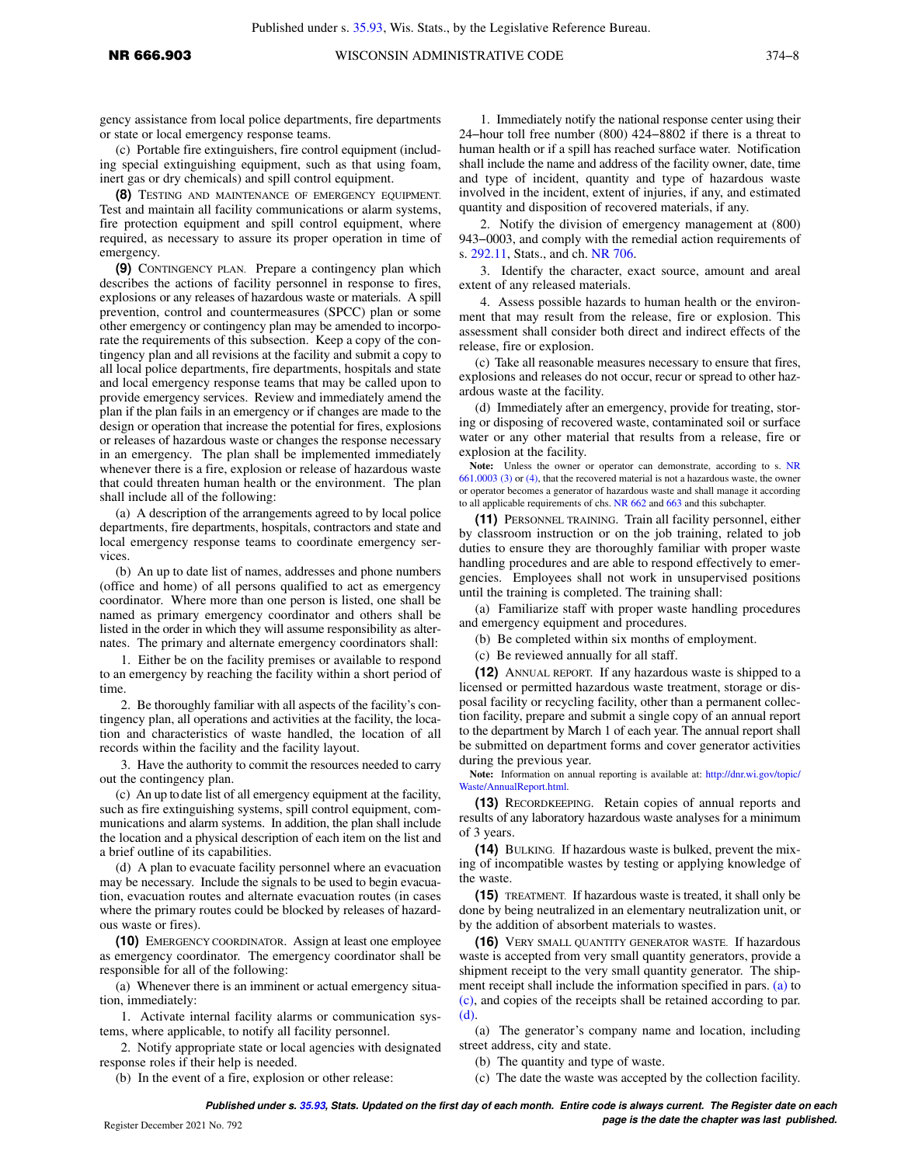gency assistance from local police departments, fire departments or state or local emergency response teams.

(c) Portable fire extinguishers, fire control equipment (including special extinguishing equipment, such as that using foam, inert gas or dry chemicals) and spill control equipment.

**(8)** TESTING AND MAINTENANCE OF EMERGENCY EQUIPMENT. Test and maintain all facility communications or alarm systems, fire protection equipment and spill control equipment, where required, as necessary to assure its proper operation in time of emergency.

**(9)** CONTINGENCY PLAN. Prepare a contingency plan which describes the actions of facility personnel in response to fires, explosions or any releases of hazardous waste or materials. A spill prevention, control and countermeasures (SPCC) plan or some other emergency or contingency plan may be amended to incorporate the requirements of this subsection. Keep a copy of the contingency plan and all revisions at the facility and submit a copy to all local police departments, fire departments, hospitals and state and local emergency response teams that may be called upon to provide emergency services. Review and immediately amend the plan if the plan fails in an emergency or if changes are made to the design or operation that increase the potential for fires, explosions or releases of hazardous waste or changes the response necessary in an emergency. The plan shall be implemented immediately whenever there is a fire, explosion or release of hazardous waste that could threaten human health or the environment. The plan shall include all of the following:

(a) A description of the arrangements agreed to by local police departments, fire departments, hospitals, contractors and state and local emergency response teams to coordinate emergency services.

(b) An up to date list of names, addresses and phone numbers (office and home) of all persons qualified to act as emergency coordinator. Where more than one person is listed, one shall be named as primary emergency coordinator and others shall be listed in the order in which they will assume responsibility as alternates. The primary and alternate emergency coordinators shall:

1. Either be on the facility premises or available to respond to an emergency by reaching the facility within a short period of time.

2. Be thoroughly familiar with all aspects of the facility's contingency plan, all operations and activities at the facility, the location and characteristics of waste handled, the location of all records within the facility and the facility layout.

3. Have the authority to commit the resources needed to carry out the contingency plan.

(c) An up todate list of all emergency equipment at the facility, such as fire extinguishing systems, spill control equipment, communications and alarm systems. In addition, the plan shall include the location and a physical description of each item on the list and a brief outline of its capabilities.

(d) A plan to evacuate facility personnel where an evacuation may be necessary. Include the signals to be used to begin evacuation, evacuation routes and alternate evacuation routes (in cases where the primary routes could be blocked by releases of hazardous waste or fires).

**(10)** EMERGENCY COORDINATOR. Assign at least one employee as emergency coordinator. The emergency coordinator shall be responsible for all of the following:

(a) Whenever there is an imminent or actual emergency situation, immediately:

1. Activate internal facility alarms or communication systems, where applicable, to notify all facility personnel.

2. Notify appropriate state or local agencies with designated response roles if their help is needed.

(b) In the event of a fire, explosion or other release:

1. Immediately notify the national response center using their 24−hour toll free number (800) 424−8802 if there is a threat to human health or if a spill has reached surface water. Notification shall include the name and address of the facility owner, date, time and type of incident, quantity and type of hazardous waste involved in the incident, extent of injuries, if any, and estimated quantity and disposition of recovered materials, if any.

2. Notify the division of emergency management at (800) 943−0003, and comply with the remedial action requirements of s. [292.11,](https://docs.legis.wisconsin.gov/document/statutes/292.11) Stats., and ch. [NR 706](https://docs.legis.wisconsin.gov/document/administrativecode/ch.%20NR%20706).

3. Identify the character, exact source, amount and areal extent of any released materials.

4. Assess possible hazards to human health or the environment that may result from the release, fire or explosion. This assessment shall consider both direct and indirect effects of the release, fire or explosion.

(c) Take all reasonable measures necessary to ensure that fires, explosions and releases do not occur, recur or spread to other hazardous waste at the facility.

(d) Immediately after an emergency, provide for treating, storing or disposing of recovered waste, contaminated soil or surface water or any other material that results from a release, fire or explosion at the facility.

**Note:** Unless the owner or operator can demonstrate, according to s. [NR](https://docs.legis.wisconsin.gov/document/administrativecode/NR%20661.0003(3)) [661.0003 \(3\)](https://docs.legis.wisconsin.gov/document/administrativecode/NR%20661.0003(3)) or [\(4\),](https://docs.legis.wisconsin.gov/document/administrativecode/NR%20661.0003(4)) that the recovered material is not a hazardous waste, the owner or operator becomes a generator of hazardous waste and shall manage it according to all applicable requirements of chs. [NR 662](https://docs.legis.wisconsin.gov/document/administrativecode/ch.%20NR%20662) and [663](https://docs.legis.wisconsin.gov/document/administrativecode/ch.%20NR%20663) and this subchapter.

**(11)** PERSONNEL TRAINING. Train all facility personnel, either by classroom instruction or on the job training, related to job duties to ensure they are thoroughly familiar with proper waste handling procedures and are able to respond effectively to emergencies. Employees shall not work in unsupervised positions until the training is completed. The training shall:

(a) Familiarize staff with proper waste handling procedures and emergency equipment and procedures.

(b) Be completed within six months of employment.

(c) Be reviewed annually for all staff.

**(12)** ANNUAL REPORT. If any hazardous waste is shipped to a licensed or permitted hazardous waste treatment, storage or disposal facility or recycling facility, other than a permanent collection facility, prepare and submit a single copy of an annual report to the department by March 1 of each year. The annual report shall be submitted on department forms and cover generator activities during the previous year.

**Note:** Information on annual reporting is available at: [http://dnr.wi.gov/topic/](http://dnr.wi.gov/topic/Waste/AnnualReport.html) [Waste/AnnualReport.html](http://dnr.wi.gov/topic/Waste/AnnualReport.html).

**(13)** RECORDKEEPING. Retain copies of annual reports and results of any laboratory hazardous waste analyses for a minimum of 3 years.

**(14)** BULKING. If hazardous waste is bulked, prevent the mixing of incompatible wastes by testing or applying knowledge of the waste.

**(15)** TREATMENT. If hazardous waste is treated, it shall only be done by being neutralized in an elementary neutralization unit, or by the addition of absorbent materials to wastes.

**(16)** VERY SMALL QUANTITY GENERATOR WASTE. If hazardous waste is accepted from very small quantity generators, provide a shipment receipt to the very small quantity generator. The shipment receipt shall include the information specified in pars. [\(a\)](https://docs.legis.wisconsin.gov/document/administrativecode/NR%20666.903(16)(a)) to [\(c\)](https://docs.legis.wisconsin.gov/document/administrativecode/NR%20666.903(16)(c)), and copies of the receipts shall be retained according to par. [\(d\).](https://docs.legis.wisconsin.gov/document/administrativecode/NR%20666.903(16)(d))

(a) The generator's company name and location, including street address, city and state.

(b) The quantity and type of waste.

(c) The date the waste was accepted by the collection facility.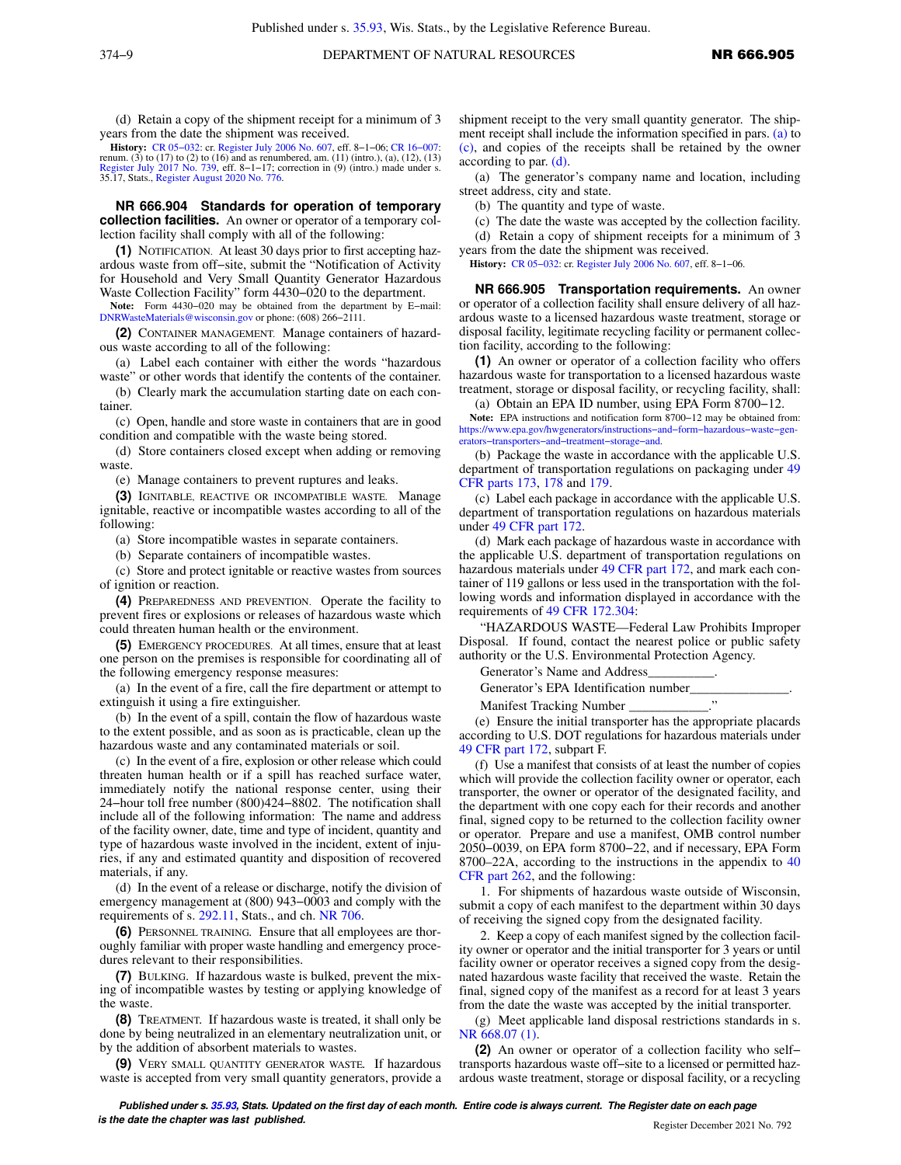(d) Retain a copy of the shipment receipt for a minimum of 3 years from the date the shipment was received.

**History:** [CR 05−032:](https://docs.legis.wisconsin.gov/document/cr/2005/32) cr. [Register July 2006 No. 607,](https://docs.legis.wisconsin.gov/document/register/607/B/toc) eff. 8−1−06; [CR 16−007:](https://docs.legis.wisconsin.gov/document/cr/2016/7) renum. (3) to (17) to (2) to (16) and as renumbered, am. (11) (intro.), (a), (12), (13) [Register July 2017 No. 739](https://docs.legis.wisconsin.gov/document/register/739/B/toc), eff. 8−1−17; correction in (9) (intro.) made under s. 35.17, Stats., [Register August 2020 No. 776](https://docs.legis.wisconsin.gov/document/register/776/B/toc).

**NR 666.904 Standards for operation of temporary collection facilities.** An owner or operator of a temporary collection facility shall comply with all of the following:

**(1)** NOTIFICATION. At least 30 days prior to first accepting hazardous waste from off−site, submit the "Notification of Activity for Household and Very Small Quantity Generator Hazardous Waste Collection Facility" form 4430−020 to the department.

**Note:** Form 4430−020 may be obtained from the department by E−mail: [DNRWasteMaterials@wisconsin.gov](mailto:DNRWasteMaterials@wisconsin.gov) or phone: (608) 266−2111.

**(2)** CONTAINER MANAGEMENT. Manage containers of hazardous waste according to all of the following:

(a) Label each container with either the words "hazardous waste" or other words that identify the contents of the container.

(b) Clearly mark the accumulation starting date on each container.

(c) Open, handle and store waste in containers that are in good condition and compatible with the waste being stored.

(d) Store containers closed except when adding or removing waste.

(e) Manage containers to prevent ruptures and leaks.

**(3)** IGNITABLE, REACTIVE OR INCOMPATIBLE WASTE. Manage ignitable, reactive or incompatible wastes according to all of the following:

(a) Store incompatible wastes in separate containers.

(b) Separate containers of incompatible wastes.

(c) Store and protect ignitable or reactive wastes from sources of ignition or reaction.

**(4)** PREPAREDNESS AND PREVENTION. Operate the facility to prevent fires or explosions or releases of hazardous waste which could threaten human health or the environment.

**(5)** EMERGENCY PROCEDURES. At all times, ensure that at least one person on the premises is responsible for coordinating all of the following emergency response measures:

(a) In the event of a fire, call the fire department or attempt to extinguish it using a fire extinguisher.

(b) In the event of a spill, contain the flow of hazardous waste to the extent possible, and as soon as is practicable, clean up the hazardous waste and any contaminated materials or soil.

(c) In the event of a fire, explosion or other release which could threaten human health or if a spill has reached surface water, immediately notify the national response center, using their 24−hour toll free number (800)424−8802. The notification shall include all of the following information: The name and address of the facility owner, date, time and type of incident, quantity and type of hazardous waste involved in the incident, extent of injuries, if any and estimated quantity and disposition of recovered materials, if any.

(d) In the event of a release or discharge, notify the division of emergency management at (800) 943−0003 and comply with the requirements of s. [292.11,](https://docs.legis.wisconsin.gov/document/statutes/292.11) Stats., and ch. [NR 706](https://docs.legis.wisconsin.gov/document/administrativecode/ch.%20NR%20706).

**(6)** PERSONNEL TRAINING*.* Ensure that all employees are thoroughly familiar with proper waste handling and emergency procedures relevant to their responsibilities.

**(7)** BULKING. If hazardous waste is bulked, prevent the mixing of incompatible wastes by testing or applying knowledge of the waste.

**(8)** TREATMENT. If hazardous waste is treated, it shall only be done by being neutralized in an elementary neutralization unit, or by the addition of absorbent materials to wastes.

**(9)** VERY SMALL QUANTITY GENERATOR WASTE*.* If hazardous waste is accepted from very small quantity generators, provide a shipment receipt to the very small quantity generator. The shipment receipt shall include the information specified in pars. [\(a\)](https://docs.legis.wisconsin.gov/document/administrativecode/NR%20666.904(9)(a)) to [\(c\)](https://docs.legis.wisconsin.gov/document/administrativecode/NR%20666.904(9)(c)), and copies of the receipts shall be retained by the owner according to par. [\(d\).](https://docs.legis.wisconsin.gov/document/administrativecode/NR%20666.904(9)(d))

(a) The generator's company name and location, including street address, city and state.

(b) The quantity and type of waste.

(c) The date the waste was accepted by the collection facility.

(d) Retain a copy of shipment receipts for a minimum of 3

years from the date the shipment was received.

**History:** [CR 05−032:](https://docs.legis.wisconsin.gov/document/cr/2005/32) cr. [Register July 2006 No. 607](https://docs.legis.wisconsin.gov/document/register/607/B/toc), eff. 8−1−06.

**NR 666.905 Transportation requirements.** An owner or operator of a collection facility shall ensure delivery of all hazardous waste to a licensed hazardous waste treatment, storage or disposal facility, legitimate recycling facility or permanent collection facility, according to the following:

**(1)** An owner or operator of a collection facility who offers hazardous waste for transportation to a licensed hazardous waste treatment, storage or disposal facility, or recycling facility, shall:

(a) Obtain an EPA ID number, using EPA Form 8700−12.

**Note:** EPA instructions and notification form 8700−12 may be obtained from: [https://www.epa.gov/hwgenerators/instructions−and−form−hazardous−waste−gen](https://www.epa.gov/hwgenerators/instructions-and-form-hazardous-waste-generators-transporters-and-treatment-storage-and)[erators−transporters−and−treatment−storage−and.](https://www.epa.gov/hwgenerators/instructions-and-form-hazardous-waste-generators-transporters-and-treatment-storage-and)

(b) Package the waste in accordance with the applicable U.S. department of transportation regulations on packaging under [49](https://docs.legis.wisconsin.gov/document/cfr/49%20CFR%20173) [CFR parts 173,](https://docs.legis.wisconsin.gov/document/cfr/49%20CFR%20173) [178](https://docs.legis.wisconsin.gov/document/cfr/49%20CFR%20178) and [179](https://docs.legis.wisconsin.gov/document/cfr/49%20CFR%20179).

(c) Label each package in accordance with the applicable U.S. department of transportation regulations on hazardous materials under [49 CFR part 172.](https://docs.legis.wisconsin.gov/document/cfr/49%20CFR%20172)

(d) Mark each package of hazardous waste in accordance with the applicable U.S. department of transportation regulations on hazardous materials under [49 CFR part 172](https://docs.legis.wisconsin.gov/document/cfr/49%20CFR%20172), and mark each container of 119 gallons or less used in the transportation with the following words and information displayed in accordance with the requirements of [49 CFR 172.304](https://docs.legis.wisconsin.gov/document/cfr/49%20CFR%20172.304):

"HAZARDOUS WASTE—Federal Law Prohibits Improper Disposal. If found, contact the nearest police or public safety authority or the U.S. Environmental Protection Agency.

Generator's Name and Address\_\_\_\_\_\_\_\_\_\_.

Generator's EPA Identification number\_\_\_\_\_\_\_\_\_\_\_\_\_\_\_.

Manifest Tracking Number \_\_\_\_\_\_\_\_\_\_\_\_."

(e) Ensure the initial transporter has the appropriate placards according to U.S. DOT regulations for hazardous materials under [49 CFR part 172,](https://docs.legis.wisconsin.gov/document/cfr/49%20CFR%20172) subpart F.

(f) Use a manifest that consists of at least the number of copies which will provide the collection facility owner or operator, each transporter, the owner or operator of the designated facility, and the department with one copy each for their records and another final, signed copy to be returned to the collection facility owner or operator. Prepare and use a manifest, OMB control number 2050−0039, on EPA form 8700−22, and if necessary, EPA Form 8700–22A, according to the instructions in the appendix to [40](https://docs.legis.wisconsin.gov/document/cfr/40%20CFR%20262) [CFR part 262](https://docs.legis.wisconsin.gov/document/cfr/40%20CFR%20262), and the following:

1. For shipments of hazardous waste outside of Wisconsin, submit a copy of each manifest to the department within 30 days of receiving the signed copy from the designated facility.

2. Keep a copy of each manifest signed by the collection facility owner or operator and the initial transporter for 3 years or until facility owner or operator receives a signed copy from the designated hazardous waste facility that received the waste. Retain the final, signed copy of the manifest as a record for at least 3 years from the date the waste was accepted by the initial transporter.

(g) Meet applicable land disposal restrictions standards in s. [NR 668.07 \(1\).](https://docs.legis.wisconsin.gov/document/administrativecode/NR%20668.07(1))

**(2)** An owner or operator of a collection facility who self− transports hazardous waste off−site to a licensed or permitted hazardous waste treatment, storage or disposal facility, or a recycling